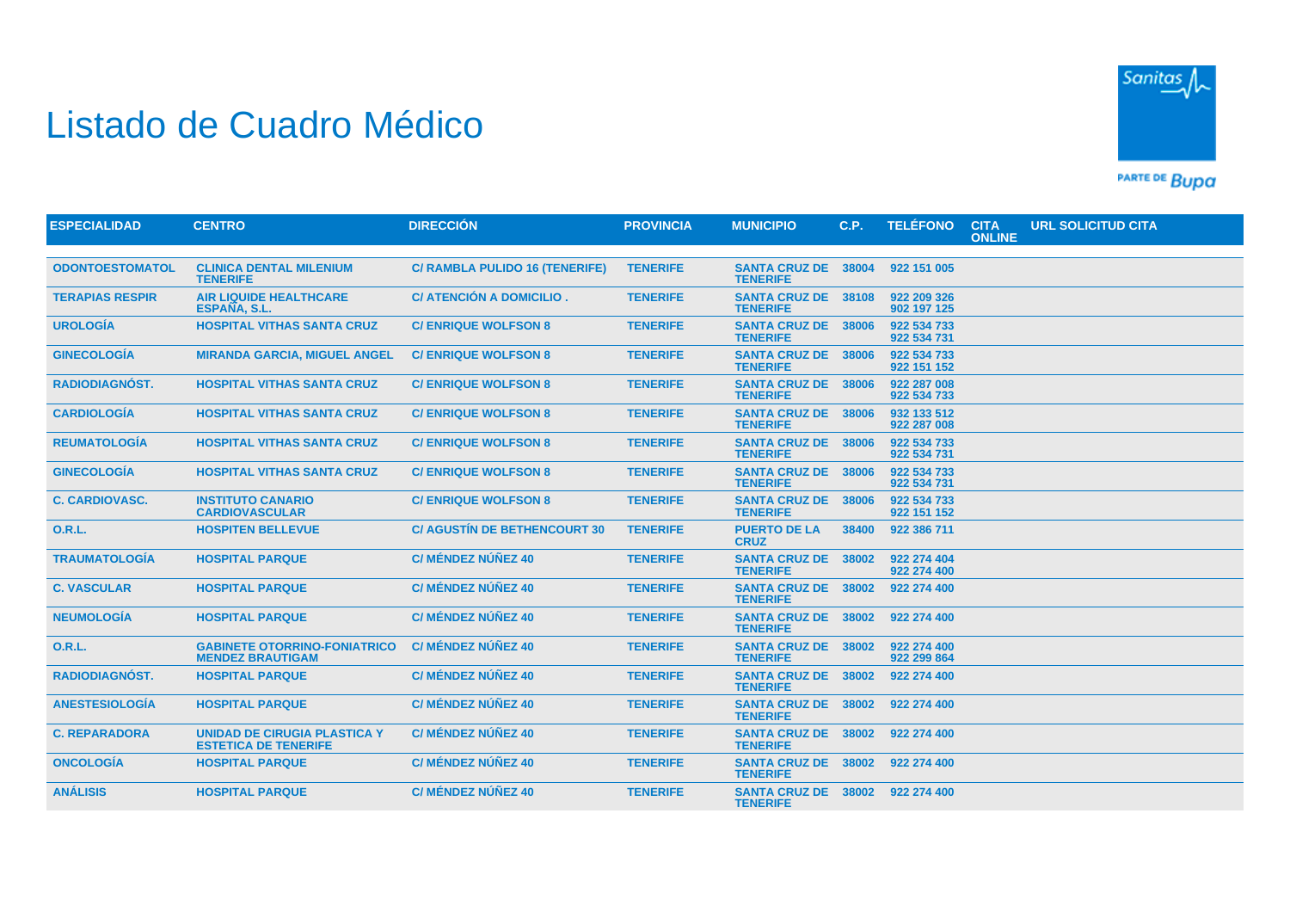## Listado de Cuadro Médico



PARTE DE BUDA

| <b>ESPECIALIDAD</b>    | <b>CENTRO</b>                                                      | <b>DIRECCIÓN</b>                    | <b>PROVINCIA</b> | <b>MUNICIPIO</b>                              | C.P.  | <b>TELÉFONO</b>            | <b>CITA</b><br><b>ONLINE</b> | <b>URL SOLICITUD CITA</b> |  |
|------------------------|--------------------------------------------------------------------|-------------------------------------|------------------|-----------------------------------------------|-------|----------------------------|------------------------------|---------------------------|--|
|                        |                                                                    |                                     |                  |                                               |       |                            |                              |                           |  |
| <b>ODONTOESTOMATOL</b> | <b>CLINICA DENTAL MILENIUM</b><br><b>TENERIFE</b>                  | C/ RAMBLA PULIDO 16 (TENERIFE)      | <b>TENERIFE</b>  | <b>SANTA CRUZ DE</b><br><b>TENERIFE</b>       | 38004 | 922 151 005                |                              |                           |  |
| <b>TERAPIAS RESPIR</b> | <b>AIR LIQUIDE HEALTHCARE</b><br>ESPAÑA, S.L.                      | C/ ATENCIÓN A DOMICILIO.            | <b>TENERIFE</b>  | <b>SANTA CRUZ DE 38108</b><br><b>TENERIFE</b> |       | 922 209 326<br>902 197 125 |                              |                           |  |
| <b>UROLOGÍA</b>        | <b>HOSPITAL VITHAS SANTA CRUZ</b>                                  | <b>C/ ENRIQUE WOLFSON 8</b>         | <b>TENERIFE</b>  | <b>SANTA CRUZ DE 38006</b><br><b>TENERIFE</b> |       | 922 534 733<br>922 534 731 |                              |                           |  |
| <b>GINECOLOGÍA</b>     | <b>MIRANDA GARCIA, MIGUEL ANGEL</b>                                | <b>C/ENRIQUE WOLFSON 8</b>          | <b>TENERIFE</b>  | <b>SANTA CRUZ DE</b><br><b>TENERIFE</b>       | 38006 | 922 534 733<br>922 151 152 |                              |                           |  |
| <b>RADIODIAGNÓST.</b>  | <b>HOSPITAL VITHAS SANTA CRUZ</b>                                  | <b>C/ENRIQUE WOLFSON 8</b>          | <b>TENERIFE</b>  | <b>SANTA CRUZ DE</b><br><b>TENERIFE</b>       | 38006 | 922 287 008<br>922 534 733 |                              |                           |  |
| <b>CARDIOLOGÍA</b>     | <b>HOSPITAL VITHAS SANTA CRUZ</b>                                  | <b>C/ ENRIQUE WOLFSON 8</b>         | <b>TENERIFE</b>  | <b>SANTA CRUZ DE</b><br><b>TENERIFE</b>       | 38006 | 932 133 512<br>922 287 008 |                              |                           |  |
| <b>REUMATOLOGÍA</b>    | <b>HOSPITAL VITHAS SANTA CRUZ</b>                                  | <b>C/ENRIQUE WOLFSON 8</b>          | <b>TENERIFE</b>  | <b>SANTA CRUZ DE 38006</b><br><b>TENERIFE</b> |       | 922 534 733<br>922 534 731 |                              |                           |  |
| <b>GINECOLOGÍA</b>     | <b>HOSPITAL VITHAS SANTA CRUZ</b>                                  | <b>C/ENRIQUE WOLFSON 8</b>          | <b>TENERIFE</b>  | SANTA CRUZ DE 38006<br><b>TENERIFE</b>        |       | 922 534 733<br>922 534 731 |                              |                           |  |
| <b>C. CARDIOVASC.</b>  | <b>INSTITUTO CANARIO</b><br><b>CARDIOVASCULAR</b>                  | <b>C/ENRIQUE WOLFSON 8</b>          | <b>TENERIFE</b>  | <b>SANTA CRUZ DE</b><br><b>TENERIFE</b>       | 38006 | 922 534 733<br>922 151 152 |                              |                           |  |
| <b>O.R.L.</b>          | <b>HOSPITEN BELLEVUE</b>                                           | <b>C/ AGUSTIN DE BETHENCOURT 30</b> | <b>TENERIFE</b>  | <b>PUERTO DE LA</b><br><b>CRUZ</b>            | 38400 | 922 386 711                |                              |                           |  |
| <b>TRAUMATOLOGÍA</b>   | <b>HOSPITAL PARQUE</b>                                             | C/ MÉNDEZ NÚÑEZ 40                  | <b>TENERIFE</b>  | <b>SANTA CRUZ DE</b><br><b>TENERIFE</b>       | 38002 | 922 274 404<br>922 274 400 |                              |                           |  |
| <b>C. VASCULAR</b>     | <b>HOSPITAL PARQUE</b>                                             | C/ MÉNDEZ NÚÑEZ 40                  | <b>TENERIFE</b>  | <b>SANTA CRUZ DE 38002</b><br><b>TENERIFE</b> |       | 922 274 400                |                              |                           |  |
| <b>NEUMOLOGÍA</b>      | <b>HOSPITAL PARQUE</b>                                             | C/ MÉNDEZ NÚÑEZ 40                  | <b>TENERIFE</b>  | <b>SANTA CRUZ DE 38002</b><br><b>TENERIFE</b> |       | 922 274 400                |                              |                           |  |
| <b>O.R.L.</b>          | <b>GABINETE OTORRINO-FONIATRICO</b><br><b>MENDEZ BRAUTIGAM</b>     | C/ MÉNDEZ NÚÑEZ 40                  | <b>TENERIFE</b>  | <b>SANTA CRUZ DE</b><br><b>TENERIFE</b>       | 38002 | 922 274 400<br>922 299 864 |                              |                           |  |
| <b>RADIODIAGNÓST.</b>  | <b>HOSPITAL PARQUE</b>                                             | C/ MÉNDEZ NÚÑEZ 40                  | <b>TENERIFE</b>  | <b>SANTA CRUZ DE 38002</b><br><b>TENERIFE</b> |       | 922 274 400                |                              |                           |  |
| <b>ANESTESIOLOGÍA</b>  | <b>HOSPITAL PARQUE</b>                                             | <b>C/ MÉNDEZ NÚÑEZ 40</b>           | <b>TENERIFE</b>  | <b>SANTA CRUZ DE</b><br><b>TENERIFE</b>       | 38002 | 922 274 400                |                              |                           |  |
| <b>C. REPARADORA</b>   | <b>UNIDAD DE CIRUGIA PLASTICA Y</b><br><b>ESTETICA DE TENERIFE</b> | C/ MÉNDEZ NÚÑEZ 40                  | <b>TENERIFE</b>  | <b>SANTA CRUZ DE</b><br><b>TENERIFE</b>       | 38002 | 922 274 400                |                              |                           |  |
| <b>ONCOLOGÍA</b>       | <b>HOSPITAL PARQUE</b>                                             | <b>C/ MÉNDEZ NÚÑEZ 40</b>           | <b>TENERIFE</b>  | SANTA CRUZ DE 38002<br><b>TENERIFE</b>        |       | 922 274 400                |                              |                           |  |
| <b>ANÁLISIS</b>        | <b>HOSPITAL PARQUE</b>                                             | <b>C/ MÉNDEZ NÚÑEZ 40</b>           | <b>TENERIFE</b>  | SANTA CRUZ DE 38002<br><b>TENERIFE</b>        |       | 922 274 400                |                              |                           |  |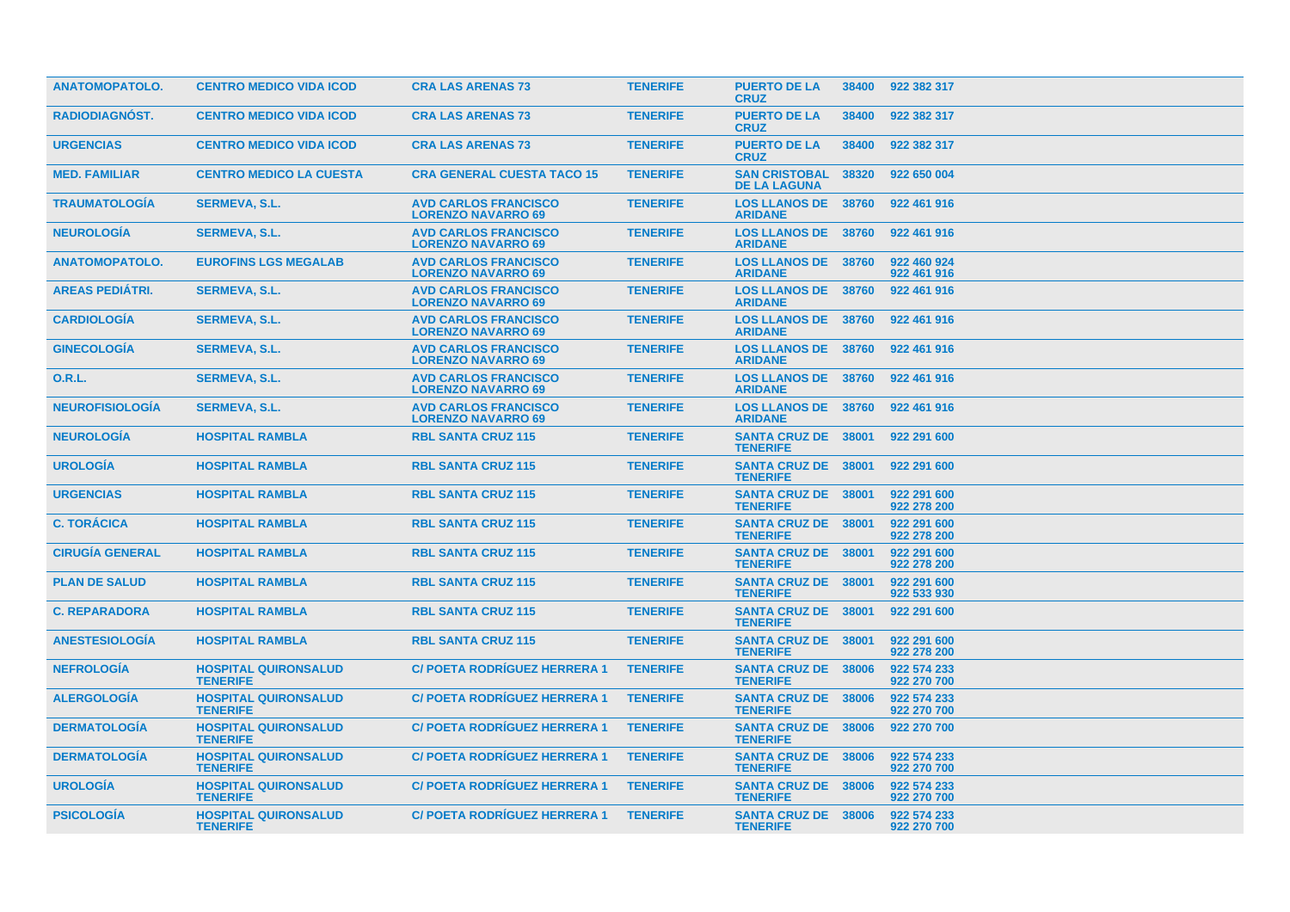| <b>ANATOMOPATOLO.</b>  | <b>CENTRO MEDICO VIDA ICOD</b>                 | <b>CRA LAS ARENAS 73</b>                                 | <b>TENERIFE</b> | <b>PUERTO DE LA</b><br><b>CRUZ</b>            | 38400 | 922 382 317                |
|------------------------|------------------------------------------------|----------------------------------------------------------|-----------------|-----------------------------------------------|-------|----------------------------|
| RADIODIAGNÓST.         | <b>CENTRO MEDICO VIDA ICOD</b>                 | <b>CRA LAS ARENAS 73</b>                                 | <b>TENERIFE</b> | <b>PUERTO DE LA</b><br><b>CRUZ</b>            | 38400 | 922 382 317                |
| <b>URGENCIAS</b>       | <b>CENTRO MEDICO VIDA ICOD</b>                 | <b>CRA LAS ARENAS 73</b>                                 | <b>TENERIFE</b> | <b>PUERTO DE LA</b><br><b>CRUZ</b>            | 38400 | 922 382 317                |
| <b>MED. FAMILIAR</b>   | <b>CENTRO MEDICO LA CUESTA</b>                 | <b>CRA GENERAL CUESTA TACO 15</b>                        | <b>TENERIFE</b> | <b>SAN CRISTOBAL</b><br><b>DE LA LAGUNA</b>   | 38320 | 922 650 004                |
| <b>TRAUMATOLOGIA</b>   | <b>SERMEVA, S.L.</b>                           | <b>AVD CARLOS FRANCISCO</b><br><b>LORENZO NAVARRO 69</b> | <b>TENERIFE</b> | <b>LOS LLANOS DE 38760</b><br><b>ARIDANE</b>  |       | 922 461 916                |
| <b>NEUROLOGIA</b>      | <b>SERMEVA, S.L.</b>                           | <b>AVD CARLOS FRANCISCO</b><br><b>LORENZO NAVARRO 69</b> | <b>TENERIFE</b> | <b>LOS LLANOS DE 38760</b><br><b>ARIDANE</b>  |       | 922 461 916                |
| <b>ANATOMOPATOLO.</b>  | <b>EUROFINS LGS MEGALAB</b>                    | <b>AVD CARLOS FRANCISCO</b><br><b>LORENZO NAVARRO 69</b> | <b>TENERIFE</b> | <b>LOS LLANOS DE 38760</b><br><b>ARIDANE</b>  |       | 922 460 924<br>922 461 916 |
| <b>AREAS PEDIÁTRI.</b> | <b>SERMEVA, S.L.</b>                           | <b>AVD CARLOS FRANCISCO</b><br><b>LORENZO NAVARRO 69</b> | <b>TENERIFE</b> | <b>LOS LLANOS DE 38760</b><br><b>ARIDANE</b>  |       | 922 461 916                |
| <b>CARDIOLOGÍA</b>     | <b>SERMEVA, S.L.</b>                           | <b>AVD CARLOS FRANCISCO</b><br><b>LORENZO NAVARRO 69</b> | <b>TENERIFE</b> | <b>LOS LLANOS DE 38760</b><br><b>ARIDANE</b>  |       | 922 461 916                |
| <b>GINECOLOGIA</b>     | <b>SERMEVA, S.L.</b>                           | <b>AVD CARLOS FRANCISCO</b><br><b>LORENZO NAVARRO 69</b> | <b>TENERIFE</b> | <b>LOS LLANOS DE 38760</b><br><b>ARIDANE</b>  |       | 922 461 916                |
| <b>O.R.L.</b>          | <b>SERMEVA, S.L.</b>                           | <b>AVD CARLOS FRANCISCO</b><br><b>LORENZO NAVARRO 69</b> | <b>TENERIFE</b> | <b>LOS LLANOS DE 38760</b><br><b>ARIDANE</b>  |       | 922 461 916                |
| <b>NEUROFISIOLOGÍA</b> | <b>SERMEVA, S.L.</b>                           | <b>AVD CARLOS FRANCISCO</b><br><b>LORENZO NAVARRO 69</b> | <b>TENERIFE</b> | <b>LOS LLANOS DE 38760</b><br><b>ARIDANE</b>  |       | 922 461 916                |
| <b>NEUROLOGIA</b>      | <b>HOSPITAL RAMBLA</b>                         | <b>RBL SANTA CRUZ 115</b>                                | <b>TENERIFE</b> | <b>SANTA CRUZ DE 38001</b><br><b>TENERIFE</b> |       | 922 291 600                |
| <b>UROLOGIA</b>        | <b>HOSPITAL RAMBLA</b>                         | <b>RBL SANTA CRUZ 115</b>                                | <b>TENERIFE</b> | <b>SANTA CRUZ DE 38001</b><br><b>TENERIFE</b> |       | 922 291 600                |
| <b>URGENCIAS</b>       | <b>HOSPITAL RAMBLA</b>                         | <b>RBL SANTA CRUZ 115</b>                                | <b>TENERIFE</b> | <b>SANTA CRUZ DE 38001</b><br><b>TENERIFE</b> |       | 922 291 600<br>922 278 200 |
| <b>C. TORÁCICA</b>     | <b>HOSPITAL RAMBLA</b>                         | <b>RBL SANTA CRUZ 115</b>                                | <b>TENERIFE</b> | <b>SANTA CRUZ DE 38001</b><br><b>TENERIFE</b> |       | 922 291 600<br>922 278 200 |
| <b>CIRUGÍA GENERAL</b> | <b>HOSPITAL RAMBLA</b>                         | <b>RBL SANTA CRUZ 115</b>                                | <b>TENERIFE</b> | <b>SANTA CRUZ DE 38001</b><br><b>TENERIFE</b> |       | 922 291 600<br>922 278 200 |
| <b>PLAN DE SALUD</b>   | <b>HOSPITAL RAMBLA</b>                         | <b>RBL SANTA CRUZ 115</b>                                | <b>TENERIFE</b> | <b>SANTA CRUZ DE 38001</b><br><b>TENERIFE</b> |       | 922 291 600<br>922 533 930 |
| <b>C. REPARADORA</b>   | <b>HOSPITAL RAMBLA</b>                         | <b>RBL SANTA CRUZ 115</b>                                | <b>TENERIFE</b> | SANTA CRUZ DE 38001<br><b>TENERIFE</b>        |       | 922 291 600                |
| <b>ANESTESIOLOGIA</b>  | <b>HOSPITAL RAMBLA</b>                         | <b>RBL SANTA CRUZ 115</b>                                | <b>TENERIFE</b> | <b>SANTA CRUZ DE 38001</b><br><b>TENERIFE</b> |       | 922 291 600<br>922 278 200 |
| <b>NEFROLOGÍA</b>      | <b>HOSPITAL QUIRONSALUD</b><br><b>TENERIFE</b> | <b>C/POETA RODRIGUEZ HERRERA 1</b>                       | <b>TENERIFE</b> | <b>SANTA CRUZ DE 38006</b><br><b>TENERIFE</b> |       | 922 574 233<br>922 270 700 |
| <b>ALERGOLOGIA</b>     | <b>HOSPITAL QUIRONSALUD</b><br><b>TENERIFE</b> | <b>C/ POETA RODRIGUEZ HERRERA 1</b>                      | <b>TENERIFE</b> | <b>SANTA CRUZ DE 38006</b><br><b>TENERIFE</b> |       | 922 574 233<br>922 270 700 |
| <b>DERMATOLOGÍA</b>    | <b>HOSPITAL QUIRONSALUD</b><br><b>TENERIFE</b> | <b>C/POETA RODRÍGUEZ HERRERA 1</b>                       | <b>TENERIFE</b> | <b>SANTA CRUZ DE 38006</b><br><b>TENERIFE</b> |       | 922 270 700                |
| <b>DERMATOLOGIA</b>    | <b>HOSPITAL QUIRONSALUD</b><br><b>TENERIFE</b> | <b>C/POETA RODRIGUEZ HERRERA 1</b>                       | <b>TENERIFE</b> | <b>SANTA CRUZ DE 38006</b><br><b>TENERIFE</b> |       | 922 574 233<br>922 270 700 |
| <b>UROLOGIA</b>        | <b>HOSPITAL QUIRONSALUD</b><br><b>TENERIFE</b> | <b>C/POETA RODRÍGUEZ HERRERA 1</b>                       | <b>TENERIFE</b> | <b>SANTA CRUZ DE 38006</b><br><b>TENERIFE</b> |       | 922 574 233<br>922 270 700 |
| <b>PSICOLOGIA</b>      | <b>HOSPITAL QUIRONSALUD</b><br><b>TENERIFE</b> | <b>C/ POETA RODRIGUEZ HERRERA 1</b>                      | <b>TENERIFE</b> | <b>SANTA CRUZ DE 38006</b><br><b>TENERIFE</b> |       | 922 574 233<br>922 270 700 |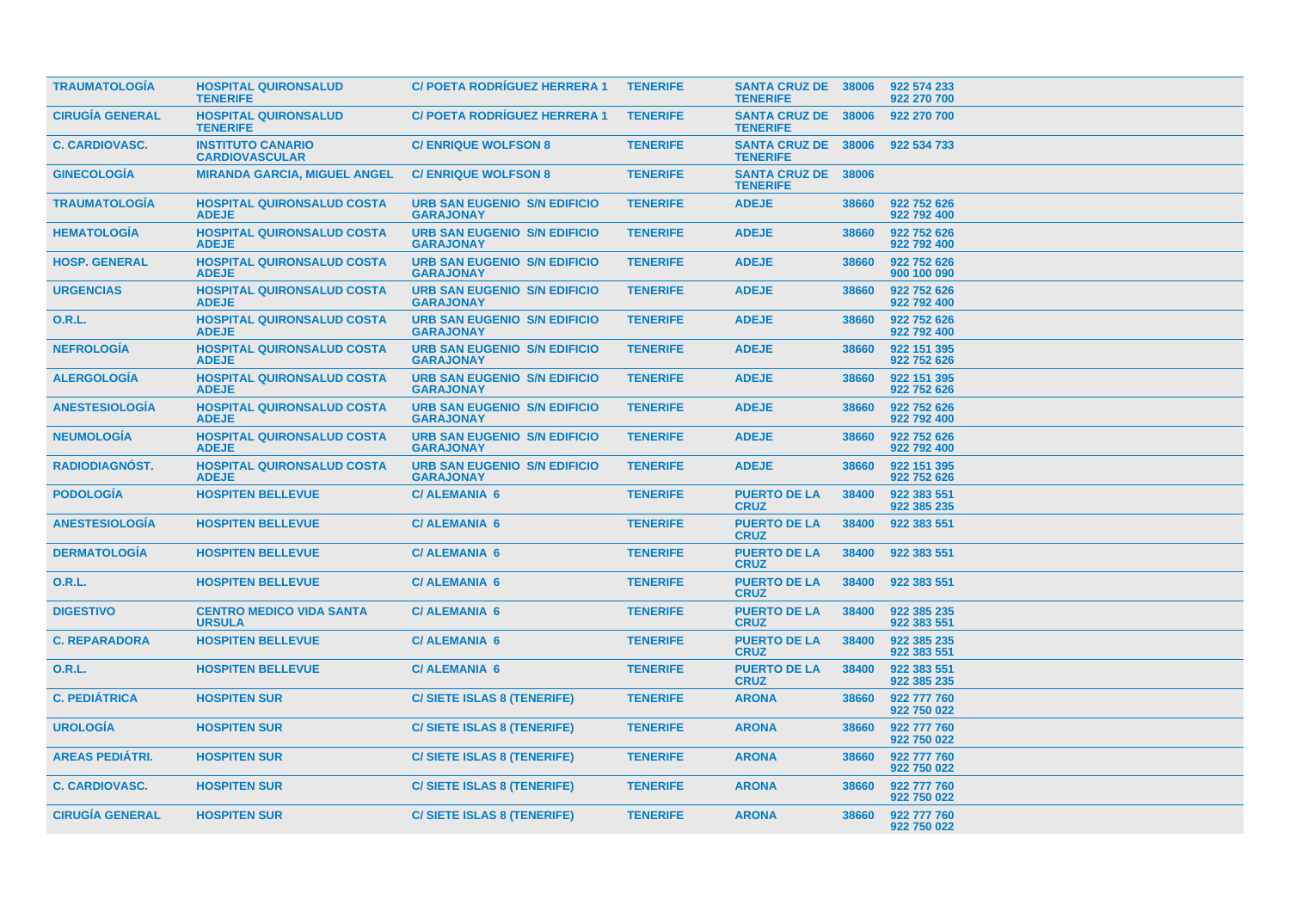| <b>TRAUMATOLOGIA</b>   | <b>HOSPITAL QUIRONSALUD</b><br><b>TENERIFE</b>    | <b>C/ POETA RODRIGUEZ HERRERA 1</b>                     | <b>TENERIFE</b> | <b>SANTA CRUZ DE 38006</b><br><b>TENERIFE</b> |       | 922 574 233<br>922 270 700 |
|------------------------|---------------------------------------------------|---------------------------------------------------------|-----------------|-----------------------------------------------|-------|----------------------------|
| <b>CIRUGÍA GENERAL</b> | <b>HOSPITAL QUIRONSALUD</b><br><b>TENERIFE</b>    | <b>C/POETA RODRIGUEZ HERRERA 1</b>                      | <b>TENERIFE</b> | <b>SANTA CRUZ DE 38006</b><br><b>TENERIFE</b> |       | 922 270 700                |
| <b>C. CARDIOVASC.</b>  | <b>INSTITUTO CANARIO</b><br><b>CARDIOVASCULAR</b> | <b>C/ ENRIQUE WOLFSON 8</b>                             | <b>TENERIFE</b> | <b>SANTA CRUZ DE 38006</b><br><b>TENERIFE</b> |       | 922 534 733                |
| <b>GINECOLOGÍA</b>     | <b>MIRANDA GARCIA, MIGUEL ANGEL</b>               | <b>C/ ENRIQUE WOLFSON 8</b>                             | <b>TENERIFE</b> | <b>SANTA CRUZ DE</b><br><b>TENERIFE</b>       | 38006 |                            |
| <b>TRAUMATOLOGIA</b>   | <b>HOSPITAL QUIRONSALUD COSTA</b><br><b>ADEJE</b> | <b>URB SAN EUGENIO S/N EDIFICIO</b><br><b>GARAJONAY</b> | <b>TENERIFE</b> | <b>ADEJE</b>                                  | 38660 | 922 752 626<br>922 792 400 |
| <b>HEMATOLOGÍA</b>     | <b>HOSPITAL QUIRONSALUD COSTA</b><br><b>ADEJE</b> | <b>URB SAN EUGENIO S/N EDIFICIO</b><br><b>GARAJONAY</b> | <b>TENERIFE</b> | <b>ADEJE</b>                                  | 38660 | 922 752 626<br>922 792 400 |
| <b>HOSP. GENERAL</b>   | <b>HOSPITAL QUIRONSALUD COSTA</b><br><b>ADEJE</b> | <b>URB SAN EUGENIO S/N EDIFICIO</b><br><b>GARAJONAY</b> | <b>TENERIFE</b> | <b>ADEJE</b>                                  | 38660 | 922 752 626<br>900 100 090 |
| <b>URGENCIAS</b>       | <b>HOSPITAL QUIRONSALUD COSTA</b><br><b>ADEJE</b> | <b>URB SAN EUGENIO S/N EDIFICIO</b><br><b>GARAJONAY</b> | <b>TENERIFE</b> | <b>ADEJE</b>                                  | 38660 | 922 752 626<br>922 792 400 |
| <b>O.R.L.</b>          | <b>HOSPITAL QUIRONSALUD COSTA</b><br><b>ADEJE</b> | <b>URB SAN EUGENIO S/N EDIFICIO</b><br><b>GARAJONAY</b> | <b>TENERIFE</b> | <b>ADEJE</b>                                  | 38660 | 922 752 626<br>922 792 400 |
| <b>NEFROLOGÍA</b>      | <b>HOSPITAL QUIRONSALUD COSTA</b><br><b>ADEJE</b> | <b>URB SAN EUGENIO S/N EDIFICIO</b><br><b>GARAJONAY</b> | <b>TENERIFE</b> | <b>ADEJE</b>                                  | 38660 | 922 151 395<br>922 752 626 |
| <b>ALERGOLOGIA</b>     | <b>HOSPITAL QUIRONSALUD COSTA</b><br><b>ADEJE</b> | <b>URB SAN EUGENIO S/N EDIFICIO</b><br><b>GARAJONAY</b> | <b>TENERIFE</b> | <b>ADEJE</b>                                  | 38660 | 922 151 395<br>922 752 626 |
| <b>ANESTESIOLOGIA</b>  | <b>HOSPITAL QUIRONSALUD COSTA</b><br><b>ADEJE</b> | <b>URB SAN EUGENIO S/N EDIFICIO</b><br><b>GARAJONAY</b> | <b>TENERIFE</b> | <b>ADEJE</b>                                  | 38660 | 922 752 626<br>922 792 400 |
| <b>NEUMOLOGIA</b>      | <b>HOSPITAL QUIRONSALUD COSTA</b><br><b>ADEJE</b> | <b>URB SAN EUGENIO S/N EDIFICIO</b><br><b>GARAJONAY</b> | <b>TENERIFE</b> | <b>ADEJE</b>                                  | 38660 | 922 752 626<br>922 792 400 |
| RADIODIAGNÓST.         | <b>HOSPITAL QUIRONSALUD COSTA</b><br><b>ADEJE</b> | <b>URB SAN EUGENIO S/N EDIFICIO</b><br><b>GARAJONAY</b> | <b>TENERIFE</b> | <b>ADEJE</b>                                  | 38660 | 922 151 395<br>922 752 626 |
| <b>PODOLOGÍA</b>       | <b>HOSPITEN BELLEVUE</b>                          | <b>C/ALEMANIA 6</b>                                     | <b>TENERIFE</b> | <b>PUERTO DE LA</b><br><b>CRUZ</b>            | 38400 | 922 383 551<br>922 385 235 |
| <b>ANESTESIOLOGÍA</b>  | <b>HOSPITEN BELLEVUE</b>                          | <b>C/ ALEMANIA 6</b>                                    | <b>TENERIFE</b> | <b>PUERTO DE LA</b><br><b>CRUZ</b>            | 38400 | 922 383 551                |
| <b>DERMATOLOGIA</b>    | <b>HOSPITEN BELLEVUE</b>                          | <b>C/ALEMANIA 6</b>                                     | <b>TENERIFE</b> | <b>PUERTO DE LA</b><br><b>CRUZ</b>            | 38400 | 922 383 551                |
| 0.R.L.                 | <b>HOSPITEN BELLEVUE</b>                          | <b>C/ALEMANIA 6</b>                                     | <b>TENERIFE</b> | <b>PUERTO DE LA</b><br><b>CRUZ</b>            | 38400 | 922 383 551                |
| <b>DIGESTIVO</b>       | <b>CENTRO MEDICO VIDA SANTA</b><br><b>URSULA</b>  | <b>C/ALEMANIA 6</b>                                     | <b>TENERIFE</b> | <b>PUERTO DE LA</b><br><b>CRUZ</b>            | 38400 | 922 385 235<br>922 383 551 |
| <b>C. REPARADORA</b>   | <b>HOSPITEN BELLEVUE</b>                          | <b>C/ ALEMANIA 6</b>                                    | <b>TENERIFE</b> | <b>PUERTO DE LA</b><br><b>CRUZ</b>            | 38400 | 922 385 235<br>922 383 551 |
| O.R.L.                 | <b>HOSPITEN BELLEVUE</b>                          | <b>C/ALEMANIA 6</b>                                     | <b>TENERIFE</b> | <b>PUERTO DE LA</b><br><b>CRUZ</b>            | 38400 | 922 383 551<br>922 385 235 |
| <b>C. PEDIÁTRICA</b>   | <b>HOSPITEN SUR</b>                               | <b>C/SIETE ISLAS 8 (TENERIFE)</b>                       | <b>TENERIFE</b> | <b>ARONA</b>                                  | 38660 | 922 777 760<br>922 750 022 |
| <b>UROLOGIA</b>        | <b>HOSPITEN SUR</b>                               | C/ SIETE ISLAS 8 (TENERIFE)                             | <b>TENERIFE</b> | <b>ARONA</b>                                  | 38660 | 922 777 760<br>922 750 022 |
| <b>AREAS PEDIÁTRI.</b> | <b>HOSPITEN SUR</b>                               | <b>C/SIETE ISLAS 8 (TENERIFE)</b>                       | <b>TENERIFE</b> | <b>ARONA</b>                                  | 38660 | 922 777 760<br>922 750 022 |
| <b>C. CARDIOVASC.</b>  | <b>HOSPITEN SUR</b>                               | <b>C/SIETE ISLAS 8 (TENERIFE)</b>                       | <b>TENERIFE</b> | <b>ARONA</b>                                  | 38660 | 922 777 760<br>922 750 022 |
| <b>CIRUGÍA GENERAL</b> | <b>HOSPITEN SUR</b>                               | <b>C/SIETE ISLAS 8 (TENERIFE)</b>                       | <b>TENERIFE</b> | <b>ARONA</b>                                  | 38660 | 922 777 760<br>922 750 022 |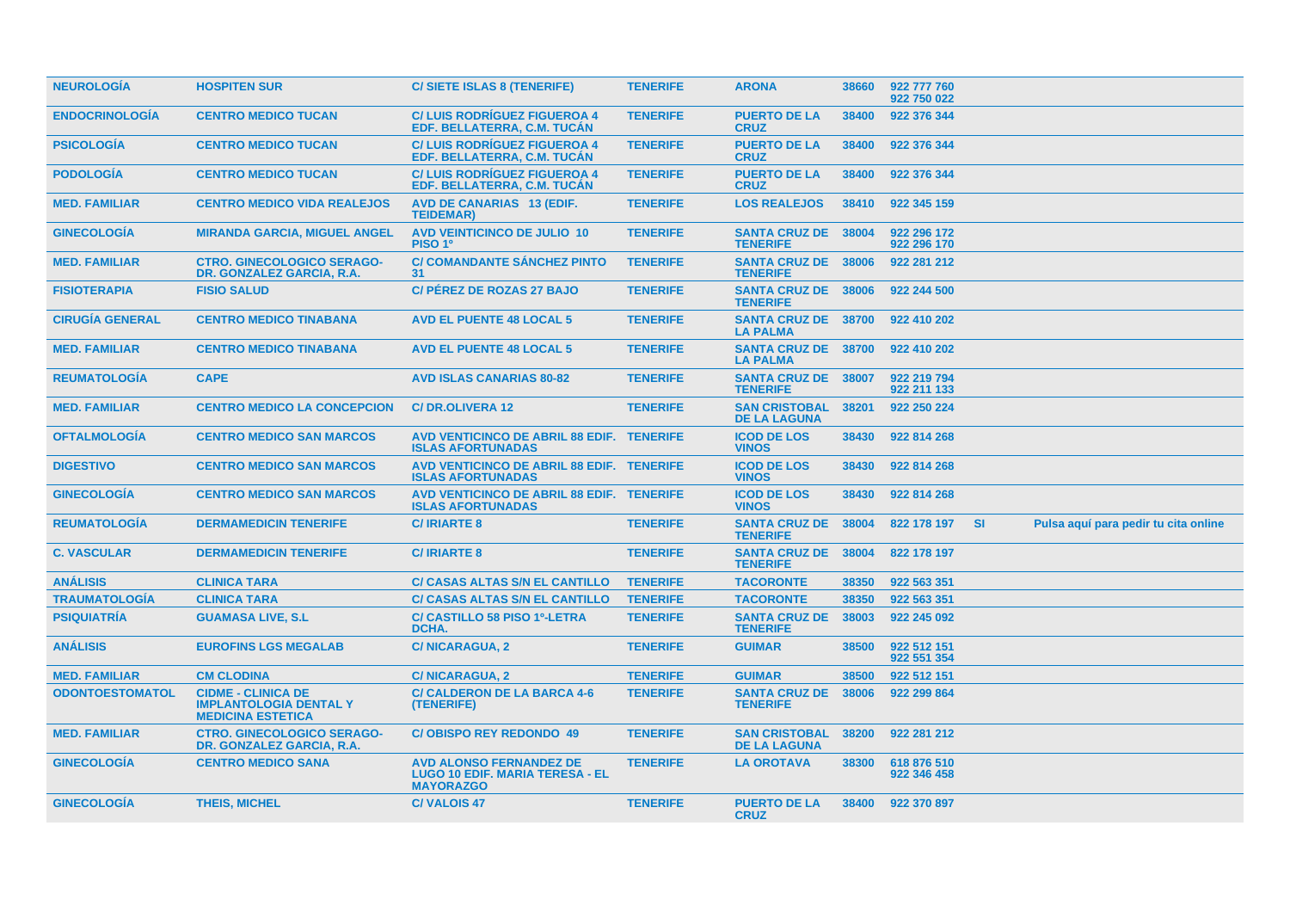| <b>NEUROLOGIA</b>      | <b>HOSPITEN SUR</b>                                                                    | C/ SIETE ISLAS 8 (TENERIFE)                                                                  | <b>TENERIFE</b> | <b>ARONA</b>                                  | 38660 | 922 777 760<br>922 750 022 |           |                                      |  |
|------------------------|----------------------------------------------------------------------------------------|----------------------------------------------------------------------------------------------|-----------------|-----------------------------------------------|-------|----------------------------|-----------|--------------------------------------|--|
| <b>ENDOCRINOLOGIA</b>  | <b>CENTRO MEDICO TUCAN</b>                                                             | <b>C/LUIS RODRIGUEZ FIGUEROA 4</b><br>EDF. BELLATERRA, C.M. TUCAN                            | <b>TENERIFE</b> | <b>PUERTO DE LA</b><br><b>CRUZ</b>            | 38400 | 922 376 344                |           |                                      |  |
| <b>PSICOLOGÍA</b>      | <b>CENTRO MEDICO TUCAN</b>                                                             | <b>C/LUIS RODRÍGUEZ FIGUEROA 4</b><br>EDF. BELLATERRA, C.M. TUCAN                            | <b>TENERIFE</b> | <b>PUERTO DE LA</b><br><b>CRUZ</b>            | 38400 | 922 376 344                |           |                                      |  |
| <b>PODOLOGÍA</b>       | <b>CENTRO MEDICO TUCAN</b>                                                             | <b>C/LUIS RODRÍGUEZ FIGUEROA 4</b><br>EDF. BELLATERRA, C.M. TUCAN                            | <b>TENERIFE</b> | <b>PUERTO DE LA</b><br><b>CRUZ</b>            | 38400 | 922 376 344                |           |                                      |  |
| <b>MED. FAMILIAR</b>   | <b>CENTRO MEDICO VIDA REALEJOS</b>                                                     | <b>AVD DE CANARIAS 13 (EDIF.</b><br><b>TEIDEMAR)</b>                                         | <b>TENERIFE</b> | <b>LOS REALEJOS</b>                           | 38410 | 922 345 159                |           |                                      |  |
| <b>GINECOLOGÍA</b>     | <b>MIRANDA GARCIA, MIGUEL ANGEL</b>                                                    | <b>AVD VEINTICINCO DE JULIO 10</b><br>PISO 1 <sup>0</sup>                                    | <b>TENERIFE</b> | <b>SANTA CRUZ DE</b><br><b>TENERIFE</b>       | 38004 | 922 296 172<br>922 296 170 |           |                                      |  |
| <b>MED. FAMILIAR</b>   | <b>CTRO. GINECOLOGICO SERAGO-</b><br>DR. GONZALEZ GARCIA, R.A.                         | <b>C/ COMANDANTE SANCHEZ PINTO</b><br>31                                                     | <b>TENERIFE</b> | <b>SANTA CRUZ DE</b><br><b>TENERIFE</b>       | 38006 | 922 281 212                |           |                                      |  |
| <b>FISIOTERAPIA</b>    | <b>FISIO SALUD</b>                                                                     | <b>C/ PEREZ DE ROZAS 27 BAJO</b>                                                             | <b>TENERIFE</b> | <b>SANTA CRUZ DE 38006</b><br><b>TENERIFE</b> |       | 922 244 500                |           |                                      |  |
| <b>CIRUGÍA GENERAL</b> | <b>CENTRO MEDICO TINABANA</b>                                                          | <b>AVD EL PUENTE 48 LOCAL 5</b>                                                              | <b>TENERIFE</b> | <b>SANTA CRUZ DE 38700</b><br><b>LA PALMA</b> |       | 922 410 202                |           |                                      |  |
| <b>MED. FAMILIAR</b>   | <b>CENTRO MEDICO TINABANA</b>                                                          | <b>AVD EL PUENTE 48 LOCAL 5</b>                                                              | <b>TENERIFE</b> | <b>SANTA CRUZ DE 38700</b><br><b>LA PALMA</b> |       | 922 410 202                |           |                                      |  |
| <b>REUMATOLOGIA</b>    | <b>CAPE</b>                                                                            | <b>AVD ISLAS CANARIAS 80-82</b>                                                              | <b>TENERIFE</b> | SANTA CRUZ DE 38007<br><b>TENERIFE</b>        |       | 922 219 794<br>922 211 133 |           |                                      |  |
| <b>MED. FAMILIAR</b>   | <b>CENTRO MEDICO LA CONCEPCION</b>                                                     | <b>C/DR.OLIVERA 12</b>                                                                       | <b>TENERIFE</b> | <b>SAN CRISTOBAL</b><br><b>DE LA LAGUNA</b>   | 38201 | 922 250 224                |           |                                      |  |
| <b>OFTALMOLOGÍA</b>    | <b>CENTRO MEDICO SAN MARCOS</b>                                                        | AVD VENTICINCO DE ABRIL 88 EDIF. TENERIFE<br><b>ISLAS AFORTUNADAS</b>                        |                 | <b>ICOD DE LOS</b><br><b>VINOS</b>            | 38430 | 922 814 268                |           |                                      |  |
| <b>DIGESTIVO</b>       | <b>CENTRO MEDICO SAN MARCOS</b>                                                        | AVD VENTICINCO DE ABRIL 88 EDIF. TENERIFE<br><b>ISLAS AFORTUNADAS</b>                        |                 | <b>ICOD DE LOS</b><br><b>VINOS</b>            | 38430 | 922 814 268                |           |                                      |  |
| <b>GINECOLOGIA</b>     | <b>CENTRO MEDICO SAN MARCOS</b>                                                        | AVD VENTICINCO DE ABRIL 88 EDIF. TENERIFE<br><b>ISLAS AFORTUNADAS</b>                        |                 | <b>ICOD DE LOS</b><br><b>VINOS</b>            | 38430 | 922 814 268                |           |                                      |  |
| <b>REUMATOLOGÍA</b>    | <b>DERMAMEDICIN TENERIFE</b>                                                           | <b>C/IRIARTE 8</b>                                                                           | <b>TENERIFE</b> | <b>SANTA CRUZ DE 38004</b><br><b>TENERIFE</b> |       | 822 178 197                | <b>SI</b> | Pulsa aquí para pedir tu cita online |  |
| <b>C. VASCULAR</b>     | <b>DERMAMEDICIN TENERIFE</b>                                                           | <b>C/IRIARTE 8</b>                                                                           | <b>TENERIFE</b> | <b>SANTA CRUZ DE 38004</b><br><b>TENERIFE</b> |       | 822 178 197                |           |                                      |  |
| <b>ANÁLISIS</b>        | <b>CLINICA TARA</b>                                                                    | <b>C/ CASAS ALTAS S/N EL CANTILLO</b>                                                        | <b>TENERIFE</b> | <b>TACORONTE</b>                              | 38350 | 922 563 351                |           |                                      |  |
| <b>TRAUMATOLOGÍA</b>   | <b>CLINICA TARA</b>                                                                    | <b>C/ CASAS ALTAS S/N EL CANTILLO</b>                                                        | <b>TENERIFE</b> | <b>TACORONTE</b>                              | 38350 | 922 563 351                |           |                                      |  |
| <b>PSIQUIATRÍA</b>     | <b>GUAMASA LIVE, S.L.</b>                                                              | <b>C/ CASTILLO 58 PISO 1º-LETRA</b><br>DCHA.                                                 | <b>TENERIFE</b> | <b>SANTA CRUZ DE</b><br><b>TENERIFE</b>       | 38003 | 922 245 092                |           |                                      |  |
| <b>ANÁLISIS</b>        | <b>EUROFINS LGS MEGALAB</b>                                                            | <b>C/NICARAGUA, 2</b>                                                                        | <b>TENERIFE</b> | <b>GUIMAR</b>                                 | 38500 | 922 512 151<br>922 551 354 |           |                                      |  |
| <b>MED. FAMILIAR</b>   | <b>CM CLODINA</b>                                                                      | <b>C/NICARAGUA, 2</b>                                                                        | <b>TENERIFE</b> | <b>GUIMAR</b>                                 | 38500 | 922 512 151                |           |                                      |  |
| <b>ODONTOESTOMATOL</b> | <b>CIDME - CLINICA DE</b><br><b>IMPLANTOLOGIA DENTAL Y</b><br><b>MEDICINA ESTETICA</b> | <b>C/ CALDERON DE LA BARCA 4-6</b><br>(TENERIFE)                                             | <b>TENERIFE</b> | <b>SANTA CRUZ DE</b><br><b>TENERIFE</b>       | 38006 | 922 299 864                |           |                                      |  |
| <b>MED. FAMILIAR</b>   | <b>CTRO. GINECOLOGICO SERAGO-</b><br>DR. GONZALEZ GARCIA, R.A.                         | <b>C/OBISPO REY REDONDO 49</b>                                                               | <b>TENERIFE</b> | <b>SAN CRISTOBAL</b><br><b>DE LA LAGUNA</b>   | 38200 | 922 281 212                |           |                                      |  |
| <b>GINECOLOGÍA</b>     | <b>CENTRO MEDICO SANA</b>                                                              | <b>AVD ALONSO FERNANDEZ DE</b><br><b>LUGO 10 EDIF. MARIA TERESA - EL</b><br><b>MAYORAZGO</b> | <b>TENERIFE</b> | <b>LA OROTAVA</b>                             | 38300 | 618 876 510<br>922 346 458 |           |                                      |  |
| <b>GINECOLOGIA</b>     | <b>THEIS, MICHEL</b>                                                                   | <b>C/VALOIS 47</b>                                                                           | <b>TENERIFE</b> | <b>PUERTO DE LA</b><br><b>CRUZ</b>            | 38400 | 922 370 897                |           |                                      |  |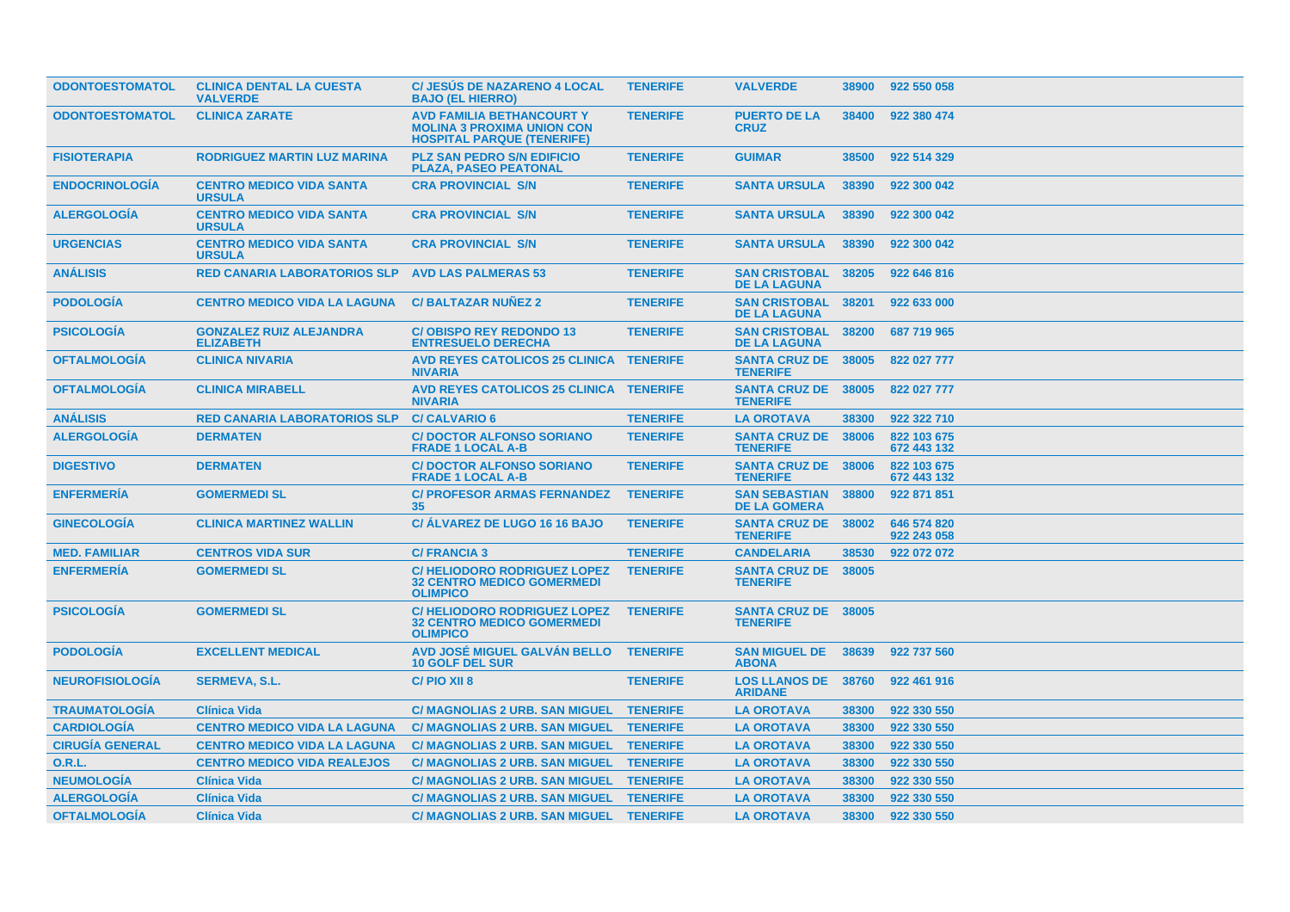| <b>ODONTOESTOMATOL</b> | <b>CLINICA DENTAL LA CUESTA</b><br><b>VALVERDE</b> | <b>C/ JESUS DE NAZARENO 4 LOCAL</b><br><b>BAJO (EL HIERRO)</b>                                             | <b>TENERIFE</b> | <b>VALVERDE</b>                               | 38900 | 922 550 058                |
|------------------------|----------------------------------------------------|------------------------------------------------------------------------------------------------------------|-----------------|-----------------------------------------------|-------|----------------------------|
| <b>ODONTOESTOMATOL</b> | <b>CLINICA ZARATE</b>                              | <b>AVD FAMILIA BETHANCOURT Y</b><br><b>MOLINA 3 PROXIMA UNION CON</b><br><b>HOSPITAL PARQUE (TENERIFE)</b> | <b>TENERIFE</b> | <b>PUERTO DE LA</b><br><b>CRUZ</b>            | 38400 | 922 380 474                |
| <b>FISIOTERAPIA</b>    | <b>RODRIGUEZ MARTIN LUZ MARINA</b>                 | <b>PLZ SAN PEDRO S/N EDIFICIO</b><br><b>PLAZA, PASEO PEATONAL</b>                                          | <b>TENERIFE</b> | <b>GUIMAR</b>                                 | 38500 | 922 514 329                |
| <b>ENDOCRINOLOGÍA</b>  | <b>CENTRO MEDICO VIDA SANTA</b><br><b>URSULA</b>   | <b>CRA PROVINCIAL S/N</b>                                                                                  | <b>TENERIFE</b> | <b>SANTA URSULA</b>                           | 38390 | 922 300 042                |
| <b>ALERGOLOGIA</b>     | <b>CENTRO MEDICO VIDA SANTA</b><br><b>URSULA</b>   | <b>CRA PROVINCIAL S/N</b>                                                                                  | <b>TENERIFE</b> | <b>SANTA URSULA</b>                           | 38390 | 922 300 042                |
| <b>URGENCIAS</b>       | <b>CENTRO MEDICO VIDA SANTA</b><br><b>URSULA</b>   | <b>CRA PROVINCIAL S/N</b>                                                                                  | <b>TENERIFE</b> | <b>SANTA URSULA</b>                           | 38390 | 922 300 042                |
| <b>ANÁLISIS</b>        | <b>RED CANARIA LABORATORIOS SLP</b>                | <b>AVD LAS PALMERAS 53</b>                                                                                 | <b>TENERIFE</b> | <b>SAN CRISTOBAL</b><br><b>DE LA LAGUNA</b>   | 38205 | 922 646 816                |
| <b>PODOLOGIA</b>       | <b>CENTRO MEDICO VIDA LA LAGUNA</b>                | <b>C/BALTAZAR NUNEZ 2</b>                                                                                  | <b>TENERIFE</b> | <b>SAN CRISTOBAL</b><br><b>DE LA LAGUNA</b>   | 38201 | 922 633 000                |
| <b>PSICOLOGÍA</b>      | <b>GONZALEZ RUIZ ALEJANDRA</b><br><b>ELIZABETH</b> | <b>C/OBISPO REY REDONDO 13</b><br><b>ENTRESUELO DERECHA</b>                                                | <b>TENERIFE</b> | <b>SAN CRISTOBAL</b><br><b>DE LA LAGUNA</b>   | 38200 | 687 719 965                |
| <b>OFTALMOLOGIA</b>    | <b>CLINICA NIVARIA</b>                             | <b>AVD REYES CATOLICOS 25 CLINICA TENERIFE</b><br><b>NIVARIA</b>                                           |                 | <b>SANTA CRUZ DE 38005</b><br><b>TENERIFE</b> |       | 822 027 777                |
| <b>OFTALMOLOGIA</b>    | <b>CLINICA MIRABELL</b>                            | AVD REYES CATOLICOS 25 CLINICA TENERIFE<br><b>NIVARIA</b>                                                  |                 | <b>SANTA CRUZ DE 38005</b><br><b>TENERIFE</b> |       | 822 027 777                |
| <b>ANÁLISIS</b>        | <b>RED CANARIA LABORATORIOS SLP</b>                | <b>C/CALVARIO 6</b>                                                                                        | <b>TENERIFE</b> | <b>LA OROTAVA</b>                             | 38300 | 922 322 710                |
| <b>ALERGOLOGIA</b>     | <b>DERMATEN</b>                                    | <b>C/DOCTOR ALFONSO SORIANO</b><br><b>FRADE 1 LOCAL A-B</b>                                                | <b>TENERIFE</b> | <b>SANTA CRUZ DE 38006</b><br><b>TENERIFE</b> |       | 822 103 675<br>672 443 132 |
| <b>DIGESTIVO</b>       | <b>DERMATEN</b>                                    | <b>C/DOCTOR ALFONSO SORIANO</b><br><b>FRADE 1 LOCAL A-B</b>                                                | <b>TENERIFE</b> | <b>SANTA CRUZ DE</b><br><b>TENERIFE</b>       | 38006 | 822 103 675<br>672 443 132 |
| <b>ENFERMERÍA</b>      | <b>GOMERMEDI SL</b>                                | <b>C/ PROFESOR ARMAS FERNANDEZ</b><br>35                                                                   | <b>TENERIFE</b> | <b>SAN SEBASTIAN</b><br><b>DE LA GOMERA</b>   | 38800 | 922 871 851                |
| <b>GINECOLOGIA</b>     | <b>CLINICA MARTINEZ WALLIN</b>                     | <b>C/ ALVAREZ DE LUGO 16 16 BAJO</b>                                                                       | <b>TENERIFE</b> | <b>SANTA CRUZ DE</b><br><b>TENERIFE</b>       | 38002 | 646 574 820<br>922 243 058 |
| <b>MED. FAMILIAR</b>   | <b>CENTROS VIDA SUR</b>                            | <b>C/FRANCIA 3</b>                                                                                         | <b>TENERIFE</b> | <b>CANDELARIA</b>                             | 38530 | 922 072 072                |
| <b>ENFERMERÍA</b>      | <b>GOMERMEDI SL</b>                                | <b>C/HELIODORO RODRIGUEZ LOPEZ</b><br><b>32 CENTRO MEDICO GOMERMEDI</b><br><b>OLIMPICO</b>                 | <b>TENERIFE</b> | <b>SANTA CRUZ DE 38005</b><br><b>TENERIFE</b> |       |                            |
| <b>PSICOLOGIA</b>      | <b>GOMERMEDI SL</b>                                | C/HELIODORO RODRIGUEZ LOPEZ<br><b>32 CENTRO MEDICO GOMERMEDI</b><br><b>OLIMPICO</b>                        | <b>TENERIFE</b> | <b>SANTA CRUZ DE 38005</b><br><b>TENERIFE</b> |       |                            |
| <b>PODOLOGIA</b>       | <b>EXCELLENT MEDICAL</b>                           | AVD JOSÉ MIGUEL GALVÁN BELLO<br><b>10 GOLF DEL SUR</b>                                                     | <b>TENERIFE</b> | <b>SAN MIGUEL DE 38639</b><br><b>ABONA</b>    |       | 922 737 560                |
| <b>NEUROFISIOLOGIA</b> | <b>SERMEVA, S.L.</b>                               | C/PIO XII 8                                                                                                | <b>TENERIFE</b> | <b>LOS LLANOS DE 38760</b><br><b>ARIDANE</b>  |       | 922 461 916                |
| <b>TRAUMATOLOGIA</b>   | <b>Clínica Vida</b>                                | C/ MAGNOLIAS 2 URB. SAN MIGUEL TENERIFE                                                                    |                 | <b>LA OROTAVA</b>                             | 38300 | 922 330 550                |
| <b>CARDIOLOGÍA</b>     | <b>CENTRO MEDICO VIDA LA LAGUNA</b>                | C/ MAGNOLIAS 2 URB. SAN MIGUEL TENERIFE                                                                    |                 | <b>LA OROTAVA</b>                             | 38300 | 922 330 550                |
| <b>CIRUGÍA GENERAL</b> | <b>CENTRO MEDICO VIDA LA LAGUNA</b>                | <b>C/ MAGNOLIAS 2 URB. SAN MIGUEL</b>                                                                      | <b>TENERIFE</b> | <b>LA OROTAVA</b>                             | 38300 | 922 330 550                |
| <b>O.R.L.</b>          | <b>CENTRO MEDICO VIDA REALEJOS</b>                 | C/ MAGNOLIAS 2 URB. SAN MIGUEL TENERIFE                                                                    |                 | <b>LA OROTAVA</b>                             | 38300 | 922 330 550                |
| <b>NEUMOLOGIA</b>      | <b>Clínica Vida</b>                                | C/ MAGNOLIAS 2 URB. SAN MIGUEL TENERIFE                                                                    |                 | <b>LA OROTAVA</b>                             | 38300 | 922 330 550                |
| <b>ALERGOLOGÍA</b>     | <b>Clínica Vida</b>                                | C/ MAGNOLIAS 2 URB. SAN MIGUEL TENERIFE                                                                    |                 | <b>LA OROTAVA</b>                             | 38300 | 922 330 550                |
| <b>OFTALMOLOGIA</b>    | <b>Clínica Vida</b>                                | C/ MAGNOLIAS 2 URB. SAN MIGUEL TENERIFE                                                                    |                 | <b>LA OROTAVA</b>                             | 38300 | 922 330 550                |
|                        |                                                    |                                                                                                            |                 |                                               |       |                            |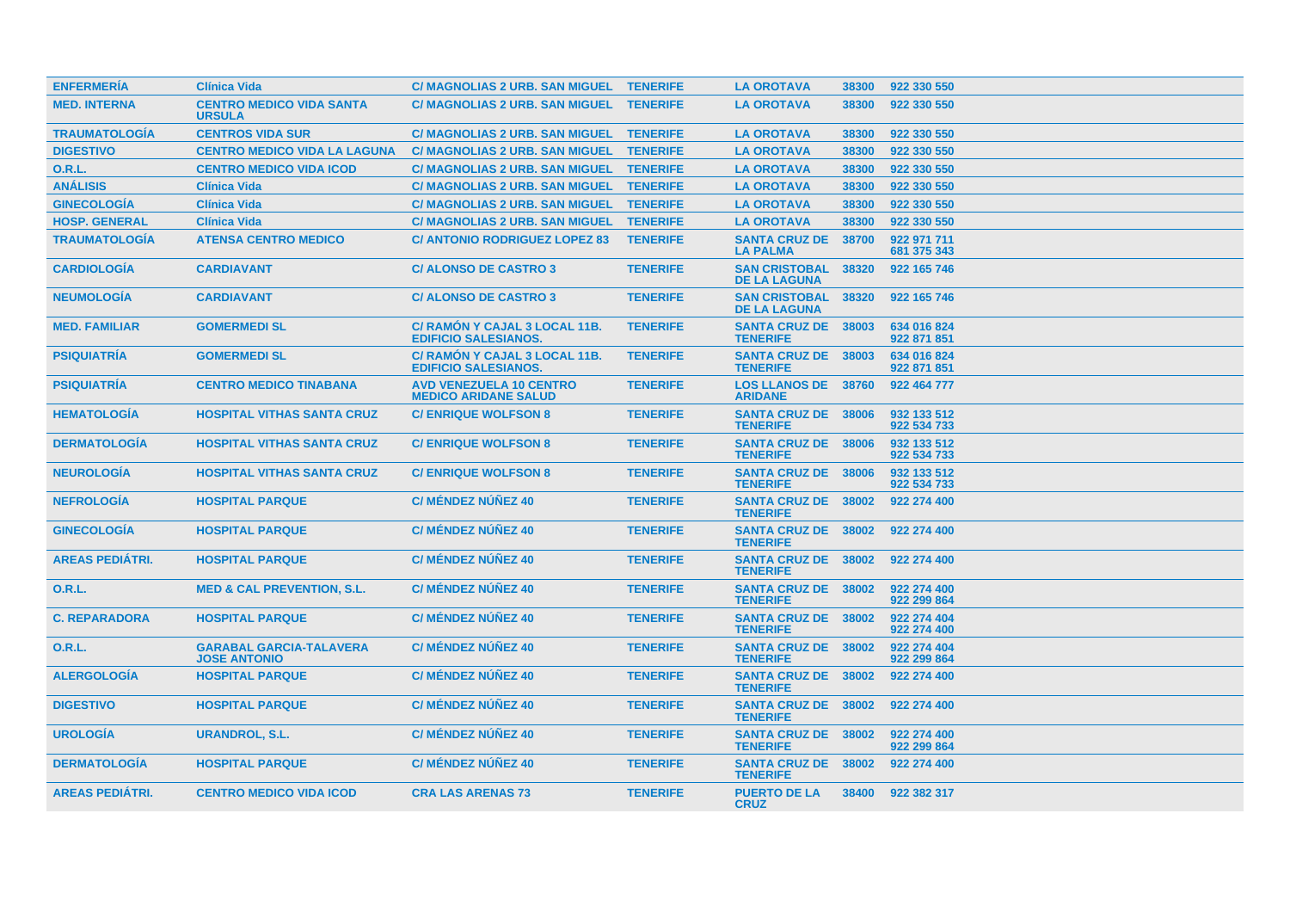| <b>ENFERMERIA</b>      | <b>Clínica Vida</b>                                   | C/ MAGNOLIAS 2 URB. SAN MIGUEL TENERIFE                       |                 | <b>LA OROTAVA</b>                             | 38300 | 922 330 550                |
|------------------------|-------------------------------------------------------|---------------------------------------------------------------|-----------------|-----------------------------------------------|-------|----------------------------|
| <b>MED. INTERNA</b>    | <b>CENTRO MEDICO VIDA SANTA</b><br><b>URSULA</b>      | <b>C/ MAGNOLIAS 2 URB. SAN MIGUEL</b>                         | <b>TENERIFE</b> | <b>LA OROTAVA</b>                             | 38300 | 922 330 550                |
| <b>TRAUMATOLOGIA</b>   | <b>CENTROS VIDA SUR</b>                               | <b>C/ MAGNOLIAS 2 URB. SAN MIGUEL</b>                         | <b>TENERIFE</b> | <b>LA OROTAVA</b>                             | 38300 | 922 330 550                |
| <b>DIGESTIVO</b>       | <b>CENTRO MEDICO VIDA LA LAGUNA</b>                   | <b>C/ MAGNOLIAS 2 URB. SAN MIGUEL</b>                         | <b>TENERIFE</b> | <b>LA OROTAVA</b>                             | 38300 | 922 330 550                |
| <b>O.R.L.</b>          | <b>CENTRO MEDICO VIDA ICOD</b>                        | <b>C/ MAGNOLIAS 2 URB. SAN MIGUEL</b>                         | <b>TENERIFE</b> | <b>LA OROTAVA</b>                             | 38300 | 922 330 550                |
| <b>ANÁLISIS</b>        | <b>Clínica Vida</b>                                   | C/ MAGNOLIAS 2 URB. SAN MIGUEL TENERIFE                       |                 | <b>LA OROTAVA</b>                             | 38300 | 922 330 550                |
| <b>GINECOLOGÍA</b>     | <b>Clínica Vida</b>                                   | C/ MAGNOLIAS 2 URB. SAN MIGUEL TENERIFE                       |                 | <b>LA OROTAVA</b>                             | 38300 | 922 330 550                |
| <b>HOSP. GENERAL</b>   | <b>Clínica Vida</b>                                   | C/ MAGNOLIAS 2 URB. SAN MIGUEL TENERIFE                       |                 | <b>LA OROTAVA</b>                             | 38300 | 922 330 550                |
| <b>TRAUMATOLOGÍA</b>   | <b>ATENSA CENTRO MEDICO</b>                           | <b>C/ ANTONIO RODRIGUEZ LOPEZ 83</b>                          | <b>TENERIFE</b> | <b>SANTA CRUZ DE</b><br><b>LA PALMA</b>       | 38700 | 922 971 711<br>681 375 343 |
| <b>CARDIOLOGÍA</b>     | <b>CARDIAVANT</b>                                     | <b>C/ALONSO DE CASTRO 3</b>                                   | <b>TENERIFE</b> | <b>SAN CRISTOBAL</b><br><b>DE LA LAGUNA</b>   | 38320 | 922 165 746                |
| <b>NEUMOLOGIA</b>      | <b>CARDIAVANT</b>                                     | <b>C/ ALONSO DE CASTRO 3</b>                                  | <b>TENERIFE</b> | <b>SAN CRISTOBAL</b><br><b>DE LA LAGUNA</b>   | 38320 | 922 165 746                |
| <b>MED. FAMILIAR</b>   | <b>GOMERMEDI SL</b>                                   | C/ RAMON Y CAJAL 3 LOCAL 11B.<br><b>EDIFICIO SALESIANOS.</b>  | <b>TENERIFE</b> | <b>SANTA CRUZ DE</b><br><b>TENERIFE</b>       | 38003 | 634 016 824<br>922 871 851 |
| <b>PSIQUIATRIA</b>     | <b>GOMERMEDI SL</b>                                   | C/ RAMÓN Y CAJAL 3 LOCAL 11B.<br><b>EDIFICIO SALESIANOS.</b>  | <b>TENERIFE</b> | <b>SANTA CRUZ DE 38003</b><br><b>TENERIFE</b> |       | 634 016 824<br>922 871 851 |
| <b>PSIQUIATRÍA</b>     | <b>CENTRO MEDICO TINABANA</b>                         | <b>AVD VENEZUELA 10 CENTRO</b><br><b>MEDICO ARIDANE SALUD</b> | <b>TENERIFE</b> | <b>LOS LLANOS DE 38760</b><br><b>ARIDANE</b>  |       | 922 464 777                |
| <b>HEMATOLOGÍA</b>     | <b>HOSPITAL VITHAS SANTA CRUZ</b>                     | <b>C/ ENRIQUE WOLFSON 8</b>                                   | <b>TENERIFE</b> | <b>SANTA CRUZ DE 38006</b><br><b>TENERIFE</b> |       | 932 133 512<br>922 534 733 |
| <b>DERMATOLOGIA</b>    | <b>HOSPITAL VITHAS SANTA CRUZ</b>                     | <b>C/ENRIQUE WOLFSON 8</b>                                    | <b>TENERIFE</b> | <b>SANTA CRUZ DE 38006</b><br><b>TENERIFE</b> |       | 932 133 512<br>922 534 733 |
| <b>NEUROLOGÍA</b>      | <b>HOSPITAL VITHAS SANTA CRUZ</b>                     | <b>C/ENRIQUE WOLFSON 8</b>                                    | <b>TENERIFE</b> | SANTA CRUZ DE 38006<br><b>TENERIFE</b>        |       | 932 133 512<br>922 534 733 |
| <b>NEFROLOGÍA</b>      | <b>HOSPITAL PARQUE</b>                                | <b>C/ MÉNDEZ NÚÑEZ 40</b>                                     | <b>TENERIFE</b> | SANTA CRUZ DE 38002<br><b>TENERIFE</b>        |       | 922 274 400                |
| <b>GINECOLOGÍA</b>     | <b>HOSPITAL PARQUE</b>                                | <b>C/ MÉNDEZ NÚÑEZ 40</b>                                     | <b>TENERIFE</b> | <b>SANTA CRUZ DE 38002</b><br><b>TENERIFE</b> |       | 922 274 400                |
| <b>AREAS PEDIATRI.</b> | <b>HOSPITAL PARQUE</b>                                | C/ MÉNDEZ NÚÑEZ 40                                            | <b>TENERIFE</b> | <b>SANTA CRUZ DE 38002</b><br><b>TENERIFE</b> |       | 922 274 400                |
| 0.R.L.                 | <b>MED &amp; CAL PREVENTION, S.L.</b>                 | <b>C/ MÉNDEZ NUÑEZ 40</b>                                     | <b>TENERIFE</b> | <b>SANTA CRUZ DE 38002</b><br><b>TENERIFE</b> |       | 922 274 400<br>922 299 864 |
| <b>C. REPARADORA</b>   | <b>HOSPITAL PARQUE</b>                                | <b>C/ MÉNDEZ NÚÑEZ 40</b>                                     | <b>TENERIFE</b> | <b>SANTA CRUZ DE 38002</b><br><b>TENERIFE</b> |       | 922 274 404<br>922 274 400 |
| <b>O.R.L.</b>          | <b>GARABAL GARCIA-TALAVERA</b><br><b>JOSE ANTONIO</b> | <b>C/ MÉNDEZ NÚÑEZ 40</b>                                     | <b>TENERIFE</b> | <b>SANTA CRUZ DE 38002</b><br><b>TENERIFE</b> |       | 922 274 404<br>922 299 864 |
| <b>ALERGOLOGÍA</b>     | <b>HOSPITAL PARQUE</b>                                | <b>C/ MÉNDEZ NÚÑEZ 40</b>                                     | <b>TENERIFE</b> | <b>SANTA CRUZ DE 38002</b><br><b>TENERIFE</b> |       | 922 274 400                |
| <b>DIGESTIVO</b>       | <b>HOSPITAL PARQUE</b>                                | <b>C/ MÉNDEZ NÚÑEZ 40</b>                                     | <b>TENERIFE</b> | <b>SANTA CRUZ DE 38002</b><br><b>TENERIFE</b> |       | 922 274 400                |
| <b>UROLOGIA</b>        | <b>URANDROL, S.L.</b>                                 | <b>C/ MÉNDEZ NÚÑEZ 40</b>                                     | <b>TENERIFE</b> | <b>SANTA CRUZ DE 38002</b><br><b>TENERIFE</b> |       | 922 274 400<br>922 299 864 |
| <b>DERMATOLOGIA</b>    | <b>HOSPITAL PARQUE</b>                                | <b>C/ MÉNDEZ NUÑEZ 40</b>                                     | <b>TENERIFE</b> | <b>SANTA CRUZ DE 38002</b><br><b>TENERIFE</b> |       | 922 274 400                |
| <b>AREAS PEDIÁTRI.</b> | <b>CENTRO MEDICO VIDA ICOD</b>                        | <b>CRA LAS ARENAS 73</b>                                      | <b>TENERIFE</b> | <b>PUERTO DE LA</b><br><b>CRUZ</b>            | 38400 | 922 382 317                |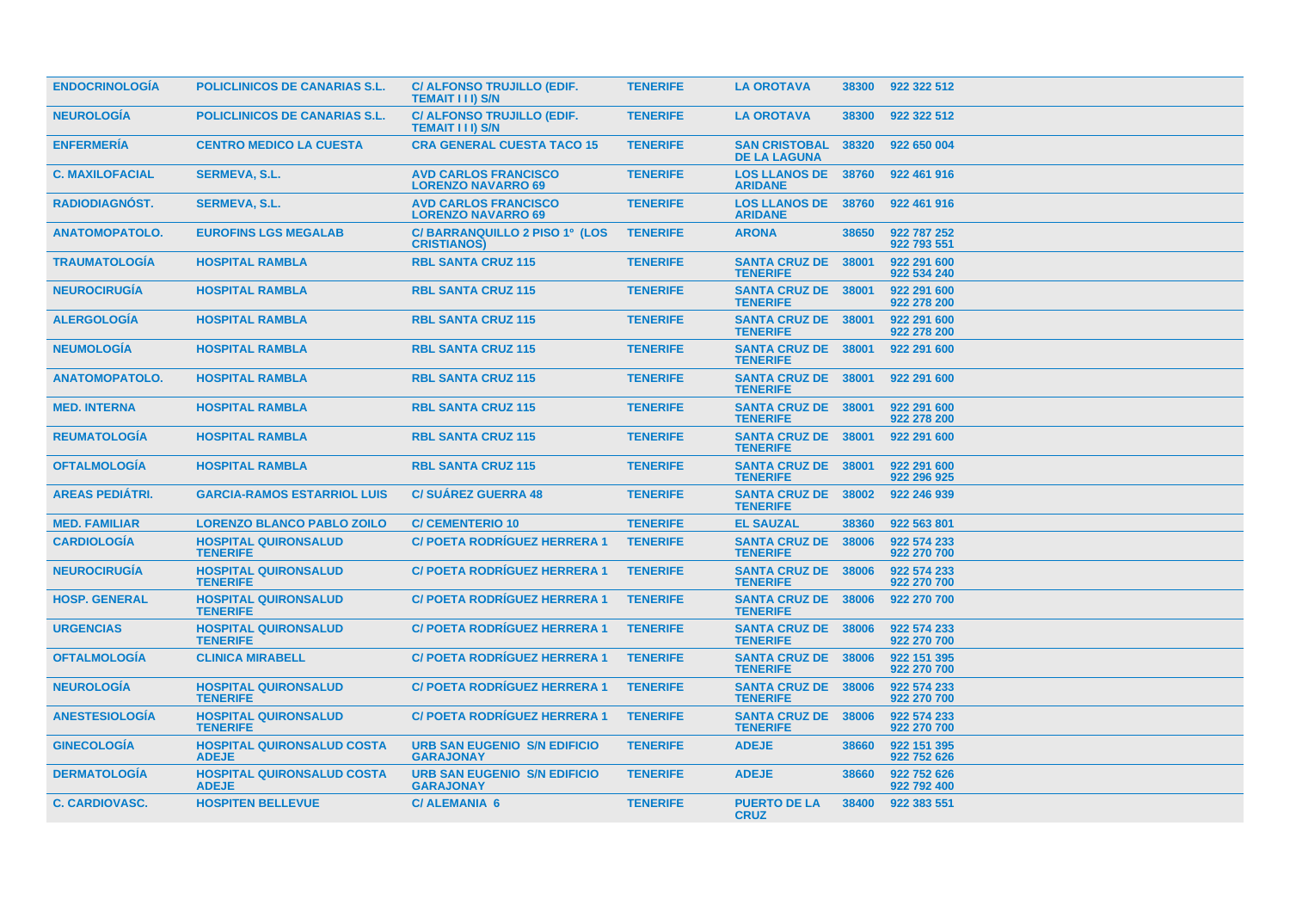| <b>ENDOCRINOLOGIA</b>  | <b>POLICLINICOS DE CANARIAS S.L.</b>              | C/ ALFONSO TRUJILLO (EDIF.<br><b>TEMAIT III) S/N</b>        | <b>TENERIFE</b> | <b>LA OROTAVA</b>                             | 38300 | 922 322 512                |
|------------------------|---------------------------------------------------|-------------------------------------------------------------|-----------------|-----------------------------------------------|-------|----------------------------|
| <b>NEUROLOGÍA</b>      | <b>POLICLINICOS DE CANARIAS S.L.</b>              | <b>C/ ALFONSO TRUJILLO (EDIF.</b><br><b>TEMAIT III) S/N</b> | <b>TENERIFE</b> | <b>LA OROTAVA</b>                             | 38300 | 922 322 512                |
| <b>ENFERMERÍA</b>      | <b>CENTRO MEDICO LA CUESTA</b>                    | <b>CRA GENERAL CUESTA TACO 15</b>                           | <b>TENERIFE</b> | <b>SAN CRISTOBAL</b><br><b>DE LA LAGUNA</b>   | 38320 | 922 650 004                |
| <b>C. MAXILOFACIAL</b> | <b>SERMEVA, S.L.</b>                              | <b>AVD CARLOS FRANCISCO</b><br><b>LORENZO NAVARRO 69</b>    | <b>TENERIFE</b> | <b>LOS LLANOS DE 38760</b><br><b>ARIDANE</b>  |       | 922 461 916                |
| <b>RADIODIAGNÓST.</b>  | <b>SERMEVA, S.L.</b>                              | <b>AVD CARLOS FRANCISCO</b><br><b>LORENZO NAVARRO 69</b>    | <b>TENERIFE</b> | <b>LOS LLANOS DE</b><br><b>ARIDANE</b>        | 38760 | 922 461 916                |
| <b>ANATOMOPATOLO.</b>  | <b>EUROFINS LGS MEGALAB</b>                       | C/BARRANQUILLO 2 PISO 1º (LOS<br><b>CRISTIANOS)</b>         | <b>TENERIFE</b> | <b>ARONA</b>                                  | 38650 | 922 787 252<br>922 793 551 |
| <b>TRAUMATOLOGIA</b>   | <b>HOSPITAL RAMBLA</b>                            | <b>RBL SANTA CRUZ 115</b>                                   | <b>TENERIFE</b> | <b>SANTA CRUZ DE</b><br><b>TENERIFE</b>       | 38001 | 922 291 600<br>922 534 240 |
| <b>NEUROCIRUGIA</b>    | <b>HOSPITAL RAMBLA</b>                            | <b>RBL SANTA CRUZ 115</b>                                   | <b>TENERIFE</b> | <b>SANTA CRUZ DE 38001</b><br><b>TENERIFE</b> |       | 922 291 600<br>922 278 200 |
| <b>ALERGOLOGIA</b>     | <b>HOSPITAL RAMBLA</b>                            | <b>RBL SANTA CRUZ 115</b>                                   | <b>TENERIFE</b> | <b>SANTA CRUZ DE 38001</b><br><b>TENERIFE</b> |       | 922 291 600<br>922 278 200 |
| <b>NEUMOLOGÍA</b>      | <b>HOSPITAL RAMBLA</b>                            | <b>RBL SANTA CRUZ 115</b>                                   | <b>TENERIFE</b> | SANTA CRUZ DE 38001<br><b>TENERIFE</b>        |       | 922 291 600                |
| <b>ANATOMOPATOLO.</b>  | <b>HOSPITAL RAMBLA</b>                            | <b>RBL SANTA CRUZ 115</b>                                   | <b>TENERIFE</b> | SANTA CRUZ DE 38001<br><b>TENERIFE</b>        |       | 922 291 600                |
| <b>MED. INTERNA</b>    | <b>HOSPITAL RAMBLA</b>                            | <b>RBL SANTA CRUZ 115</b>                                   | <b>TENERIFE</b> | <b>SANTA CRUZ DE 38001</b><br><b>TENERIFE</b> |       | 922 291 600<br>922 278 200 |
| <b>REUMATOLOGÍA</b>    | <b>HOSPITAL RAMBLA</b>                            | <b>RBL SANTA CRUZ 115</b>                                   | <b>TENERIFE</b> | SANTA CRUZ DE 38001<br><b>TENERIFE</b>        |       | 922 291 600                |
| <b>OFTALMOLOGIA</b>    | <b>HOSPITAL RAMBLA</b>                            | <b>RBL SANTA CRUZ 115</b>                                   | <b>TENERIFE</b> | <b>SANTA CRUZ DE 38001</b><br><b>TENERIFE</b> |       | 922 291 600<br>922 296 925 |
| <b>AREAS PEDIATRI.</b> | <b>GARCIA-RAMOS ESTARRIOL LUIS</b>                | <b>C/SUAREZ GUERRA 48</b>                                   | <b>TENERIFE</b> | <b>SANTA CRUZ DE 38002</b><br><b>TENERIFE</b> |       | 922 246 939                |
| <b>MED. FAMILIAR</b>   | <b>LORENZO BLANCO PABLO ZOILO</b>                 | <b>C/ CEMENTERIO 10</b>                                     | <b>TENERIFE</b> | <b>EL SAUZAL</b>                              | 38360 | 922 563 801                |
| <b>CARDIOLOGÍA</b>     | <b>HOSPITAL QUIRONSALUD</b><br><b>TENERIFE</b>    | <b>C/POETA RODRIGUEZ HERRERA 1</b>                          | <b>TENERIFE</b> | <b>SANTA CRUZ DE 38006</b><br><b>TENERIFE</b> |       | 922 574 233<br>922 270 700 |
| <b>NEUROCIRUGIA</b>    | <b>HOSPITAL QUIRONSALUD</b><br><b>TENERIFE</b>    | <b>C/POETA RODRIGUEZ HERRERA 1</b>                          | <b>TENERIFE</b> | <b>SANTA CRUZ DE 38006</b><br><b>TENERIFE</b> |       | 922 574 233<br>922 270 700 |
| <b>HOSP. GENERAL</b>   | <b>HOSPITAL QUIRONSALUD</b><br><b>TENERIFE</b>    | <b>C/ POETA RODRIGUEZ HERRERA 1</b>                         | <b>TENERIFE</b> | <b>SANTA CRUZ DE</b><br><b>TENERIFE</b>       | 38006 | 922 270 700                |
| <b>URGENCIAS</b>       | <b>HOSPITAL QUIRONSALUD</b><br><b>TENERIFE</b>    | C/ POETA RODRÍGUEZ HERRERA 1                                | <b>TENERIFE</b> | <b>SANTA CRUZ DE 38006</b><br><b>TENERIFE</b> |       | 922 574 233<br>922 270 700 |
| <b>OFTALMOLOGÍA</b>    | <b>CLINICA MIRABELL</b>                           | <b>C/POETA RODRIGUEZ HERRERA 1</b>                          | <b>TENERIFE</b> | <b>SANTA CRUZ DE 38006</b><br><b>TENERIFE</b> |       | 922 151 395<br>922 270 700 |
| <b>NEUROLOGÍA</b>      | <b>HOSPITAL QUIRONSALUD</b><br><b>TENERIFE</b>    | <b>C/POETA RODRIGUEZ HERRERA 1</b>                          | <b>TENERIFE</b> | <b>SANTA CRUZ DE 38006</b><br><b>TENERIFE</b> |       | 922 574 233<br>922 270 700 |
| <b>ANESTESIOLOGIA</b>  | <b>HOSPITAL QUIRONSALUD</b><br><b>TENERIFE</b>    | <b>C/POETA RODRÍGUEZ HERRERA 1</b>                          | <b>TENERIFE</b> | <b>SANTA CRUZ DE</b><br><b>TENERIFE</b>       | 38006 | 922 574 233<br>922 270 700 |
| <b>GINECOLOGÍA</b>     | <b>HOSPITAL QUIRONSALUD COSTA</b><br><b>ADEJE</b> | <b>URB SAN EUGENIO S/N EDIFICIO</b><br><b>GARAJONAY</b>     | <b>TENERIFE</b> | <b>ADEJE</b>                                  | 38660 | 922 151 395<br>922 752 626 |
| <b>DERMATOLOGIA</b>    | <b>HOSPITAL QUIRONSALUD COSTA</b><br><b>ADEJE</b> | <b>URB SAN EUGENIO S/N EDIFICIO</b><br><b>GARAJONAY</b>     | <b>TENERIFE</b> | <b>ADEJE</b>                                  | 38660 | 922 752 626<br>922 792 400 |
| <b>C. CARDIOVASC.</b>  | <b>HOSPITEN BELLEVUE</b>                          | <b>C/ALEMANIA 6</b>                                         | <b>TENERIFE</b> | <b>PUERTO DE LA</b><br><b>CRUZ</b>            | 38400 | 922 383 551                |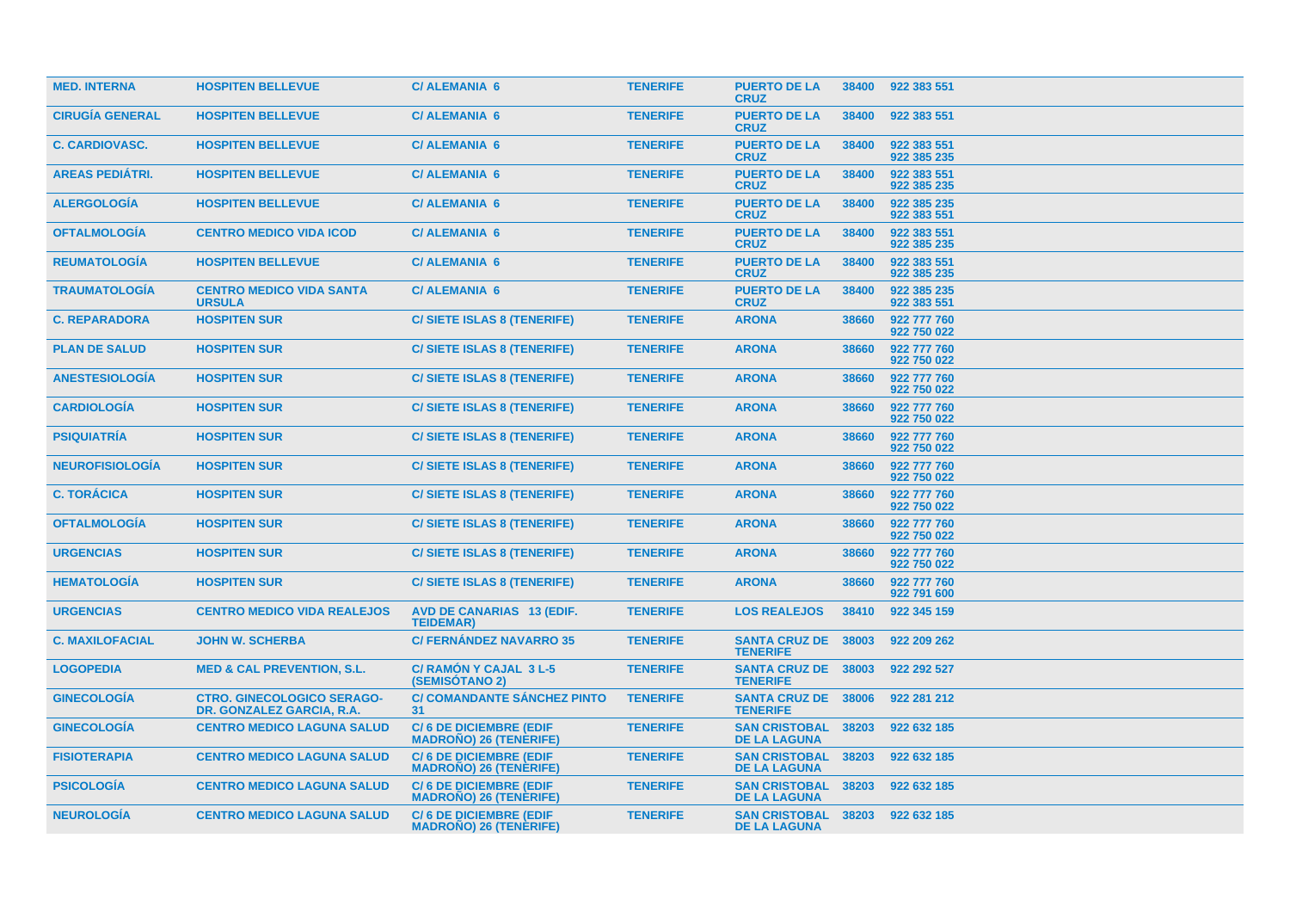| <b>MED. INTERNA</b>    | <b>HOSPITEN BELLEVUE</b>                                       | <b>C/ALEMANIA 6</b>                                            | <b>TENERIFE</b> | <b>PUERTO DE LA</b><br><b>CRUZ</b>                | 38400 | 922 383 551                |
|------------------------|----------------------------------------------------------------|----------------------------------------------------------------|-----------------|---------------------------------------------------|-------|----------------------------|
| <b>CIRUGÍA GENERAL</b> | <b>HOSPITEN BELLEVUE</b>                                       | <b>C/ALEMANIA 6</b>                                            | <b>TENERIFE</b> | <b>PUERTO DE LA</b><br><b>CRUZ</b>                | 38400 | 922 383 551                |
| <b>C. CARDIOVASC.</b>  | <b>HOSPITEN BELLEVUE</b>                                       | <b>C/ALEMANIA 6</b>                                            | <b>TENERIFE</b> | <b>PUERTO DE LA</b><br><b>CRUZ</b>                | 38400 | 922 383 551<br>922 385 235 |
| <b>AREAS PEDIÁTRI.</b> | <b>HOSPITEN BELLEVUE</b>                                       | <b>C/ALEMANIA 6</b>                                            | <b>TENERIFE</b> | <b>PUERTO DE LA</b><br><b>CRUZ</b>                | 38400 | 922 383 551<br>922 385 235 |
| <b>ALERGOLOGÍA</b>     | <b>HOSPITEN BELLEVUE</b>                                       | <b>C/ALEMANIA 6</b>                                            | <b>TENERIFE</b> | <b>PUERTO DE LA</b><br><b>CRUZ</b>                | 38400 | 922 385 235<br>922 383 551 |
| <b>OFTALMOLOGÍA</b>    | <b>CENTRO MEDICO VIDA ICOD</b>                                 | <b>C/ALEMANIA 6</b>                                            | <b>TENERIFE</b> | <b>PUERTO DE LA</b><br><b>CRUZ</b>                | 38400 | 922 383 551<br>922 385 235 |
| <b>REUMATOLOGÍA</b>    | <b>HOSPITEN BELLEVUE</b>                                       | <b>C/ALEMANIA 6</b>                                            | <b>TENERIFE</b> | <b>PUERTO DE LA</b><br><b>CRUZ</b>                | 38400 | 922 383 551<br>922 385 235 |
| <b>TRAUMATOLOGIA</b>   | <b>CENTRO MEDICO VIDA SANTA</b><br><b>URSULA</b>               | <b>C/ALEMANIA 6</b>                                            | <b>TENERIFE</b> | <b>PUERTO DE LA</b><br><b>CRUZ</b>                | 38400 | 922 385 235<br>922 383 551 |
| <b>C. REPARADORA</b>   | <b>HOSPITEN SUR</b>                                            | <b>C/SIETE ISLAS 8 (TENERIFE)</b>                              | <b>TENERIFE</b> | <b>ARONA</b>                                      | 38660 | 922 777 760<br>922 750 022 |
| <b>PLAN DE SALUD</b>   | <b>HOSPITEN SUR</b>                                            | <b>C/SIETE ISLAS 8 (TENERIFE)</b>                              | <b>TENERIFE</b> | <b>ARONA</b>                                      | 38660 | 922 777 760<br>922 750 022 |
| <b>ANESTESIOLOGIA</b>  | <b>HOSPITEN SUR</b>                                            | <b>C/SIETE ISLAS 8 (TENERIFE)</b>                              | <b>TENERIFE</b> | <b>ARONA</b>                                      | 38660 | 922 777 760<br>922 750 022 |
| <b>CARDIOLOGÍA</b>     | <b>HOSPITEN SUR</b>                                            | C/ SIETE ISLAS 8 (TENERIFE)                                    | <b>TENERIFE</b> | <b>ARONA</b>                                      | 38660 | 922 777 760<br>922 750 022 |
| <b>PSIQUIATRÍA</b>     | <b>HOSPITEN SUR</b>                                            | <b>C/SIETE ISLAS 8 (TENERIFE)</b>                              | <b>TENERIFE</b> | <b>ARONA</b>                                      | 38660 | 922 777 760<br>922 750 022 |
| <b>NEUROFISIOLOGÍA</b> | <b>HOSPITEN SUR</b>                                            | <b>C/SIETE ISLAS 8 (TENERIFE)</b>                              | <b>TENERIFE</b> | <b>ARONA</b>                                      | 38660 | 922 777 760<br>922 750 022 |
| <b>C. TORÁCICA</b>     | <b>HOSPITEN SUR</b>                                            | C/ SIETE ISLAS 8 (TENERIFE)                                    | <b>TENERIFE</b> | <b>ARONA</b>                                      | 38660 | 922 777 760<br>922 750 022 |
| <b>OFTALMOLOGÍA</b>    | <b>HOSPITEN SUR</b>                                            | <b>C/SIETE ISLAS 8 (TENERIFE)</b>                              | <b>TENERIFE</b> | <b>ARONA</b>                                      | 38660 | 922 777 760<br>922 750 022 |
| <b>URGENCIAS</b>       | <b>HOSPITEN SUR</b>                                            | <b>C/SIETE ISLAS 8 (TENERIFE)</b>                              | <b>TENERIFE</b> | <b>ARONA</b>                                      | 38660 | 922 777 760<br>922 750 022 |
| <b>HEMATOLOGIA</b>     | <b>HOSPITEN SUR</b>                                            | <b>C/SIETE ISLAS 8 (TENERIFE)</b>                              | <b>TENERIFE</b> | <b>ARONA</b>                                      | 38660 | 922 777 760<br>922 791 600 |
| <b>URGENCIAS</b>       | <b>CENTRO MEDICO VIDA REALEJOS</b>                             | <b>AVD DE CANARIAS 13 (EDIF.</b><br><b>TEIDEMAR)</b>           | <b>TENERIFE</b> | <b>LOS REALEJOS</b>                               | 38410 | 922 345 159                |
| <b>C. MAXILOFACIAL</b> | <b>JOHN W. SCHERBA</b>                                         | <b>C/ FERNÁNDEZ NAVARRO 35</b>                                 | <b>TENERIFE</b> | <b>SANTA CRUZ DE 38003</b><br><b>TENERIFE</b>     |       | 922 209 262                |
| <b>LOGOPEDIA</b>       | <b>MED &amp; CAL PREVENTION, S.L.</b>                          | C/ RAMON Y CAJAL 3 L-5<br><b>(SEMISOTANO 2)</b>                | <b>TENERIFE</b> | <b>SANTA CRUZ DE 38003</b><br><b>TENERIFE</b>     |       | 922 292 527                |
| <b>GINECOLOGIA</b>     | <b>CTRO. GINECOLOGICO SERAGO-</b><br>DR. GONZALEZ GARCIA, R.A. | <b>C/ COMANDANTE SANCHEZ PINTO</b><br>31                       | <b>TENERIFE</b> | <b>SANTA CRUZ DE 38006</b><br><b>TENERIFE</b>     |       | 922 281 212                |
| <b>GINECOLOGÍA</b>     | <b>CENTRO MEDICO LAGUNA SALUD</b>                              | <b>C/6 DE DICIEMBRE (EDIF</b><br><b>MADRONO) 26 (TENERIFE)</b> | <b>TENERIFE</b> | <b>SAN CRISTOBAL</b><br><b>DE LA LAGUNA</b>       | 38203 | 922 632 185                |
| <b>FISIOTERAPIA</b>    | <b>CENTRO MEDICO LAGUNA SALUD</b>                              | <b>C/6 DE DICIEMBRE (EDIF</b><br><b>MADRONO) 26 (TENERIFE)</b> | <b>TENERIFE</b> | <b>SAN CRISTOBAL</b><br><b>DE LA LAGUNA</b>       | 38203 | 922 632 185                |
| <b>PSICOLOGIA</b>      | <b>CENTRO MEDICO LAGUNA SALUD</b>                              | <b>C/6 DE DICIEMBRE (EDIF</b><br><b>MADROÑO) 26 (TENÈRIFE)</b> | <b>TENERIFE</b> | <b>SAN CRISTOBAL</b><br><b>DE LA LAGUNA</b>       | 38203 | 922 632 185                |
| <b>NEUROLOGÍA</b>      | <b>CENTRO MEDICO LAGUNA SALUD</b>                              | <b>C/6 DE DICIEMBRE (EDIF</b><br><b>MADROÑO) 26 (TENERIFE)</b> | <b>TENERIFE</b> | <b>SAN CRISTOBAL 38203</b><br><b>DE LA LAGUNA</b> |       | 922 632 185                |
|                        |                                                                |                                                                |                 |                                                   |       |                            |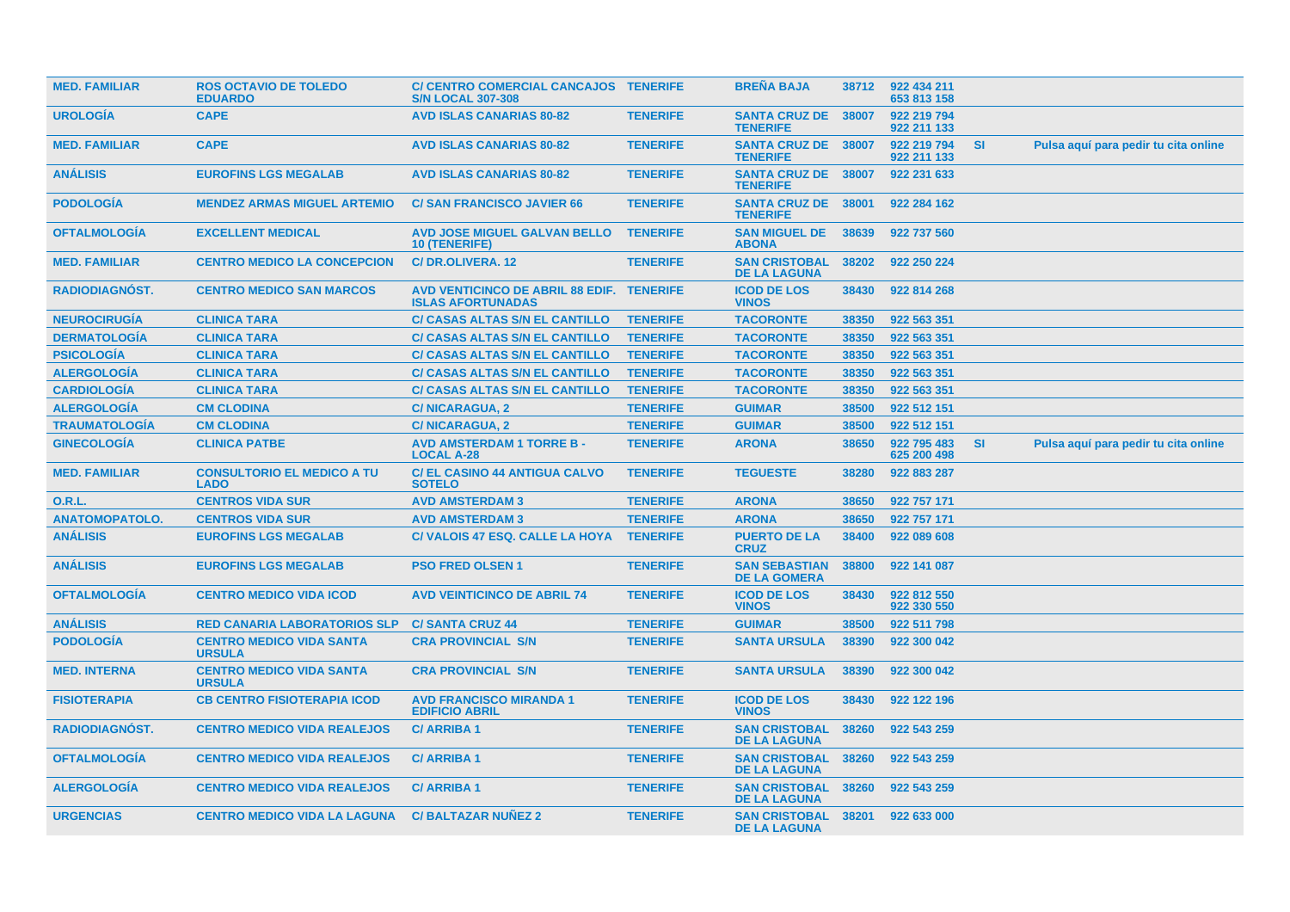| <b>MED. FAMILIAR</b>  | <b>ROS OCTAVIO DE TOLEDO</b><br><b>EDUARDO</b>   | C/ CENTRO COMERCIAL CANCAJOS TENERIFE<br><b>S/N LOCAL 307-308</b>     |                 | <b>BREÑA BAJA</b>                             | 38712 | 922 434 211<br>653 813 158 |           |                                      |
|-----------------------|--------------------------------------------------|-----------------------------------------------------------------------|-----------------|-----------------------------------------------|-------|----------------------------|-----------|--------------------------------------|
| <b>UROLOGIA</b>       | <b>CAPE</b>                                      | <b>AVD ISLAS CANARIAS 80-82</b>                                       | <b>TENERIFE</b> | <b>SANTA CRUZ DE 38007</b><br><b>TENERIFE</b> |       | 922 219 794<br>922 211 133 |           |                                      |
| <b>MED. FAMILIAR</b>  | <b>CAPE</b>                                      | <b>AVD ISLAS CANARIAS 80-82</b>                                       | <b>TENERIFE</b> | <b>SANTA CRUZ DE 38007</b><br><b>TENERIFE</b> |       | 922 219 794<br>922 211 133 | <b>SI</b> | Pulsa aquí para pedir tu cita online |
| <b>ANÁLISIS</b>       | <b>EUROFINS LGS MEGALAB</b>                      | <b>AVD ISLAS CANARIAS 80-82</b>                                       | <b>TENERIFE</b> | <b>SANTA CRUZ DE</b><br><b>TENERIFE</b>       | 38007 | 922 231 633                |           |                                      |
| <b>PODOLOGIA</b>      | <b>MENDEZ ARMAS MIGUEL ARTEMIO</b>               | <b>C/SAN FRANCISCO JAVIER 66</b>                                      | <b>TENERIFE</b> | <b>SANTA CRUZ DE</b><br><b>TENERIFE</b>       | 38001 | 922 284 162                |           |                                      |
| <b>OFTALMOLOGIA</b>   | <b>EXCELLENT MEDICAL</b>                         | <b>AVD JOSE MIGUEL GALVAN BELLO</b><br><b>10 (TENERIFE)</b>           | <b>TENERIFE</b> | <b>SAN MIGUEL DE</b><br><b>ABONA</b>          | 38639 | 922 737 560                |           |                                      |
| <b>MED. FAMILIAR</b>  | <b>CENTRO MEDICO LA CONCEPCION</b>               | C/DR.OLIVERA. 12                                                      | <b>TENERIFE</b> | <b>SAN CRISTOBAL</b><br><b>DE LA LAGUNA</b>   | 38202 | 922 250 224                |           |                                      |
| RADIODIAGNÓST.        | <b>CENTRO MEDICO SAN MARCOS</b>                  | AVD VENTICINCO DE ABRIL 88 EDIF. TENERIFE<br><b>ISLAS AFORTUNADAS</b> |                 | <b>ICOD DE LOS</b><br><b>VINOS</b>            | 38430 | 922 814 268                |           |                                      |
| <b>NEUROCIRUGÍA</b>   | <b>CLINICA TARA</b>                              | <b>C/ CASAS ALTAS S/N EL CANTILLO</b>                                 | <b>TENERIFE</b> | <b>TACORONTE</b>                              | 38350 | 922 563 351                |           |                                      |
| <b>DERMATOLOGÍA</b>   | <b>CLINICA TARA</b>                              | <b>C/ CASAS ALTAS S/N EL CANTILLO</b>                                 | <b>TENERIFE</b> | <b>TACORONTE</b>                              | 38350 | 922 563 351                |           |                                      |
| <b>PSICOLOGÍA</b>     | <b>CLINICA TARA</b>                              | <b>C/ CASAS ALTAS S/N EL CANTILLO</b>                                 | <b>TENERIFE</b> | <b>TACORONTE</b>                              | 38350 | 922 563 351                |           |                                      |
| <b>ALERGOLOGÍA</b>    | <b>CLINICA TARA</b>                              | <b>C/ CASAS ALTAS S/N EL CANTILLO</b>                                 | <b>TENERIFE</b> | <b>TACORONTE</b>                              | 38350 | 922 563 351                |           |                                      |
| <b>CARDIOLOGIA</b>    | <b>CLINICA TARA</b>                              | <b>C/ CASAS ALTAS S/N EL CANTILLO</b>                                 | <b>TENERIFE</b> | <b>TACORONTE</b>                              | 38350 | 922 563 351                |           |                                      |
| <b>ALERGOLOGÍA</b>    | <b>CM CLODINA</b>                                | <b>C/NICARAGUA, 2</b>                                                 | <b>TENERIFE</b> | <b>GUIMAR</b>                                 | 38500 | 922 512 151                |           |                                      |
| <b>TRAUMATOLOGÍA</b>  | <b>CM CLODINA</b>                                | <b>C/NICARAGUA, 2</b>                                                 | <b>TENERIFE</b> | <b>GUIMAR</b>                                 | 38500 | 922 512 151                |           |                                      |
| <b>GINECOLOGÍA</b>    | <b>CLINICA PATBE</b>                             | <b>AVD AMSTERDAM 1 TORRE B -</b><br><b>LOCAL A-28</b>                 | <b>TENERIFE</b> | <b>ARONA</b>                                  | 38650 | 922 795 483<br>625 200 498 | <b>SI</b> | Pulsa aquí para pedir tu cita online |
| <b>MED. FAMILIAR</b>  | <b>CONSULTORIO EL MEDICO A TU</b><br><b>LADO</b> | <b>C/ EL CASINO 44 ANTIGUA CALVO</b><br><b>SOTELO</b>                 | <b>TENERIFE</b> | <b>TEGUESTE</b>                               | 38280 | 922 883 287                |           |                                      |
| 0.R.L.                | <b>CENTROS VIDA SUR</b>                          | <b>AVD AMSTERDAM 3</b>                                                | <b>TENERIFE</b> | <b>ARONA</b>                                  | 38650 | 922 757 171                |           |                                      |
| <b>ANATOMOPATOLO.</b> | <b>CENTROS VIDA SUR</b>                          | <b>AVD AMSTERDAM 3</b>                                                | <b>TENERIFE</b> | <b>ARONA</b>                                  | 38650 | 922 757 171                |           |                                      |
| <b>ANÁLISIS</b>       | <b>EUROFINS LGS MEGALAB</b>                      | C/VALOIS 47 ESQ. CALLE LA HOYA                                        | <b>TENERIFE</b> | <b>PUERTO DE LA</b><br><b>CRUZ</b>            | 38400 | 922 089 608                |           |                                      |
| <b>ANÁLISIS</b>       | <b>EUROFINS LGS MEGALAB</b>                      | <b>PSO FRED OLSEN 1</b>                                               | <b>TENERIFE</b> | <b>SAN SEBASTIAN</b><br><b>DE LA GOMERA</b>   | 38800 | 922 141 087                |           |                                      |
| <b>OFTALMOLOGÍA</b>   | <b>CENTRO MEDICO VIDA ICOD</b>                   | <b>AVD VEINTICINCO DE ABRIL 74</b>                                    | <b>TENERIFE</b> | <b>ICOD DE LOS</b><br><b>VINOS</b>            | 38430 | 922 812 550<br>922 330 550 |           |                                      |
| <b>ANÁLISIS</b>       | <b>RED CANARIA LABORATORIOS SLP</b>              | <b>C/SANTA CRUZ 44</b>                                                | <b>TENERIFE</b> | <b>GUIMAR</b>                                 | 38500 | 922 511 798                |           |                                      |
| <b>PODOLOGÍA</b>      | <b>CENTRO MEDICO VIDA SANTA</b><br><b>URSULA</b> | <b>CRA PROVINCIAL S/N</b>                                             | <b>TENERIFE</b> | <b>SANTA URSULA</b>                           | 38390 | 922 300 042                |           |                                      |
| <b>MED. INTERNA</b>   | <b>CENTRO MEDICO VIDA SANTA</b><br><b>URSULA</b> | <b>CRA PROVINCIAL S/N</b>                                             | <b>TENERIFE</b> | <b>SANTA URSULA</b>                           | 38390 | 922 300 042                |           |                                      |
| <b>FISIOTERAPIA</b>   | <b>CB CENTRO FISIOTERAPIA ICOD</b>               | <b>AVD FRANCISCO MIRANDA 1</b><br><b>EDIFICIO ABRIL</b>               | <b>TENERIFE</b> | <b>ICOD DE LOS</b><br><b>VINOS</b>            | 38430 | 922 122 196                |           |                                      |
| RADIODIAGNÓST.        | <b>CENTRO MEDICO VIDA REALEJOS</b>               | <b>C/ARRIBA1</b>                                                      | <b>TENERIFE</b> | <b>SAN CRISTOBAL</b><br><b>DE LA LAGUNA</b>   | 38260 | 922 543 259                |           |                                      |
| <b>OFTALMOLOGÍA</b>   | <b>CENTRO MEDICO VIDA REALEJOS</b>               | <b>C/ARRIBA1</b>                                                      | <b>TENERIFE</b> | <b>SAN CRISTOBAL</b><br><b>DE LA LAGUNA</b>   | 38260 | 922 543 259                |           |                                      |
| <b>ALERGOLOGIA</b>    | <b>CENTRO MEDICO VIDA REALEJOS</b>               | <b>C/ARRIBA1</b>                                                      | <b>TENERIFE</b> | <b>SAN CRISTOBAL</b><br><b>DE LA LAGUNA</b>   | 38260 | 922 543 259                |           |                                      |
| <b>URGENCIAS</b>      | <b>CENTRO MEDICO VIDA LA LAGUNA</b>              | <b>C/BALTAZAR NUNEZ 2</b>                                             | <b>TENERIFE</b> | <b>SAN CRISTOBAL</b><br><b>DE LA LAGUNA</b>   | 38201 | 922 633 000                |           |                                      |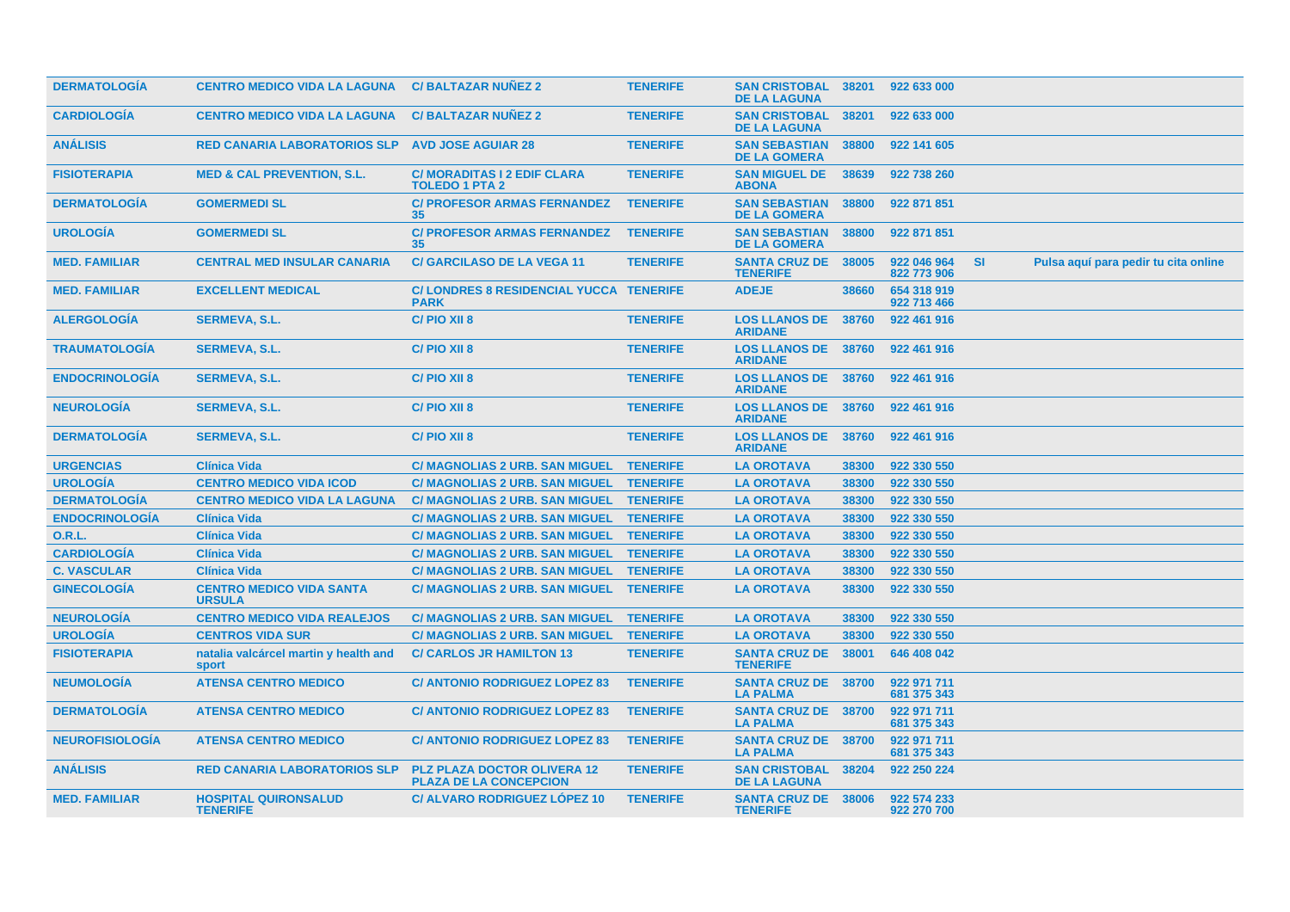| <b>DERMATOLOGIA</b>    | <b>CENTRO MEDICO VIDA LA LAGUNA</b>                    | <b>C/BALTAZAR NUNEZ 2</b>                                           | <b>TENERIFE</b> | <b>SAN CRISTOBAL 38201</b><br><b>DE LA LAGUNA</b> |       | 922 633 000                |           |                                      |  |
|------------------------|--------------------------------------------------------|---------------------------------------------------------------------|-----------------|---------------------------------------------------|-------|----------------------------|-----------|--------------------------------------|--|
| <b>CARDIOLOGÍA</b>     | <b>CENTRO MEDICO VIDA LA LAGUNA</b>                    | <b>C/BALTAZAR NUNEZ 2</b>                                           | <b>TENERIFE</b> | <b>SAN CRISTOBAL</b><br><b>DE LA LAGUNA</b>       | 38201 | 922 633 000                |           |                                      |  |
| <b>ANÁLISIS</b>        | <b>RED CANARIA LABORATORIOS SLP AVD JOSE AGUIAR 28</b> |                                                                     | <b>TENERIFE</b> | <b>SAN SEBASTIAN</b><br><b>DE LA GOMERA</b>       | 38800 | 922 141 605                |           |                                      |  |
| <b>FISIOTERAPIA</b>    | <b>MED &amp; CAL PREVENTION, S.L.</b>                  | <b>C/ MORADITAS I 2 EDIF CLARA</b><br><b>TOLEDO 1 PTA 2</b>         | <b>TENERIFE</b> | <b>SAN MIGUEL DE</b><br><b>ABONA</b>              | 38639 | 922 738 260                |           |                                      |  |
| <b>DERMATOLOGÍA</b>    | <b>GOMERMEDI SL</b>                                    | <b>C/ PROFESOR ARMAS FERNANDEZ</b><br>35                            | <b>TENERIFE</b> | <b>SAN SEBASTIAN</b><br><b>DE LA GOMERA</b>       | 38800 | 922 871 851                |           |                                      |  |
| <b>UROLOGÍA</b>        | <b>GOMERMEDI SL</b>                                    | <b>C/ PROFESOR ARMAS FERNANDEZ</b><br>35                            | <b>TENERIFE</b> | <b>SAN SEBASTIAN</b><br><b>DE LA GOMERA</b>       | 38800 | 922 871 851                |           |                                      |  |
| <b>MED. FAMILIAR</b>   | <b>CENTRAL MED INSULAR CANARIA</b>                     | <b>C/ GARCILASO DE LA VEGA 11</b>                                   | <b>TENERIFE</b> | <b>SANTA CRUZ DE</b><br><b>TENERIFE</b>           | 38005 | 922 046 964<br>822 773 906 | <b>SI</b> | Pulsa aquí para pedir tu cita online |  |
| <b>MED. FAMILIAR</b>   | <b>EXCELLENT MEDICAL</b>                               | C/LONDRES 8 RESIDENCIAL YUCCA TENERIFE<br><b>PARK</b>               |                 | <b>ADEJE</b>                                      | 38660 | 654 318 919<br>922 713 466 |           |                                      |  |
| <b>ALERGOLOGÍA</b>     | <b>SERMEVA, S.L.</b>                                   | C/PIO XII 8                                                         | <b>TENERIFE</b> | <b>LOS LLANOS DE</b><br><b>ARIDANE</b>            | 38760 | 922 461 916                |           |                                      |  |
| <b>TRAUMATOLOGIA</b>   | <b>SERMEVA, S.L.</b>                                   | C/PIO XII 8                                                         | <b>TENERIFE</b> | <b>LOS LLANOS DE</b><br><b>ARIDANE</b>            | 38760 | 922 461 916                |           |                                      |  |
| <b>ENDOCRINOLOGIA</b>  | <b>SERMEVA, S.L.</b>                                   | C/PIO XII 8                                                         | <b>TENERIFE</b> | <b>LOS LLANOS DE 38760</b><br><b>ARIDANE</b>      |       | 922 461 916                |           |                                      |  |
| <b>NEUROLOGÍA</b>      | <b>SERMEVA, S.L.</b>                                   | C/PIO XII 8                                                         | <b>TENERIFE</b> | <b>LOS LLANOS DE 38760</b><br><b>ARIDANE</b>      |       | 922 461 916                |           |                                      |  |
| <b>DERMATOLOGÍA</b>    | <b>SERMEVA, S.L.</b>                                   | C/PIO XII 8                                                         | <b>TENERIFE</b> | <b>LOS LLANOS DE</b><br><b>ARIDANE</b>            | 38760 | 922 461 916                |           |                                      |  |
| <b>URGENCIAS</b>       | <b>Clínica Vida</b>                                    | <b>C/ MAGNOLIAS 2 URB. SAN MIGUEL</b>                               | <b>TENERIFE</b> | <b>LA OROTAVA</b>                                 | 38300 | 922 330 550                |           |                                      |  |
| <b>UROLOGÍA</b>        | <b>CENTRO MEDICO VIDA ICOD</b>                         | C/ MAGNOLIAS 2 URB. SAN MIGUEL TENERIFE                             |                 | <b>LA OROTAVA</b>                                 | 38300 | 922 330 550                |           |                                      |  |
| <b>DERMATOLOGÍA</b>    | <b>CENTRO MEDICO VIDA LA LAGUNA</b>                    | C/ MAGNOLIAS 2 URB. SAN MIGUEL TENERIFE                             |                 | <b>LA OROTAVA</b>                                 | 38300 | 922 330 550                |           |                                      |  |
| <b>ENDOCRINOLOGÍA</b>  | <b>Clínica Vida</b>                                    | C/ MAGNOLIAS 2 URB. SAN MIGUEL TENERIFE                             |                 | <b>LA OROTAVA</b>                                 | 38300 | 922 330 550                |           |                                      |  |
| <b>O.R.L.</b>          | <b>Clínica Vida</b>                                    | <b>C/ MAGNOLIAS 2 URB. SAN MIGUEL</b>                               | <b>TENERIFE</b> | <b>LA OROTAVA</b>                                 | 38300 | 922 330 550                |           |                                      |  |
| <b>CARDIOLOGÍA</b>     | <b>Clínica Vida</b>                                    | C/ MAGNOLIAS 2 URB. SAN MIGUEL TENERIFE                             |                 | <b>LA OROTAVA</b>                                 | 38300 | 922 330 550                |           |                                      |  |
| <b>C. VASCULAR</b>     | <b>Clínica Vida</b>                                    | C/ MAGNOLIAS 2 URB. SAN MIGUEL TENERIFE                             |                 | <b>LA OROTAVA</b>                                 | 38300 | 922 330 550                |           |                                      |  |
| <b>GINECOLOGIA</b>     | <b>CENTRO MEDICO VIDA SANTA</b><br><b>URSULA</b>       | <b>C/ MAGNOLIAS 2 URB. SAN MIGUEL</b>                               | <b>TENERIFE</b> | <b>LA OROTAVA</b>                                 | 38300 | 922 330 550                |           |                                      |  |
| <b>NEUROLOGÍA</b>      | <b>CENTRO MEDICO VIDA REALEJOS</b>                     | C/ MAGNOLIAS 2 URB. SAN MIGUEL TENERIFE                             |                 | <b>LA OROTAVA</b>                                 | 38300 | 922 330 550                |           |                                      |  |
| <b>UROLOGÍA</b>        | <b>CENTROS VIDA SUR</b>                                | <b>C/ MAGNOLIAS 2 URB. SAN MIGUEL</b>                               | <b>TENERIFE</b> | <b>LA OROTAVA</b>                                 | 38300 | 922 330 550                |           |                                      |  |
| <b>FISIOTERAPIA</b>    | natalia valcárcel martin y health and<br>sport         | <b>C/ CARLOS JR HAMILTON 13</b>                                     | <b>TENERIFE</b> | <b>SANTA CRUZ DE</b><br><b>TENERIFE</b>           | 38001 | 646 408 042                |           |                                      |  |
| <b>NEUMOLOGÍA</b>      | <b>ATENSA CENTRO MEDICO</b>                            | <b>C/ ANTONIO RODRIGUEZ LOPEZ 83</b>                                | <b>TENERIFE</b> | <b>SANTA CRUZ DE 38700</b><br><b>LA PALMA</b>     |       | 922 971 711<br>681 375 343 |           |                                      |  |
| <b>DERMATOLOGIA</b>    | <b>ATENSA CENTRO MEDICO</b>                            | <b>C/ ANTONIO RODRIGUEZ LOPEZ 83</b>                                | <b>TENERIFE</b> | <b>SANTA CRUZ DE 38700</b><br><b>LA PALMA</b>     |       | 922 971 711<br>681 375 343 |           |                                      |  |
| <b>NEUROFISIOLOGIA</b> | <b>ATENSA CENTRO MEDICO</b>                            | <b>C/ ANTONIO RODRIGUEZ LOPEZ 83</b>                                | <b>TENERIFE</b> | <b>SANTA CRUZ DE 38700</b><br><b>LA PALMA</b>     |       | 922 971 711<br>681 375 343 |           |                                      |  |
| <b>ANÁLISIS</b>        | <b>RED CANARIA LABORATORIOS SLP</b>                    | <b>PLZ PLAZA DOCTOR OLIVERA 12</b><br><b>PLAZA DE LA CONCEPCION</b> | <b>TENERIFE</b> | <b>SAN CRISTOBAL 38204</b><br><b>DE LA LAGUNA</b> |       | 922 250 224                |           |                                      |  |
| <b>MED. FAMILIAR</b>   | <b>HOSPITAL QUIRONSALUD</b><br><b>TENERIFE</b>         | <b>C/ ALVARO RODRIGUEZ LOPEZ 10</b>                                 | <b>TENERIFE</b> | <b>SANTA CRUZ DE 38006</b><br><b>TENERIFE</b>     |       | 922 574 233<br>922 270 700 |           |                                      |  |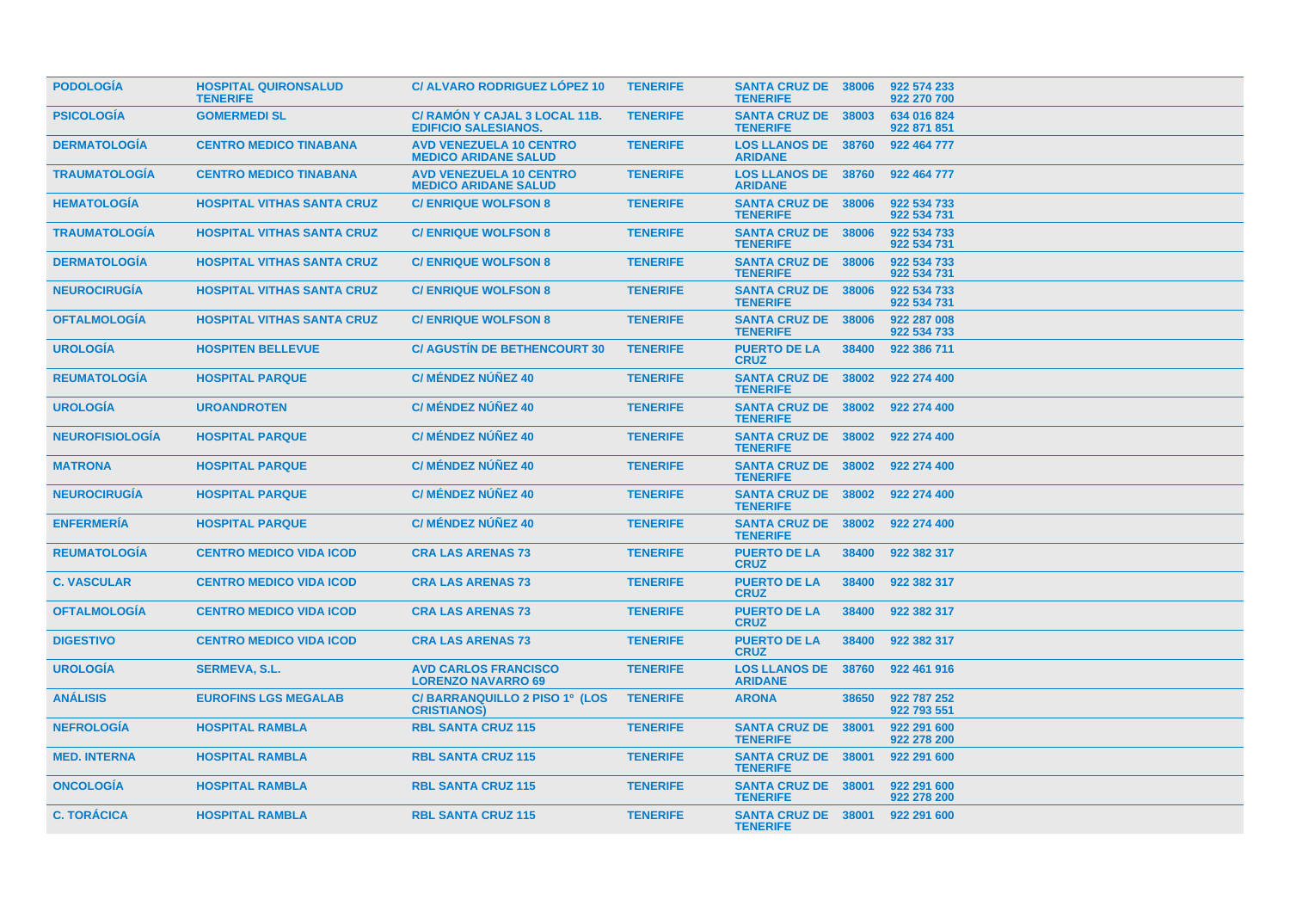| <b>PODOLOGIA</b>       | <b>HOSPITAL QUIRONSALUD</b><br><b>TENERIFE</b> | <b>C/ ALVARO RODRIGUEZ LOPEZ 10</b>                           | <b>TENERIFE</b> | <b>SANTA CRUZ DE 38006</b><br><b>TENERIFE</b> |       | 922 574 233<br>922 270 700 |
|------------------------|------------------------------------------------|---------------------------------------------------------------|-----------------|-----------------------------------------------|-------|----------------------------|
| <b>PSICOLOGÍA</b>      | <b>GOMERMEDI SL</b>                            | C/ RAMON Y CAJAL 3 LOCAL 11B.<br><b>EDIFICIO SALESIANOS.</b>  | <b>TENERIFE</b> | SANTA CRUZ DE 38003<br><b>TENERIFE</b>        |       | 634 016 824<br>922 871 851 |
| <b>DERMATOLOGIA</b>    | <b>CENTRO MEDICO TINABANA</b>                  | <b>AVD VENEZUELA 10 CENTRO</b><br><b>MEDICO ARIDANE SALUD</b> | <b>TENERIFE</b> | <b>LOS LLANOS DE 38760</b><br><b>ARIDANE</b>  |       | 922 464 777                |
| <b>TRAUMATOLOGÍA</b>   | <b>CENTRO MEDICO TINABANA</b>                  | <b>AVD VENEZUELA 10 CENTRO</b><br><b>MEDICO ARIDANE SALUD</b> | <b>TENERIFE</b> | <b>LOS LLANOS DE 38760</b><br><b>ARIDANE</b>  |       | 922 464 777                |
| <b>HEMATOLOGIA</b>     | <b>HOSPITAL VITHAS SANTA CRUZ</b>              | <b>C/ENRIQUE WOLFSON 8</b>                                    | <b>TENERIFE</b> | <b>SANTA CRUZ DE 38006</b><br><b>TENERIFE</b> |       | 922 534 733<br>922 534 731 |
| <b>TRAUMATOLOGÍA</b>   | <b>HOSPITAL VITHAS SANTA CRUZ</b>              | <b>C/ENRIQUE WOLFSON 8</b>                                    | <b>TENERIFE</b> | <b>SANTA CRUZ DE 38006</b><br><b>TENERIFE</b> |       | 922 534 733<br>922 534 731 |
| <b>DERMATOLOGÍA</b>    | <b>HOSPITAL VITHAS SANTA CRUZ</b>              | <b>C/ENRIQUE WOLFSON 8</b>                                    | <b>TENERIFE</b> | <b>SANTA CRUZ DE 38006</b><br><b>TENERIFE</b> |       | 922 534 733<br>922 534 731 |
| <b>NEUROCIRUGÍA</b>    | <b>HOSPITAL VITHAS SANTA CRUZ</b>              | <b>C/ENRIQUE WOLFSON 8</b>                                    | <b>TENERIFE</b> | <b>SANTA CRUZ DE 38006</b><br><b>TENERIFE</b> |       | 922 534 733<br>922 534 731 |
| <b>OFTALMOLOGIA</b>    | <b>HOSPITAL VITHAS SANTA CRUZ</b>              | <b>C/ENRIQUE WOLFSON 8</b>                                    | <b>TENERIFE</b> | <b>SANTA CRUZ DE 38006</b><br><b>TENERIFE</b> |       | 922 287 008<br>922 534 733 |
| <b>UROLOGIA</b>        | <b>HOSPITEN BELLEVUE</b>                       | <b>C/ AGUSTIN DE BETHENCOURT 30</b>                           | <b>TENERIFE</b> | <b>PUERTO DE LA</b><br><b>CRUZ</b>            | 38400 | 922 386 711                |
| <b>REUMATOLOGIA</b>    | <b>HOSPITAL PARQUE</b>                         | <b>C/ MÉNDEZ NÚÑEZ 40</b>                                     | <b>TENERIFE</b> | SANTA CRUZ DE 38002<br><b>TENERIFE</b>        |       | 922 274 400                |
| <b>UROLOGÍA</b>        | <b>UROANDROTEN</b>                             | <b>C/ MÉNDEZ NÚÑEZ 40</b>                                     | <b>TENERIFE</b> | SANTA CRUZ DE 38002<br><b>TENERIFE</b>        |       | 922 274 400                |
| <b>NEUROFISIOLOGIA</b> | <b>HOSPITAL PARQUE</b>                         | <b>C/ MÉNDEZ NÚÑEZ 40</b>                                     | <b>TENERIFE</b> | <b>SANTA CRUZ DE 38002</b><br><b>TENERIFE</b> |       | 922 274 400                |
| <b>MATRONA</b>         | <b>HOSPITAL PARQUE</b>                         | <b>C/ MÉNDEZ NÚÑEZ 40</b>                                     | <b>TENERIFE</b> | SANTA CRUZ DE 38002<br><b>TENERIFE</b>        |       | 922 274 400                |
| <b>NEUROCIRUGÍA</b>    | <b>HOSPITAL PARQUE</b>                         | <b>C/ MÉNDEZ NÚÑEZ 40</b>                                     | <b>TENERIFE</b> | <b>SANTA CRUZ DE 38002</b><br><b>TENERIFE</b> |       | 922 274 400                |
| <b>ENFERMERÍA</b>      | <b>HOSPITAL PARQUE</b>                         | C/ MÉNDEZ NÚÑEZ 40                                            | <b>TENERIFE</b> | SANTA CRUZ DE 38002<br><b>TENERIFE</b>        |       | 922 274 400                |
| <b>REUMATOLOGIA</b>    | <b>CENTRO MEDICO VIDA ICOD</b>                 | <b>CRA LAS ARENAS 73</b>                                      | <b>TENERIFE</b> | <b>PUERTO DE LA</b><br><b>CRUZ</b>            | 38400 | 922 382 317                |
| <b>C. VASCULAR</b>     | <b>CENTRO MEDICO VIDA ICOD</b>                 | <b>CRA LAS ARENAS 73</b>                                      | <b>TENERIFE</b> | <b>PUERTO DE LA</b><br><b>CRUZ</b>            | 38400 | 922 382 317                |
| <b>OFTALMOLOGIA</b>    | <b>CENTRO MEDICO VIDA ICOD</b>                 | <b>CRA LAS ARENAS 73</b>                                      | <b>TENERIFE</b> | <b>PUERTO DE LA</b><br><b>CRUZ</b>            | 38400 | 922 382 317                |
| <b>DIGESTIVO</b>       | <b>CENTRO MEDICO VIDA ICOD</b>                 | <b>CRA LAS ARENAS 73</b>                                      | <b>TENERIFE</b> | <b>PUERTO DE LA</b><br><b>CRUZ</b>            | 38400 | 922 382 317                |
| <b>UROLOGIA</b>        | <b>SERMEVA, S.L.</b>                           | <b>AVD CARLOS FRANCISCO</b><br><b>LORENZO NAVARRO 69</b>      | <b>TENERIFE</b> | <b>LOS LLANOS DE</b><br><b>ARIDANE</b>        | 38760 | 922 461 916                |
| <b>ANÁLISIS</b>        | <b>EUROFINS LGS MEGALAB</b>                    | C/BARRANQUILLO 2 PISO 1º (LOS<br><b>CRISTIANOS)</b>           | <b>TENERIFE</b> | <b>ARONA</b>                                  | 38650 | 922 787 252<br>922 793 551 |
| <b>NEFROLOGIA</b>      | <b>HOSPITAL RAMBLA</b>                         | <b>RBL SANTA CRUZ 115</b>                                     | <b>TENERIFE</b> | <b>SANTA CRUZ DE</b><br><b>TENERIFE</b>       | 38001 | 922 291 600<br>922 278 200 |
| <b>MED. INTERNA</b>    | <b>HOSPITAL RAMBLA</b>                         | <b>RBL SANTA CRUZ 115</b>                                     | <b>TENERIFE</b> | SANTA CRUZ DE 38001<br><b>TENERIFE</b>        |       | 922 291 600                |
| <b>ONCOLOGIA</b>       | <b>HOSPITAL RAMBLA</b>                         | <b>RBL SANTA CRUZ 115</b>                                     | <b>TENERIFE</b> | <b>SANTA CRUZ DE 38001</b><br><b>TENERIFE</b> |       | 922 291 600<br>922 278 200 |
| <b>C. TORÁCICA</b>     | <b>HOSPITAL RAMBLA</b>                         | <b>RBL SANTA CRUZ 115</b>                                     | <b>TENERIFE</b> | SANTA CRUZ DE 38001<br><b>TENERIFE</b>        |       | 922 291 600                |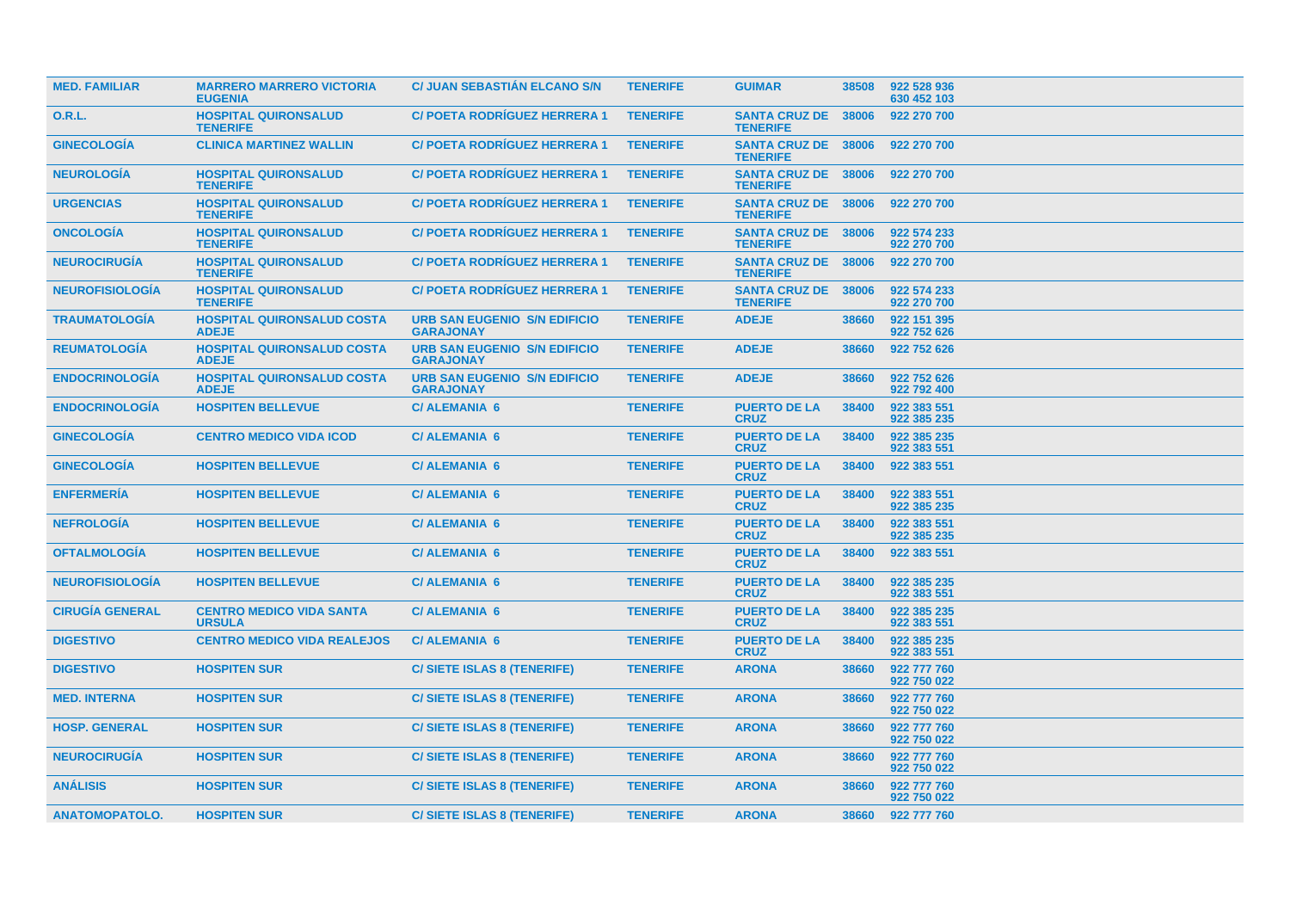| <b>MED. FAMILIAR</b>   | <b>MARRERO MARRERO VICTORIA</b><br><b>EUGENIA</b> | <b>C/ JUAN SEBASTIAN ELCANO S/N</b>                     | <b>TENERIFE</b> | <b>GUIMAR</b>                                 | 38508 | 922 528 936<br>630 452 103 |
|------------------------|---------------------------------------------------|---------------------------------------------------------|-----------------|-----------------------------------------------|-------|----------------------------|
| 0.R.L.                 | <b>HOSPITAL QUIRONSALUD</b><br><b>TENERIFE</b>    | <b>C/POETA RODRIGUEZ HERRERA 1</b>                      | <b>TENERIFE</b> | <b>SANTA CRUZ DE</b><br><b>TENERIFE</b>       | 38006 | 922 270 700                |
| <b>GINECOLOGIA</b>     | <b>CLINICA MARTINEZ WALLIN</b>                    | <b>C/ POETA RODRIGUEZ HERRERA 1</b>                     | <b>TENERIFE</b> | SANTA CRUZ DE 38006<br><b>TENERIFE</b>        |       | 922 270 700                |
| <b>NEUROLOGÍA</b>      | <b>HOSPITAL QUIRONSALUD</b><br><b>TENERIFE</b>    | <b>C/POETA RODRÍGUEZ HERRERA 1</b>                      | <b>TENERIFE</b> | <b>SANTA CRUZ DE</b><br><b>TENERIFE</b>       | 38006 | 922 270 700                |
| <b>URGENCIAS</b>       | <b>HOSPITAL QUIRONSALUD</b><br><b>TENERIFE</b>    | <b>C/ POETA RODRIGUEZ HERRERA 1</b>                     | <b>TENERIFE</b> | <b>SANTA CRUZ DE 38006</b><br><b>TENERIFE</b> |       | 922 270 700                |
| <b>ONCOLOGIA</b>       | <b>HOSPITAL QUIRONSALUD</b><br><b>TENERIFE</b>    | <b>C/POETA RODRIGUEZ HERRERA 1</b>                      | <b>TENERIFE</b> | <b>SANTA CRUZ DE</b><br><b>TENERIFE</b>       | 38006 | 922 574 233<br>922 270 700 |
| <b>NEUROCIRUGÍA</b>    | <b>HOSPITAL QUIRONSALUD</b><br><b>TENERIFE</b>    | <b>C/ POETA RODRIGUEZ HERRERA 1</b>                     | <b>TENERIFE</b> | <b>SANTA CRUZ DE 38006</b><br><b>TENERIFE</b> |       | 922 270 700                |
| <b>NEUROFISIOLOGÍA</b> | <b>HOSPITAL QUIRONSALUD</b><br><b>TENERIFE</b>    | <b>C/POETA RODRÍGUEZ HERRERA 1</b>                      | <b>TENERIFE</b> | <b>SANTA CRUZ DE</b><br><b>TENERIFE</b>       | 38006 | 922 574 233<br>922 270 700 |
| <b>TRAUMATOLOGIA</b>   | <b>HOSPITAL QUIRONSALUD COSTA</b><br><b>ADEJE</b> | <b>URB SAN EUGENIO S/N EDIFICIO</b><br><b>GARAJONAY</b> | <b>TENERIFE</b> | <b>ADEJE</b>                                  | 38660 | 922 151 395<br>922 752 626 |
| <b>REUMATOLOGIA</b>    | <b>HOSPITAL QUIRONSALUD COSTA</b><br><b>ADEJE</b> | <b>URB SAN EUGENIO S/N EDIFICIO</b><br><b>GARAJONAY</b> | <b>TENERIFE</b> | <b>ADEJE</b>                                  | 38660 | 922 752 626                |
| <b>ENDOCRINOLOGIA</b>  | <b>HOSPITAL QUIRONSALUD COSTA</b><br><b>ADEJE</b> | <b>URB SAN EUGENIO S/N EDIFICIO</b><br><b>GARAJONAY</b> | <b>TENERIFE</b> | <b>ADEJE</b>                                  | 38660 | 922 752 626<br>922 792 400 |
| <b>ENDOCRINOLOGÍA</b>  | <b>HOSPITEN BELLEVUE</b>                          | <b>C/ ALEMANIA 6</b>                                    | <b>TENERIFE</b> | <b>PUERTO DE LA</b><br><b>CRUZ</b>            | 38400 | 922 383 551<br>922 385 235 |
| <b>GINECOLOGIA</b>     | <b>CENTRO MEDICO VIDA ICOD</b>                    | <b>C/ALEMANIA 6</b>                                     | <b>TENERIFE</b> | <b>PUERTO DE LA</b><br><b>CRUZ</b>            | 38400 | 922 385 235<br>922 383 551 |
| <b>GINECOLOGIA</b>     | <b>HOSPITEN BELLEVUE</b>                          | <b>C/ALEMANIA 6</b>                                     | <b>TENERIFE</b> | <b>PUERTO DE LA</b><br><b>CRUZ</b>            | 38400 | 922 383 551                |
| <b>ENFERMERÍA</b>      | <b>HOSPITEN BELLEVUE</b>                          | <b>C/ALEMANIA 6</b>                                     | <b>TENERIFE</b> | <b>PUERTO DE LA</b><br><b>CRUZ</b>            | 38400 | 922 383 551<br>922 385 235 |
| <b>NEFROLOGIA</b>      | <b>HOSPITEN BELLEVUE</b>                          | <b>C/ALEMANIA 6</b>                                     | <b>TENERIFE</b> | <b>PUERTO DE LA</b><br><b>CRUZ</b>            | 38400 | 922 383 551<br>922 385 235 |
| <b>OFTALMOLOGIA</b>    | <b>HOSPITEN BELLEVUE</b>                          | <b>C/ALEMANIA 6</b>                                     | <b>TENERIFE</b> | <b>PUERTO DE LA</b><br><b>CRUZ</b>            | 38400 | 922 383 551                |
| <b>NEUROFISIOLOGIA</b> | <b>HOSPITEN BELLEVUE</b>                          | <b>C/ALEMANIA 6</b>                                     | <b>TENERIFE</b> | <b>PUERTO DE LA</b><br><b>CRUZ</b>            | 38400 | 922 385 235<br>922 383 551 |
| <b>CIRUGÍA GENERAL</b> | <b>CENTRO MEDICO VIDA SANTA</b><br><b>URSULA</b>  | <b>C/ALEMANIA 6</b>                                     | <b>TENERIFE</b> | <b>PUERTO DE LA</b><br><b>CRUZ</b>            | 38400 | 922 385 235<br>922 383 551 |
| <b>DIGESTIVO</b>       | <b>CENTRO MEDICO VIDA REALEJOS</b>                | <b>C/ALEMANIA 6</b>                                     | <b>TENERIFE</b> | <b>PUERTO DE LA</b><br><b>CRUZ</b>            | 38400 | 922 385 235<br>922 383 551 |
| <b>DIGESTIVO</b>       | <b>HOSPITEN SUR</b>                               | <b>C/SIETE ISLAS 8 (TENERIFE)</b>                       | <b>TENERIFE</b> | <b>ARONA</b>                                  | 38660 | 922 777 760<br>922 750 022 |
| <b>MED. INTERNA</b>    | <b>HOSPITEN SUR</b>                               | <b>C/SIETE ISLAS 8 (TENERIFE)</b>                       | <b>TENERIFE</b> | <b>ARONA</b>                                  | 38660 | 922 777 760<br>922 750 022 |
| <b>HOSP. GENERAL</b>   | <b>HOSPITEN SUR</b>                               | <b>C/SIETE ISLAS 8 (TENERIFE)</b>                       | <b>TENERIFE</b> | <b>ARONA</b>                                  | 38660 | 922 777 760<br>922 750 022 |
| <b>NEUROCIRUGÍA</b>    | <b>HOSPITEN SUR</b>                               | <b>C/SIETE ISLAS 8 (TENERIFE)</b>                       | <b>TENERIFE</b> | <b>ARONA</b>                                  | 38660 | 922 777 760<br>922 750 022 |
| <b>ANALISIS</b>        | <b>HOSPITEN SUR</b>                               | <b>C/SIETE ISLAS 8 (TENERIFE)</b>                       | <b>TENERIFE</b> | <b>ARONA</b>                                  | 38660 | 922 777 760<br>922 750 022 |
| <b>ANATOMOPATOLO.</b>  | <b>HOSPITEN SUR</b>                               | <b>C/SIETE ISLAS 8 (TENERIFE)</b>                       | <b>TENERIFE</b> | <b>ARONA</b>                                  | 38660 | 922 777 760                |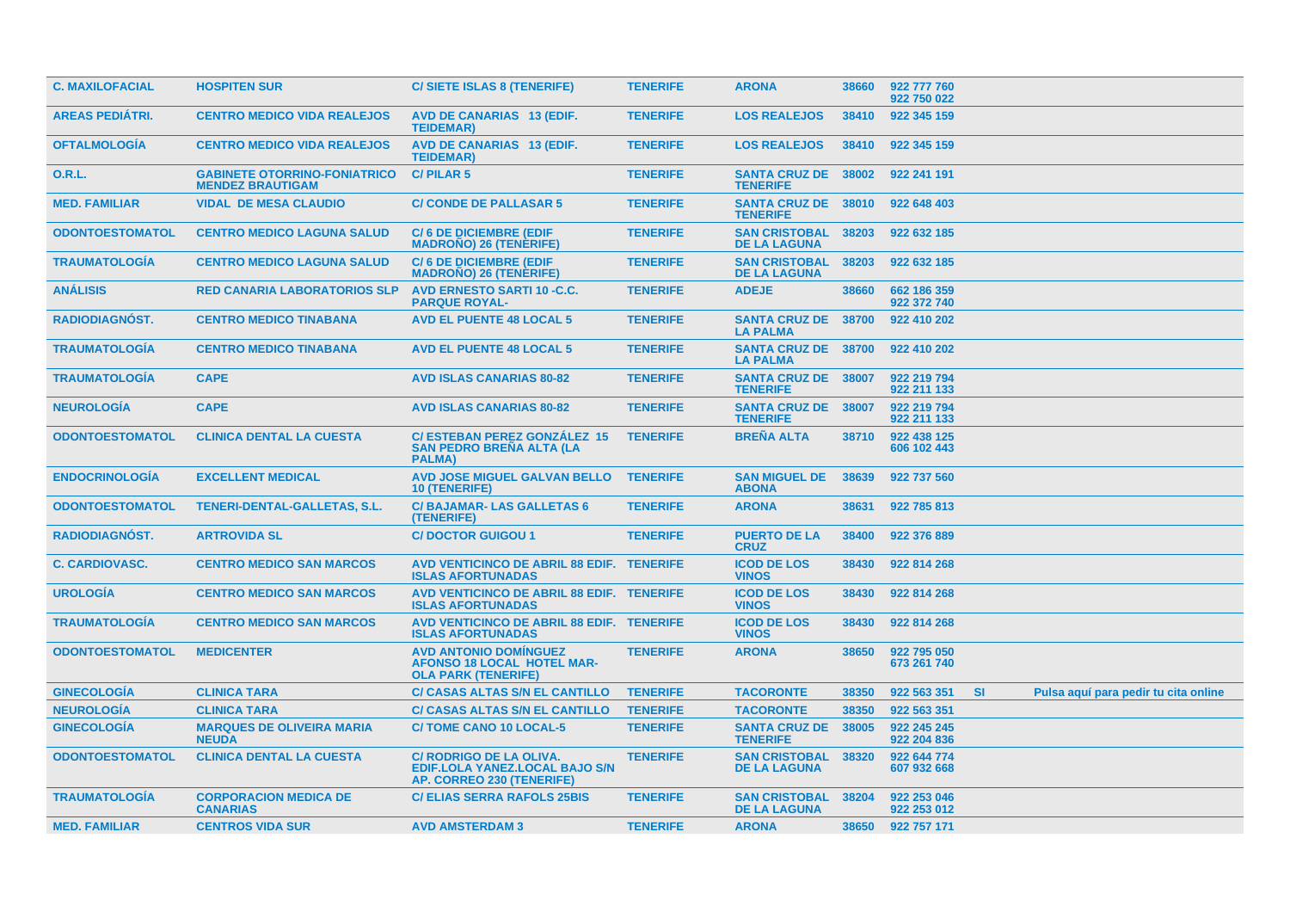| <b>C. MAXILOFACIAL</b> | <b>HOSPITEN SUR</b>                                            | C/ SIETE ISLAS 8 (TENERIFE)                                                                          | <b>TENERIFE</b> | <b>ARONA</b>                                      | 38660 | 922 777 760<br>922 750 022 |           |                                      |
|------------------------|----------------------------------------------------------------|------------------------------------------------------------------------------------------------------|-----------------|---------------------------------------------------|-------|----------------------------|-----------|--------------------------------------|
| <b>AREAS PEDIATRI.</b> | <b>CENTRO MEDICO VIDA REALEJOS</b>                             | <b>AVD DE CANARIAS 13 (EDIF.</b><br><b>TEIDEMAR)</b>                                                 | <b>TENERIFE</b> | <b>LOS REALEJOS</b>                               | 38410 | 922 345 159                |           |                                      |
| <b>OFTALMOLOGIA</b>    | <b>CENTRO MEDICO VIDA REALEJOS</b>                             | <b>AVD DE CANARIAS 13 (EDIF.</b><br><b>TEIDEMAR)</b>                                                 | <b>TENERIFE</b> | <b>LOS REALEJOS</b>                               | 38410 | 922 345 159                |           |                                      |
| <b>O.R.L.</b>          | <b>GABINETE OTORRINO-FONIATRICO</b><br><b>MENDEZ BRAUTIGAM</b> | <b>C/PILAR 5</b>                                                                                     | <b>TENERIFE</b> | <b>SANTA CRUZ DE</b><br><b>TENERIFE</b>           | 38002 | 922 241 191                |           |                                      |
| <b>MED. FAMILIAR</b>   | <b>VIDAL DE MESA CLAUDIO</b>                                   | <b>C/CONDE DE PALLASAR 5</b>                                                                         | <b>TENERIFE</b> | <b>SANTA CRUZ DE 38010</b><br><b>TENERIFE</b>     |       | 922 648 403                |           |                                      |
| <b>ODONTOESTOMATOL</b> | <b>CENTRO MEDICO LAGUNA SALUD</b>                              | <b>C/6 DE DICIEMBRE (EDIF</b><br><b>MADROÑO) 26 (TENÈRIFE)</b>                                       | <b>TENERIFE</b> | <b>SAN CRISTOBAL 38203</b><br><b>DE LA LAGUNA</b> |       | 922 632 185                |           |                                      |
| <b>TRAUMATOLOGIA</b>   | <b>CENTRO MEDICO LAGUNA SALUD</b>                              | <b>C/6 DE DICIEMBRE (EDIF</b><br><b>MADRONO) 26 (TENERIFE)</b>                                       | <b>TENERIFE</b> | <b>SAN CRISTOBAL</b><br><b>DE LA LAGUNA</b>       | 38203 | 922 632 185                |           |                                      |
| <b>ANÁLISIS</b>        | <b>RED CANARIA LABORATORIOS SLP</b>                            | <b>AVD ERNESTO SARTI 10 -C.C.</b><br><b>PARQUE ROYAL-</b>                                            | <b>TENERIFE</b> | <b>ADEJE</b>                                      | 38660 | 662 186 359<br>922 372 740 |           |                                      |
| <b>RADIODIAGNÓST.</b>  | <b>CENTRO MEDICO TINABANA</b>                                  | <b>AVD EL PUENTE 48 LOCAL 5</b>                                                                      | <b>TENERIFE</b> | <b>SANTA CRUZ DE</b><br><b>LA PALMA</b>           | 38700 | 922 410 202                |           |                                      |
| <b>TRAUMATOLOGÍA</b>   | <b>CENTRO MEDICO TINABANA</b>                                  | <b>AVD EL PUENTE 48 LOCAL 5</b>                                                                      | <b>TENERIFE</b> | <b>SANTA CRUZ DE 38700</b><br><b>LA PALMA</b>     |       | 922 410 202                |           |                                      |
| <b>TRAUMATOLOGIA</b>   | <b>CAPE</b>                                                    | <b>AVD ISLAS CANARIAS 80-82</b>                                                                      | <b>TENERIFE</b> | <b>SANTA CRUZ DE 38007</b><br><b>TENERIFE</b>     |       | 922 219 794<br>922 211 133 |           |                                      |
| <b>NEUROLOGÍA</b>      | <b>CAPE</b>                                                    | <b>AVD ISLAS CANARIAS 80-82</b>                                                                      | <b>TENERIFE</b> | <b>SANTA CRUZ DE</b><br><b>TENERIFE</b>           | 38007 | 922 219 794<br>922 211 133 |           |                                      |
| <b>ODONTOESTOMATOL</b> | <b>CLINICA DENTAL LA CUESTA</b>                                | <b>C/ ESTEBAN PEREZ GONZALEZ 15</b><br><b>SAN PEDRO BREÑA ALTA (LA</b><br>PALMA)                     | <b>TENERIFE</b> | <b>BREÑA ALTA</b>                                 | 38710 | 922 438 125<br>606 102 443 |           |                                      |
| <b>ENDOCRINOLOGIA</b>  | <b>EXCELLENT MEDICAL</b>                                       | <b>AVD JOSE MIGUEL GALVAN BELLO</b><br><b>10 (TENERIFE)</b>                                          | <b>TENERIFE</b> | <b>SAN MIGUEL DE</b><br><b>ABONA</b>              | 38639 | 922 737 560                |           |                                      |
| <b>ODONTOESTOMATOL</b> | <b>TENERI-DENTAL-GALLETAS, S.L.</b>                            | <b>C/BAJAMAR-LAS GALLETAS 6</b><br>(TENERIFE)                                                        | <b>TENERIFE</b> | <b>ARONA</b>                                      | 38631 | 922 785 813                |           |                                      |
| RADIODIAGNÓST.         | <b>ARTROVIDA SL</b>                                            | <b>C/DOCTOR GUIGOU 1</b>                                                                             | <b>TENERIFE</b> | <b>PUERTO DE LA</b><br><b>CRUZ</b>                | 38400 | 922 376 889                |           |                                      |
| <b>C. CARDIOVASC.</b>  | <b>CENTRO MEDICO SAN MARCOS</b>                                | AVD VENTICINCO DE ABRIL 88 EDIF. TENERIFE<br><b>ISLAS AFORTUNADAS</b>                                |                 | <b>ICOD DE LOS</b><br><b>VINOS</b>                | 38430 | 922 814 268                |           |                                      |
| <b>UROLOGÍA</b>        | <b>CENTRO MEDICO SAN MARCOS</b>                                | AVD VENTICINCO DE ABRIL 88 EDIF. TENERIFE<br><b>ISLAS AFORTUNADAS</b>                                |                 | <b>ICOD DE LOS</b><br><b>VINOS</b>                | 38430 | 922 814 268                |           |                                      |
| <b>TRAUMATOLOGIA</b>   | <b>CENTRO MEDICO SAN MARCOS</b>                                | AVD VENTICINCO DE ABRIL 88 EDIF. TENERIFE<br><b>ISLAS AFORTUNADAS</b>                                |                 | <b>ICOD DE LOS</b><br><b>VINOS</b>                | 38430 | 922 814 268                |           |                                      |
| <b>ODONTOESTOMATOL</b> | <b>MEDICENTER</b>                                              | <b>AVD ANTONIO DOMINGUEZ</b><br><b>AFONSO 18 LOCAL HOTEL MAR-</b><br><b>OLA PARK (TENERIFE)</b>      | <b>TENERIFE</b> | <b>ARONA</b>                                      | 38650 | 922 795 050<br>673 261 740 |           |                                      |
| <b>GINECOLOGÍA</b>     | <b>CLINICA TARA</b>                                            | <b>C/ CASAS ALTAS S/N EL CANTILLO</b>                                                                | <b>TENERIFE</b> | <b>TACORONTE</b>                                  | 38350 | 922 563 351                | <b>SI</b> | Pulsa aquí para pedir tu cita online |
| <b>NEUROLOGÍA</b>      | <b>CLINICA TARA</b>                                            | <b>C/ CASAS ALTAS S/N EL CANTILLO</b>                                                                | <b>TENERIFE</b> | <b>TACORONTE</b>                                  | 38350 | 922 563 351                |           |                                      |
| <b>GINECOLOGIA</b>     | <b>MARQUES DE OLIVEIRA MARIA</b><br><b>NEUDA</b>               | <b>C/TOME CANO 10 LOCAL-5</b>                                                                        | <b>TENERIFE</b> | <b>SANTA CRUZ DE</b><br><b>TENERIFE</b>           | 38005 | 922 245 245<br>922 204 836 |           |                                      |
| <b>ODONTOESTOMATOL</b> | <b>CLINICA DENTAL LA CUESTA</b>                                | C/ RODRIGO DE LA OLIVA.<br><b>EDIF.LOLA YANEZ.LOCAL BAJO S/N</b><br><b>AP. CORREO 230 (TENERIFE)</b> | <b>TENERIFE</b> | <b>SAN CRISTOBAL</b><br><b>DE LA LAGUNA</b>       | 38320 | 922 644 774<br>607 932 668 |           |                                      |
| <b>TRAUMATOLOGIA</b>   | <b>CORPORACION MEDICA DE</b><br><b>CANARIAS</b>                | <b>C/ELIAS SERRA RAFOLS 25BIS</b>                                                                    | <b>TENERIFE</b> | <b>SAN CRISTOBAL</b><br><b>DE LA LAGUNA</b>       | 38204 | 922 253 046<br>922 253 012 |           |                                      |
| <b>MED. FAMILIAR</b>   | <b>CENTROS VIDA SUR</b>                                        | <b>AVD AMSTERDAM 3</b>                                                                               | <b>TENERIFE</b> | <b>ARONA</b>                                      |       | 38650 922 757 171          |           |                                      |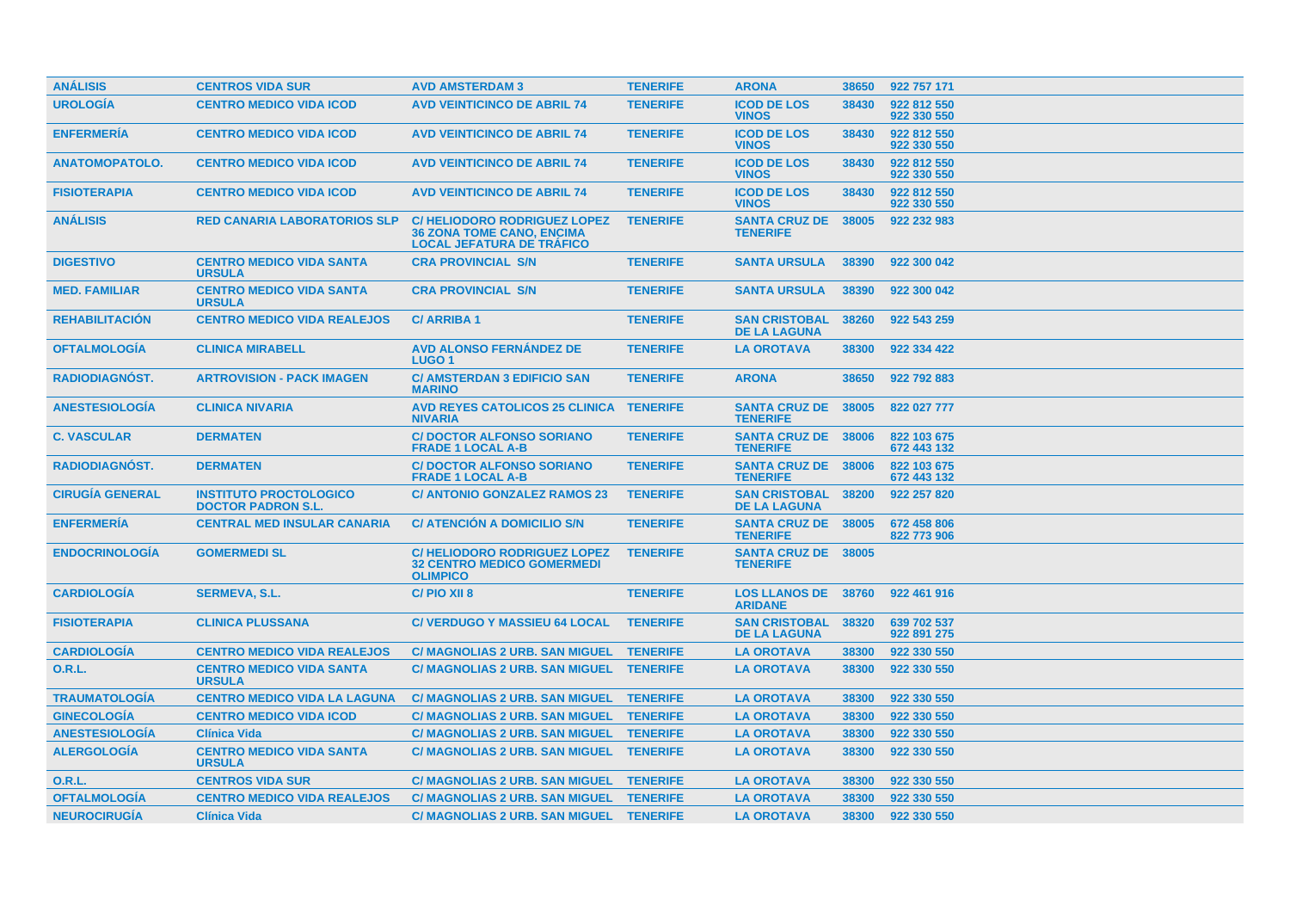| <b>ANÁLISIS</b>        | <b>CENTROS VIDA SUR</b>                                    | <b>AVD AMSTERDAM 3</b>                                                                                     | <b>TENERIFE</b> | <b>ARONA</b>                                  | 38650 | 922 757 171                |
|------------------------|------------------------------------------------------------|------------------------------------------------------------------------------------------------------------|-----------------|-----------------------------------------------|-------|----------------------------|
| <b>UROLOGÍA</b>        | <b>CENTRO MEDICO VIDA ICOD</b>                             | <b>AVD VEINTICINCO DE ABRIL 74</b>                                                                         | <b>TENERIFE</b> | <b>ICOD DE LOS</b><br><b>VINOS</b>            | 38430 | 922 812 550<br>922 330 550 |
| <b>ENFERMERIA</b>      | <b>CENTRO MEDICO VIDA ICOD</b>                             | <b>AVD VEINTICINCO DE ABRIL 74</b>                                                                         | <b>TENERIFE</b> | <b>ICOD DE LOS</b><br><b>VINOS</b>            | 38430 | 922 812 550<br>922 330 550 |
| <b>ANATOMOPATOLO.</b>  | <b>CENTRO MEDICO VIDA ICOD</b>                             | <b>AVD VEINTICINCO DE ABRIL 74</b>                                                                         | <b>TENERIFE</b> | <b>ICOD DE LOS</b><br><b>VINOS</b>            | 38430 | 922 812 550<br>922 330 550 |
| <b>FISIOTERAPIA</b>    | <b>CENTRO MEDICO VIDA ICOD</b>                             | <b>AVD VEINTICINCO DE ABRIL 74</b>                                                                         | <b>TENERIFE</b> | <b>ICOD DE LOS</b><br><b>VINOS</b>            | 38430 | 922 812 550<br>922 330 550 |
| <b>ANÁLISIS</b>        | <b>RED CANARIA LABORATORIOS SLP</b>                        | <b>C/HELIODORO RODRIGUEZ LOPEZ</b><br><b>36 ZONA TOME CANO, ENCIMA</b><br><b>LOCAL JEFATURA DE TRAFICO</b> | <b>TENERIFE</b> | <b>SANTA CRUZ DE</b><br><b>TENERIFE</b>       | 38005 | 922 232 983                |
| <b>DIGESTIVO</b>       | <b>CENTRO MEDICO VIDA SANTA</b><br><b>URSULA</b>           | <b>CRA PROVINCIAL S/N</b>                                                                                  | <b>TENERIFE</b> | <b>SANTA URSULA</b>                           | 38390 | 922 300 042                |
| <b>MED. FAMILIAR</b>   | <b>CENTRO MEDICO VIDA SANTA</b><br><b>URSULA</b>           | <b>CRA PROVINCIAL S/N</b>                                                                                  | <b>TENERIFE</b> | <b>SANTA URSULA</b>                           | 38390 | 922 300 042                |
| <b>REHABILITACIÓN</b>  | <b>CENTRO MEDICO VIDA REALEJOS</b>                         | <b>C/ARRIBA1</b>                                                                                           | <b>TENERIFE</b> | <b>SAN CRISTOBAL</b><br><b>DE LA LAGUNA</b>   | 38260 | 922 543 259                |
| <b>OFTALMOLOGÍA</b>    | <b>CLINICA MIRABELL</b>                                    | <b>AVD ALONSO FERNÁNDEZ DE</b><br>LUGO <sub>1</sub>                                                        | <b>TENERIFE</b> | <b>LA OROTAVA</b>                             | 38300 | 922 334 422                |
| <b>RADIODIAGNOST.</b>  | <b>ARTROVISION - PACK IMAGEN</b>                           | <b>C/ AMSTERDAN 3 EDIFICIO SAN</b><br><b>MARINO</b>                                                        | <b>TENERIFE</b> | <b>ARONA</b>                                  | 38650 | 922 792 883                |
| <b>ANESTESIOLOGIA</b>  | <b>CLINICA NIVARIA</b>                                     | AVD REYES CATOLICOS 25 CLINICA TENERIFE<br><b>NIVARIA</b>                                                  |                 | SANTA CRUZ DE 38005<br><b>TENERIFE</b>        |       | 822 027 777                |
| <b>C. VASCULAR</b>     | <b>DERMATEN</b>                                            | <b>C/DOCTOR ALFONSO SORIANO</b><br><b>FRADE 1 LOCAL A-B</b>                                                | <b>TENERIFE</b> | SANTA CRUZ DE 38006<br><b>TENERIFE</b>        |       | 822 103 675<br>672 443 132 |
| <b>RADIODIAGNÓST.</b>  | <b>DERMATEN</b>                                            | <b>C/DOCTOR ALFONSO SORIANO</b><br><b>FRADE 1 LOCAL A-B</b>                                                | <b>TENERIFE</b> | <b>SANTA CRUZ DE 38006</b><br><b>TENERIFE</b> |       | 822 103 675<br>672 443 132 |
| <b>CIRUGIA GENERAL</b> | <b>INSTITUTO PROCTOLOGICO</b><br><b>DOCTOR PADRON S.L.</b> | <b>C/ ANTONIO GONZALEZ RAMOS 23</b>                                                                        | <b>TENERIFE</b> | <b>SAN CRISTOBAL</b><br><b>DE LA LAGUNA</b>   | 38200 | 922 257 820                |
| <b>ENFERMERÍA</b>      | <b>CENTRAL MED INSULAR CANARIA</b>                         | C/ ATENCIÓN A DOMICILIO S/N                                                                                | <b>TENERIFE</b> | <b>SANTA CRUZ DE 38005</b><br><b>TENERIFE</b> |       | 672 458 806<br>822 773 906 |
| <b>ENDOCRINOLOGÍA</b>  | <b>GOMERMEDI SL</b>                                        | <b>C/HELIODORO RODRIGUEZ LOPEZ</b><br><b>32 CENTRO MEDICO GOMERMEDI</b><br><b>OLIMPICO</b>                 | <b>TENERIFE</b> | <b>SANTA CRUZ DE 38005</b><br><b>TENERIFE</b> |       |                            |
| <b>CARDIOLOGÍA</b>     | <b>SERMEVA, S.L.</b>                                       | C/PIO XII 8                                                                                                | <b>TENERIFE</b> | <b>LOS LLANOS DE 38760</b><br><b>ARIDANE</b>  |       | 922 461 916                |
| <b>FISIOTERAPIA</b>    | <b>CLINICA PLUSSANA</b>                                    | <b>C/ VERDUGO Y MASSIEU 64 LOCAL</b>                                                                       | <b>TENERIFE</b> | <b>SAN CRISTOBAL</b><br><b>DE LA LAGUNA</b>   | 38320 | 639 702 537<br>922 891 275 |
| <b>CARDIOLOGÍA</b>     | <b>CENTRO MEDICO VIDA REALEJOS</b>                         | C/ MAGNOLIAS 2 URB. SAN MIGUEL TENERIFE                                                                    |                 | <b>LA OROTAVA</b>                             | 38300 | 922 330 550                |
| O.R.L.                 | <b>CENTRO MEDICO VIDA SANTA</b><br><b>URSULA</b>           | C/ MAGNOLIAS 2 URB. SAN MIGUEL TENERIFE                                                                    |                 | <b>LA OROTAVA</b>                             | 38300 | 922 330 550                |
| <b>TRAUMATOLOGIA</b>   | <b>CENTRO MEDICO VIDA LA LAGUNA</b>                        | <b>C/ MAGNOLIAS 2 URB. SAN MIGUEL</b>                                                                      | <b>TENERIFE</b> | <b>LA OROTAVA</b>                             | 38300 | 922 330 550                |
| <b>GINECOLOGÍA</b>     | <b>CENTRO MEDICO VIDA ICOD</b>                             | C/ MAGNOLIAS 2 URB. SAN MIGUEL TENERIFE                                                                    |                 | <b>LA OROTAVA</b>                             | 38300 | 922 330 550                |
| <b>ANESTESIOLOGÍA</b>  | <b>Clínica Vida</b>                                        | <b>C/ MAGNOLIAS 2 URB. SAN MIGUEL</b>                                                                      | <b>TENERIFE</b> | <b>LA OROTAVA</b>                             | 38300 | 922 330 550                |
| <b>ALERGOLOGÍA</b>     | <b>CENTRO MEDICO VIDA SANTA</b><br><b>URSULA</b>           | C/ MAGNOLIAS 2 URB. SAN MIGUEL TENERIFE                                                                    |                 | <b>LA OROTAVA</b>                             | 38300 | 922 330 550                |
| 0.R.L.                 | <b>CENTROS VIDA SUR</b>                                    | C/ MAGNOLIAS 2 URB. SAN MIGUEL TENERIFE                                                                    |                 | <b>LA OROTAVA</b>                             | 38300 | 922 330 550                |
| <b>OFTALMOLOGÍA</b>    | <b>CENTRO MEDICO VIDA REALEJOS</b>                         | <b>C/ MAGNOLIAS 2 URB. SAN MIGUEL</b>                                                                      | <b>TENERIFE</b> | <b>LA OROTAVA</b>                             | 38300 | 922 330 550                |
| <b>NEUROCIRUGÍA</b>    | <b>Clínica Vida</b>                                        | C/ MAGNOLIAS 2 URB. SAN MIGUEL TENERIFE                                                                    |                 | <b>LA OROTAVA</b>                             | 38300 | 922 330 550                |
|                        |                                                            |                                                                                                            |                 |                                               |       |                            |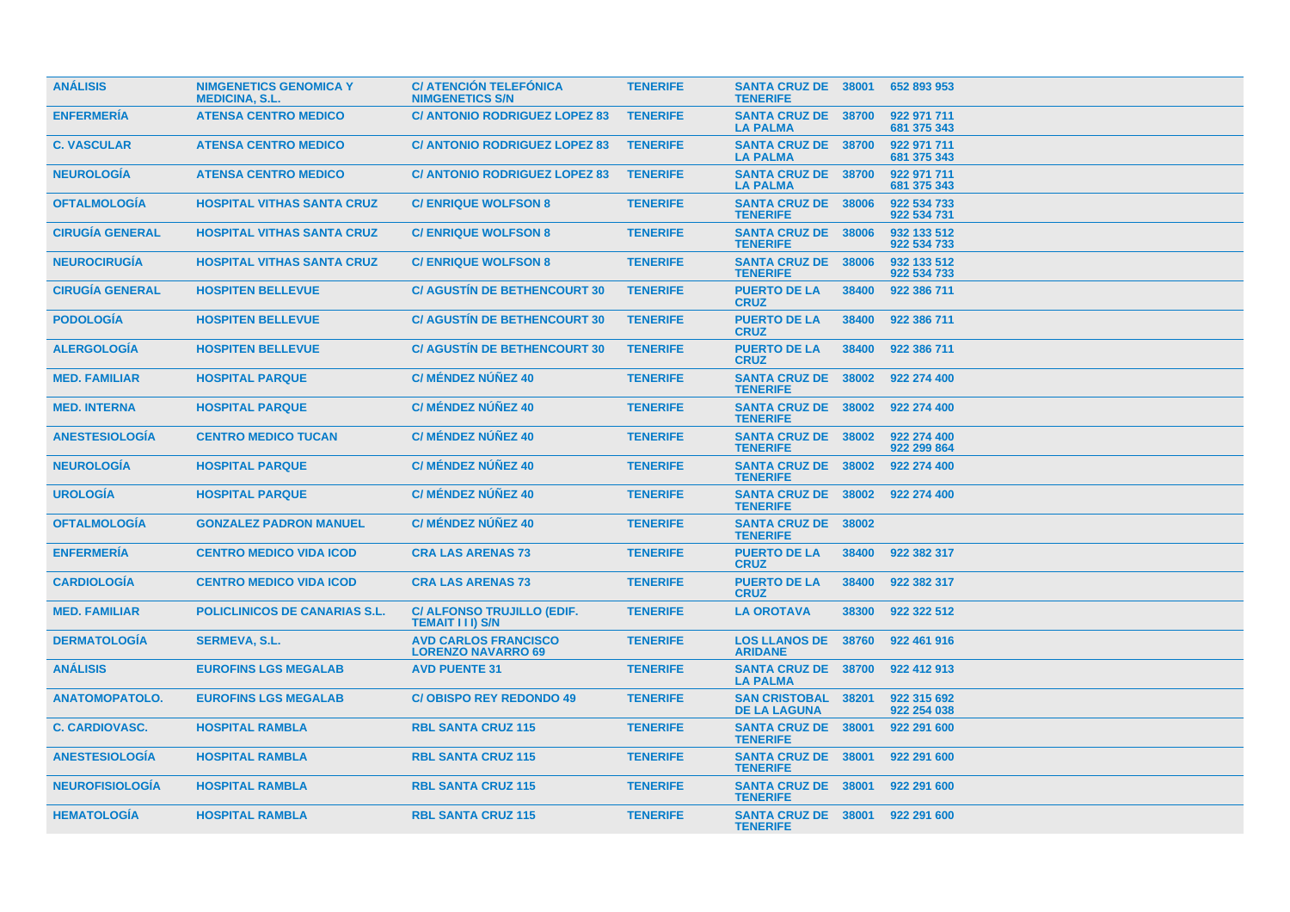| <b>ANÁLISIS</b>        | <b>NIMGENETICS GENOMICA Y</b><br><b>MEDICINA, S.L.</b> | <b>C/ ATENCIÓN TELEFÓNICA</b><br><b>NIMGENETICS S/N</b>  | <b>TENERIFE</b> | <b>SANTA CRUZ DE 38001</b><br><b>TENERIFE</b> |       | 652 893 953                |
|------------------------|--------------------------------------------------------|----------------------------------------------------------|-----------------|-----------------------------------------------|-------|----------------------------|
| <b>ENFERMERIA</b>      | <b>ATENSA CENTRO MEDICO</b>                            | <b>C/ ANTONIO RODRIGUEZ LOPEZ 83</b>                     | <b>TENERIFE</b> | <b>SANTA CRUZ DE 38700</b><br><b>LA PALMA</b> |       | 922 971 711<br>681 375 343 |
| <b>C. VASCULAR</b>     | <b>ATENSA CENTRO MEDICO</b>                            | <b>C/ ANTONIO RODRIGUEZ LOPEZ 83</b>                     | <b>TENERIFE</b> | <b>SANTA CRUZ DE 38700</b><br><b>LA PALMA</b> |       | 922 971 711<br>681 375 343 |
| <b>NEUROLOGIA</b>      | <b>ATENSA CENTRO MEDICO</b>                            | <b>C/ ANTONIO RODRIGUEZ LOPEZ 83</b>                     | <b>TENERIFE</b> | <b>SANTA CRUZ DE 38700</b><br><b>LA PALMA</b> |       | 922 971 711<br>681 375 343 |
| <b>OFTALMOLOGIA</b>    | <b>HOSPITAL VITHAS SANTA CRUZ</b>                      | <b>C/ENRIQUE WOLFSON 8</b>                               | <b>TENERIFE</b> | <b>SANTA CRUZ DE</b><br><b>TENERIFE</b>       | 38006 | 922 534 733<br>922 534 731 |
| <b>CIRUGIA GENERAL</b> | <b>HOSPITAL VITHAS SANTA CRUZ</b>                      | <b>C/ENRIQUE WOLFSON 8</b>                               | <b>TENERIFE</b> | <b>SANTA CRUZ DE 38006</b><br><b>TENERIFE</b> |       | 932 133 512<br>922 534 733 |
| <b>NEUROCIRUGÍA</b>    | <b>HOSPITAL VITHAS SANTA CRUZ</b>                      | <b>C/ ENRIQUE WOLFSON 8</b>                              | <b>TENERIFE</b> | <b>SANTA CRUZ DE 38006</b><br><b>TENERIFE</b> |       | 932 133 512<br>922 534 733 |
| <b>CIRUGÍA GENERAL</b> | <b>HOSPITEN BELLEVUE</b>                               | <b>C/ AGUSTIN DE BETHENCOURT 30</b>                      | <b>TENERIFE</b> | <b>PUERTO DE LA</b><br><b>CRUZ</b>            | 38400 | 922 386 711                |
| <b>PODOLOGÍA</b>       | <b>HOSPITEN BELLEVUE</b>                               | <b>C/ AGUSTIN DE BETHENCOURT 30</b>                      | <b>TENERIFE</b> | <b>PUERTO DE LA</b><br><b>CRUZ</b>            | 38400 | 922 386 711                |
| <b>ALERGOLOGIA</b>     | <b>HOSPITEN BELLEVUE</b>                               | <b>C/ AGUSTIN DE BETHENCOURT 30</b>                      | <b>TENERIFE</b> | <b>PUERTO DE LA</b><br><b>CRUZ</b>            | 38400 | 922 386 711                |
| <b>MED. FAMILIAR</b>   | <b>HOSPITAL PARQUE</b>                                 | <b>C/ MÉNDEZ NÚÑEZ 40</b>                                | <b>TENERIFE</b> | SANTA CRUZ DE 38002<br><b>TENERIFE</b>        |       | 922 274 400                |
| <b>MED. INTERNA</b>    | <b>HOSPITAL PARQUE</b>                                 | <b>C/ MÉNDEZ NÚÑEZ 40</b>                                | <b>TENERIFE</b> | <b>SANTA CRUZ DE 38002</b><br><b>TENERIFE</b> |       | 922 274 400                |
| <b>ANESTESIOLOGÍA</b>  | <b>CENTRO MEDICO TUCAN</b>                             | <b>C/ MÉNDEZ NÚÑEZ 40</b>                                | <b>TENERIFE</b> | <b>SANTA CRUZ DE 38002</b><br><b>TENERIFE</b> |       | 922 274 400<br>922 299 864 |
| <b>NEUROLOGIA</b>      | <b>HOSPITAL PARQUE</b>                                 | <b>C/ MÉNDEZ NÚÑEZ 40</b>                                | <b>TENERIFE</b> | <b>SANTA CRUZ DE</b><br><b>TENERIFE</b>       | 38002 | 922 274 400                |
| <b>UROLOGÍA</b>        | <b>HOSPITAL PARQUE</b>                                 | <b>C/ MÉNDEZ NÚÑEZ 40</b>                                | <b>TENERIFE</b> | <b>SANTA CRUZ DE 38002</b><br><b>TENERIFE</b> |       | 922 274 400                |
| <b>OFTALMOLOGÍA</b>    | <b>GONZALEZ PADRON MANUEL</b>                          | <b>C/ MÉNDEZ NÚÑEZ 40</b>                                | <b>TENERIFE</b> | <b>SANTA CRUZ DE 38002</b><br><b>TENERIFE</b> |       |                            |
| <b>ENFERMERIA</b>      | <b>CENTRO MEDICO VIDA ICOD</b>                         | <b>CRA LAS ARENAS 73</b>                                 | <b>TENERIFE</b> | <b>PUERTO DE LA</b><br><b>CRUZ</b>            | 38400 | 922 382 317                |
| <b>CARDIOLOGIA</b>     | <b>CENTRO MEDICO VIDA ICOD</b>                         | <b>CRA LAS ARENAS 73</b>                                 | <b>TENERIFE</b> | <b>PUERTO DE LA</b><br><b>CRUZ</b>            | 38400 | 922 382 317                |
| <b>MED. FAMILIAR</b>   | <b>POLICLINICOS DE CANARIAS S.L.</b>                   | C/ ALFONSO TRUJILLO (EDIF.<br><b>TEMAIT III) S/N</b>     | <b>TENERIFE</b> | <b>LA OROTAVA</b>                             | 38300 | 922 322 512                |
| <b>DERMATOLOGIA</b>    | <b>SERMEVA, S.L.</b>                                   | <b>AVD CARLOS FRANCISCO</b><br><b>LORENZO NAVARRO 69</b> | <b>TENERIFE</b> | <b>LOS LLANOS DE 38760</b><br><b>ARIDANE</b>  |       | 922 461 916                |
| <b>ANÁLISIS</b>        | <b>EUROFINS LGS MEGALAB</b>                            | <b>AVD PUENTE 31</b>                                     | <b>TENERIFE</b> | <b>SANTA CRUZ DE 38700</b><br><b>LA PALMA</b> |       | 922 412 913                |
| <b>ANATOMOPATOLO.</b>  | <b>EUROFINS LGS MEGALAB</b>                            | <b>C/OBISPO REY REDONDO 49</b>                           | <b>TENERIFE</b> | <b>SAN CRISTOBAL</b><br><b>DE LA LAGUNA</b>   | 38201 | 922 315 692<br>922 254 038 |
| <b>C. CARDIOVASC.</b>  | <b>HOSPITAL RAMBLA</b>                                 | <b>RBL SANTA CRUZ 115</b>                                | <b>TENERIFE</b> | <b>SANTA CRUZ DE 38001</b><br><b>TENERIFE</b> |       | 922 291 600                |
| <b>ANESTESIOLOGÍA</b>  | <b>HOSPITAL RAMBLA</b>                                 | <b>RBL SANTA CRUZ 115</b>                                | <b>TENERIFE</b> | SANTA CRUZ DE 38001<br><b>TENERIFE</b>        |       | 922 291 600                |
| <b>NEUROFISIOLOGIA</b> | <b>HOSPITAL RAMBLA</b>                                 | <b>RBL SANTA CRUZ 115</b>                                | <b>TENERIFE</b> | <b>SANTA CRUZ DE 38001</b><br><b>TENERIFE</b> |       | 922 291 600                |
| <b>HEMATOLOGÍA</b>     | <b>HOSPITAL RAMBLA</b>                                 | <b>RBL SANTA CRUZ 115</b>                                | <b>TENERIFE</b> | <b>SANTA CRUZ DE 38001</b><br><b>TENERIFE</b> |       | 922 291 600                |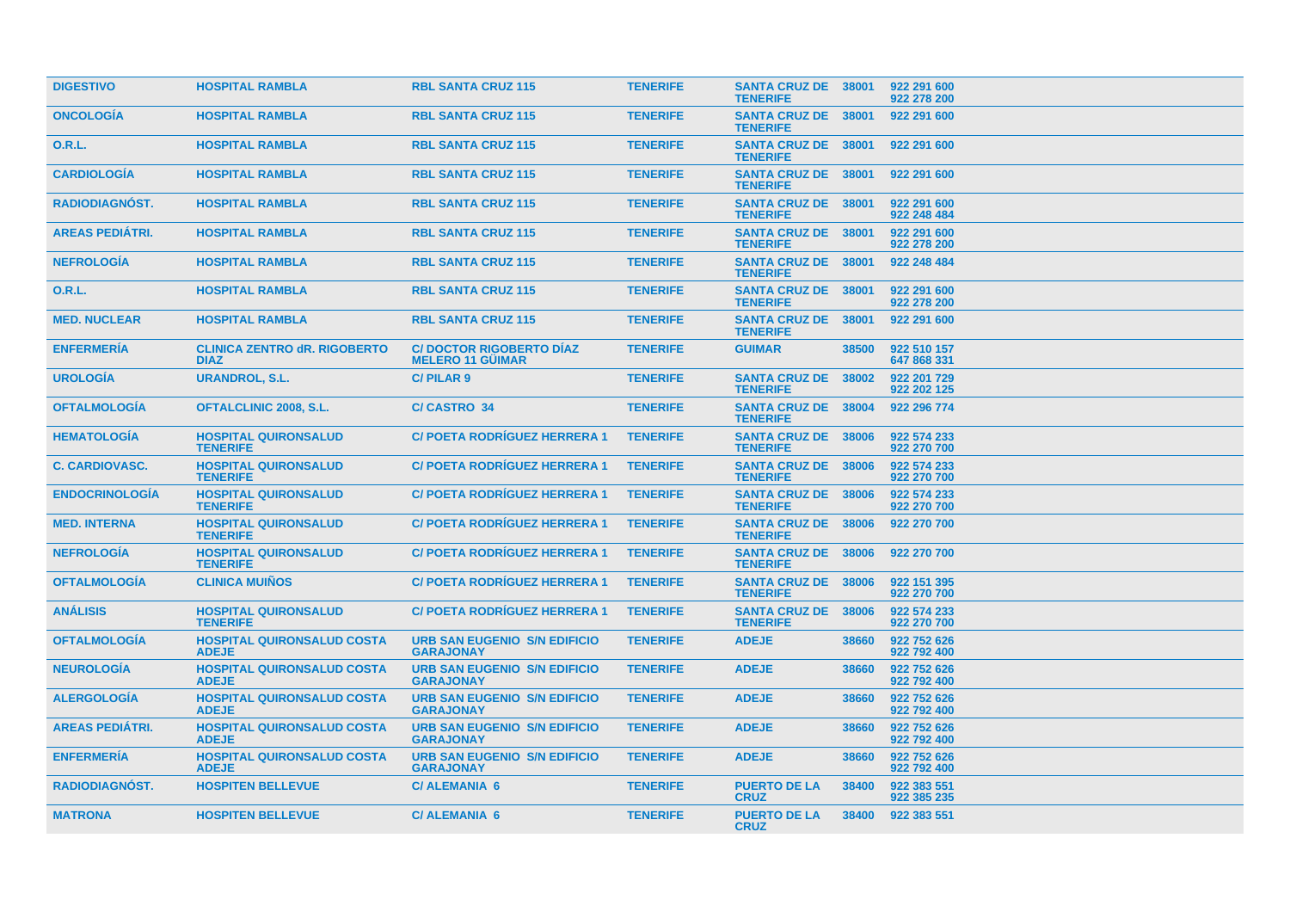| <b>DIGESTIVO</b>       | <b>HOSPITAL RAMBLA</b>                             | <b>RBL SANTA CRUZ 115</b>                                 | <b>TENERIFE</b> | <b>SANTA CRUZ DE 38001</b><br><b>TENERIFE</b> |       | 922 291 600<br>922 278 200 |
|------------------------|----------------------------------------------------|-----------------------------------------------------------|-----------------|-----------------------------------------------|-------|----------------------------|
| <b>ONCOLOGIA</b>       | <b>HOSPITAL RAMBLA</b>                             | <b>RBL SANTA CRUZ 115</b>                                 | <b>TENERIFE</b> | <b>SANTA CRUZ DE 38001</b><br><b>TENERIFE</b> |       | 922 291 600                |
| <b>O.R.L.</b>          | <b>HOSPITAL RAMBLA</b>                             | <b>RBL SANTA CRUZ 115</b>                                 | <b>TENERIFE</b> | SANTA CRUZ DE 38001<br><b>TENERIFE</b>        |       | 922 291 600                |
| <b>CARDIOLOGIA</b>     | <b>HOSPITAL RAMBLA</b>                             | <b>RBL SANTA CRUZ 115</b>                                 | <b>TENERIFE</b> | SANTA CRUZ DE 38001<br><b>TENERIFE</b>        |       | 922 291 600                |
| <b>RADIODIAGNÓST.</b>  | <b>HOSPITAL RAMBLA</b>                             | <b>RBL SANTA CRUZ 115</b>                                 | <b>TENERIFE</b> | SANTA CRUZ DE 38001<br><b>TENERIFE</b>        |       | 922 291 600<br>922 248 484 |
| <b>AREAS PEDIÁTRI.</b> | <b>HOSPITAL RAMBLA</b>                             | <b>RBL SANTA CRUZ 115</b>                                 | <b>TENERIFE</b> | <b>SANTA CRUZ DE 38001</b><br><b>TENERIFE</b> |       | 922 291 600<br>922 278 200 |
| <b>NEFROLOGIA</b>      | <b>HOSPITAL RAMBLA</b>                             | <b>RBL SANTA CRUZ 115</b>                                 | <b>TENERIFE</b> | SANTA CRUZ DE 38001<br><b>TENERIFE</b>        |       | 922 248 484                |
| <b>O.R.L.</b>          | <b>HOSPITAL RAMBLA</b>                             | <b>RBL SANTA CRUZ 115</b>                                 | <b>TENERIFE</b> | <b>SANTA CRUZ DE 38001</b><br><b>TENERIFE</b> |       | 922 291 600<br>922 278 200 |
| <b>MED. NUCLEAR</b>    | <b>HOSPITAL RAMBLA</b>                             | <b>RBL SANTA CRUZ 115</b>                                 | <b>TENERIFE</b> | SANTA CRUZ DE 38001<br><b>TENERIFE</b>        |       | 922 291 600                |
| <b>ENFERMERIA</b>      | <b>CLINICA ZENTRO dR. RIGOBERTO</b><br><b>DIAZ</b> | <b>C/DOCTOR RIGOBERTO DIAZ</b><br><b>MELERO 11 GÜIMAR</b> | <b>TENERIFE</b> | <b>GUIMAR</b>                                 | 38500 | 922 510 157<br>647 868 331 |
| <b>UROLOGIA</b>        | <b>URANDROL, S.L.</b>                              | <b>C/PILAR9</b>                                           | <b>TENERIFE</b> | <b>SANTA CRUZ DE</b><br><b>TENERIFE</b>       | 38002 | 922 201 729<br>922 202 125 |
| <b>OFTALMOLOGÍA</b>    | <b>OFTALCLINIC 2008, S.L.</b>                      | <b>C/CASTRO 34</b>                                        | <b>TENERIFE</b> | <b>SANTA CRUZ DE</b><br><b>TENERIFE</b>       | 38004 | 922 296 774                |
| <b>HEMATOLOGIA</b>     | <b>HOSPITAL QUIRONSALUD</b><br><b>TENERIFE</b>     | <b>C/ POETA RODRIGUEZ HERRERA 1</b>                       | <b>TENERIFE</b> | <b>SANTA CRUZ DE</b><br><b>TENERIFE</b>       | 38006 | 922 574 233<br>922 270 700 |
| <b>C. CARDIOVASC.</b>  | <b>HOSPITAL QUIRONSALUD</b><br><b>TENERIFE</b>     | <b>C/ POETA RODRIGUEZ HERRERA 1</b>                       | <b>TENERIFE</b> | <b>SANTA CRUZ DE</b><br><b>TENERIFE</b>       | 38006 | 922 574 233<br>922 270 700 |
| <b>ENDOCRINOLOGIA</b>  | <b>HOSPITAL QUIRONSALUD</b><br><b>TENERIFE</b>     | <b>C/POETA RODRIGUEZ HERRERA 1</b>                        | <b>TENERIFE</b> | <b>SANTA CRUZ DE 38006</b><br><b>TENERIFE</b> |       | 922 574 233<br>922 270 700 |
| <b>MED. INTERNA</b>    | <b>HOSPITAL QUIRONSALUD</b><br><b>TENERIFE</b>     | <b>C/ POETA RODRIGUEZ HERRERA 1</b>                       | <b>TENERIFE</b> | SANTA CRUZ DE 38006<br><b>TENERIFE</b>        |       | 922 270 700                |
| <b>NEFROLOGIA</b>      | <b>HOSPITAL QUIRONSALUD</b><br><b>TENERIFE</b>     | <b>C/POETA RODRÍGUEZ HERRERA 1</b>                        | <b>TENERIFE</b> | <b>SANTA CRUZ DE 38006</b><br><b>TENERIFE</b> |       | 922 270 700                |
| <b>OFTALMOLOGIA</b>    | <b>CLINICA MUIÑOS</b>                              | <b>C/ POETA RODRIGUEZ HERRERA 1</b>                       | <b>TENERIFE</b> | <b>SANTA CRUZ DE 38006</b><br><b>TENERIFE</b> |       | 922 151 395<br>922 270 700 |
| <b>ANÁLISIS</b>        | <b>HOSPITAL QUIRONSALUD</b><br><b>TENERIFE</b>     | <b>C/POETA RODRIGUEZ HERRERA 1</b>                        | <b>TENERIFE</b> | <b>SANTA CRUZ DE 38006</b><br><b>TENERIFE</b> |       | 922 574 233<br>922 270 700 |
| <b>OFTALMOLOGIA</b>    | <b>HOSPITAL QUIRONSALUD COSTA</b><br><b>ADEJE</b>  | <b>URB SAN EUGENIO S/N EDIFICIO</b><br><b>GARAJONAY</b>   | <b>TENERIFE</b> | <b>ADEJE</b>                                  | 38660 | 922 752 626<br>922 792 400 |
| <b>NEUROLOGIA</b>      | <b>HOSPITAL QUIRONSALUD COSTA</b><br><b>ADEJE</b>  | <b>URB SAN EUGENIO S/N EDIFICIO</b><br><b>GARAJONAY</b>   | <b>TENERIFE</b> | <b>ADEJE</b>                                  | 38660 | 922 752 626<br>922 792 400 |
| <b>ALERGOLOGIA</b>     | <b>HOSPITAL QUIRONSALUD COSTA</b><br><b>ADEJE</b>  | <b>URB SAN EUGENIO S/N EDIFICIO</b><br><b>GARAJONAY</b>   | <b>TENERIFE</b> | <b>ADEJE</b>                                  | 38660 | 922 752 626<br>922 792 400 |
| <b>AREAS PEDIÁTRI.</b> | <b>HOSPITAL QUIRONSALUD COSTA</b><br><b>ADEJE</b>  | <b>URB SAN EUGENIO S/N EDIFICIO</b><br><b>GARAJONAY</b>   | <b>TENERIFE</b> | <b>ADEJE</b>                                  | 38660 | 922 752 626<br>922 792 400 |
| <b>ENFERMERIA</b>      | <b>HOSPITAL QUIRONSALUD COSTA</b><br><b>ADEJE</b>  | <b>URB SAN EUGENIO S/N EDIFICIO</b><br><b>GARAJONAY</b>   | <b>TENERIFE</b> | <b>ADEJE</b>                                  | 38660 | 922 752 626<br>922 792 400 |
| <b>RADIODIAGNOST.</b>  | <b>HOSPITEN BELLEVUE</b>                           | <b>C/ALEMANIA 6</b>                                       | <b>TENERIFE</b> | <b>PUERTO DE LA</b><br><b>CRUZ</b>            | 38400 | 922 383 551<br>922 385 235 |
| <b>MATRONA</b>         | <b>HOSPITEN BELLEVUE</b>                           | <b>C/ALEMANIA 6</b>                                       | <b>TENERIFE</b> | <b>PUERTO DE LA</b><br><b>CRUZ</b>            | 38400 | 922 383 551                |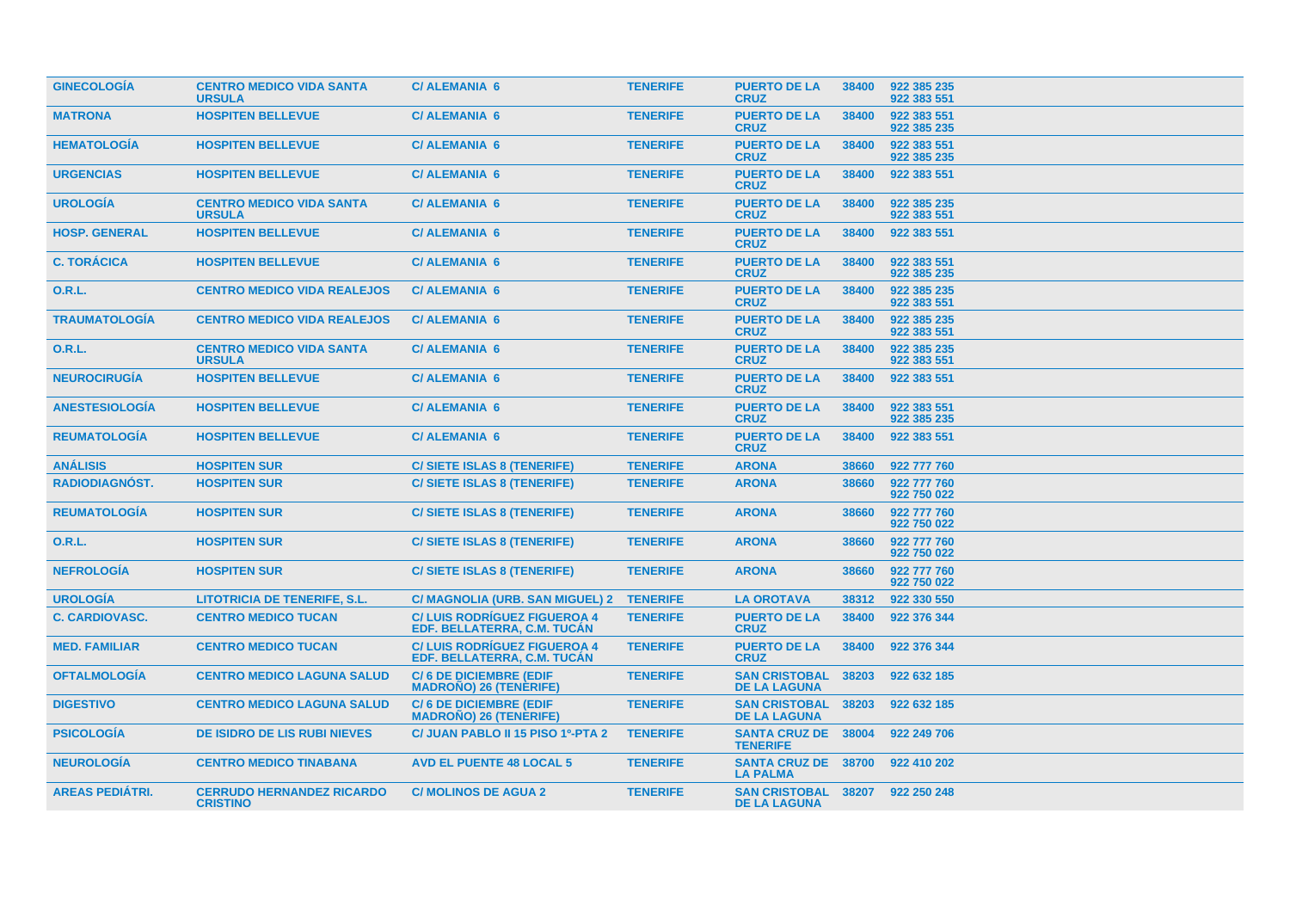| <b>GINECOLOGÍA</b>     | <b>CENTRO MEDICO VIDA SANTA</b><br><b>URSULA</b>    | <b>C/ALEMANIA 6</b>                                               | <b>TENERIFE</b> | <b>PUERTO DE LA</b><br><b>CRUZ</b>                     | 38400 | 922 385 235<br>922 383 551 |
|------------------------|-----------------------------------------------------|-------------------------------------------------------------------|-----------------|--------------------------------------------------------|-------|----------------------------|
| <b>MATRONA</b>         | <b>HOSPITEN BELLEVUE</b>                            | <b>C/ALEMANIA 6</b>                                               | <b>TENERIFE</b> | <b>PUERTO DE LA</b><br><b>CRUZ</b>                     | 38400 | 922 383 551<br>922 385 235 |
| <b>HEMATOLOGIA</b>     | <b>HOSPITEN BELLEVUE</b>                            | <b>C/ALEMANIA 6</b>                                               | <b>TENERIFE</b> | <b>PUERTO DE LA</b><br><b>CRUZ</b>                     | 38400 | 922 383 551<br>922 385 235 |
| <b>URGENCIAS</b>       | <b>HOSPITEN BELLEVUE</b>                            | <b>C/ALEMANIA 6</b>                                               | <b>TENERIFE</b> | <b>PUERTO DE LA</b><br><b>CRUZ</b>                     | 38400 | 922 383 551                |
| <b>UROLOGIA</b>        | <b>CENTRO MEDICO VIDA SANTA</b><br><b>URSULA</b>    | <b>C/ALEMANIA 6</b>                                               | <b>TENERIFE</b> | <b>PUERTO DE LA</b><br><b>CRUZ</b>                     | 38400 | 922 385 235<br>922 383 551 |
| <b>HOSP. GENERAL</b>   | <b>HOSPITEN BELLEVUE</b>                            | <b>C/ALEMANIA 6</b>                                               | <b>TENERIFE</b> | <b>PUERTO DE LA</b><br><b>CRUZ</b>                     | 38400 | 922 383 551                |
| <b>C. TORÁCICA</b>     | <b>HOSPITEN BELLEVUE</b>                            | <b>C/ALEMANIA 6</b>                                               | <b>TENERIFE</b> | <b>PUERTO DE LA</b><br><b>CRUZ</b>                     | 38400 | 922 383 551<br>922 385 235 |
| 0.R.L.                 | <b>CENTRO MEDICO VIDA REALEJOS</b>                  | <b>C/ALEMANIA 6</b>                                               | <b>TENERIFE</b> | <b>PUERTO DE LA</b><br><b>CRUZ</b>                     | 38400 | 922 385 235<br>922 383 551 |
| <b>TRAUMATOLOGÍA</b>   | <b>CENTRO MEDICO VIDA REALEJOS</b>                  | <b>C/ALEMANIA 6</b>                                               | <b>TENERIFE</b> | <b>PUERTO DE LA</b><br><b>CRUZ</b>                     | 38400 | 922 385 235<br>922 383 551 |
| 0.R.L.                 | <b>CENTRO MEDICO VIDA SANTA</b><br><b>URSULA</b>    | <b>C/ALEMANIA 6</b>                                               | <b>TENERIFE</b> | <b>PUERTO DE LA</b><br><b>CRUZ</b>                     | 38400 | 922 385 235<br>922 383 551 |
| <b>NEUROCIRUGIA</b>    | <b>HOSPITEN BELLEVUE</b>                            | <b>C/ALEMANIA 6</b>                                               | <b>TENERIFE</b> | <b>PUERTO DE LA</b><br><b>CRUZ</b>                     | 38400 | 922 383 551                |
| <b>ANESTESIOLOGIA</b>  | <b>HOSPITEN BELLEVUE</b>                            | <b>C/ALEMANIA 6</b>                                               | <b>TENERIFE</b> | <b>PUERTO DE LA</b><br><b>CRUZ</b>                     | 38400 | 922 383 551<br>922 385 235 |
| <b>REUMATOLOGIA</b>    | <b>HOSPITEN BELLEVUE</b>                            | <b>C/ALEMANIA 6</b>                                               | <b>TENERIFE</b> | <b>PUERTO DE LA</b><br><b>CRUZ</b>                     | 38400 | 922 383 551                |
| <b>ANÁLISIS</b>        | <b>HOSPITEN SUR</b>                                 | C/ SIETE ISLAS 8 (TENERIFE)                                       | <b>TENERIFE</b> | <b>ARONA</b>                                           | 38660 | 922 777 760                |
| <b>RADIODIAGNOST.</b>  | <b>HOSPITEN SUR</b>                                 | <b>C/SIETE ISLAS 8 (TENERIFE)</b>                                 | <b>TENERIFE</b> | <b>ARONA</b>                                           | 38660 | 922 777 760<br>922 750 022 |
| <b>REUMATOLOGÍA</b>    | <b>HOSPITEN SUR</b>                                 | C/ SIETE ISLAS 8 (TENERIFE)                                       | <b>TENERIFE</b> | <b>ARONA</b>                                           | 38660 | 922 777 760<br>922 750 022 |
| <b>O.R.L.</b>          | <b>HOSPITEN SUR</b>                                 | <b>C/SIETE ISLAS 8 (TENERIFE)</b>                                 | <b>TENERIFE</b> | <b>ARONA</b>                                           | 38660 | 922 777 760<br>922 750 022 |
| <b>NEFROLOGÍA</b>      | <b>HOSPITEN SUR</b>                                 | <b>C/SIETE ISLAS 8 (TENERIFE)</b>                                 | <b>TENERIFE</b> | <b>ARONA</b>                                           | 38660 | 922 777 760<br>922 750 022 |
| <b>UROLOGÍA</b>        | <b>LITOTRICIA DE TENERIFE, S.L.</b>                 | C/ MAGNOLIA (URB. SAN MIGUEL) 2                                   | <b>TENERIFE</b> | <b>LA OROTAVA</b>                                      | 38312 | 922 330 550                |
| <b>C. CARDIOVASC.</b>  | <b>CENTRO MEDICO TUCAN</b>                          | <b>C/LUIS RODRIGUEZ FIGUEROA 4</b><br>EDF. BELLATERRA, C.M. TUCAN | <b>TENERIFE</b> | <b>PUERTO DE LA</b><br><b>CRUZ</b>                     | 38400 | 922 376 344                |
| <b>MED. FAMILIAR</b>   | <b>CENTRO MEDICO TUCAN</b>                          | <b>C/LUIS RODRIGUEZ FIGUEROA 4</b><br>EDF. BELLATERRA, C.M. TUCAN | <b>TENERIFE</b> | <b>PUERTO DE LA</b><br><b>CRUZ</b>                     | 38400 | 922 376 344                |
| <b>OFTALMOLOGIA</b>    | <b>CENTRO MEDICO LAGUNA SALUD</b>                   | <b>C/6 DE DICIEMBRE (EDIF</b><br><b>MADRONO) 26 (TENERIFE)</b>    | <b>TENERIFE</b> | <b>SAN CRISTOBAL</b><br><b>DE LA LAGUNA</b>            | 38203 | 922 632 185                |
| <b>DIGESTIVO</b>       | <b>CENTRO MEDICO LAGUNA SALUD</b>                   | <b>C/6 DE DICIEMBRE (EDIF</b><br><b>MADRONO) 26 (TENERIFE)</b>    | <b>TENERIFE</b> | <b>SAN CRISTOBAL</b><br><b>DE LA LAGUNA</b>            | 38203 | 922 632 185                |
| <b>PSICOLOGÍA</b>      | <b>DE ISIDRO DE LIS RUBI NIEVES</b>                 | C/ JUAN PABLO II 15 PISO 1º-PTA 2                                 | <b>TENERIFE</b> | <b>SANTA CRUZ DE 38004</b><br><b>TENERIFE</b>          |       | 922 249 706                |
| <b>NEUROLOGIA</b>      | <b>CENTRO MEDICO TINABANA</b>                       | <b>AVD EL PUENTE 48 LOCAL 5</b>                                   | <b>TENERIFE</b> | <b>SANTA CRUZ DE 38700</b><br><b>LA PALMA</b>          |       | 922 410 202                |
| <b>AREAS PEDIÁTRI.</b> | <b>CERRUDO HERNANDEZ RICARDO</b><br><b>CRISTINO</b> | <b>C/MOLINOS DE AGUA 2</b>                                        | <b>TENERIFE</b> | SAN CRISTOBAL 38207 922 250 248<br><b>DE LA LAGUNA</b> |       |                            |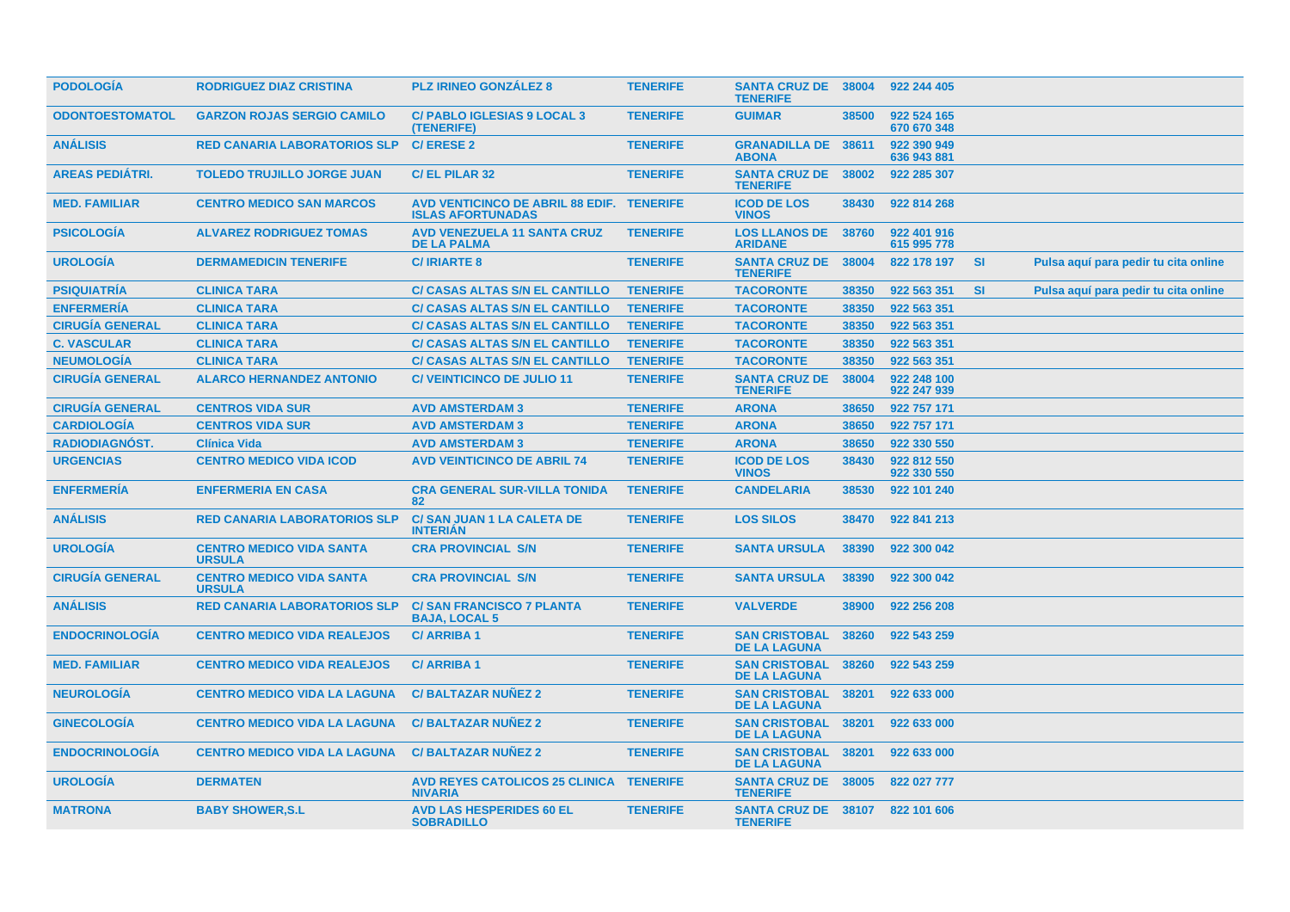| <b>PODOLOGIA</b>       | <b>RODRIGUEZ DIAZ CRISTINA</b>                   | <b>PLZ IRINEO GONZALEZ 8</b>                                          | <b>TENERIFE</b> | <b>SANTA CRUZ DE 38004</b><br><b>TENERIFE</b>      |       | 922 244 405                |           |                                      |  |
|------------------------|--------------------------------------------------|-----------------------------------------------------------------------|-----------------|----------------------------------------------------|-------|----------------------------|-----------|--------------------------------------|--|
| <b>ODONTOESTOMATOL</b> | <b>GARZON ROJAS SERGIO CAMILO</b>                | <b>C/ PABLO IGLESIAS 9 LOCAL 3</b><br>(TENERIFE)                      | <b>TENERIFE</b> | <b>GUIMAR</b>                                      | 38500 | 922 524 165<br>670 670 348 |           |                                      |  |
| <b>ANÁLISIS</b>        | <b>RED CANARIA LABORATORIOS SLP</b>              | <b>C/ERESE 2</b>                                                      | <b>TENERIFE</b> | <b>GRANADILLA DE 38611</b><br><b>ABONA</b>         |       | 922 390 949<br>636 943 881 |           |                                      |  |
| <b>AREAS PEDIÁTRI.</b> | <b>TOLEDO TRUJILLO JORGE JUAN</b>                | <b>C/EL PILAR 32</b>                                                  | <b>TENERIFE</b> | SANTA CRUZ DE 38002<br><b>TENERIFE</b>             |       | 922 285 307                |           |                                      |  |
| <b>MED. FAMILIAR</b>   | <b>CENTRO MEDICO SAN MARCOS</b>                  | AVD VENTICINCO DE ABRIL 88 EDIF. TENERIFE<br><b>ISLAS AFORTUNADAS</b> |                 | <b>ICOD DE LOS</b><br><b>VINOS</b>                 | 38430 | 922 814 268                |           |                                      |  |
| <b>PSICOLOGIA</b>      | <b>ALVAREZ RODRIGUEZ TOMAS</b>                   | <b>AVD VENEZUELA 11 SANTA CRUZ</b><br><b>DE LA PALMA</b>              | <b>TENERIFE</b> | <b>LOS LLANOS DE</b><br><b>ARIDANE</b>             | 38760 | 922 401 916<br>615 995 778 |           |                                      |  |
| <b>UROLOGÍA</b>        | <b>DERMAMEDICIN TENERIFE</b>                     | <b>C/IRIARTE 8</b>                                                    | <b>TENERIFE</b> | <b>SANTA CRUZ DE</b><br><b>TENERIFE</b>            | 38004 | 822 178 197                | <b>SI</b> | Pulsa aquí para pedir tu cita online |  |
| <b>PSIQUIATRÍA</b>     | <b>CLINICA TARA</b>                              | <b>C/ CASAS ALTAS S/N EL CANTILLO</b>                                 | <b>TENERIFE</b> | <b>TACORONTE</b>                                   | 38350 | 922 563 351                | <b>SI</b> | Pulsa aquí para pedir tu cita online |  |
| <b>ENFERMERÍA</b>      | <b>CLINICA TARA</b>                              | <b>C/ CASAS ALTAS S/N EL CANTILLO</b>                                 | <b>TENERIFE</b> | <b>TACORONTE</b>                                   | 38350 | 922 563 351                |           |                                      |  |
| <b>CIRUGÍA GENERAL</b> | <b>CLINICA TARA</b>                              | <b>C/ CASAS ALTAS S/N EL CANTILLO</b>                                 | <b>TENERIFE</b> | <b>TACORONTE</b>                                   | 38350 | 922 563 351                |           |                                      |  |
| <b>C. VASCULAR</b>     | <b>CLINICA TARA</b>                              | <b>C/ CASAS ALTAS S/N EL CANTILLO</b>                                 | <b>TENERIFE</b> | <b>TACORONTE</b>                                   | 38350 | 922 563 351                |           |                                      |  |
| <b>NEUMOLOGÍA</b>      | <b>CLINICA TARA</b>                              | <b>C/ CASAS ALTAS S/N EL CANTILLO</b>                                 | <b>TENERIFE</b> | <b>TACORONTE</b>                                   | 38350 | 922 563 351                |           |                                      |  |
| <b>CIRUGÍA GENERAL</b> | <b>ALARCO HERNANDEZ ANTONIO</b>                  | <b>C/ VEINTICINCO DE JULIO 11</b>                                     | <b>TENERIFE</b> | <b>SANTA CRUZ DE</b><br><b>TENERIFE</b>            | 38004 | 922 248 100<br>922 247 939 |           |                                      |  |
| <b>CIRUGÍA GENERAL</b> | <b>CENTROS VIDA SUR</b>                          | <b>AVD AMSTERDAM 3</b>                                                | <b>TENERIFE</b> | <b>ARONA</b>                                       | 38650 | 922 757 171                |           |                                      |  |
| <b>CARDIOLOGÍA</b>     | <b>CENTROS VIDA SUR</b>                          | <b>AVD AMSTERDAM 3</b>                                                | <b>TENERIFE</b> | <b>ARONA</b>                                       | 38650 | 922 757 171                |           |                                      |  |
| RADIODIAGNÓST.         | <b>Clínica Vida</b>                              | <b>AVD AMSTERDAM 3</b>                                                | <b>TENERIFE</b> | <b>ARONA</b>                                       | 38650 | 922 330 550                |           |                                      |  |
| <b>URGENCIAS</b>       | <b>CENTRO MEDICO VIDA ICOD</b>                   | <b>AVD VEINTICINCO DE ABRIL 74</b>                                    | <b>TENERIFE</b> | <b>ICOD DE LOS</b><br><b>VINOS</b>                 | 38430 | 922 812 550<br>922 330 550 |           |                                      |  |
| <b>ENFERMERÍA</b>      | <b>ENFERMERIA EN CASA</b>                        | <b>CRA GENERAL SUR-VILLA TONIDA</b><br>82                             | <b>TENERIFE</b> | <b>CANDELARIA</b>                                  | 38530 | 922 101 240                |           |                                      |  |
| <b>ANALISIS</b>        | <b>RED CANARIA LABORATORIOS SLP</b>              | <b>C/SAN JUAN 1 LA CALETA DE</b><br><b>INTERIAN</b>                   | <b>TENERIFE</b> | <b>LOS SILOS</b>                                   | 38470 | 922 841 213                |           |                                      |  |
| <b>UROLOGIA</b>        | <b>CENTRO MEDICO VIDA SANTA</b><br><b>URSULA</b> | <b>CRA PROVINCIAL S/N</b>                                             | <b>TENERIFE</b> | <b>SANTA URSULA</b>                                | 38390 | 922 300 042                |           |                                      |  |
| <b>CIRUGÍA GENERAL</b> | <b>CENTRO MEDICO VIDA SANTA</b><br><b>URSULA</b> | <b>CRA PROVINCIAL S/N</b>                                             | <b>TENERIFE</b> | <b>SANTA URSULA</b>                                | 38390 | 922 300 042                |           |                                      |  |
| <b>ANÁLISIS</b>        | <b>RED CANARIA LABORATORIOS SLP</b>              | <b>C/SAN FRANCISCO 7 PLANTA</b><br><b>BAJA, LOCAL 5</b>               | <b>TENERIFE</b> | <b>VALVERDE</b>                                    | 38900 | 922 256 208                |           |                                      |  |
| <b>ENDOCRINOLOGÍA</b>  | <b>CENTRO MEDICO VIDA REALEJOS</b>               | <b>C/ARRIBA1</b>                                                      | <b>TENERIFE</b> | <b>SAN CRISTOBAL</b><br><b>DE LA LAGUNA</b>        | 38260 | 922 543 259                |           |                                      |  |
| <b>MED. FAMILIAR</b>   | <b>CENTRO MEDICO VIDA REALEJOS</b>               | <b>C/ARRIBA1</b>                                                      | <b>TENERIFE</b> | <b>SAN CRISTOBAL</b><br><b>DE LA LAGUNA</b>        | 38260 | 922 543 259                |           |                                      |  |
| <b>NEUROLOGÍA</b>      | <b>CENTRO MEDICO VIDA LA LAGUNA</b>              | <b>C/BALTAZAR NUÑEZ 2</b>                                             | <b>TENERIFE</b> | <b>SAN CRISTOBAL</b><br><b>DE LA LAGUNA</b>        | 38201 | 922 633 000                |           |                                      |  |
| <b>GINECOLOGÍA</b>     | <b>CENTRO MEDICO VIDA LA LAGUNA</b>              | <b>C/BALTAZAR NUÑEZ 2</b>                                             | <b>TENERIFE</b> | <b>SAN CRISTOBAL</b><br><b>DE LA LAGUNA</b>        | 38201 | 922 633 000                |           |                                      |  |
| <b>ENDOCRINOLOGÍA</b>  | <b>CENTRO MEDICO VIDA LA LAGUNA</b>              | <b>C/BALTAZAR NUNEZ 2</b>                                             | <b>TENERIFE</b> | <b>SAN CRISTOBAL</b><br><b>DE LA LAGUNA</b>        | 38201 | 922 633 000                |           |                                      |  |
| <b>UROLOGIA</b>        | <b>DERMATEN</b>                                  | AVD REYES CATOLICOS 25 CLINICA TENERIFE<br><b>NIVARIA</b>             |                 | <b>SANTA CRUZ DE 38005</b><br><b>TENERIFE</b>      |       | 822 027 777                |           |                                      |  |
| <b>MATRONA</b>         | <b>BABY SHOWER, S.L</b>                          | <b>AVD LAS HESPERIDES 60 EL</b><br><b>SOBRADILLO</b>                  | <b>TENERIFE</b> | SANTA CRUZ DE 38107 822 101 606<br><b>TENERIFE</b> |       |                            |           |                                      |  |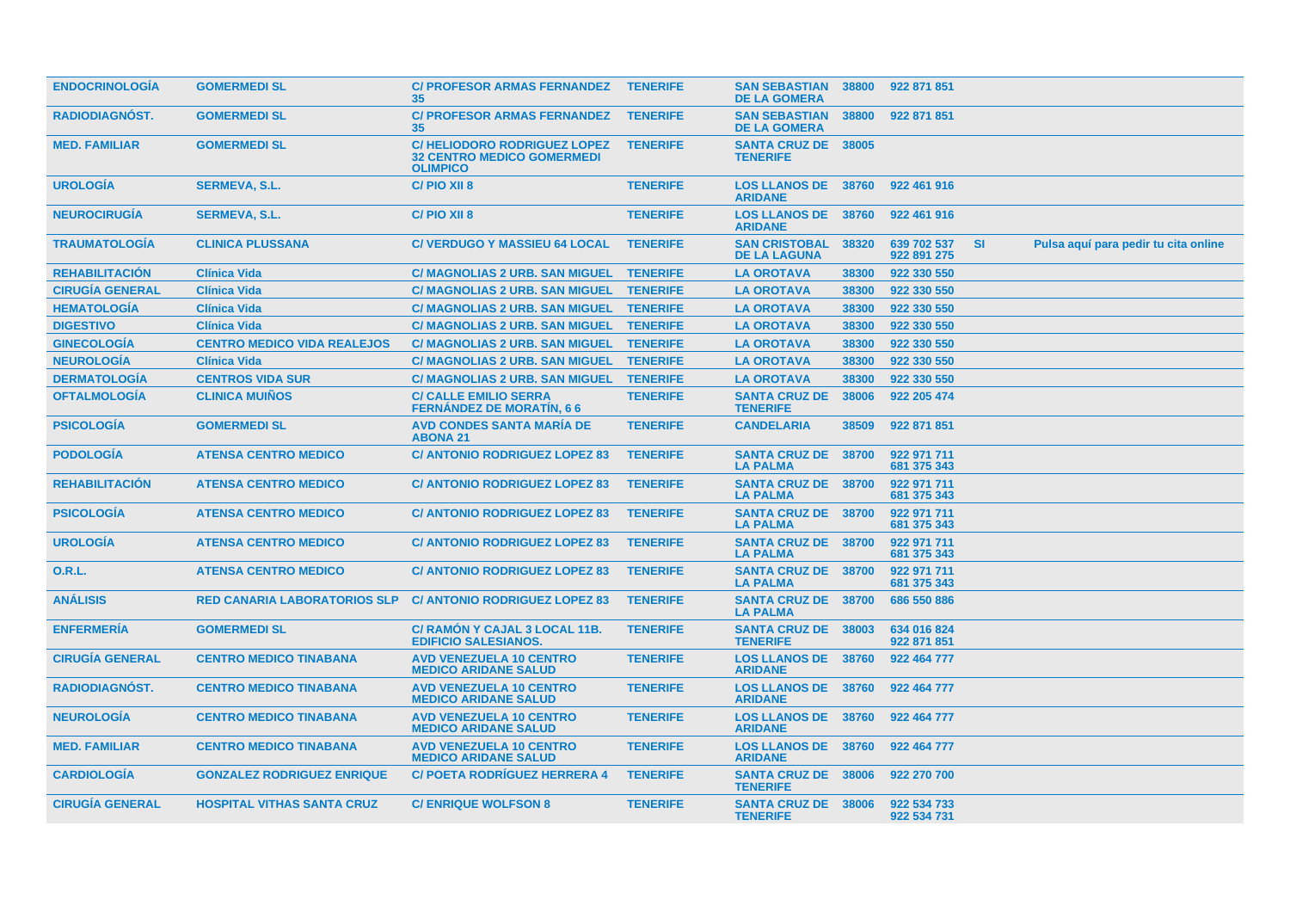| <b>ENDOCRINOLOGIA</b>  | <b>GOMERMEDI SL</b>                 | C/ PROFESOR ARMAS FERNANDEZ TENERIFE<br>35                                                   |                 | <b>SAN SEBASTIAN 38800</b><br><b>DE LA GOMERA</b> |       | 922 871 851                |           |                                      |  |
|------------------------|-------------------------------------|----------------------------------------------------------------------------------------------|-----------------|---------------------------------------------------|-------|----------------------------|-----------|--------------------------------------|--|
| <b>RADIODIAGNOST.</b>  | <b>GOMERMEDI SL</b>                 | <b>C/ PROFESOR ARMAS FERNANDEZ</b><br>35 <sub>2</sub>                                        | <b>TENERIFE</b> | <b>SAN SEBASTIAN 38800</b><br><b>DE LA GOMERA</b> |       | 922 871 851                |           |                                      |  |
| <b>MED. FAMILIAR</b>   | <b>GOMERMEDI SL</b>                 | C/HELIODORO RODRIGUEZ LOPEZ TENERIFE<br><b>32 CENTRO MEDICO GOMERMEDI</b><br><b>OLIMPICO</b> |                 | <b>SANTA CRUZ DE 38005</b><br><b>TENERIFE</b>     |       |                            |           |                                      |  |
| <b>UROLOGIA</b>        | <b>SERMEVA, S.L.</b>                | C/PIO XII 8                                                                                  | <b>TENERIFE</b> | <b>LOS LLANOS DE 38760</b><br><b>ARIDANE</b>      |       | 922 461 916                |           |                                      |  |
| <b>NEUROCIRUGÍA</b>    | <b>SERMEVA, S.L.</b>                | C/PIO XII 8                                                                                  | <b>TENERIFE</b> | <b>LOS LLANOS DE 38760</b><br><b>ARIDANE</b>      |       | 922 461 916                |           |                                      |  |
| <b>TRAUMATOLOGIA</b>   | <b>CLINICA PLUSSANA</b>             | <b>C/ VERDUGO Y MASSIEU 64 LOCAL</b>                                                         | <b>TENERIFE</b> | <b>SAN CRISTOBAL</b><br><b>DE LA LAGUNA</b>       | 38320 | 639 702 537<br>922 891 275 | <b>SI</b> | Pulsa aquí para pedir tu cita online |  |
| <b>REHABILITACIÓN</b>  | <b>Clínica Vida</b>                 | C/ MAGNOLIAS 2 URB. SAN MIGUEL TENERIFE                                                      |                 | <b>LA OROTAVA</b>                                 | 38300 | 922 330 550                |           |                                      |  |
| <b>CIRUGÍA GENERAL</b> | <b>Clínica Vida</b>                 | <b>C/ MAGNOLIAS 2 URB. SAN MIGUEL</b>                                                        | <b>TENERIFE</b> | <b>LA OROTAVA</b>                                 | 38300 | 922 330 550                |           |                                      |  |
| <b>HEMATOLOGÍA</b>     | <b>Clínica Vida</b>                 | C/ MAGNOLIAS 2 URB. SAN MIGUEL TENERIFE                                                      |                 | <b>LA OROTAVA</b>                                 | 38300 | 922 330 550                |           |                                      |  |
| <b>DIGESTIVO</b>       | <b>Clínica Vida</b>                 | C/ MAGNOLIAS 2 URB. SAN MIGUEL TENERIFE                                                      |                 | <b>LA OROTAVA</b>                                 | 38300 | 922 330 550                |           |                                      |  |
| <b>GINECOLOGIA</b>     | <b>CENTRO MEDICO VIDA REALEJOS</b>  | C/ MAGNOLIAS 2 URB. SAN MIGUEL TENERIFE                                                      |                 | <b>LA OROTAVA</b>                                 | 38300 | 922 330 550                |           |                                      |  |
| <b>NEUROLOGÍA</b>      | <b>Clínica Vida</b>                 | <b>C/ MAGNOLIAS 2 URB. SAN MIGUEL</b>                                                        | <b>TENERIFE</b> | <b>LA OROTAVA</b>                                 | 38300 | 922 330 550                |           |                                      |  |
| <b>DERMATOLOGIA</b>    | <b>CENTROS VIDA SUR</b>             | <b>C/ MAGNOLIAS 2 URB. SAN MIGUEL</b>                                                        | <b>TENERIFE</b> | <b>LA OROTAVA</b>                                 | 38300 | 922 330 550                |           |                                      |  |
| <b>OFTALMOLOGÍA</b>    | <b>CLINICA MUIÑOS</b>               | <b>C/ CALLE EMILIO SERRA</b><br><b>FERNÁNDEZ DE MORATÍN, 66</b>                              | <b>TENERIFE</b> | <b>SANTA CRUZ DE</b><br><b>TENERIFE</b>           | 38006 | 922 205 474                |           |                                      |  |
| <b>PSICOLOGIA</b>      | <b>GOMERMEDI SL</b>                 | <b>AVD CONDES SANTA MARIA DE</b><br><b>ABONA 21</b>                                          | <b>TENERIFE</b> | <b>CANDELARIA</b>                                 | 38509 | 922 871 851                |           |                                      |  |
| <b>PODOLOGIA</b>       | <b>ATENSA CENTRO MEDICO</b>         | <b>C/ ANTONIO RODRIGUEZ LOPEZ 83</b>                                                         | <b>TENERIFE</b> | <b>SANTA CRUZ DE 38700</b><br><b>LA PALMA</b>     |       | 922 971 711<br>681 375 343 |           |                                      |  |
| <b>REHABILITACIÓN</b>  | <b>ATENSA CENTRO MEDICO</b>         | <b>C/ ANTONIO RODRIGUEZ LOPEZ 83</b>                                                         | <b>TENERIFE</b> | <b>SANTA CRUZ DE 38700</b><br><b>LA PALMA</b>     |       | 922 971 711<br>681 375 343 |           |                                      |  |
| <b>PSICOLOGIA</b>      | <b>ATENSA CENTRO MEDICO</b>         | <b>C/ ANTONIO RODRIGUEZ LOPEZ 83</b>                                                         | <b>TENERIFE</b> | <b>SANTA CRUZ DE 38700</b><br><b>LA PALMA</b>     |       | 922 971 711<br>681 375 343 |           |                                      |  |
| <b>UROLOGIA</b>        | <b>ATENSA CENTRO MEDICO</b>         | <b>C/ ANTONIO RODRIGUEZ LOPEZ 83</b>                                                         | <b>TENERIFE</b> | SANTA CRUZ DE 38700<br><b>LA PALMA</b>            |       | 922 971 711<br>681 375 343 |           |                                      |  |
| O.R.L.                 | <b>ATENSA CENTRO MEDICO</b>         | <b>C/ ANTONIO RODRIGUEZ LOPEZ 83</b>                                                         | <b>TENERIFE</b> | <b>SANTA CRUZ DE 38700</b><br><b>LA PALMA</b>     |       | 922 971 711<br>681 375 343 |           |                                      |  |
| <b>ANÁLISIS</b>        | <b>RED CANARIA LABORATORIOS SLP</b> | <b>C/ ANTONIO RODRIGUEZ LOPEZ 83</b>                                                         | <b>TENERIFE</b> | <b>SANTA CRUZ DE 38700</b><br><b>LA PALMA</b>     |       | 686 550 886                |           |                                      |  |
| <b>ENFERMERIA</b>      | <b>GOMERMEDI SL</b>                 | C/ RAMON Y CAJAL 3 LOCAL 11B.<br><b>EDIFICIO SALESIANOS.</b>                                 | <b>TENERIFE</b> | <b>SANTA CRUZ DE 38003</b><br><b>TENERIFE</b>     |       | 634 016 824<br>922 871 851 |           |                                      |  |
| <b>CIRUGÍA GENERAL</b> | <b>CENTRO MEDICO TINABANA</b>       | <b>AVD VENEZUELA 10 CENTRO</b><br><b>MEDICO ARIDANE SALUD</b>                                | <b>TENERIFE</b> | <b>LOS LLANOS DE 38760</b><br><b>ARIDANE</b>      |       | 922 464 777                |           |                                      |  |
| <b>RADIODIAGNOST.</b>  | <b>CENTRO MEDICO TINABANA</b>       | <b>AVD VENEZUELA 10 CENTRO</b><br><b>MEDICO ARIDANE SALUD</b>                                | <b>TENERIFE</b> | <b>LOS LLANOS DE 38760</b><br><b>ARIDANE</b>      |       | 922 464 777                |           |                                      |  |
| <b>NEUROLOGIA</b>      | <b>CENTRO MEDICO TINABANA</b>       | <b>AVD VENEZUELA 10 CENTRO</b><br><b>MEDICO ARIDANE SALUD</b>                                | <b>TENERIFE</b> | <b>LOS LLANOS DE 38760</b><br><b>ARIDANE</b>      |       | 922 464 777                |           |                                      |  |
| <b>MED. FAMILIAR</b>   | <b>CENTRO MEDICO TINABANA</b>       | <b>AVD VENEZUELA 10 CENTRO</b><br><b>MEDICO ARIDANE SALUD</b>                                | <b>TENERIFE</b> | <b>LOS LLANOS DE 38760</b><br><b>ARIDANE</b>      |       | 922 464 777                |           |                                      |  |
| <b>CARDIOLOGIA</b>     | <b>GONZALEZ RODRIGUEZ ENRIQUE</b>   | <b>C/ POETA RODRIGUEZ HERRERA 4</b>                                                          | <b>TENERIFE</b> | <b>SANTA CRUZ DE 38006</b><br><b>TENERIFE</b>     |       | 922 270 700                |           |                                      |  |
| <b>CIRUGIA GENERAL</b> | <b>HOSPITAL VITHAS SANTA CRUZ</b>   | <b>C/ENRIQUE WOLFSON 8</b>                                                                   | <b>TENERIFE</b> | <b>SANTA CRUZ DE 38006</b><br><b>TENERIFE</b>     |       | 922 534 733<br>922 534 731 |           |                                      |  |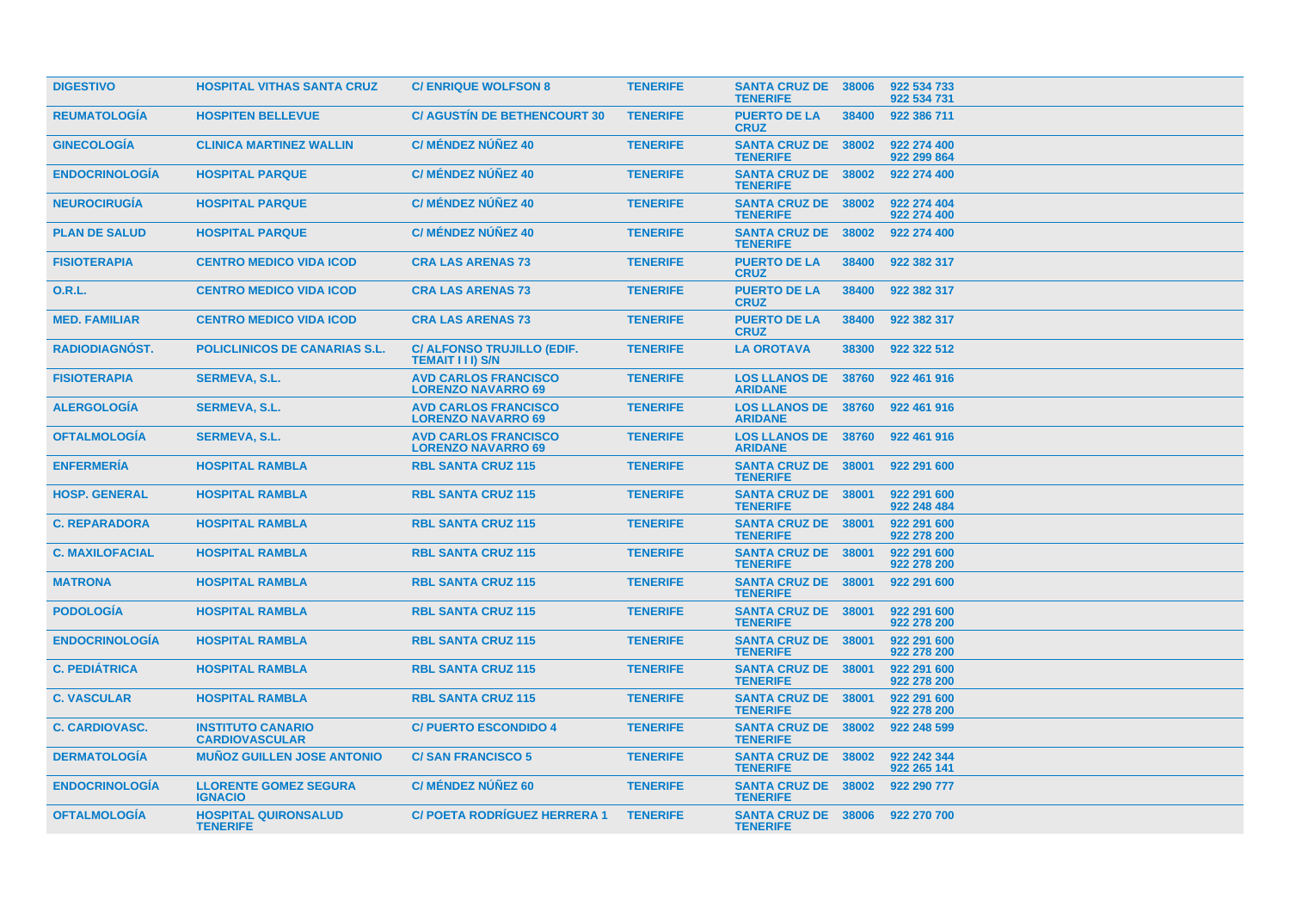| <b>DIGESTIVO</b>       | <b>HOSPITAL VITHAS SANTA CRUZ</b>                 | <b>C/ENRIQUE WOLFSON 8</b>                                  | <b>TENERIFE</b> | <b>SANTA CRUZ DE 38006</b><br><b>TENERIFE</b> |       | 922 534 733<br>922 534 731 |
|------------------------|---------------------------------------------------|-------------------------------------------------------------|-----------------|-----------------------------------------------|-------|----------------------------|
| <b>REUMATOLOGIA</b>    | <b>HOSPITEN BELLEVUE</b>                          | <b>C/ AGUSTIN DE BETHENCOURT 30</b>                         | <b>TENERIFE</b> | <b>PUERTO DE LA</b><br><b>CRUZ</b>            | 38400 | 922 386 711                |
| <b>GINECOLOGIA</b>     | <b>CLINICA MARTINEZ WALLIN</b>                    | <b>C/ MÉNDEZ NÚÑEZ 40</b>                                   | <b>TENERIFE</b> | <b>SANTA CRUZ DE 38002</b><br><b>TENERIFE</b> |       | 922 274 400<br>922 299 864 |
| <b>ENDOCRINOLOGIA</b>  | <b>HOSPITAL PARQUE</b>                            | <b>C/ MÉNDEZ NÚÑEZ 40</b>                                   | <b>TENERIFE</b> | SANTA CRUZ DE 38002<br><b>TENERIFE</b>        |       | 922 274 400                |
| <b>NEUROCIRUGIA</b>    | <b>HOSPITAL PARQUE</b>                            | <b>C/ MÉNDEZ NÚÑEZ 40</b>                                   | <b>TENERIFE</b> | <b>SANTA CRUZ DE 38002</b><br><b>TENERIFE</b> |       | 922 274 404<br>922 274 400 |
| <b>PLAN DE SALUD</b>   | <b>HOSPITAL PARQUE</b>                            | <b>C/ MÉNDEZ NÚÑEZ 40</b>                                   | <b>TENERIFE</b> | SANTA CRUZ DE 38002<br><b>TENERIFE</b>        |       | 922 274 400                |
| <b>FISIOTERAPIA</b>    | <b>CENTRO MEDICO VIDA ICOD</b>                    | <b>CRA LAS ARENAS 73</b>                                    | <b>TENERIFE</b> | <b>PUERTO DE LA</b><br><b>CRUZ</b>            | 38400 | 922 382 317                |
| 0.R.L.                 | <b>CENTRO MEDICO VIDA ICOD</b>                    | <b>CRA LAS ARENAS 73</b>                                    | <b>TENERIFE</b> | <b>PUERTO DE LA</b><br><b>CRUZ</b>            | 38400 | 922 382 317                |
| <b>MED. FAMILIAR</b>   | <b>CENTRO MEDICO VIDA ICOD</b>                    | <b>CRA LAS ARENAS 73</b>                                    | <b>TENERIFE</b> | <b>PUERTO DE LA</b><br><b>CRUZ</b>            | 38400 | 922 382 317                |
| RADIODIAGNÓST.         | <b>POLICLINICOS DE CANARIAS S.L.</b>              | <b>C/ ALFONSO TRUJILLO (EDIF.</b><br><b>TEMAIT III) S/N</b> | <b>TENERIFE</b> | <b>LA OROTAVA</b>                             | 38300 | 922 322 512                |
| <b>FISIOTERAPIA</b>    | <b>SERMEVA, S.L.</b>                              | <b>AVD CARLOS FRANCISCO</b><br><b>LORENZO NAVARRO 69</b>    | <b>TENERIFE</b> | <b>LOS LLANOS DE</b><br><b>ARIDANE</b>        | 38760 | 922 461 916                |
| <b>ALERGOLOGIA</b>     | <b>SERMEVA, S.L.</b>                              | <b>AVD CARLOS FRANCISCO</b><br><b>LORENZO NAVARRO 69</b>    | <b>TENERIFE</b> | <b>LOS LLANOS DE 38760</b><br><b>ARIDANE</b>  |       | 922 461 916                |
| <b>OFTALMOLOGIA</b>    | <b>SERMEVA, S.L.</b>                              | <b>AVD CARLOS FRANCISCO</b><br><b>LORENZO NAVARRO 69</b>    | <b>TENERIFE</b> | <b>LOS LLANOS DE 38760</b><br><b>ARIDANE</b>  |       | 922 461 916                |
| <b>ENFERMERÍA</b>      | <b>HOSPITAL RAMBLA</b>                            | <b>RBL SANTA CRUZ 115</b>                                   | <b>TENERIFE</b> | <b>SANTA CRUZ DE 38001</b><br><b>TENERIFE</b> |       | 922 291 600                |
| <b>HOSP. GENERAL</b>   | <b>HOSPITAL RAMBLA</b>                            | <b>RBL SANTA CRUZ 115</b>                                   | <b>TENERIFE</b> | <b>SANTA CRUZ DE 38001</b><br><b>TENERIFE</b> |       | 922 291 600<br>922 248 484 |
| <b>C. REPARADORA</b>   | <b>HOSPITAL RAMBLA</b>                            | <b>RBL SANTA CRUZ 115</b>                                   | <b>TENERIFE</b> | SANTA CRUZ DE 38001<br><b>TENERIFE</b>        |       | 922 291 600<br>922 278 200 |
| <b>C. MAXILOFACIAL</b> | <b>HOSPITAL RAMBLA</b>                            | <b>RBL SANTA CRUZ 115</b>                                   | <b>TENERIFE</b> | <b>SANTA CRUZ DE 38001</b><br><b>TENERIFE</b> |       | 922 291 600<br>922 278 200 |
| <b>MATRONA</b>         | <b>HOSPITAL RAMBLA</b>                            | <b>RBL SANTA CRUZ 115</b>                                   | <b>TENERIFE</b> | <b>SANTA CRUZ DE 38001</b><br><b>TENERIFE</b> |       | 922 291 600                |
| <b>PODOLOGIA</b>       | <b>HOSPITAL RAMBLA</b>                            | <b>RBL SANTA CRUZ 115</b>                                   | <b>TENERIFE</b> | <b>SANTA CRUZ DE 38001</b><br><b>TENERIFE</b> |       | 922 291 600<br>922 278 200 |
| <b>ENDOCRINOLOGIA</b>  | <b>HOSPITAL RAMBLA</b>                            | <b>RBL SANTA CRUZ 115</b>                                   | <b>TENERIFE</b> | <b>SANTA CRUZ DE 38001</b><br><b>TENERIFE</b> |       | 922 291 600<br>922 278 200 |
| <b>C. PEDIÁTRICA</b>   | <b>HOSPITAL RAMBLA</b>                            | <b>RBL SANTA CRUZ 115</b>                                   | <b>TENERIFE</b> | <b>SANTA CRUZ DE 38001</b><br><b>TENERIFE</b> |       | 922 291 600<br>922 278 200 |
| <b>C. VASCULAR</b>     | <b>HOSPITAL RAMBLA</b>                            | <b>RBL SANTA CRUZ 115</b>                                   | <b>TENERIFE</b> | <b>SANTA CRUZ DE 38001</b><br><b>TENERIFE</b> |       | 922 291 600<br>922 278 200 |
| <b>C. CARDIOVASC.</b>  | <b>INSTITUTO CANARIO</b><br><b>CARDIOVASCULAR</b> | <b>C/PUERTO ESCONDIDO 4</b>                                 | <b>TENERIFE</b> | <b>SANTA CRUZ DE 38002</b><br><b>TENERIFE</b> |       | 922 248 599                |
| <b>DERMATOLOGIA</b>    | <b>MUÑOZ GUILLEN JOSE ANTONIO</b>                 | <b>C/SAN FRANCISCO 5</b>                                    | <b>TENERIFE</b> | <b>SANTA CRUZ DE 38002</b><br><b>TENERIFE</b> |       | 922 242 344<br>922 265 141 |
| <b>ENDOCRINOLOGIA</b>  | <b>LLORENTE GOMEZ SEGURA</b><br><b>IGNACIO</b>    | <b>C/ MÉNDEZ NÚÑEZ 60</b>                                   | <b>TENERIFE</b> | <b>SANTA CRUZ DE 38002</b><br><b>TENERIFE</b> |       | 922 290 777                |
| <b>OFTALMOLOGÍA</b>    | <b>HOSPITAL QUIRONSALUD</b><br><b>TENERIFE</b>    | <b>C/ POETA RODRIGUEZ HERRERA 1</b>                         | <b>TENERIFE</b> | SANTA CRUZ DE 38006<br><b>TENERIFE</b>        |       | 922 270 700                |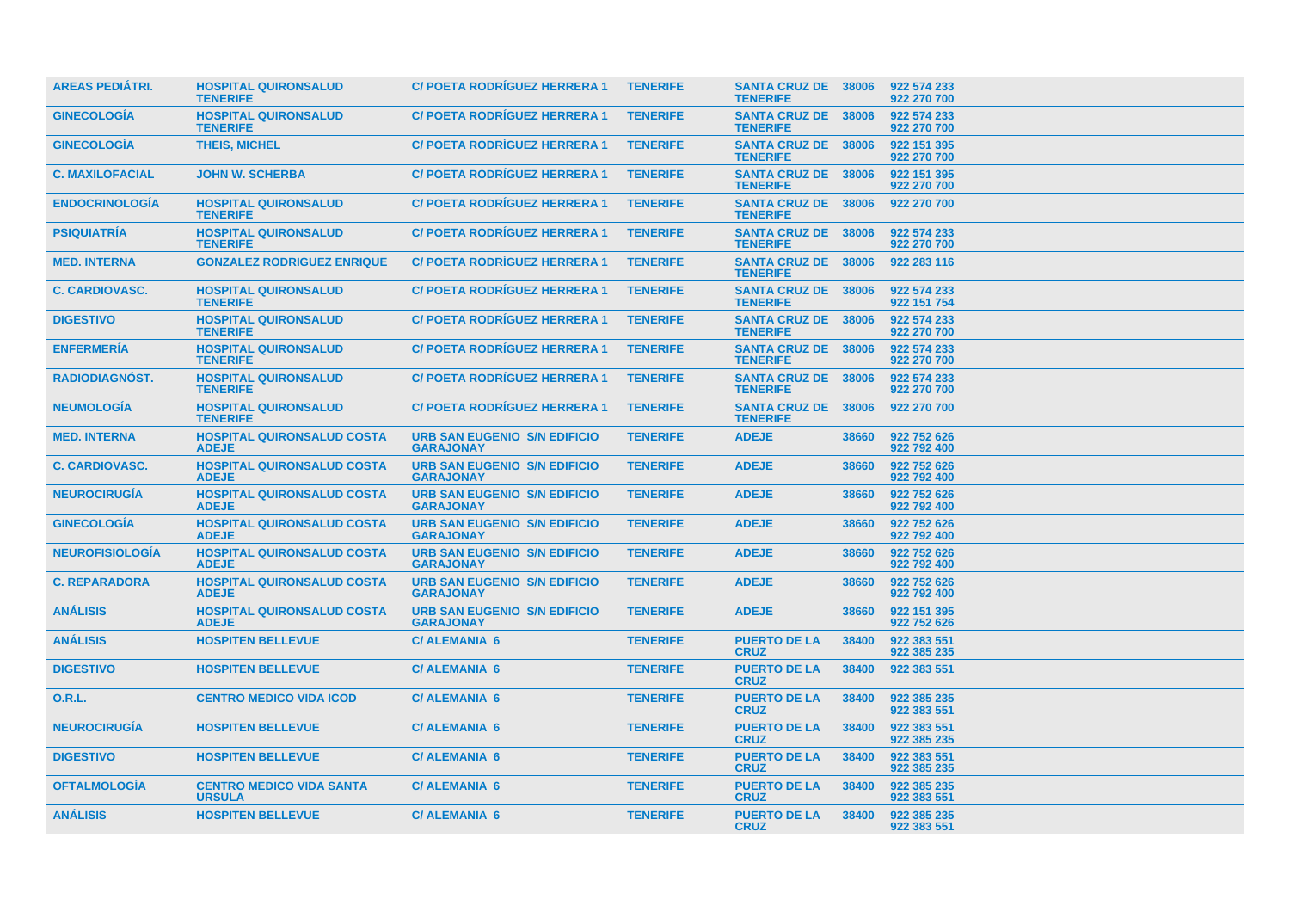| <b>AREAS PEDIATRI.</b> | <b>HOSPITAL QUIRONSALUD</b><br><b>TENERIFE</b>    | <b>C/POETA RODRIGUEZ HERRERA 1</b>                      | <b>TENERIFE</b> | <b>SANTA CRUZ DE 38006</b><br><b>TENERIFE</b> |       | 922 574 233<br>922 270 700 |
|------------------------|---------------------------------------------------|---------------------------------------------------------|-----------------|-----------------------------------------------|-------|----------------------------|
| <b>GINECOLOGÍA</b>     | <b>HOSPITAL QUIRONSALUD</b><br><b>TENERIFE</b>    | <b>C/POETA RODRIGUEZ HERRERA 1</b>                      | <b>TENERIFE</b> | <b>SANTA CRUZ DE 38006</b><br><b>TENERIFE</b> |       | 922 574 233<br>922 270 700 |
| <b>GINECOLOGIA</b>     | <b>THEIS, MICHEL</b>                              | <b>C/POETA RODRIGUEZ HERRERA 1</b>                      | <b>TENERIFE</b> | <b>SANTA CRUZ DE 38006</b><br><b>TENERIFE</b> |       | 922 151 395<br>922 270 700 |
| <b>C. MAXILOFACIAL</b> | <b>JOHN W. SCHERBA</b>                            | <b>C/POETA RODRIGUEZ HERRERA 1</b>                      | <b>TENERIFE</b> | <b>SANTA CRUZ DE 38006</b><br><b>TENERIFE</b> |       | 922 151 395<br>922 270 700 |
| <b>ENDOCRINOLOGIA</b>  | <b>HOSPITAL QUIRONSALUD</b><br><b>TENERIFE</b>    | <b>C/POETA RODRIGUEZ HERRERA 1</b>                      | <b>TENERIFE</b> | SANTA CRUZ DE 38006<br><b>TENERIFE</b>        |       | 922 270 700                |
| <b>PSIQUIATRIA</b>     | <b>HOSPITAL QUIRONSALUD</b><br><b>TENERIFE</b>    | <b>C/POETA RODRÍGUEZ HERRERA 1</b>                      | <b>TENERIFE</b> | <b>SANTA CRUZ DE 38006</b><br><b>TENERIFE</b> |       | 922 574 233<br>922 270 700 |
| <b>MED. INTERNA</b>    | <b>GONZALEZ RODRIGUEZ ENRIQUE</b>                 | <b>C/POETA RODRIGUEZ HERRERA 1</b>                      | <b>TENERIFE</b> | <b>SANTA CRUZ DE 38006</b><br><b>TENERIFE</b> |       | 922 283 116                |
| <b>C. CARDIOVASC.</b>  | <b>HOSPITAL QUIRONSALUD</b><br><b>TENERIFE</b>    | <b>C/POETA RODRIGUEZ HERRERA 1</b>                      | <b>TENERIFE</b> | <b>SANTA CRUZ DE 38006</b><br><b>TENERIFE</b> |       | 922 574 233<br>922 151 754 |
| <b>DIGESTIVO</b>       | <b>HOSPITAL QUIRONSALUD</b><br><b>TENERIFE</b>    | <b>C/POETA RODRIGUEZ HERRERA 1</b>                      | <b>TENERIFE</b> | <b>SANTA CRUZ DE 38006</b><br><b>TENERIFE</b> |       | 922 574 233<br>922 270 700 |
| <b>ENFERMERÍA</b>      | <b>HOSPITAL QUIRONSALUD</b><br><b>TENERIFE</b>    | <b>C/POETA RODRIGUEZ HERRERA 1</b>                      | <b>TENERIFE</b> | <b>SANTA CRUZ DE 38006</b><br><b>TENERIFE</b> |       | 922 574 233<br>922 270 700 |
| <b>RADIODIAGNÓST.</b>  | <b>HOSPITAL QUIRONSALUD</b><br><b>TENERIFE</b>    | <b>C/POETA RODRIGUEZ HERRERA 1</b>                      | <b>TENERIFE</b> | <b>SANTA CRUZ DE 38006</b><br><b>TENERIFE</b> |       | 922 574 233<br>922 270 700 |
| <b>NEUMOLOGÍA</b>      | <b>HOSPITAL QUIRONSALUD</b><br><b>TENERIFE</b>    | <b>C/POETA RODRIGUEZ HERRERA 1</b>                      | <b>TENERIFE</b> | <b>SANTA CRUZ DE</b><br><b>TENERIFE</b>       | 38006 | 922 270 700                |
| <b>MED. INTERNA</b>    | <b>HOSPITAL QUIRONSALUD COSTA</b><br><b>ADEJE</b> | <b>URB SAN EUGENIO S/N EDIFICIO</b><br><b>GARAJONAY</b> | <b>TENERIFE</b> | <b>ADEJE</b>                                  | 38660 | 922 752 626<br>922 792 400 |
| <b>C. CARDIOVASC.</b>  | <b>HOSPITAL QUIRONSALUD COSTA</b><br><b>ADEJE</b> | <b>URB SAN EUGENIO S/N EDIFICIO</b><br><b>GARAJONAY</b> | <b>TENERIFE</b> | <b>ADEJE</b>                                  | 38660 | 922 752 626<br>922 792 400 |
| <b>NEUROCIRUGIA</b>    | <b>HOSPITAL QUIRONSALUD COSTA</b><br><b>ADEJE</b> | <b>URB SAN EUGENIO S/N EDIFICIO</b><br><b>GARAJONAY</b> | <b>TENERIFE</b> | <b>ADEJE</b>                                  | 38660 | 922 752 626<br>922 792 400 |
| <b>GINECOLOGÍA</b>     | <b>HOSPITAL QUIRONSALUD COSTA</b><br><b>ADEJE</b> | <b>URB SAN EUGENIO S/N EDIFICIO</b><br><b>GARAJONAY</b> | <b>TENERIFE</b> | <b>ADEJE</b>                                  | 38660 | 922 752 626<br>922 792 400 |
| <b>NEUROFISIOLOGIA</b> | <b>HOSPITAL QUIRONSALUD COSTA</b><br><b>ADEJE</b> | <b>URB SAN EUGENIO S/N EDIFICIO</b><br><b>GARAJONAY</b> | <b>TENERIFE</b> | <b>ADEJE</b>                                  | 38660 | 922 752 626<br>922 792 400 |
| <b>C. REPARADORA</b>   | <b>HOSPITAL QUIRONSALUD COSTA</b><br><b>ADEJE</b> | <b>URB SAN EUGENIO S/N EDIFICIO</b><br><b>GARAJONAY</b> | <b>TENERIFE</b> | <b>ADEJE</b>                                  | 38660 | 922 752 626<br>922 792 400 |
| <b>ANÁLISIS</b>        | <b>HOSPITAL QUIRONSALUD COSTA</b><br><b>ADEJE</b> | <b>URB SAN EUGENIO S/N EDIFICIO</b><br><b>GARAJONAY</b> | <b>TENERIFE</b> | <b>ADEJE</b>                                  | 38660 | 922 151 395<br>922 752 626 |
| <b>ANÁLISIS</b>        | <b>HOSPITEN BELLEVUE</b>                          | <b>C/ALEMANIA 6</b>                                     | <b>TENERIFE</b> | <b>PUERTO DE LA</b><br><b>CRUZ</b>            | 38400 | 922 383 551<br>922 385 235 |
| <b>DIGESTIVO</b>       | <b>HOSPITEN BELLEVUE</b>                          | <b>C/ALEMANIA 6</b>                                     | <b>TENERIFE</b> | <b>PUERTO DE LA</b><br><b>CRUZ</b>            | 38400 | 922 383 551                |
| <b>O.R.L.</b>          | <b>CENTRO MEDICO VIDA ICOD</b>                    | <b>C/ALEMANIA 6</b>                                     | <b>TENERIFE</b> | <b>PUERTO DE LA</b><br><b>CRUZ</b>            | 38400 | 922 385 235<br>922 383 551 |
| <b>NEUROCIRUGÍA</b>    | <b>HOSPITEN BELLEVUE</b>                          | <b>C/ALEMANIA 6</b>                                     | <b>TENERIFE</b> | <b>PUERTO DE LA</b><br><b>CRUZ</b>            | 38400 | 922 383 551<br>922 385 235 |
| <b>DIGESTIVO</b>       | <b>HOSPITEN BELLEVUE</b>                          | <b>C/ALEMANIA 6</b>                                     | <b>TENERIFE</b> | <b>PUERTO DE LA</b><br><b>CRUZ</b>            | 38400 | 922 383 551<br>922 385 235 |
| <b>OFTALMOLOGÍA</b>    | <b>CENTRO MEDICO VIDA SANTA</b><br><b>URSULA</b>  | <b>C/ALEMANIA 6</b>                                     | <b>TENERIFE</b> | <b>PUERTO DE LA</b><br><b>CRUZ</b>            | 38400 | 922 385 235<br>922 383 551 |
| <b>ANÁLISIS</b>        | <b>HOSPITEN BELLEVUE</b>                          | <b>C/ALEMANIA 6</b>                                     | <b>TENERIFE</b> | <b>PUERTO DE LA</b><br><b>CRUZ</b>            | 38400 | 922 385 235<br>922 383 551 |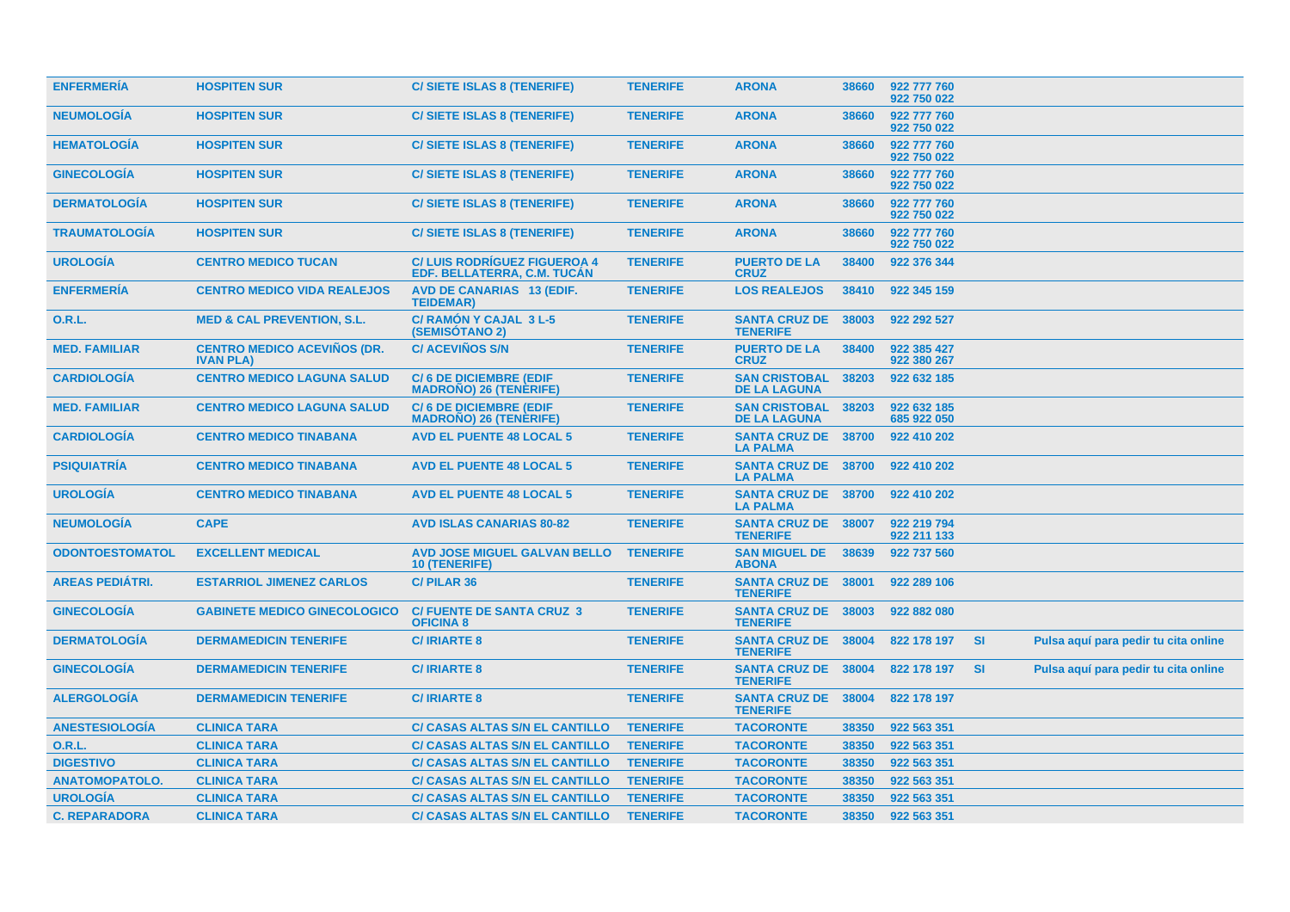| <b>ENFERMERÍA</b>      | <b>HOSPITEN SUR</b>                                    | <b>C/SIETE ISLAS 8 (TENERIFE)</b>                                 | <b>TENERIFE</b> | <b>ARONA</b>                                  | 38660 | 922 777 760<br>922 750 022 |           |                                      |  |
|------------------------|--------------------------------------------------------|-------------------------------------------------------------------|-----------------|-----------------------------------------------|-------|----------------------------|-----------|--------------------------------------|--|
| <b>NEUMOLOGÍA</b>      | <b>HOSPITEN SUR</b>                                    | C/SIETE ISLAS 8 (TENERIFE)                                        | <b>TENERIFE</b> | <b>ARONA</b>                                  | 38660 | 922 777 760<br>922 750 022 |           |                                      |  |
| <b>HEMATOLOGÍA</b>     | <b>HOSPITEN SUR</b>                                    | <b>C/SIETE ISLAS 8 (TENERIFE)</b>                                 | <b>TENERIFE</b> | <b>ARONA</b>                                  | 38660 | 922 777 760<br>922 750 022 |           |                                      |  |
| <b>GINECOLOGIA</b>     | <b>HOSPITEN SUR</b>                                    | <b>C/SIETE ISLAS 8 (TENERIFE)</b>                                 | <b>TENERIFE</b> | <b>ARONA</b>                                  | 38660 | 922 777 760<br>922 750 022 |           |                                      |  |
| <b>DERMATOLOGIA</b>    | <b>HOSPITEN SUR</b>                                    | <b>C/SIETE ISLAS 8 (TENERIFE)</b>                                 | <b>TENERIFE</b> | <b>ARONA</b>                                  | 38660 | 922 777 760<br>922 750 022 |           |                                      |  |
| <b>TRAUMATOLOGÍA</b>   | <b>HOSPITEN SUR</b>                                    | <b>C/SIETE ISLAS 8 (TENERIFE)</b>                                 | <b>TENERIFE</b> | <b>ARONA</b>                                  | 38660 | 922 777 760<br>922 750 022 |           |                                      |  |
| <b>UROLOGÍA</b>        | <b>CENTRO MEDICO TUCAN</b>                             | <b>C/LUIS RODRIGUEZ FIGUEROA 4</b><br>EDF. BELLATERRA, C.M. TUCAN | <b>TENERIFE</b> | <b>PUERTO DE LA</b><br><b>CRUZ</b>            | 38400 | 922 376 344                |           |                                      |  |
| <b>ENFERMERÍA</b>      | <b>CENTRO MEDICO VIDA REALEJOS</b>                     | <b>AVD DE CANARIAS 13 (EDIF.</b><br><b>TEIDEMAR)</b>              | <b>TENERIFE</b> | <b>LOS REALEJOS</b>                           | 38410 | 922 345 159                |           |                                      |  |
| 0.R.L.                 | <b>MED &amp; CAL PREVENTION, S.L.</b>                  | <b>C/ RAMÓN Y CAJAL 3 L-5</b><br><b>(SEMISOTANO 2)</b>            | <b>TENERIFE</b> | <b>SANTA CRUZ DE 38003</b><br><b>TENERIFE</b> |       | 922 292 527                |           |                                      |  |
| <b>MED. FAMILIAR</b>   | <b>CENTRO MEDICO ACEVIÑOS (DR.</b><br><b>IVAN PLA)</b> | <b>C/ACEVIÑOS S/N</b>                                             | <b>TENERIFE</b> | <b>PUERTO DE LA</b><br><b>CRUZ</b>            | 38400 | 922 385 427<br>922 380 267 |           |                                      |  |
| <b>CARDIOLOGÍA</b>     | <b>CENTRO MEDICO LAGUNA SALUD</b>                      | <b>C/6 DE DICIEMBRE (EDIF</b><br><b>MADRONO) 26 (TENERIFE)</b>    | <b>TENERIFE</b> | <b>SAN CRISTOBAL</b><br><b>DE LA LAGUNA</b>   | 38203 | 922 632 185                |           |                                      |  |
| <b>MED. FAMILIAR</b>   | <b>CENTRO MEDICO LAGUNA SALUD</b>                      | <b>C/6 DE DICIEMBRE (EDIF</b><br><b>MADRONO) 26 (TENERIFE)</b>    | <b>TENERIFE</b> | <b>SAN CRISTOBAL</b><br><b>DE LA LAGUNA</b>   | 38203 | 922 632 185<br>685 922 050 |           |                                      |  |
| <b>CARDIOLOGIA</b>     | <b>CENTRO MEDICO TINABANA</b>                          | <b>AVD EL PUENTE 48 LOCAL 5</b>                                   | <b>TENERIFE</b> | <b>SANTA CRUZ DE</b><br><b>LA PALMA</b>       | 38700 | 922 410 202                |           |                                      |  |
| <b>PSIQUIATRÍA</b>     | <b>CENTRO MEDICO TINABANA</b>                          | <b>AVD EL PUENTE 48 LOCAL 5</b>                                   | <b>TENERIFE</b> | SANTA CRUZ DE 38700<br><b>LA PALMA</b>        |       | 922 410 202                |           |                                      |  |
| <b>UROLOGIA</b>        | <b>CENTRO MEDICO TINABANA</b>                          | <b>AVD EL PUENTE 48 LOCAL 5</b>                                   | <b>TENERIFE</b> | <b>SANTA CRUZ DE 38700</b><br><b>LA PALMA</b> |       | 922 410 202                |           |                                      |  |
| <b>NEUMOLOGÍA</b>      | <b>CAPE</b>                                            | <b>AVD ISLAS CANARIAS 80-82</b>                                   | <b>TENERIFE</b> | <b>SANTA CRUZ DE 38007</b><br><b>TENERIFE</b> |       | 922 219 794<br>922 211 133 |           |                                      |  |
| <b>ODONTOESTOMATOL</b> | <b>EXCELLENT MEDICAL</b>                               | <b>AVD JOSE MIGUEL GALVAN BELLO</b><br>10 (TENERIFE)              | <b>TENERIFE</b> | <b>SAN MIGUEL DE 38639</b><br><b>ABONA</b>    |       | 922 737 560                |           |                                      |  |
| <b>AREAS PEDIÁTRI.</b> | <b>ESTARRIOL JIMENEZ CARLOS</b>                        | <b>C/PILAR 36</b>                                                 | <b>TENERIFE</b> | SANTA CRUZ DE 38001<br><b>TENERIFE</b>        |       | 922 289 106                |           |                                      |  |
| <b>GINECOLOGÍA</b>     | <b>GABINETE MEDICO GINECOLOGICO</b>                    | <b>C/ FUENTE DE SANTA CRUZ 3</b><br><b>OFICINA 8</b>              | <b>TENERIFE</b> | SANTA CRUZ DE 38003<br><b>TENERIFE</b>        |       | 922 882 080                |           |                                      |  |
| <b>DERMATOLOGIA</b>    | <b>DERMAMEDICIN TENERIFE</b>                           | <b>C/IRIARTE 8</b>                                                | <b>TENERIFE</b> | <b>SANTA CRUZ DE 38004</b><br><b>TENERIFE</b> |       | 822 178 197                | <b>SI</b> | Pulsa aquí para pedir tu cita online |  |
| <b>GINECOLOGIA</b>     | <b>DERMAMEDICIN TENERIFE</b>                           | <b>C/IRIARTE 8</b>                                                | <b>TENERIFE</b> | SANTA CRUZ DE 38004<br><b>TENERIFE</b>        |       | 822 178 197                | <b>SI</b> | Pulsa aquí para pedir tu cita online |  |
| <b>ALERGOLOGÍA</b>     | <b>DERMAMEDICIN TENERIFE</b>                           | <b>C/IRIARTE 8</b>                                                | <b>TENERIFE</b> | <b>SANTA CRUZ DE</b><br><b>TENERIFE</b>       | 38004 | 822 178 197                |           |                                      |  |
| <b>ANESTESIOLOGÍA</b>  | <b>CLINICA TARA</b>                                    | <b>C/ CASAS ALTAS S/N EL CANTILLO</b>                             | <b>TENERIFE</b> | <b>TACORONTE</b>                              | 38350 | 922 563 351                |           |                                      |  |
| <b>O.R.L.</b>          | <b>CLINICA TARA</b>                                    | <b>C/ CASAS ALTAS S/N EL CANTILLO</b>                             | <b>TENERIFE</b> | <b>TACORONTE</b>                              | 38350 | 922 563 351                |           |                                      |  |
| <b>DIGESTIVO</b>       | <b>CLINICA TARA</b>                                    | <b>C/ CASAS ALTAS S/N EL CANTILLO</b>                             | <b>TENERIFE</b> | <b>TACORONTE</b>                              | 38350 | 922 563 351                |           |                                      |  |
| <b>ANATOMOPATOLO.</b>  | <b>CLINICA TARA</b>                                    | <b>C/ CASAS ALTAS S/N EL CANTILLO</b>                             | <b>TENERIFE</b> | <b>TACORONTE</b>                              | 38350 | 922 563 351                |           |                                      |  |
| <b>UROLOGÍA</b>        | <b>CLINICA TARA</b>                                    | <b>C/ CASAS ALTAS S/N EL CANTILLO</b>                             | <b>TENERIFE</b> | <b>TACORONTE</b>                              | 38350 | 922 563 351                |           |                                      |  |
| <b>C. REPARADORA</b>   | <b>CLINICA TARA</b>                                    | <b>C/ CASAS ALTAS S/N EL CANTILLO</b>                             | <b>TENERIFE</b> | <b>TACORONTE</b>                              | 38350 | 922 563 351                |           |                                      |  |
|                        |                                                        |                                                                   |                 |                                               |       |                            |           |                                      |  |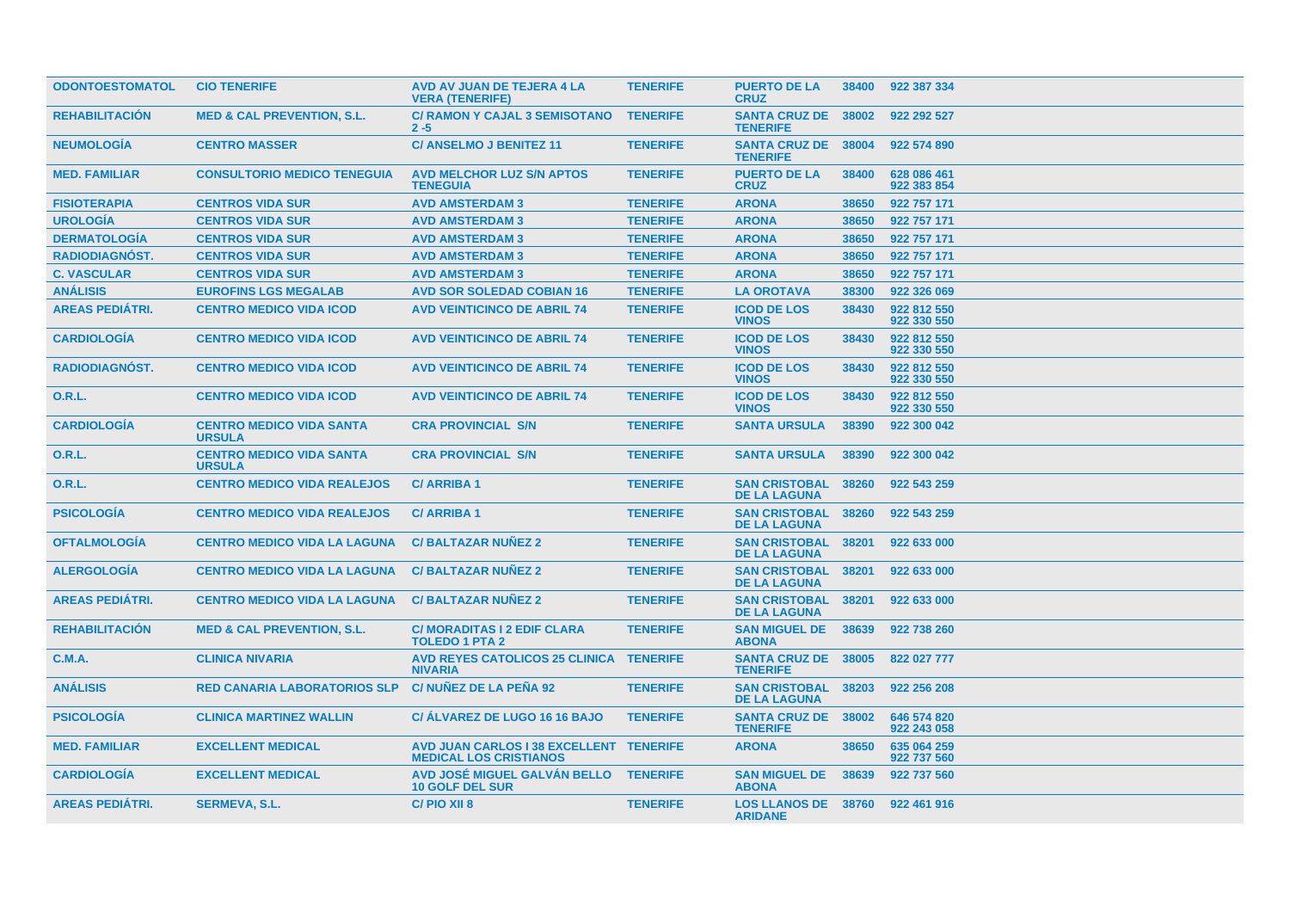| <b>ODONTOESTOMATOL</b> | <b>CIO TENERIFE</b>                              | AVD AV JUAN DE TEJERA 4 LA<br><b>VERA (TENERIFE)</b>                            | <b>TENERIFE</b> | <b>PUERTO DE LA</b><br><b>CRUZ</b>                | 38400 | 922 387 334                |
|------------------------|--------------------------------------------------|---------------------------------------------------------------------------------|-----------------|---------------------------------------------------|-------|----------------------------|
| <b>REHABILITACION</b>  | <b>MED &amp; CAL PREVENTION, S.L.</b>            | <b>C/ RAMON Y CAJAL 3 SEMISOTANO</b><br>$2 - 5$                                 | <b>TENERIFE</b> | <b>SANTA CRUZ DE 38002</b><br><b>TENERIFE</b>     |       | 922 292 527                |
| <b>NEUMOLOGIA</b>      | <b>CENTRO MASSER</b>                             | <b>C/ANSELMO J BENITEZ 11</b>                                                   | <b>TENERIFE</b> | <b>SANTA CRUZ DE 38004</b><br><b>TENERIFE</b>     |       | 922 574 890                |
| <b>MED. FAMILIAR</b>   | <b>CONSULTORIO MEDICO TENEGUIA</b>               | <b>AVD MELCHOR LUZ S/N APTOS</b><br><b>TENEGUIA</b>                             | <b>TENERIFE</b> | <b>PUERTO DE LA</b><br><b>CRUZ</b>                | 38400 | 628 086 461<br>922 383 854 |
| <b>FISIOTERAPIA</b>    | <b>CENTROS VIDA SUR</b>                          | <b>AVD AMSTERDAM 3</b>                                                          | <b>TENERIFE</b> | <b>ARONA</b>                                      | 38650 | 922 757 171                |
| <b>UROLOGIA</b>        | <b>CENTROS VIDA SUR</b>                          | <b>AVD AMSTERDAM 3</b>                                                          | <b>TENERIFE</b> | <b>ARONA</b>                                      | 38650 | 922 757 171                |
| <b>DERMATOLOGÍA</b>    | <b>CENTROS VIDA SUR</b>                          | <b>AVD AMSTERDAM 3</b>                                                          | <b>TENERIFE</b> | <b>ARONA</b>                                      | 38650 | 922 757 171                |
| <b>RADIODIAGNOST.</b>  | <b>CENTROS VIDA SUR</b>                          | <b>AVD AMSTERDAM 3</b>                                                          | <b>TENERIFE</b> | <b>ARONA</b>                                      | 38650 | 922 757 171                |
| <b>C. VASCULAR</b>     | <b>CENTROS VIDA SUR</b>                          | <b>AVD AMSTERDAM 3</b>                                                          | <b>TENERIFE</b> | <b>ARONA</b>                                      | 38650 | 922 757 171                |
| <b>ANÁLISIS</b>        | <b>EUROFINS LGS MEGALAB</b>                      | <b>AVD SOR SOLEDAD COBIAN 16</b>                                                | <b>TENERIFE</b> | <b>LA OROTAVA</b>                                 | 38300 | 922 326 069                |
| <b>AREAS PEDIÁTRI.</b> | <b>CENTRO MEDICO VIDA ICOD</b>                   | <b>AVD VEINTICINCO DE ABRIL 74</b>                                              | <b>TENERIFE</b> | <b>ICOD DE LOS</b><br><b>VINOS</b>                | 38430 | 922 812 550<br>922 330 550 |
| <b>CARDIOLOGIA</b>     | <b>CENTRO MEDICO VIDA ICOD</b>                   | <b>AVD VEINTICINCO DE ABRIL 74</b>                                              | <b>TENERIFE</b> | <b>ICOD DE LOS</b><br><b>VINOS</b>                | 38430 | 922 812 550<br>922 330 550 |
| <b>RADIODIAGNÓST.</b>  | <b>CENTRO MEDICO VIDA ICOD</b>                   | <b>AVD VEINTICINCO DE ABRIL 74</b>                                              | <b>TENERIFE</b> | <b>ICOD DE LOS</b><br><b>VINOS</b>                | 38430 | 922 812 550<br>922 330 550 |
| <b>O.R.L.</b>          | <b>CENTRO MEDICO VIDA ICOD</b>                   | <b>AVD VEINTICINCO DE ABRIL 74</b>                                              | <b>TENERIFE</b> | <b>ICOD DE LOS</b><br><b>VINOS</b>                | 38430 | 922 812 550<br>922 330 550 |
| <b>CARDIOLOGÍA</b>     | <b>CENTRO MEDICO VIDA SANTA</b><br><b>URSULA</b> | <b>CRA PROVINCIAL S/N</b>                                                       | <b>TENERIFE</b> | <b>SANTA URSULA</b>                               | 38390 | 922 300 042                |
| 0.R.L.                 | <b>CENTRO MEDICO VIDA SANTA</b><br><b>URSULA</b> | <b>CRA PROVINCIAL S/N</b>                                                       | <b>TENERIFE</b> | <b>SANTA URSULA</b>                               | 38390 | 922 300 042                |
| <b>O.R.L.</b>          | <b>CENTRO MEDICO VIDA REALEJOS</b>               | <b>C/ARRIBA1</b>                                                                | <b>TENERIFE</b> | <b>SAN CRISTOBAL</b><br><b>DE LA LAGUNA</b>       | 38260 | 922 543 259                |
| <b>PSICOLOGÍA</b>      | <b>CENTRO MEDICO VIDA REALEJOS</b>               | <b>C/ARRIBA1</b>                                                                | <b>TENERIFE</b> | <b>SAN CRISTOBAL</b><br><b>DE LA LAGUNA</b>       | 38260 | 922 543 259                |
| <b>OFTALMOLOGIA</b>    | <b>CENTRO MEDICO VIDA LA LAGUNA</b>              | <b>C/BALTAZAR NUNEZ 2</b>                                                       | <b>TENERIFE</b> | <b>SAN CRISTOBAL</b><br><b>DE LA LAGUNA</b>       | 38201 | 922 633 000                |
| <b>ALERGOLOGÍA</b>     | <b>CENTRO MEDICO VIDA LA LAGUNA</b>              | <b>C/BALTAZAR NUNEZ 2</b>                                                       | <b>TENERIFE</b> | <b>SAN CRISTOBAL</b><br><b>DE LA LAGUNA</b>       | 38201 | 922 633 000                |
| <b>AREAS PEDIÁTRI.</b> | <b>CENTRO MEDICO VIDA LA LAGUNA</b>              | <b>C/BALTAZAR NUNEZ 2</b>                                                       | <b>TENERIFE</b> | <b>SAN CRISTOBAL</b><br><b>DE LA LAGUNA</b>       | 38201 | 922 633 000                |
| <b>REHABILITACIÓN</b>  | <b>MED &amp; CAL PREVENTION, S.L.</b>            | <b>C/MORADITAS I 2 EDIF CLARA</b><br><b>TOLEDO 1 PTA 2</b>                      | <b>TENERIFE</b> | <b>SAN MIGUEL DE</b><br><b>ABONA</b>              | 38639 | 922 738 260                |
| <b>C.M.A.</b>          | <b>CLINICA NIVARIA</b>                           | AVD REYES CATOLICOS 25 CLINICA TENERIFE<br><b>NIVARIA</b>                       |                 | <b>SANTA CRUZ DE 38005</b><br><b>TENERIFE</b>     |       | 822 027 777                |
| <b>ANÁLISIS</b>        | <b>RED CANARIA LABORATORIOS SLP</b>              | <b>C/NUNEZ DE LA PENA 92</b>                                                    | <b>TENERIFE</b> | <b>SAN CRISTOBAL 38203</b><br><b>DE LA LAGUNA</b> |       | 922 256 208                |
| <b>PSICOLOGIA</b>      | <b>CLINICA MARTINEZ WALLIN</b>                   | <b>C/ ALVAREZ DE LUGO 16 16 BAJO</b>                                            | <b>TENERIFE</b> | <b>SANTA CRUZ DE</b><br><b>TENERIFE</b>           | 38002 | 646 574 820<br>922 243 058 |
| <b>MED. FAMILIAR</b>   | <b>EXCELLENT MEDICAL</b>                         | <b>AVD JUAN CARLOS I 38 EXCELLENT TENERIFE</b><br><b>MEDICAL LOS CRISTIANOS</b> |                 | <b>ARONA</b>                                      | 38650 | 635 064 259<br>922 737 560 |
| <b>CARDIOLOGIA</b>     | <b>EXCELLENT MEDICAL</b>                         | AVD JOSÉ MIGUEL GALVÁN BELLO<br><b>10 GOLF DEL SUR</b>                          | <b>TENERIFE</b> | <b>SAN MIGUEL DE</b><br><b>ABONA</b>              | 38639 | 922 737 560                |
| <b>AREAS PEDIATRI.</b> | <b>SERMEVA, S.L.</b>                             | C/PIO XII 8                                                                     | <b>TENERIFE</b> | <b>LOS LLANOS DE 38760</b><br><b>ARIDANE</b>      |       | 922 461 916                |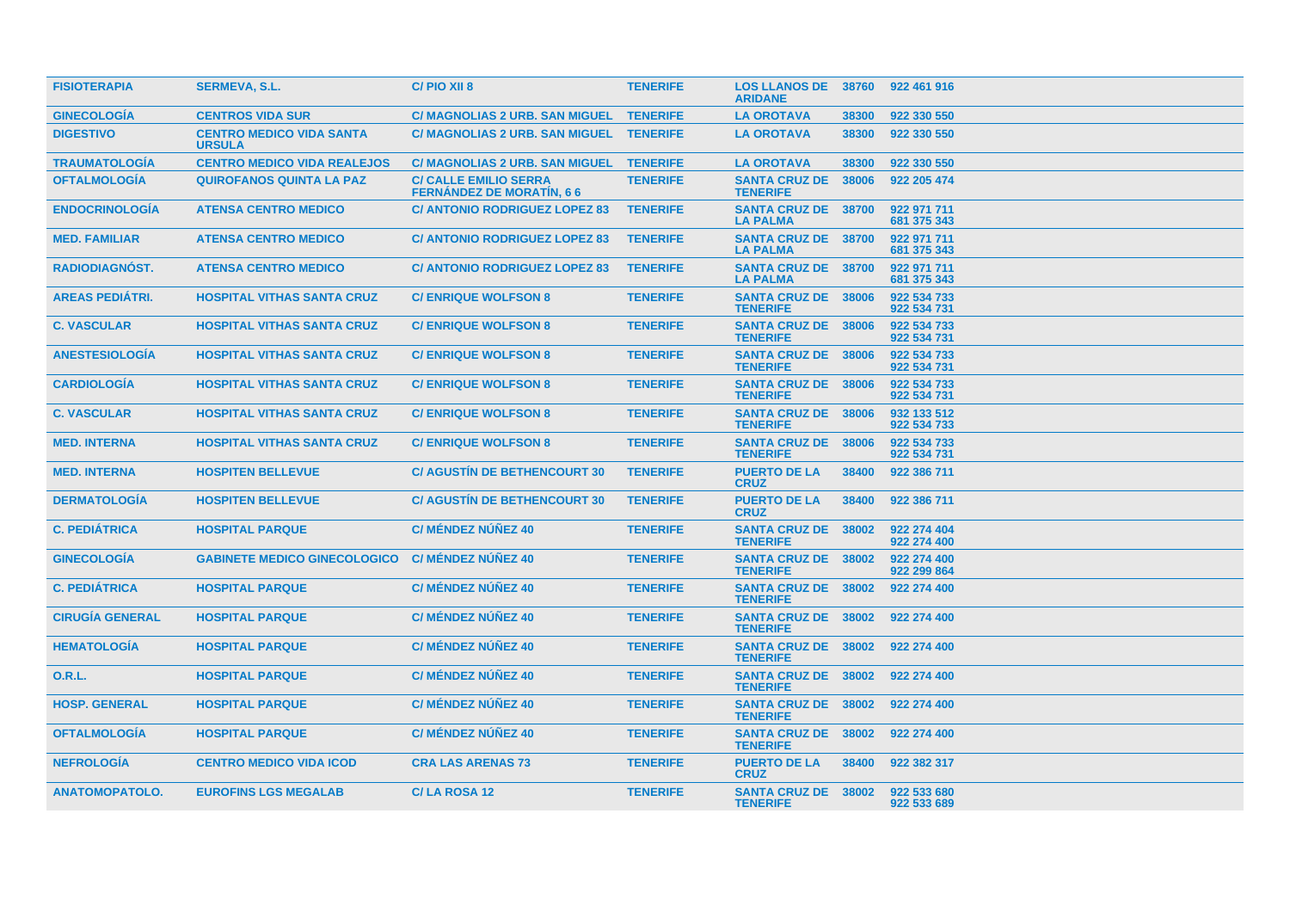| <b>FISIOTERAPIA</b>    | <b>SERMEVA, S.L.</b>                             | C/PIO XII 8                                                     | <b>TENERIFE</b> | <b>LOS LLANOS DE 38760</b><br><b>ARIDANE</b>  |       | 922 461 916                |
|------------------------|--------------------------------------------------|-----------------------------------------------------------------|-----------------|-----------------------------------------------|-------|----------------------------|
| <b>GINECOLOGIA</b>     | <b>CENTROS VIDA SUR</b>                          | C/ MAGNOLIAS 2 URB. SAN MIGUEL TENERIFE                         |                 | <b>LA OROTAVA</b>                             | 38300 | 922 330 550                |
| <b>DIGESTIVO</b>       | <b>CENTRO MEDICO VIDA SANTA</b><br><b>URSULA</b> | C/ MAGNOLIAS 2 URB. SAN MIGUEL TENERIFE                         |                 | <b>LA OROTAVA</b>                             | 38300 | 922 330 550                |
| <b>TRAUMATOLOGIA</b>   | <b>CENTRO MEDICO VIDA REALEJOS</b>               | C/ MAGNOLIAS 2 URB. SAN MIGUEL TENERIFE                         |                 | <b>LA OROTAVA</b>                             | 38300 | 922 330 550                |
| <b>OFTALMOLOGÍA</b>    | <b>QUIROFANOS QUINTA LA PAZ</b>                  | <b>C/ CALLE EMILIO SERRA</b><br><b>FERNANDEZ DE MORATIN, 66</b> | <b>TENERIFE</b> | <b>SANTA CRUZ DE</b><br><b>TENERIFE</b>       | 38006 | 922 205 474                |
| <b>ENDOCRINOLOGIA</b>  | <b>ATENSA CENTRO MEDICO</b>                      | <b>C/ ANTONIO RODRIGUEZ LOPEZ 83</b>                            | <b>TENERIFE</b> | <b>SANTA CRUZ DE 38700</b><br><b>LA PALMA</b> |       | 922 971 711<br>681 375 343 |
| <b>MED. FAMILIAR</b>   | <b>ATENSA CENTRO MEDICO</b>                      | <b>C/ ANTONIO RODRIGUEZ LOPEZ 83</b>                            | <b>TENERIFE</b> | <b>SANTA CRUZ DE 38700</b><br><b>LA PALMA</b> |       | 922 971 711<br>681 375 343 |
| <b>RADIODIAGNOST.</b>  | <b>ATENSA CENTRO MEDICO</b>                      | <b>C/ ANTONIO RODRIGUEZ LOPEZ 83</b>                            | <b>TENERIFE</b> | <b>SANTA CRUZ DE 38700</b><br><b>LA PALMA</b> |       | 922 971 711<br>681 375 343 |
| <b>AREAS PEDIATRI.</b> | <b>HOSPITAL VITHAS SANTA CRUZ</b>                | <b>C/ENRIQUE WOLFSON 8</b>                                      | <b>TENERIFE</b> | <b>SANTA CRUZ DE 38006</b><br><b>TENERIFE</b> |       | 922 534 733<br>922 534 731 |
| <b>C. VASCULAR</b>     | <b>HOSPITAL VITHAS SANTA CRUZ</b>                | <b>C/ENRIQUE WOLFSON 8</b>                                      | <b>TENERIFE</b> | <b>SANTA CRUZ DE 38006</b><br><b>TENERIFE</b> |       | 922 534 733<br>922 534 731 |
| <b>ANESTESIOLOGÍA</b>  | <b>HOSPITAL VITHAS SANTA CRUZ</b>                | <b>C/ENRIQUE WOLFSON 8</b>                                      | <b>TENERIFE</b> | <b>SANTA CRUZ DE 38006</b><br><b>TENERIFE</b> |       | 922 534 733<br>922 534 731 |
| <b>CARDIOLOGÍA</b>     | <b>HOSPITAL VITHAS SANTA CRUZ</b>                | <b>C/ENRIQUE WOLFSON 8</b>                                      | <b>TENERIFE</b> | <b>SANTA CRUZ DE 38006</b><br><b>TENERIFE</b> |       | 922 534 733<br>922 534 731 |
| <b>C. VASCULAR</b>     | <b>HOSPITAL VITHAS SANTA CRUZ</b>                | <b>C/ENRIQUE WOLFSON 8</b>                                      | <b>TENERIFE</b> | <b>SANTA CRUZ DE 38006</b><br><b>TENERIFE</b> |       | 932 133 512<br>922 534 733 |
| <b>MED. INTERNA</b>    | <b>HOSPITAL VITHAS SANTA CRUZ</b>                | <b>C/ENRIQUE WOLFSON 8</b>                                      | <b>TENERIFE</b> | <b>SANTA CRUZ DE</b><br><b>TENERIFE</b>       | 38006 | 922 534 733<br>922 534 731 |
| <b>MED. INTERNA</b>    | <b>HOSPITEN BELLEVUE</b>                         | <b>C/ AGUSTIN DE BETHENCOURT 30</b>                             | <b>TENERIFE</b> | <b>PUERTO DE LA</b><br><b>CRUZ</b>            | 38400 | 922 386 711                |
| <b>DERMATOLOGÍA</b>    | <b>HOSPITEN BELLEVUE</b>                         | <b>C/ AGUSTIN DE BETHENCOURT 30</b>                             | <b>TENERIFE</b> | <b>PUERTO DE LA</b><br><b>CRUZ</b>            | 38400 | 922 386 711                |
| <b>C. PEDIÁTRICA</b>   | <b>HOSPITAL PARQUE</b>                           | <b>C/ MÉNDEZ NÚÑEZ 40</b>                                       | <b>TENERIFE</b> | <b>SANTA CRUZ DE 38002</b><br><b>TENERIFE</b> |       | 922 274 404<br>922 274 400 |
| <b>GINECOLOGÍA</b>     | <b>GABINETE MEDICO GINECOLOGICO</b>              | C/ MÉNDEZ NÚÑEZ 40                                              | <b>TENERIFE</b> | SANTA CRUZ DE 38002<br><b>TENERIFE</b>        |       | 922 274 400<br>922 299 864 |
| <b>C. PEDIÁTRICA</b>   | <b>HOSPITAL PARQUE</b>                           | <b>C/ MÉNDEZ NÚÑEZ 40</b>                                       | <b>TENERIFE</b> | SANTA CRUZ DE 38002<br><b>TENERIFE</b>        |       | 922 274 400                |
| <b>CIRUGÍA GENERAL</b> | <b>HOSPITAL PARQUE</b>                           | C/MÉNDEZ NÚÑEZ 40                                               | <b>TENERIFE</b> | <b>SANTA CRUZ DE 38002</b><br><b>TENERIFE</b> |       | 922 274 400                |
| <b>HEMATOLOGIA</b>     | <b>HOSPITAL PARQUE</b>                           | <b>C/ MÉNDEZ NÚÑEZ 40</b>                                       | <b>TENERIFE</b> | SANTA CRUZ DE 38002<br><b>TENERIFE</b>        |       | 922 274 400                |
| 0.R.L.                 | <b>HOSPITAL PARQUE</b>                           | <b>C/ MÉNDEZ NÚÑEZ 40</b>                                       | <b>TENERIFE</b> | <b>SANTA CRUZ DE 38002</b><br><b>TENERIFE</b> |       | 922 274 400                |
| <b>HOSP. GENERAL</b>   | <b>HOSPITAL PARQUE</b>                           | <b>C/ MÉNDEZ NÚÑEZ 40</b>                                       | <b>TENERIFE</b> | <b>SANTA CRUZ DE 38002</b><br><b>TENERIFE</b> |       | 922 274 400                |
| <b>OFTALMOLOGIA</b>    | <b>HOSPITAL PARQUE</b>                           | <b>C/ MÉNDEZ NÚÑEZ 40</b>                                       | <b>TENERIFE</b> | SANTA CRUZ DE 38002<br><b>TENERIFE</b>        |       | 922 274 400                |
| <b>NEFROLOGIA</b>      | <b>CENTRO MEDICO VIDA ICOD</b>                   | <b>CRA LAS ARENAS 73</b>                                        | <b>TENERIFE</b> | <b>PUERTO DE LA</b><br><b>CRUZ</b>            | 38400 | 922 382 317                |
| <b>ANATOMOPATOLO.</b>  | <b>EUROFINS LGS MEGALAB</b>                      | C/LA ROSA 12                                                    | <b>TENERIFE</b> | <b>SANTA CRUZ DE 38002</b><br><b>TENERIFE</b> |       | 922 533 680<br>922 533 689 |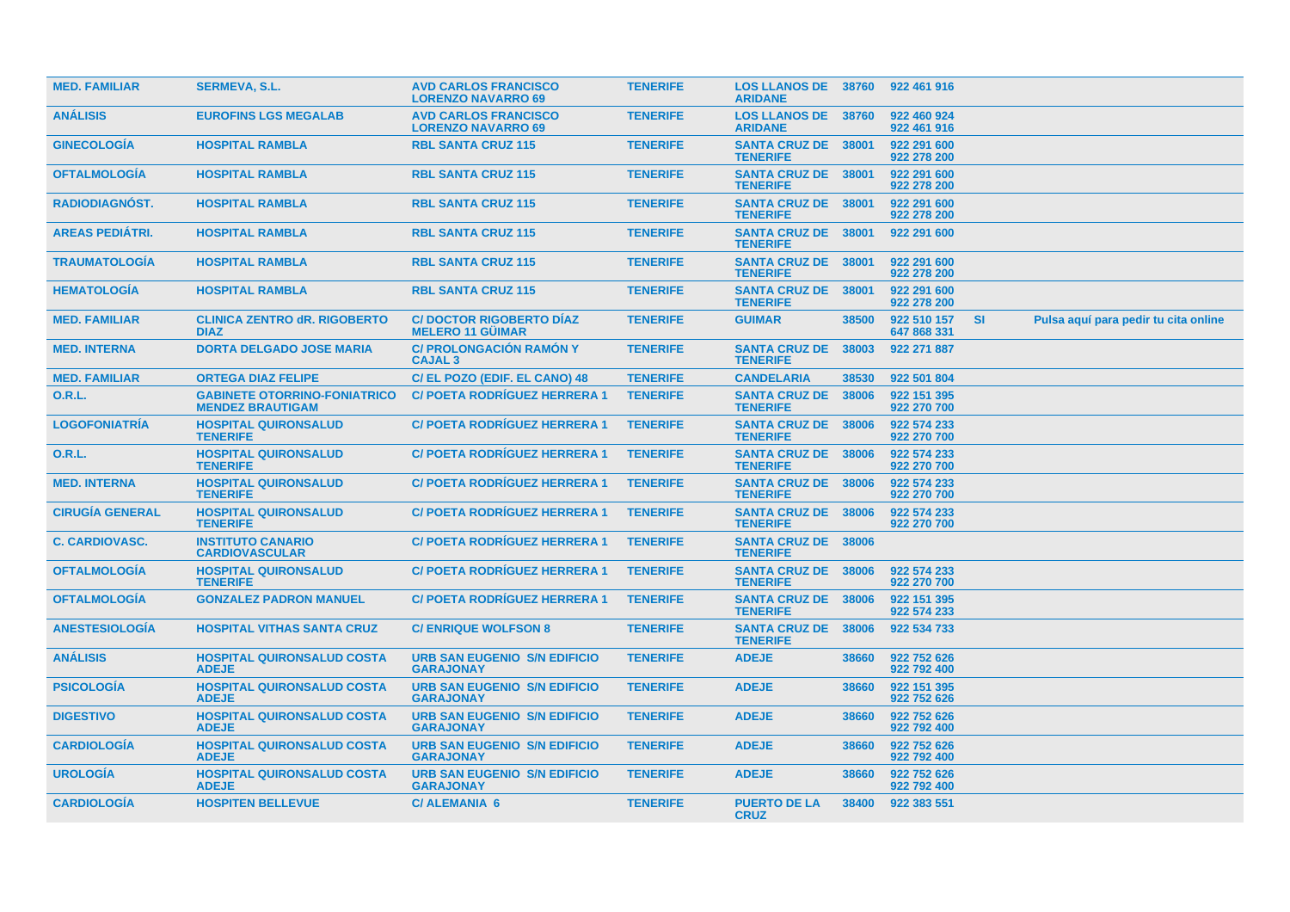| <b>MED. FAMILIAR</b>   | <b>SERMEVA, S.L.</b>                                           | <b>AVD CARLOS FRANCISCO</b><br><b>LORENZO NAVARRO 69</b>  | <b>TENERIFE</b> | <b>LOS LLANOS DE 38760</b><br><b>ARIDANE</b>  |       | 922 461 916                |           |                                      |  |
|------------------------|----------------------------------------------------------------|-----------------------------------------------------------|-----------------|-----------------------------------------------|-------|----------------------------|-----------|--------------------------------------|--|
| <b>ANALISIS</b>        | <b>EUROFINS LGS MEGALAB</b>                                    | <b>AVD CARLOS FRANCISCO</b><br><b>LORENZO NAVARRO 69</b>  | <b>TENERIFE</b> | <b>LOS LLANOS DE 38760</b><br><b>ARIDANE</b>  |       | 922 460 924<br>922 461 916 |           |                                      |  |
| <b>GINECOLOGIA</b>     | <b>HOSPITAL RAMBLA</b>                                         | <b>RBL SANTA CRUZ 115</b>                                 | <b>TENERIFE</b> | SANTA CRUZ DE 38001<br><b>TENERIFE</b>        |       | 922 291 600<br>922 278 200 |           |                                      |  |
| <b>OFTALMOLOGIA</b>    | <b>HOSPITAL RAMBLA</b>                                         | <b>RBL SANTA CRUZ 115</b>                                 | <b>TENERIFE</b> | <b>SANTA CRUZ DE 38001</b><br><b>TENERIFE</b> |       | 922 291 600<br>922 278 200 |           |                                      |  |
| RADIODIAGNÓST.         | <b>HOSPITAL RAMBLA</b>                                         | <b>RBL SANTA CRUZ 115</b>                                 | <b>TENERIFE</b> | SANTA CRUZ DE 38001<br><b>TENERIFE</b>        |       | 922 291 600<br>922 278 200 |           |                                      |  |
| <b>AREAS PEDIÁTRI.</b> | <b>HOSPITAL RAMBLA</b>                                         | <b>RBL SANTA CRUZ 115</b>                                 | <b>TENERIFE</b> | <b>SANTA CRUZ DE</b><br><b>TENERIFE</b>       | 38001 | 922 291 600                |           |                                      |  |
| <b>TRAUMATOLOGÍA</b>   | <b>HOSPITAL RAMBLA</b>                                         | <b>RBL SANTA CRUZ 115</b>                                 | <b>TENERIFE</b> | <b>SANTA CRUZ DE</b><br><b>TENERIFE</b>       | 38001 | 922 291 600<br>922 278 200 |           |                                      |  |
| <b>HEMATOLOGIA</b>     | <b>HOSPITAL RAMBLA</b>                                         | <b>RBL SANTA CRUZ 115</b>                                 | <b>TENERIFE</b> | <b>SANTA CRUZ DE</b><br><b>TENERIFE</b>       | 38001 | 922 291 600<br>922 278 200 |           |                                      |  |
| <b>MED. FAMILIAR</b>   | <b>CLINICA ZENTRO dR. RIGOBERTO</b><br><b>DIAZ</b>             | <b>C/DOCTOR RIGOBERTO DIAZ</b><br><b>MELERO 11 GUIMAR</b> | <b>TENERIFE</b> | <b>GUIMAR</b>                                 | 38500 | 922 510 157<br>647 868 331 | <b>SI</b> | Pulsa aquí para pedir tu cita online |  |
| <b>MED. INTERNA</b>    | <b>DORTA DELGADO JOSE MARIA</b>                                | <b>C/ PROLONGACIÓN RAMÓN Y</b><br><b>CAJAL 3</b>          | <b>TENERIFE</b> | <b>SANTA CRUZ DE</b><br><b>TENERIFE</b>       | 38003 | 922 271 887                |           |                                      |  |
| <b>MED. FAMILIAR</b>   | <b>ORTEGA DIAZ FELIPE</b>                                      | C/ EL POZO (EDIF. EL CANO) 48                             | <b>TENERIFE</b> | <b>CANDELARIA</b>                             | 38530 | 922 501 804                |           |                                      |  |
| 0.R.L.                 | <b>GABINETE OTORRINO-FONIATRICO</b><br><b>MENDEZ BRAUTIGAM</b> | <b>C/ POETA RODRIGUEZ HERRERA 1</b>                       | <b>TENERIFE</b> | <b>SANTA CRUZ DE 38006</b><br><b>TENERIFE</b> |       | 922 151 395<br>922 270 700 |           |                                      |  |
| <b>LOGOFONIATRÍA</b>   | <b>HOSPITAL QUIRONSALUD</b><br><b>TENERIFE</b>                 | <b>C/POETA RODRIGUEZ HERRERA 1</b>                        | <b>TENERIFE</b> | <b>SANTA CRUZ DE 38006</b><br><b>TENERIFE</b> |       | 922 574 233<br>922 270 700 |           |                                      |  |
| <b>O.R.L.</b>          | <b>HOSPITAL QUIRONSALUD</b><br><b>TENERIFE</b>                 | <b>C/ POETA RODRIGUEZ HERRERA 1</b>                       | <b>TENERIFE</b> | SANTA CRUZ DE 38006<br><b>TENERIFE</b>        |       | 922 574 233<br>922 270 700 |           |                                      |  |
| <b>MED. INTERNA</b>    | <b>HOSPITAL QUIRONSALUD</b><br><b>TENERIFE</b>                 | <b>C/POETA RODRIGUEZ HERRERA 1</b>                        | <b>TENERIFE</b> | SANTA CRUZ DE 38006<br><b>TENERIFE</b>        |       | 922 574 233<br>922 270 700 |           |                                      |  |
| <b>CIRUGIA GENERAL</b> | <b>HOSPITAL QUIRONSALUD</b><br><b>TENERIFE</b>                 | <b>C/ POETA RODRIGUEZ HERRERA 1</b>                       | <b>TENERIFE</b> | <b>SANTA CRUZ DE 38006</b><br><b>TENERIFE</b> |       | 922 574 233<br>922 270 700 |           |                                      |  |
| <b>C. CARDIOVASC.</b>  | <b>INSTITUTO CANARIO</b><br><b>CARDIOVASCULAR</b>              | <b>C/POETA RODRIGUEZ HERRERA 1</b>                        | <b>TENERIFE</b> | <b>SANTA CRUZ DE</b><br><b>TENERIFE</b>       | 38006 |                            |           |                                      |  |
| <b>OFTALMOLOGIA</b>    | <b>HOSPITAL QUIRONSALUD</b><br><b>TENERIFE</b>                 | <b>C/ POETA RODRIGUEZ HERRERA 1</b>                       | <b>TENERIFE</b> | <b>SANTA CRUZ DE</b><br><b>TENERIFE</b>       | 38006 | 922 574 233<br>922 270 700 |           |                                      |  |
| <b>OFTALMOLOGIA</b>    | <b>GONZALEZ PADRON MANUEL</b>                                  | <b>C/ POETA RODRIGUEZ HERRERA 1</b>                       | <b>TENERIFE</b> | <b>SANTA CRUZ DE</b><br><b>TENERIFE</b>       | 38006 | 922 151 395<br>922 574 233 |           |                                      |  |
| <b>ANESTESIOLOGÍA</b>  | <b>HOSPITAL VITHAS SANTA CRUZ</b>                              | <b>C/ENRIQUE WOLFSON 8</b>                                | <b>TENERIFE</b> | <b>SANTA CRUZ DE</b><br><b>TENERIFE</b>       | 38006 | 922 534 733                |           |                                      |  |
| <b>ANÁLISIS</b>        | <b>HOSPITAL QUIRONSALUD COSTA</b><br><b>ADEJE</b>              | <b>URB SAN EUGENIO S/N EDIFICIO</b><br><b>GARAJONAY</b>   | <b>TENERIFE</b> | <b>ADEJE</b>                                  | 38660 | 922 752 626<br>922 792 400 |           |                                      |  |
| <b>PSICOLOGIA</b>      | <b>HOSPITAL QUIRONSALUD COSTA</b><br><b>ADEJE</b>              | <b>URB SAN EUGENIO S/N EDIFICIO</b><br><b>GARAJONAY</b>   | <b>TENERIFE</b> | <b>ADEJE</b>                                  | 38660 | 922 151 395<br>922 752 626 |           |                                      |  |
| <b>DIGESTIVO</b>       | <b>HOSPITAL QUIRONSALUD COSTA</b><br><b>ADEJE</b>              | <b>URB SAN EUGENIO S/N EDIFICIO</b><br><b>GARAJONAY</b>   | <b>TENERIFE</b> | <b>ADEJE</b>                                  | 38660 | 922 752 626<br>922 792 400 |           |                                      |  |
| <b>CARDIOLOGIA</b>     | <b>HOSPITAL QUIRONSALUD COSTA</b><br><b>ADEJE</b>              | <b>URB SAN EUGENIO S/N EDIFICIO</b><br><b>GARAJONAY</b>   | <b>TENERIFE</b> | <b>ADEJE</b>                                  | 38660 | 922 752 626<br>922 792 400 |           |                                      |  |
| <b>UROLOGIA</b>        | <b>HOSPITAL QUIRONSALUD COSTA</b><br><b>ADEJE</b>              | <b>URB SAN EUGENIO S/N EDIFICIO</b><br><b>GARAJONAY</b>   | <b>TENERIFE</b> | <b>ADEJE</b>                                  | 38660 | 922 752 626<br>922 792 400 |           |                                      |  |
| <b>CARDIOLOGIA</b>     | <b>HOSPITEN BELLEVUE</b>                                       | <b>C/ALEMANIA 6</b>                                       | <b>TENERIFE</b> | <b>PUERTO DE LA</b><br><b>CRUZ</b>            | 38400 | 922 383 551                |           |                                      |  |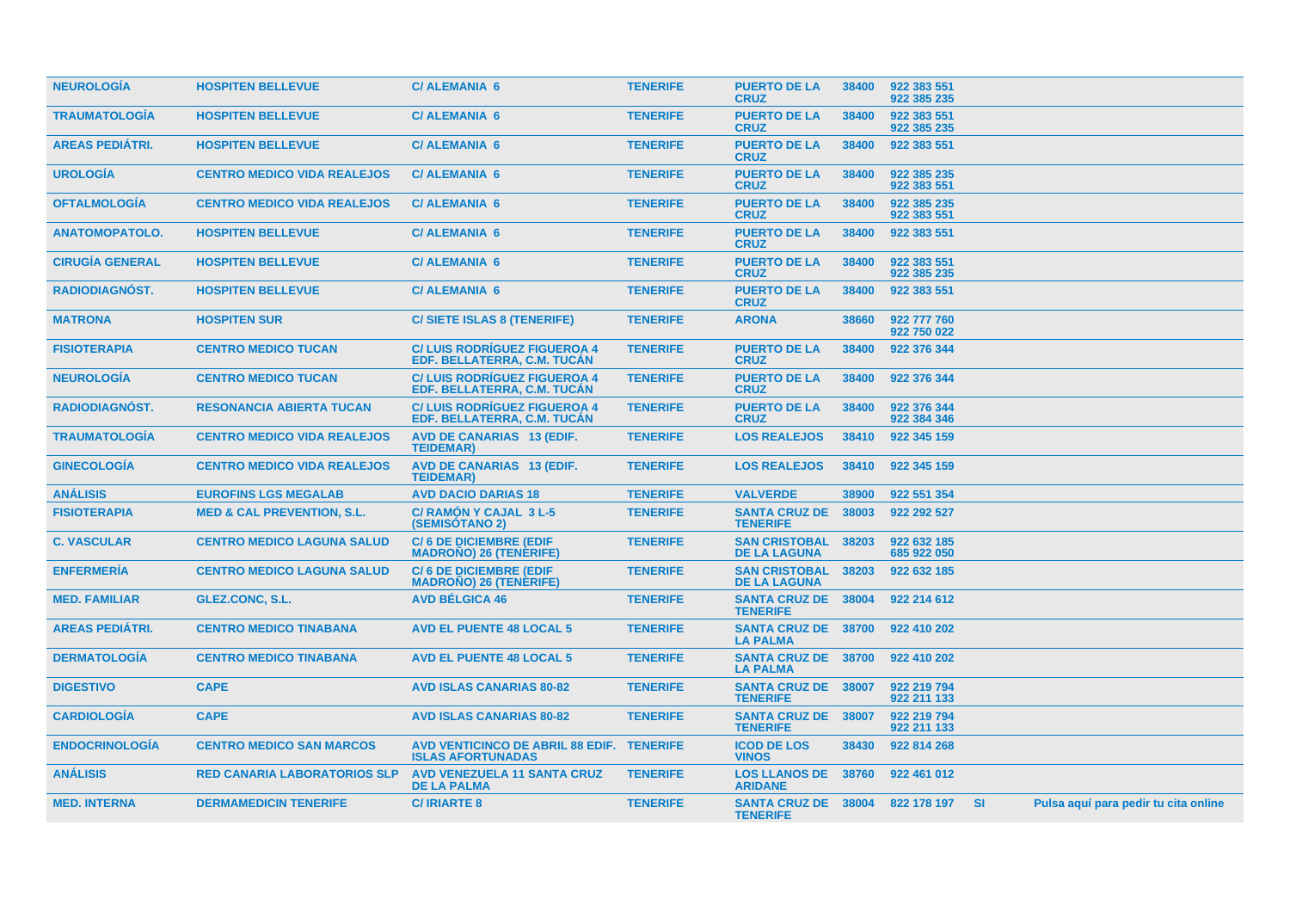| <b>NEUROLOGIA</b>      | <b>HOSPITEN BELLEVUE</b>              | <b>C/ALEMANIA 6</b>                                                   | <b>TENERIFE</b> | <b>PUERTO DE LA</b><br><b>CRUZ</b>            | 38400 | 922 383 551<br>922 385 235 |  |                                      |  |
|------------------------|---------------------------------------|-----------------------------------------------------------------------|-----------------|-----------------------------------------------|-------|----------------------------|--|--------------------------------------|--|
| <b>TRAUMATOLOGÍA</b>   | <b>HOSPITEN BELLEVUE</b>              | <b>C/ALEMANIA 6</b>                                                   | <b>TENERIFE</b> | <b>PUERTO DE LA</b><br><b>CRUZ</b>            | 38400 | 922 383 551<br>922 385 235 |  |                                      |  |
| <b>AREAS PEDIÁTRI.</b> | <b>HOSPITEN BELLEVUE</b>              | <b>C/ALEMANIA 6</b>                                                   | <b>TENERIFE</b> | <b>PUERTO DE LA</b><br><b>CRUZ</b>            | 38400 | 922 383 551                |  |                                      |  |
| <b>UROLOGÍA</b>        | <b>CENTRO MEDICO VIDA REALEJOS</b>    | <b>C/ALEMANIA 6</b>                                                   | <b>TENERIFE</b> | <b>PUERTO DE LA</b><br><b>CRUZ</b>            | 38400 | 922 385 235<br>922 383 551 |  |                                      |  |
| <b>OFTALMOLOGÍA</b>    | <b>CENTRO MEDICO VIDA REALEJOS</b>    | <b>C/ALEMANIA 6</b>                                                   | <b>TENERIFE</b> | <b>PUERTO DE LA</b><br><b>CRUZ</b>            | 38400 | 922 385 235<br>922 383 551 |  |                                      |  |
| <b>ANATOMOPATOLO.</b>  | <b>HOSPITEN BELLEVUE</b>              | <b>C/ALEMANIA 6</b>                                                   | <b>TENERIFE</b> | <b>PUERTO DE LA</b><br><b>CRUZ</b>            | 38400 | 922 383 551                |  |                                      |  |
| <b>CIRUGIA GENERAL</b> | <b>HOSPITEN BELLEVUE</b>              | <b>C/ALEMANIA 6</b>                                                   | <b>TENERIFE</b> | <b>PUERTO DE LA</b><br><b>CRUZ</b>            | 38400 | 922 383 551<br>922 385 235 |  |                                      |  |
| RADIODIAGNÓST.         | <b>HOSPITEN BELLEVUE</b>              | <b>C/ALEMANIA 6</b>                                                   | <b>TENERIFE</b> | <b>PUERTO DE LA</b><br><b>CRUZ</b>            | 38400 | 922 383 551                |  |                                      |  |
| <b>MATRONA</b>         | <b>HOSPITEN SUR</b>                   | <b>C/SIETE ISLAS 8 (TENERIFE)</b>                                     | <b>TENERIFE</b> | <b>ARONA</b>                                  | 38660 | 922 777 760<br>922 750 022 |  |                                      |  |
| <b>FISIOTERAPIA</b>    | <b>CENTRO MEDICO TUCAN</b>            | <b>C/LUIS RODRIGUEZ FIGUEROA 4</b><br>EDF. BELLATERRA, C.M. TUCAN     | <b>TENERIFE</b> | <b>PUERTO DE LA</b><br><b>CRUZ</b>            | 38400 | 922 376 344                |  |                                      |  |
| <b>NEUROLOGÍA</b>      | <b>CENTRO MEDICO TUCAN</b>            | <b>C/LUIS RODRIGUEZ FIGUEROA 4</b><br>EDF. BELLATERRA, C.M. TUCAN     | <b>TENERIFE</b> | <b>PUERTO DE LA</b><br><b>CRUZ</b>            | 38400 | 922 376 344                |  |                                      |  |
| <b>RADIODIAGNOST.</b>  | <b>RESONANCIA ABIERTA TUCAN</b>       | <b>C/LUIS RODRIGUEZ FIGUEROA 4</b><br>EDF. BELLATERRA. C.M. TUCAN     | <b>TENERIFE</b> | <b>PUERTO DE LA</b><br><b>CRUZ</b>            | 38400 | 922 376 344<br>922 384 346 |  |                                      |  |
| <b>TRAUMATOLOGIA</b>   | <b>CENTRO MEDICO VIDA REALEJOS</b>    | <b>AVD DE CANARIAS 13 (EDIF.</b><br><b>TEIDEMAR)</b>                  | <b>TENERIFE</b> | <b>LOS REALEJOS</b>                           | 38410 | 922 345 159                |  |                                      |  |
| <b>GINECOLOGÍA</b>     | <b>CENTRO MEDICO VIDA REALEJOS</b>    | <b>AVD DE CANARIAS 13 (EDIF.</b><br><b>TEIDEMAR)</b>                  | <b>TENERIFE</b> | <b>LOS REALEJOS</b>                           | 38410 | 922 345 159                |  |                                      |  |
| <b>ANÁLISIS</b>        | <b>EUROFINS LGS MEGALAB</b>           | <b>AVD DACIO DARIAS 18</b>                                            | <b>TENERIFE</b> | <b>VALVERDE</b>                               | 38900 | 922 551 354                |  |                                      |  |
| <b>FISIOTERAPIA</b>    | <b>MED &amp; CAL PREVENTION, S.L.</b> | C/ RAMÓN Y CAJAL 3 L-5<br><b>(SEMISOTANO 2)</b>                       | <b>TENERIFE</b> | <b>SANTA CRUZ DE</b><br><b>TENERIFE</b>       | 38003 | 922 292 527                |  |                                      |  |
| <b>C. VASCULAR</b>     | <b>CENTRO MEDICO LAGUNA SALUD</b>     | <b>C/6 DE DICIEMBRE (EDIF</b><br><b>MADRONO) 26 (TENERIFE)</b>        | <b>TENERIFE</b> | <b>SAN CRISTOBAL</b><br><b>DE LA LAGUNA</b>   | 38203 | 922 632 185<br>685 922 050 |  |                                      |  |
| <b>ENFERMERÍA</b>      | <b>CENTRO MEDICO LAGUNA SALUD</b>     | <b>C/6 DE DICIEMBRE (EDIF</b><br><b>MADRONO) 26 (TENERIFE)</b>        | <b>TENERIFE</b> | <b>SAN CRISTOBAL</b><br><b>DE LA LAGUNA</b>   | 38203 | 922 632 185                |  |                                      |  |
| <b>MED. FAMILIAR</b>   | GLEZ.CONC, S.L.                       | <b>AVD BÉLGICA 46</b>                                                 | <b>TENERIFE</b> | SANTA CRUZ DE 38004<br><b>TENERIFE</b>        |       | 922 214 612                |  |                                      |  |
| <b>AREAS PEDIÁTRI.</b> | <b>CENTRO MEDICO TINABANA</b>         | <b>AVD EL PUENTE 48 LOCAL 5</b>                                       | <b>TENERIFE</b> | <b>SANTA CRUZ DE 38700</b><br><b>LA PALMA</b> |       | 922 410 202                |  |                                      |  |
| <b>DERMATOLOGIA</b>    | <b>CENTRO MEDICO TINABANA</b>         | <b>AVD EL PUENTE 48 LOCAL 5</b>                                       | <b>TENERIFE</b> | <b>SANTA CRUZ DE 38700</b><br><b>LA PALMA</b> |       | 922 410 202                |  |                                      |  |
| <b>DIGESTIVO</b>       | <b>CAPE</b>                           | <b>AVD ISLAS CANARIAS 80-82</b>                                       | <b>TENERIFE</b> | <b>SANTA CRUZ DE 38007</b><br><b>TENERIFE</b> |       | 922 219 794<br>922 211 133 |  |                                      |  |
| <b>CARDIOLOGÍA</b>     | <b>CAPE</b>                           | <b>AVD ISLAS CANARIAS 80-82</b>                                       | <b>TENERIFE</b> | <b>SANTA CRUZ DE</b><br><b>TENERIFE</b>       | 38007 | 922 219 794<br>922 211 133 |  |                                      |  |
| <b>ENDOCRINOLOGÍA</b>  | <b>CENTRO MEDICO SAN MARCOS</b>       | AVD VENTICINCO DE ABRIL 88 EDIF. TENERIFE<br><b>ISLAS AFORTUNADAS</b> |                 | <b>ICOD DE LOS</b><br><b>VINOS</b>            | 38430 | 922 814 268                |  |                                      |  |
| <b>ANÁLISIS</b>        | <b>RED CANARIA LABORATORIOS SLP</b>   | <b>AVD VENEZUELA 11 SANTA CRUZ</b><br><b>DE LA PALMA</b>              | <b>TENERIFE</b> | <b>LOS LLANOS DE 38760</b><br><b>ARIDANE</b>  |       | 922 461 012                |  |                                      |  |
| <b>MED. INTERNA</b>    | <b>DERMAMEDICIN TENERIFE</b>          | <b>C/IRIARTE 8</b>                                                    | <b>TENERIFE</b> | <b>SANTA CRUZ DE 38004</b><br><b>TENERIFE</b> |       | 822 178 197 SI             |  | Pulsa aquí para pedir tu cita online |  |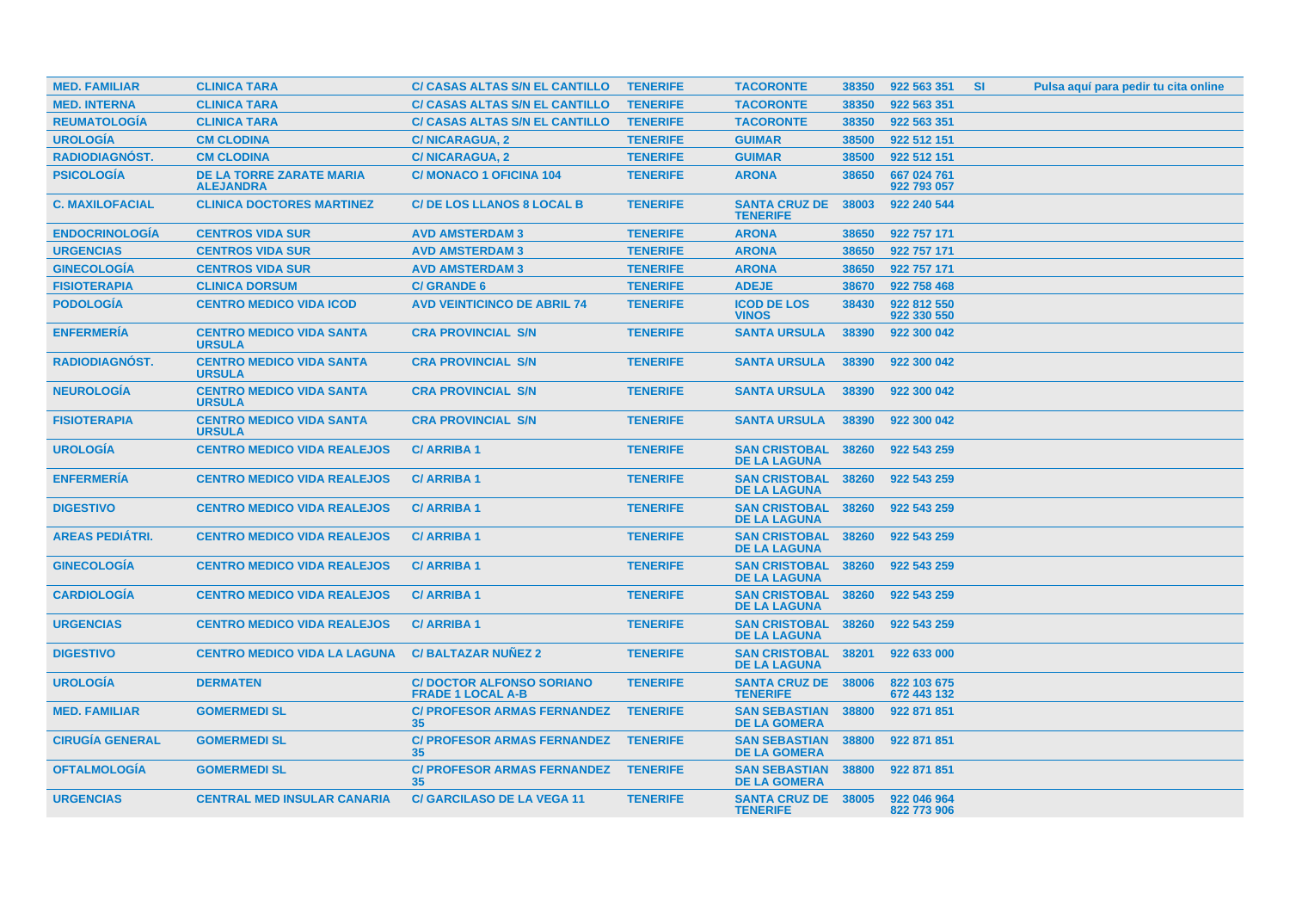| <b>MED. FAMILIAR</b>   | <b>CLINICA TARA</b>                                 | <b>C/ CASAS ALTAS S/N EL CANTILLO</b>                       | <b>TENERIFE</b> | <b>TACORONTE</b>                                  | 38350 | 922 563 351                | <b>SI</b> | Pulsa aquí para pedir tu cita online |
|------------------------|-----------------------------------------------------|-------------------------------------------------------------|-----------------|---------------------------------------------------|-------|----------------------------|-----------|--------------------------------------|
| <b>MED. INTERNA</b>    | <b>CLINICA TARA</b>                                 | <b>C/ CASAS ALTAS S/N EL CANTILLO</b>                       | <b>TENERIFE</b> | <b>TACORONTE</b>                                  | 38350 | 922 563 351                |           |                                      |
| <b>REUMATOLOGIA</b>    | <b>CLINICA TARA</b>                                 | <b>C/ CASAS ALTAS S/N EL CANTILLO</b>                       | <b>TENERIFE</b> | <b>TACORONTE</b>                                  | 38350 | 922 563 351                |           |                                      |
| <b>UROLOGÍA</b>        | <b>CM CLODINA</b>                                   | <b>C/NICARAGUA, 2</b>                                       | <b>TENERIFE</b> | <b>GUIMAR</b>                                     | 38500 | 922 512 151                |           |                                      |
| <b>RADIODIAGNÓST.</b>  | <b>CM CLODINA</b>                                   | <b>C/NICARAGUA, 2</b>                                       | <b>TENERIFE</b> | <b>GUIMAR</b>                                     | 38500 | 922 512 151                |           |                                      |
| <b>PSICOLOGÍA</b>      | <b>DE LA TORRE ZARATE MARIA</b><br><b>ALEJANDRA</b> | <b>C/MONACO 1 OFICINA 104</b>                               | <b>TENERIFE</b> | <b>ARONA</b>                                      | 38650 | 667 024 761<br>922 793 057 |           |                                      |
| <b>C. MAXILOFACIAL</b> | <b>CLINICA DOCTORES MARTINEZ</b>                    | <b>C/ DE LOS LLANOS 8 LOCAL B</b>                           | <b>TENERIFE</b> | <b>SANTA CRUZ DE</b><br><b>TENERIFE</b>           | 38003 | 922 240 544                |           |                                      |
| <b>ENDOCRINOLOGÍA</b>  | <b>CENTROS VIDA SUR</b>                             | <b>AVD AMSTERDAM 3</b>                                      | <b>TENERIFE</b> | <b>ARONA</b>                                      | 38650 | 922 757 171                |           |                                      |
| <b>URGENCIAS</b>       | <b>CENTROS VIDA SUR</b>                             | <b>AVD AMSTERDAM 3</b>                                      | <b>TENERIFE</b> | <b>ARONA</b>                                      | 38650 | 922 757 171                |           |                                      |
| <b>GINECOLOGÍA</b>     | <b>CENTROS VIDA SUR</b>                             | <b>AVD AMSTERDAM 3</b>                                      | <b>TENERIFE</b> | <b>ARONA</b>                                      | 38650 | 922 757 171                |           |                                      |
| <b>FISIOTERAPIA</b>    | <b>CLINICA DORSUM</b>                               | <b>C/ GRANDE 6</b>                                          | <b>TENERIFE</b> | <b>ADEJE</b>                                      | 38670 | 922 758 468                |           |                                      |
| <b>PODOLOGIA</b>       | <b>CENTRO MEDICO VIDA ICOD</b>                      | <b>AVD VEINTICINCO DE ABRIL 74</b>                          | <b>TENERIFE</b> | <b>ICOD DE LOS</b><br><b>VINOS</b>                | 38430 | 922 812 550<br>922 330 550 |           |                                      |
| <b>ENFERMERÍA</b>      | <b>CENTRO MEDICO VIDA SANTA</b><br><b>URSULA</b>    | <b>CRA PROVINCIAL S/N</b>                                   | <b>TENERIFE</b> | <b>SANTA URSULA</b>                               | 38390 | 922 300 042                |           |                                      |
| <b>RADIODIAGNOST.</b>  | <b>CENTRO MEDICO VIDA SANTA</b><br><b>URSULA</b>    | <b>CRA PROVINCIAL S/N</b>                                   | <b>TENERIFE</b> | <b>SANTA URSULA</b>                               | 38390 | 922 300 042                |           |                                      |
| <b>NEUROLOGÍA</b>      | <b>CENTRO MEDICO VIDA SANTA</b><br><b>URSULA</b>    | <b>CRA PROVINCIAL S/N</b>                                   | <b>TENERIFE</b> | <b>SANTA URSULA</b>                               | 38390 | 922 300 042                |           |                                      |
| <b>FISIOTERAPIA</b>    | <b>CENTRO MEDICO VIDA SANTA</b><br><b>URSULA</b>    | <b>CRA PROVINCIAL S/N</b>                                   | <b>TENERIFE</b> | <b>SANTA URSULA</b>                               | 38390 | 922 300 042                |           |                                      |
| <b>UROLOGÍA</b>        | <b>CENTRO MEDICO VIDA REALEJOS</b>                  | <b>C/ARRIBA1</b>                                            | <b>TENERIFE</b> | <b>SAN CRISTOBAL</b><br><b>DE LA LAGUNA</b>       | 38260 | 922 543 259                |           |                                      |
| <b>ENFERMERIA</b>      | <b>CENTRO MEDICO VIDA REALEJOS</b>                  | <b>C/ARRIBA1</b>                                            | <b>TENERIFE</b> | <b>SAN CRISTOBAL</b><br><b>DE LA LAGUNA</b>       | 38260 | 922 543 259                |           |                                      |
| <b>DIGESTIVO</b>       | <b>CENTRO MEDICO VIDA REALEJOS</b>                  | <b>C/ARRIBA1</b>                                            | <b>TENERIFE</b> | <b>SAN CRISTOBAL</b><br><b>DE LA LAGUNA</b>       | 38260 | 922 543 259                |           |                                      |
| <b>AREAS PEDIÁTRI.</b> | <b>CENTRO MEDICO VIDA REALEJOS</b>                  | <b>C/ARRIBA1</b>                                            | <b>TENERIFE</b> | <b>SAN CRISTOBAL</b><br><b>DE LA LAGUNA</b>       | 38260 | 922 543 259                |           |                                      |
| <b>GINECOLOGIA</b>     | <b>CENTRO MEDICO VIDA REALEJOS</b>                  | <b>C/ARRIBA1</b>                                            | <b>TENERIFE</b> | <b>SAN CRISTOBAL</b><br><b>DE LA LAGUNA</b>       | 38260 | 922 543 259                |           |                                      |
| <b>CARDIOLOGÍA</b>     | <b>CENTRO MEDICO VIDA REALEJOS</b>                  | <b>C/ARRIBA1</b>                                            | <b>TENERIFE</b> | <b>SAN CRISTOBAL</b><br><b>DE LA LAGUNA</b>       | 38260 | 922 543 259                |           |                                      |
| <b>URGENCIAS</b>       | <b>CENTRO MEDICO VIDA REALEJOS</b>                  | <b>C/ARRIBA1</b>                                            | <b>TENERIFE</b> | <b>SAN CRISTOBAL</b><br><b>DE LA LAGUNA</b>       | 38260 | 922 543 259                |           |                                      |
| <b>DIGESTIVO</b>       | <b>CENTRO MEDICO VIDA LA LAGUNA</b>                 | <b>C/BALTAZAR NUNEZ 2</b>                                   | <b>TENERIFE</b> | <b>SAN CRISTOBAL</b><br><b>DE LA LAGUNA</b>       | 38201 | 922 633 000                |           |                                      |
| <b>UROLOGIA</b>        | <b>DERMATEN</b>                                     | <b>C/DOCTOR ALFONSO SORIANO</b><br><b>FRADE 1 LOCAL A-B</b> | <b>TENERIFE</b> | <b>SANTA CRUZ DE 38006</b><br><b>TENERIFE</b>     |       | 822 103 675<br>672 443 132 |           |                                      |
| <b>MED. FAMILIAR</b>   | <b>GOMERMEDI SL</b>                                 | <b>C/ PROFESOR ARMAS FERNANDEZ</b><br>35                    | <b>TENERIFE</b> | <b>SAN SEBASTIAN 38800</b><br><b>DE LA GOMERA</b> |       | 922 871 851                |           |                                      |
| <b>CIRUGIA GENERAL</b> | <b>GOMERMEDI SL</b>                                 | <b>C/ PROFESOR ARMAS FERNANDEZ</b><br>35                    | <b>TENERIFE</b> | <b>SAN SEBASTIAN 38800</b><br><b>DE LA GOMERA</b> |       | 922 871 851                |           |                                      |
| <b>OFTALMOLOGIA</b>    | <b>GOMERMEDI SL</b>                                 | <b>C/ PROFESOR ARMAS FERNANDEZ</b><br>35                    | <b>TENERIFE</b> | <b>SAN SEBASTIAN 38800</b><br><b>DE LA GOMERA</b> |       | 922 871 851                |           |                                      |
| <b>URGENCIAS</b>       | <b>CENTRAL MED INSULAR CANARIA</b>                  | <b>C/ GARCILASO DE LA VEGA 11</b>                           | <b>TENERIFE</b> | <b>SANTA CRUZ DE 38005</b><br><b>TENERIFE</b>     |       | 922 046 964<br>822 773 906 |           |                                      |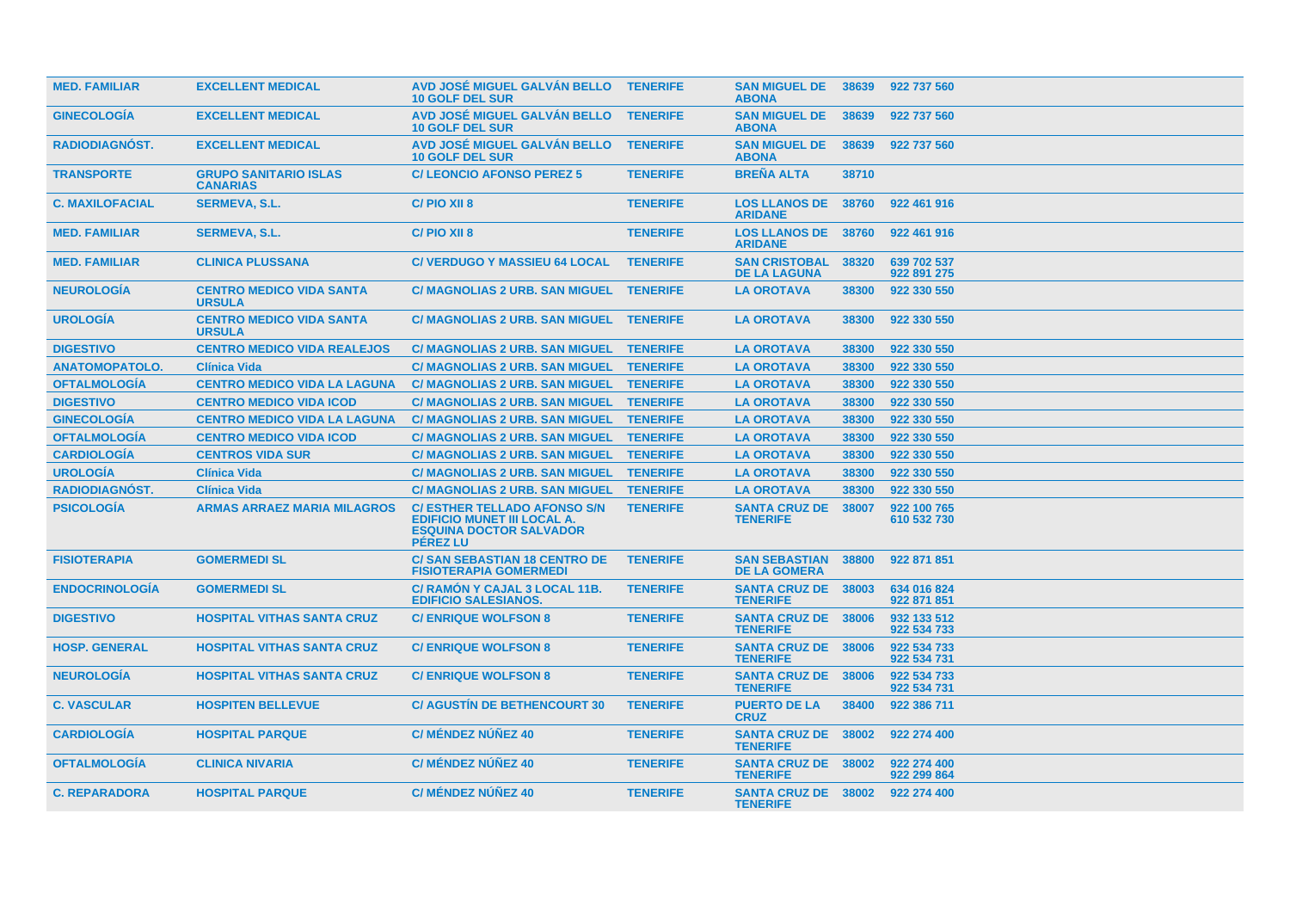| <b>MED. FAMILIAR</b>   | <b>EXCELLENT MEDICAL</b>                         | AVD JOSÉ MIGUEL GALVÁN BELLO TENERIFE<br><b>10 GOLF DEL SUR</b>                                                                |                 | <b>SAN MIGUEL DE 38639</b><br><b>ABONA</b>        |       | 922 737 560                |
|------------------------|--------------------------------------------------|--------------------------------------------------------------------------------------------------------------------------------|-----------------|---------------------------------------------------|-------|----------------------------|
| <b>GINECOLOGIA</b>     | <b>EXCELLENT MEDICAL</b>                         | AVD JOSÉ MIGUEL GALVÁN BELLO<br><b>10 GOLF DEL SUR</b>                                                                         | <b>TENERIFE</b> | <b>SAN MIGUEL DE</b><br><b>ABONA</b>              | 38639 | 922 737 560                |
| RADIODIAGNÓST.         | <b>EXCELLENT MEDICAL</b>                         | AVD JOSÉ MIGUEL GALVÁN BELLO<br><b>10 GOLF DEL SUR</b>                                                                         | <b>TENERIFE</b> | <b>SAN MIGUEL DE</b><br><b>ABONA</b>              | 38639 | 922 737 560                |
| <b>TRANSPORTE</b>      | <b>GRUPO SANITARIO ISLAS</b><br><b>CANARIAS</b>  | <b>C/LEONCIO AFONSO PEREZ 5</b>                                                                                                | <b>TENERIFE</b> | <b>BREÑA ALTA</b>                                 | 38710 |                            |
| <b>C. MAXILOFACIAL</b> | <b>SERMEVA, S.L.</b>                             | C/PIO XII 8                                                                                                                    | <b>TENERIFE</b> | <b>LOS LLANOS DE 38760</b><br><b>ARIDANE</b>      |       | 922 461 916                |
| <b>MED. FAMILIAR</b>   | <b>SERMEVA, S.L.</b>                             | C/PIO XII 8                                                                                                                    | <b>TENERIFE</b> | <b>LOS LLANOS DE 38760</b><br><b>ARIDANE</b>      |       | 922 461 916                |
| <b>MED. FAMILIAR</b>   | <b>CLINICA PLUSSANA</b>                          | <b>C/ VERDUGO Y MASSIEU 64 LOCAL</b>                                                                                           | <b>TENERIFE</b> | <b>SAN CRISTOBAL</b><br><b>DE LA LAGUNA</b>       | 38320 | 639 702 537<br>922 891 275 |
| <b>NEUROLOGIA</b>      | <b>CENTRO MEDICO VIDA SANTA</b><br><b>URSULA</b> | C/ MAGNOLIAS 2 URB. SAN MIGUEL TENERIFE                                                                                        |                 | <b>LA OROTAVA</b>                                 | 38300 | 922 330 550                |
| <b>UROLOGIA</b>        | <b>CENTRO MEDICO VIDA SANTA</b><br><b>URSULA</b> | C/ MAGNOLIAS 2 URB. SAN MIGUEL TENERIFE                                                                                        |                 | <b>LA OROTAVA</b>                                 | 38300 | 922 330 550                |
| <b>DIGESTIVO</b>       | <b>CENTRO MEDICO VIDA REALEJOS</b>               | <b>C/ MAGNOLIAS 2 URB. SAN MIGUEL</b>                                                                                          | <b>TENERIFE</b> | <b>LA OROTAVA</b>                                 | 38300 | 922 330 550                |
| <b>ANATOMOPATOLO.</b>  | <b>Clínica Vida</b>                              | <b>C/ MAGNOLIAS 2 URB. SAN MIGUEL</b>                                                                                          | <b>TENERIFE</b> | <b>LA OROTAVA</b>                                 | 38300 | 922 330 550                |
| <b>OFTALMOLOGÍA</b>    | <b>CENTRO MEDICO VIDA LA LAGUNA</b>              | <b>C/ MAGNOLIAS 2 URB. SAN MIGUEL</b>                                                                                          | <b>TENERIFE</b> | <b>LA OROTAVA</b>                                 | 38300 | 922 330 550                |
| <b>DIGESTIVO</b>       | <b>CENTRO MEDICO VIDA ICOD</b>                   | C/ MAGNOLIAS 2 URB. SAN MIGUEL TENERIFE                                                                                        |                 | <b>LA OROTAVA</b>                                 | 38300 | 922 330 550                |
| <b>GINECOLOGÍA</b>     | <b>CENTRO MEDICO VIDA LA LAGUNA</b>              | <b>C/ MAGNOLIAS 2 URB. SAN MIGUEL</b>                                                                                          | <b>TENERIFE</b> | <b>LA OROTAVA</b>                                 | 38300 | 922 330 550                |
| <b>OFTALMOLOGÍA</b>    | <b>CENTRO MEDICO VIDA ICOD</b>                   | C/ MAGNOLIAS 2 URB. SAN MIGUEL TENERIFE                                                                                        |                 | <b>LA OROTAVA</b>                                 | 38300 | 922 330 550                |
| <b>CARDIOLOGÍA</b>     | <b>CENTROS VIDA SUR</b>                          | <b>C/ MAGNOLIAS 2 URB. SAN MIGUEL</b>                                                                                          | <b>TENERIFE</b> | <b>LA OROTAVA</b>                                 | 38300 | 922 330 550                |
| <b>UROLOGÍA</b>        | <b>Clínica Vida</b>                              | <b>C/ MAGNOLIAS 2 URB. SAN MIGUEL</b>                                                                                          | <b>TENERIFE</b> | <b>LA OROTAVA</b>                                 | 38300 | 922 330 550                |
| <b>RADIODIAGNÓST.</b>  | <b>Clínica Vida</b>                              | C/ MAGNOLIAS 2 URB. SAN MIGUEL TENERIFE                                                                                        |                 | <b>LA OROTAVA</b>                                 | 38300 | 922 330 550                |
| <b>PSICOLOGIA</b>      | <b>ARMAS ARRAEZ MARIA MILAGROS</b>               | <b>C/ ESTHER TELLADO AFONSO S/N</b><br><b>EDIFICIO MUNET III LOCAL A.</b><br><b>ESQUINA DOCTOR SALVADOR</b><br><b>PEREZ LU</b> | <b>TENERIFE</b> | <b>SANTA CRUZ DE 38007</b><br><b>TENERIFE</b>     |       | 922 100 765<br>610 532 730 |
| <b>FISIOTERAPIA</b>    | <b>GOMERMEDI SL</b>                              | <b>C/ SAN SEBASTIAN 18 CENTRO DE</b><br><b>FISIOTERAPIA GOMERMEDI</b>                                                          | <b>TENERIFE</b> | <b>SAN SEBASTIAN 38800</b><br><b>DE LA GOMERA</b> |       | 922 871 851                |
| <b>ENDOCRINOLOGIA</b>  | <b>GOMERMEDI SL</b>                              | C/ RAMON Y CAJAL 3 LOCAL 11B.<br><b>EDIFICIO SALESIANOS.</b>                                                                   | <b>TENERIFE</b> | <b>SANTA CRUZ DE 38003</b><br><b>TENERIFE</b>     |       | 634 016 824<br>922 871 851 |
| <b>DIGESTIVO</b>       | <b>HOSPITAL VITHAS SANTA CRUZ</b>                | <b>C/ENRIQUE WOLFSON 8</b>                                                                                                     | <b>TENERIFE</b> | <b>SANTA CRUZ DE 38006</b><br><b>TENERIFE</b>     |       | 932 133 512<br>922 534 733 |
| <b>HOSP. GENERAL</b>   | <b>HOSPITAL VITHAS SANTA CRUZ</b>                | <b>C/ ENRIQUE WOLFSON 8</b>                                                                                                    | <b>TENERIFE</b> | <b>SANTA CRUZ DE 38006</b><br><b>TENERIFE</b>     |       | 922 534 733<br>922 534 731 |
| <b>NEUROLOGIA</b>      | <b>HOSPITAL VITHAS SANTA CRUZ</b>                | <b>C/ENRIQUE WOLFSON 8</b>                                                                                                     | <b>TENERIFE</b> | <b>SANTA CRUZ DE 38006</b><br><b>TENERIFE</b>     |       | 922 534 733<br>922 534 731 |
| <b>C. VASCULAR</b>     | <b>HOSPITEN BELLEVUE</b>                         | <b>C/ AGUSTIN DE BETHENCOURT 30</b>                                                                                            | <b>TENERIFE</b> | <b>PUERTO DE LA</b><br><b>CRUZ</b>                | 38400 | 922 386 711                |
| <b>CARDIOLOGIA</b>     | <b>HOSPITAL PARQUE</b>                           | <b>C/ MÉNDEZ NÚÑEZ 40</b>                                                                                                      | <b>TENERIFE</b> | <b>SANTA CRUZ DE 38002</b><br><b>TENERIFE</b>     |       | 922 274 400                |
| <b>OFTALMOLOGIA</b>    | <b>CLINICA NIVARIA</b>                           | <b>C/ MÉNDEZ NÚÑEZ 40</b>                                                                                                      | <b>TENERIFE</b> | <b>SANTA CRUZ DE 38002</b><br><b>TENERIFE</b>     |       | 922 274 400<br>922 299 864 |
| <b>C. REPARADORA</b>   | <b>HOSPITAL PARQUE</b>                           | <b>C/ MÉNDEZ NÚÑEZ 40</b>                                                                                                      | <b>TENERIFE</b> | <b>SANTA CRUZ DE 38002</b><br><b>TENERIFE</b>     |       | 922 274 400                |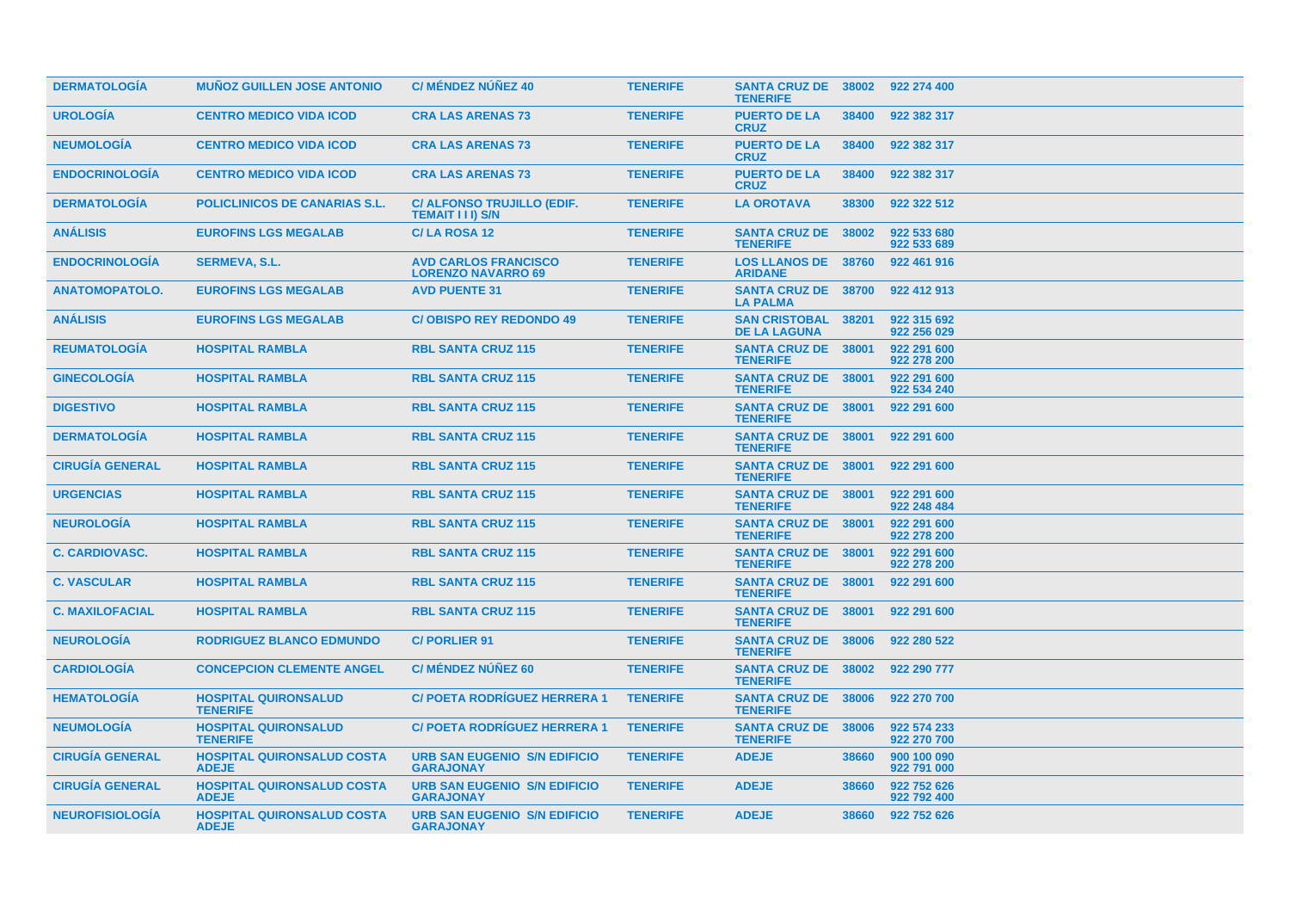| <b>DERMATOLOGIA</b>    | <b>MUNOZ GUILLEN JOSE ANTONIO</b>                 | <b>C/ MÉNDEZ NÚÑEZ 40</b>                                | <b>TENERIFE</b> | <b>SANTA CRUZ DE 38002</b><br><b>TENERIFE</b>     |       | 922 274 400                |
|------------------------|---------------------------------------------------|----------------------------------------------------------|-----------------|---------------------------------------------------|-------|----------------------------|
| <b>UROLOGÍA</b>        | <b>CENTRO MEDICO VIDA ICOD</b>                    | <b>CRA LAS ARENAS 73</b>                                 | <b>TENERIFE</b> | <b>PUERTO DE LA</b><br><b>CRUZ</b>                | 38400 | 922 382 317                |
| <b>NEUMOLOGIA</b>      | <b>CENTRO MEDICO VIDA ICOD</b>                    | <b>CRA LAS ARENAS 73</b>                                 | <b>TENERIFE</b> | <b>PUERTO DE LA</b><br><b>CRUZ</b>                | 38400 | 922 382 317                |
| <b>ENDOCRINOLOGIA</b>  | <b>CENTRO MEDICO VIDA ICOD</b>                    | <b>CRA LAS ARENAS 73</b>                                 | <b>TENERIFE</b> | <b>PUERTO DE LA</b><br><b>CRUZ</b>                | 38400 | 922 382 317                |
| <b>DERMATOLOGIA</b>    | <b>POLICLINICOS DE CANARIAS S.L.</b>              | C/ ALFONSO TRUJILLO (EDIF.<br><b>TEMAIT III) S/N</b>     | <b>TENERIFE</b> | <b>LA OROTAVA</b>                                 | 38300 | 922 322 512                |
| <b>ANÁLISIS</b>        | <b>EUROFINS LGS MEGALAB</b>                       | C/LA ROSA 12                                             | <b>TENERIFE</b> | <b>SANTA CRUZ DE 38002</b><br><b>TENERIFE</b>     |       | 922 533 680<br>922 533 689 |
| <b>ENDOCRINOLOGIA</b>  | <b>SERMEVA, S.L.</b>                              | <b>AVD CARLOS FRANCISCO</b><br><b>LORENZO NAVARRO 69</b> | <b>TENERIFE</b> | <b>LOS LLANOS DE 38760</b><br><b>ARIDANE</b>      |       | 922 461 916                |
| <b>ANATOMOPATOLO.</b>  | <b>EUROFINS LGS MEGALAB</b>                       | <b>AVD PUENTE 31</b>                                     | <b>TENERIFE</b> | <b>SANTA CRUZ DE 38700</b><br><b>LA PALMA</b>     |       | 922 412 913                |
| <b>ANALISIS</b>        | <b>EUROFINS LGS MEGALAB</b>                       | <b>C/OBISPO REY REDONDO 49</b>                           | <b>TENERIFE</b> | <b>SAN CRISTOBAL 38201</b><br><b>DE LA LAGUNA</b> |       | 922 315 692<br>922 256 029 |
| <b>REUMATOLOGÍA</b>    | <b>HOSPITAL RAMBLA</b>                            | <b>RBL SANTA CRUZ 115</b>                                | <b>TENERIFE</b> | <b>SANTA CRUZ DE 38001</b><br><b>TENERIFE</b>     |       | 922 291 600<br>922 278 200 |
| <b>GINECOLOGIA</b>     | <b>HOSPITAL RAMBLA</b>                            | <b>RBL SANTA CRUZ 115</b>                                | <b>TENERIFE</b> | <b>SANTA CRUZ DE 38001</b><br><b>TENERIFE</b>     |       | 922 291 600<br>922 534 240 |
| <b>DIGESTIVO</b>       | <b>HOSPITAL RAMBLA</b>                            | <b>RBL SANTA CRUZ 115</b>                                | <b>TENERIFE</b> | <b>SANTA CRUZ DE 38001</b><br><b>TENERIFE</b>     |       | 922 291 600                |
| <b>DERMATOLOGÍA</b>    | <b>HOSPITAL RAMBLA</b>                            | <b>RBL SANTA CRUZ 115</b>                                | <b>TENERIFE</b> | <b>SANTA CRUZ DE 38001</b><br><b>TENERIFE</b>     |       | 922 291 600                |
| <b>CIRUGIA GENERAL</b> | <b>HOSPITAL RAMBLA</b>                            | <b>RBL SANTA CRUZ 115</b>                                | <b>TENERIFE</b> | <b>SANTA CRUZ DE 38001</b><br><b>TENERIFE</b>     |       | 922 291 600                |
| <b>URGENCIAS</b>       | <b>HOSPITAL RAMBLA</b>                            | <b>RBL SANTA CRUZ 115</b>                                | <b>TENERIFE</b> | SANTA CRUZ DE 38001<br><b>TENERIFE</b>            |       | 922 291 600<br>922 248 484 |
| <b>NEUROLOGIA</b>      | <b>HOSPITAL RAMBLA</b>                            | <b>RBL SANTA CRUZ 115</b>                                | <b>TENERIFE</b> | <b>SANTA CRUZ DE 38001</b><br><b>TENERIFE</b>     |       | 922 291 600<br>922 278 200 |
| <b>C. CARDIOVASC.</b>  | <b>HOSPITAL RAMBLA</b>                            | <b>RBL SANTA CRUZ 115</b>                                | <b>TENERIFE</b> | <b>SANTA CRUZ DE 38001</b><br><b>TENERIFE</b>     |       | 922 291 600<br>922 278 200 |
| <b>C. VASCULAR</b>     | <b>HOSPITAL RAMBLA</b>                            | <b>RBL SANTA CRUZ 115</b>                                | <b>TENERIFE</b> | <b>SANTA CRUZ DE 38001</b><br><b>TENERIFE</b>     |       | 922 291 600                |
| <b>C. MAXILOFACIAL</b> | <b>HOSPITAL RAMBLA</b>                            | <b>RBL SANTA CRUZ 115</b>                                | <b>TENERIFE</b> | <b>SANTA CRUZ DE 38001</b><br><b>TENERIFE</b>     |       | 922 291 600                |
| <b>NEUROLOGÍA</b>      | <b>RODRIGUEZ BLANCO EDMUNDO</b>                   | <b>C/PORLIER 91</b>                                      | <b>TENERIFE</b> | <b>SANTA CRUZ DE 38006</b><br><b>TENERIFE</b>     |       | 922 280 522                |
| <b>CARDIOLOGIA</b>     | <b>CONCEPCION CLEMENTE ANGEL</b>                  | <b>C/ MÉNDEZ NÚÑEZ 60</b>                                | <b>TENERIFE</b> | SANTA CRUZ DE 38002<br><b>TENERIFE</b>            |       | 922 290 777                |
| <b>HEMATOLOGIA</b>     | <b>HOSPITAL QUIRONSALUD</b><br><b>TENERIFE</b>    | <b>C/ POETA RODRIGUEZ HERRERA 1</b>                      | <b>TENERIFE</b> | <b>SANTA CRUZ DE 38006</b><br><b>TENERIFE</b>     |       | 922 270 700                |
| <b>NEUMOLOGÍA</b>      | <b>HOSPITAL QUIRONSALUD</b><br><b>TENERIFE</b>    | <b>C/POETA RODRIGUEZ HERRERA 1</b>                       | <b>TENERIFE</b> | <b>SANTA CRUZ DE 38006</b><br><b>TENERIFE</b>     |       | 922 574 233<br>922 270 700 |
| <b>CIRUGÍA GENERAL</b> | <b>HOSPITAL QUIRONSALUD COSTA</b><br><b>ADEJE</b> | <b>URB SAN EUGENIO S/N EDIFICIO</b><br><b>GARAJONAY</b>  | <b>TENERIFE</b> | <b>ADEJE</b>                                      | 38660 | 900 100 090<br>922 791 000 |
| <b>CIRUGÍA GENERAL</b> | <b>HOSPITAL QUIRONSALUD COSTA</b><br><b>ADEJE</b> | <b>URB SAN EUGENIO S/N EDIFICIO</b><br><b>GARAJONAY</b>  | <b>TENERIFE</b> | <b>ADEJE</b>                                      | 38660 | 922 752 626<br>922 792 400 |
| <b>NEUROFISIOLOGIA</b> | <b>HOSPITAL QUIRONSALUD COSTA</b><br><b>ADEJE</b> | <b>URB SAN EUGENIO S/N EDIFICIO</b><br><b>GARAJONAY</b>  | <b>TENERIFE</b> | <b>ADEJE</b>                                      | 38660 | 922 752 626                |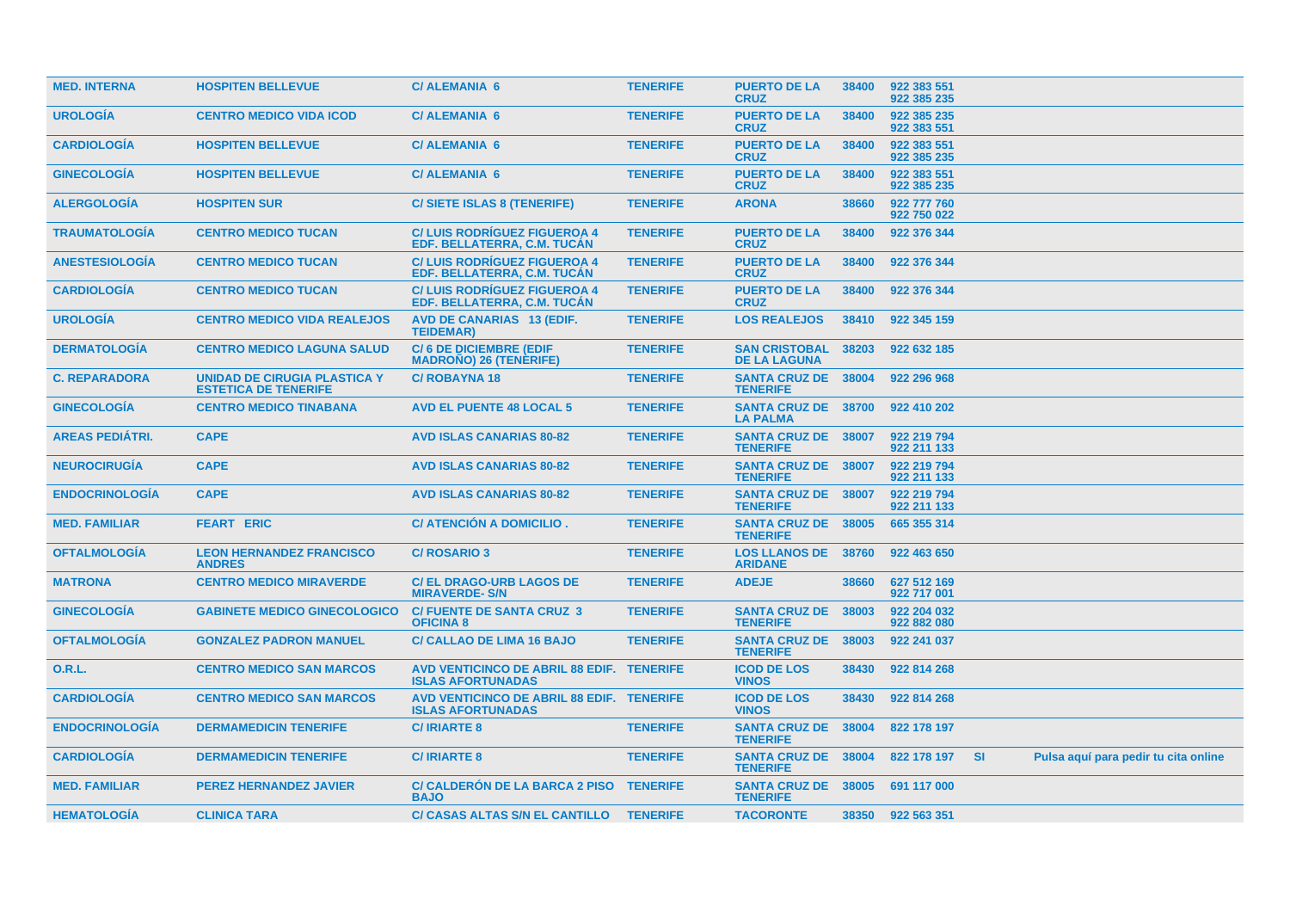| <b>MED. INTERNA</b>    | <b>HOSPITEN BELLEVUE</b>                                    | <b>C/ALEMANIA 6</b>                                                   | <b>TENERIFE</b> | <b>PUERTO DE LA</b><br><b>CRUZ</b>            | 38400 | 922 383 551<br>922 385 235 |           |                                      |  |
|------------------------|-------------------------------------------------------------|-----------------------------------------------------------------------|-----------------|-----------------------------------------------|-------|----------------------------|-----------|--------------------------------------|--|
| <b>UROLOGÍA</b>        | <b>CENTRO MEDICO VIDA ICOD</b>                              | <b>C/ALEMANIA 6</b>                                                   | <b>TENERIFE</b> | <b>PUERTO DE LA</b><br><b>CRUZ</b>            | 38400 | 922 385 235<br>922 383 551 |           |                                      |  |
| <b>CARDIOLOGÍA</b>     | <b>HOSPITEN BELLEVUE</b>                                    | <b>C/ALEMANIA 6</b>                                                   | <b>TENERIFE</b> | <b>PUERTO DE LA</b><br><b>CRUZ</b>            | 38400 | 922 383 551<br>922 385 235 |           |                                      |  |
| <b>GINECOLOGIA</b>     | <b>HOSPITEN BELLEVUE</b>                                    | <b>C/ALEMANIA 6</b>                                                   | <b>TENERIFE</b> | <b>PUERTO DE LA</b><br><b>CRUZ</b>            | 38400 | 922 383 551<br>922 385 235 |           |                                      |  |
| <b>ALERGOLOGIA</b>     | <b>HOSPITEN SUR</b>                                         | <b>C/SIETE ISLAS 8 (TENERIFE)</b>                                     | <b>TENERIFE</b> | <b>ARONA</b>                                  | 38660 | 922 777 760<br>922 750 022 |           |                                      |  |
| <b>TRAUMATOLOGIA</b>   | <b>CENTRO MEDICO TUCAN</b>                                  | <b>C/LUIS RODRIGUEZ FIGUEROA 4</b><br>EDF. BELLATERRA, C.M. TUCAN     | <b>TENERIFE</b> | <b>PUERTO DE LA</b><br><b>CRUZ</b>            | 38400 | 922 376 344                |           |                                      |  |
| <b>ANESTESIOLOGIA</b>  | <b>CENTRO MEDICO TUCAN</b>                                  | <b>C/LUIS RODRIGUEZ FIGUEROA 4</b><br>EDF. BELLATERRA, C.M. TUCAN     | <b>TENERIFE</b> | <b>PUERTO DE LA</b><br><b>CRUZ</b>            | 38400 | 922 376 344                |           |                                      |  |
| <b>CARDIOLOGIA</b>     | <b>CENTRO MEDICO TUCAN</b>                                  | <b>C/LUIS RODRIGUEZ FIGUEROA 4</b><br>EDF. BELLATERRA. C.M. TUCAN     | <b>TENERIFE</b> | <b>PUERTO DE LA</b><br><b>CRUZ</b>            | 38400 | 922 376 344                |           |                                      |  |
| <b>UROLOGÍA</b>        | <b>CENTRO MEDICO VIDA REALEJOS</b>                          | <b>AVD DE CANARIAS 13 (EDIF.</b><br><b>TEIDEMAR)</b>                  | <b>TENERIFE</b> | <b>LOS REALEJOS</b>                           | 38410 | 922 345 159                |           |                                      |  |
| <b>DERMATOLOGIA</b>    | <b>CENTRO MEDICO LAGUNA SALUD</b>                           | <b>C/6 DE DICIEMBRE (EDIF</b><br><b>MADROÑO) 26 (TENERIFE)</b>        | <b>TENERIFE</b> | <b>SAN CRISTOBAL</b><br><b>DE LA LAGUNA</b>   | 38203 | 922 632 185                |           |                                      |  |
| <b>C. REPARADORA</b>   | UNIDAD DE CIRUGIA PLASTICA Y<br><b>ESTETICA DE TENERIFE</b> | <b>C/ROBAYNA18</b>                                                    | <b>TENERIFE</b> | <b>SANTA CRUZ DE 38004</b><br><b>TENERIFE</b> |       | 922 296 968                |           |                                      |  |
| <b>GINECOLOGÍA</b>     | <b>CENTRO MEDICO TINABANA</b>                               | <b>AVD EL PUENTE 48 LOCAL 5</b>                                       | <b>TENERIFE</b> | SANTA CRUZ DE 38700<br><b>LA PALMA</b>        |       | 922 410 202                |           |                                      |  |
| <b>AREAS PEDIATRI.</b> | <b>CAPE</b>                                                 | <b>AVD ISLAS CANARIAS 80-82</b>                                       | <b>TENERIFE</b> | <b>SANTA CRUZ DE 38007</b><br><b>TENERIFE</b> |       | 922 219 794<br>922 211 133 |           |                                      |  |
| <b>NEUROCIRUGIA</b>    | <b>CAPE</b>                                                 | <b>AVD ISLAS CANARIAS 80-82</b>                                       | <b>TENERIFE</b> | <b>SANTA CRUZ DE</b><br><b>TENERIFE</b>       | 38007 | 922 219 794<br>922 211 133 |           |                                      |  |
| <b>ENDOCRINOLOGÍA</b>  | <b>CAPE</b>                                                 | <b>AVD ISLAS CANARIAS 80-82</b>                                       | <b>TENERIFE</b> | SANTA CRUZ DE 38007<br><b>TENERIFE</b>        |       | 922 219 794<br>922 211 133 |           |                                      |  |
| <b>MED. FAMILIAR</b>   | <b>FEART ERIC</b>                                           | <b>C/ ATENCION A DOMICILIO.</b>                                       | <b>TENERIFE</b> | <b>SANTA CRUZ DE</b><br><b>TENERIFE</b>       | 38005 | 665 355 314                |           |                                      |  |
| <b>OFTALMOLOGÍA</b>    | <b>LEON HERNANDEZ FRANCISCO</b><br><b>ANDRES</b>            | <b>C/ ROSARIO 3</b>                                                   | <b>TENERIFE</b> | <b>LOS LLANOS DE</b><br><b>ARIDANE</b>        | 38760 | 922 463 650                |           |                                      |  |
| <b>MATRONA</b>         | <b>CENTRO MEDICO MIRAVERDE</b>                              | <b>C/EL DRAGO-URB LAGOS DE</b><br><b>MIRAVERDE-S/N</b>                | <b>TENERIFE</b> | <b>ADEJE</b>                                  | 38660 | 627 512 169<br>922 717 001 |           |                                      |  |
| <b>GINECOLOGIA</b>     | <b>GABINETE MEDICO GINECOLOGICO</b>                         | <b>C/FUENTE DE SANTA CRUZ 3</b><br><b>OFICINA 8</b>                   | <b>TENERIFE</b> | <b>SANTA CRUZ DE</b><br><b>TENERIFE</b>       | 38003 | 922 204 032<br>922 882 080 |           |                                      |  |
| <b>OFTALMOLOGÍA</b>    | <b>GONZALEZ PADRON MANUEL</b>                               | <b>C/ CALLAO DE LIMA 16 BAJO</b>                                      | <b>TENERIFE</b> | <b>SANTA CRUZ DE 38003</b><br><b>TENERIFE</b> |       | 922 241 037                |           |                                      |  |
| 0.R.L.                 | <b>CENTRO MEDICO SAN MARCOS</b>                             | AVD VENTICINCO DE ABRIL 88 EDIF. TENERIFE<br><b>ISLAS AFORTUNADAS</b> |                 | <b>ICOD DE LOS</b><br><b>VINOS</b>            | 38430 | 922 814 268                |           |                                      |  |
| <b>CARDIOLOGIA</b>     | <b>CENTRO MEDICO SAN MARCOS</b>                             | AVD VENTICINCO DE ABRIL 88 EDIF. TENERIFE<br><b>ISLAS AFORTUNADAS</b> |                 | <b>ICOD DE LOS</b><br><b>VINOS</b>            | 38430 | 922 814 268                |           |                                      |  |
| <b>ENDOCRINOLOGIA</b>  | <b>DERMAMEDICIN TENERIFE</b>                                | <b>C/IRIARTE 8</b>                                                    | <b>TENERIFE</b> | <b>SANTA CRUZ DE</b><br><b>TENERIFE</b>       | 38004 | 822 178 197                |           |                                      |  |
| <b>CARDIOLOGÍA</b>     | <b>DERMAMEDICIN TENERIFE</b>                                | <b>C/IRIARTE 8</b>                                                    | <b>TENERIFE</b> | <b>SANTA CRUZ DE</b><br><b>TENERIFE</b>       | 38004 | 822 178 197                | <b>SI</b> | Pulsa aquí para pedir tu cita online |  |
| <b>MED. FAMILIAR</b>   | <b>PEREZ HERNANDEZ JAVIER</b>                               | C/ CALDERON DE LA BARCA 2 PISO TENERIFE<br><b>BAJO</b>                |                 | <b>SANTA CRUZ DE</b><br><b>TENERIFE</b>       | 38005 | 691 117 000                |           |                                      |  |
| <b>HEMATOLOGIA</b>     | <b>CLINICA TARA</b>                                         | C/ CASAS ALTAS S/N EL CANTILLO TENERIFE                               |                 | <b>TACORONTE</b>                              |       | 38350 922 563 351          |           |                                      |  |
|                        |                                                             |                                                                       |                 |                                               |       |                            |           |                                      |  |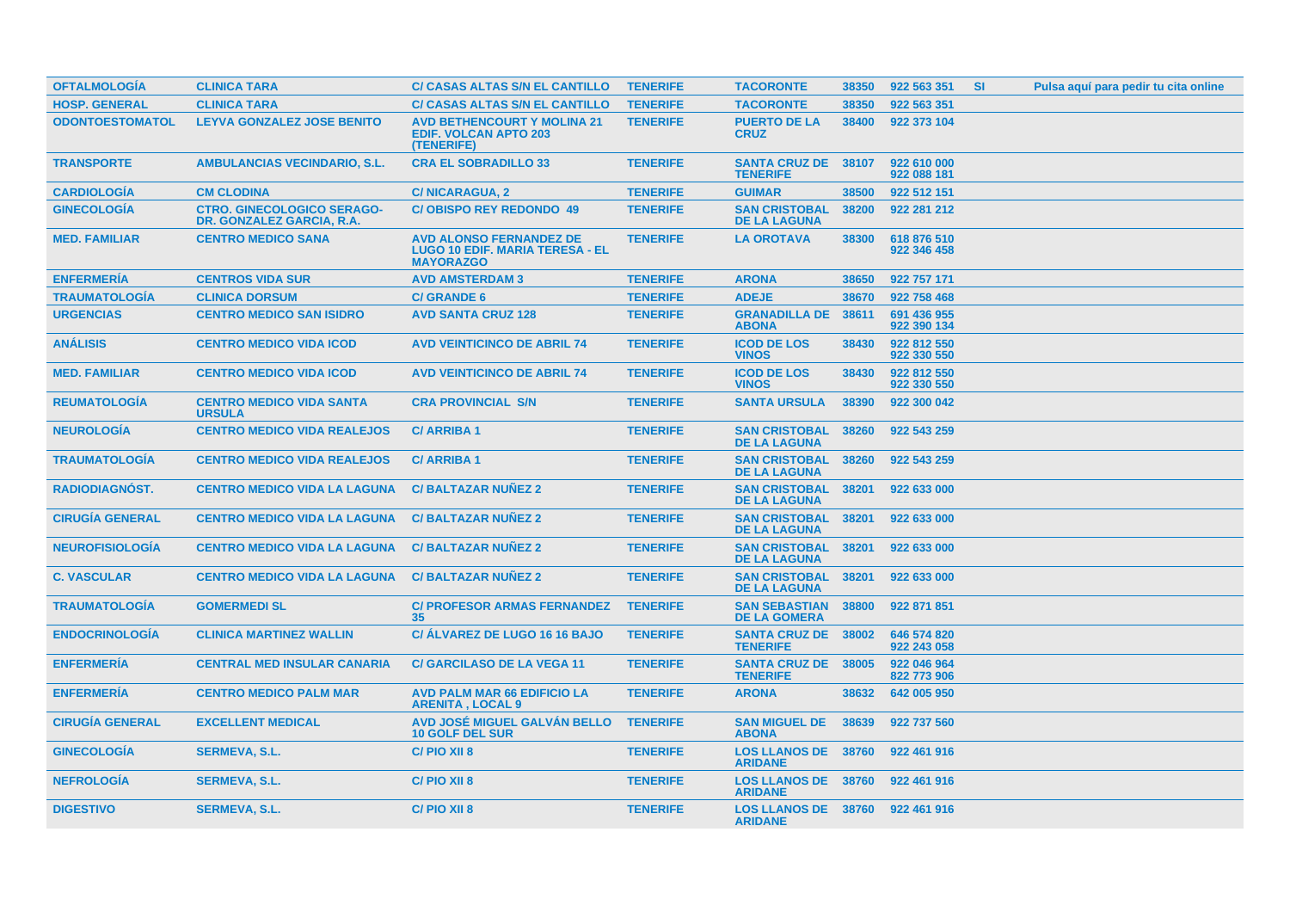| <b>OFTALMOLOGIA</b>    | <b>CLINICA TARA</b>                                            | C/ CASAS ALTAS S/N EL CANTILLO                                                               | <b>TENERIFE</b> | <b>TACORONTE</b>                                  | 38350 | 922 563 351                | <b>SI</b> | Pulsa aquí para pedir tu cita online |  |
|------------------------|----------------------------------------------------------------|----------------------------------------------------------------------------------------------|-----------------|---------------------------------------------------|-------|----------------------------|-----------|--------------------------------------|--|
| <b>HOSP. GENERAL</b>   | <b>CLINICA TARA</b>                                            | <b>C/ CASAS ALTAS S/N EL CANTILLO</b>                                                        | <b>TENERIFE</b> | <b>TACORONTE</b>                                  | 38350 | 922 563 351                |           |                                      |  |
| <b>ODONTOESTOMATOL</b> | <b>LEYVA GONZALEZ JOSE BENITO</b>                              | <b>AVD BETHENCOURT Y MOLINA 21</b><br><b>EDIF. VOLCAN APTO 203</b><br>(TENERIFE)             | <b>TENERIFE</b> | <b>PUERTO DE LA</b><br><b>CRUZ</b>                | 38400 | 922 373 104                |           |                                      |  |
| <b>TRANSPORTE</b>      | <b>AMBULANCIAS VECINDARIO, S.L.</b>                            | <b>CRA EL SOBRADILLO 33</b>                                                                  | <b>TENERIFE</b> | <b>SANTA CRUZ DE</b><br><b>TENERIFE</b>           | 38107 | 922 610 000<br>922 088 181 |           |                                      |  |
| <b>CARDIOLOGÍA</b>     | <b>CM CLODINA</b>                                              | <b>C/NICARAGUA, 2</b>                                                                        | <b>TENERIFE</b> | <b>GUIMAR</b>                                     | 38500 | 922 512 151                |           |                                      |  |
| <b>GINECOLOGÍA</b>     | <b>CTRO. GINECOLOGICO SERAGO-</b><br>DR. GONZALEZ GARCIA, R.A. | <b>C/OBISPO REY REDONDO 49</b>                                                               | <b>TENERIFE</b> | <b>SAN CRISTOBAL</b><br><b>DE LA LAGUNA</b>       | 38200 | 922 281 212                |           |                                      |  |
| <b>MED. FAMILIAR</b>   | <b>CENTRO MEDICO SANA</b>                                      | <b>AVD ALONSO FERNANDEZ DE</b><br><b>LUGO 10 EDIF, MARIA TERESA - EL</b><br><b>MAYORAZGO</b> | <b>TENERIFE</b> | <b>LA OROTAVA</b>                                 | 38300 | 618 876 510<br>922 346 458 |           |                                      |  |
| <b>ENFERMERIA</b>      | <b>CENTROS VIDA SUR</b>                                        | <b>AVD AMSTERDAM 3</b>                                                                       | <b>TENERIFE</b> | <b>ARONA</b>                                      | 38650 | 922 757 171                |           |                                      |  |
| <b>TRAUMATOLOGÍA</b>   | <b>CLINICA DORSUM</b>                                          | <b>C/ GRANDE 6</b>                                                                           | <b>TENERIFE</b> | <b>ADEJE</b>                                      | 38670 | 922 758 468                |           |                                      |  |
| <b>URGENCIAS</b>       | <b>CENTRO MEDICO SAN ISIDRO</b>                                | <b>AVD SANTA CRUZ 128</b>                                                                    | <b>TENERIFE</b> | <b>GRANADILLA DE</b><br><b>ABONA</b>              | 38611 | 691 436 955<br>922 390 134 |           |                                      |  |
| <b>ANÁLISIS</b>        | <b>CENTRO MEDICO VIDA ICOD</b>                                 | <b>AVD VEINTICINCO DE ABRIL 74</b>                                                           | <b>TENERIFE</b> | <b>ICOD DE LOS</b><br><b>VINOS</b>                | 38430 | 922 812 550<br>922 330 550 |           |                                      |  |
| <b>MED. FAMILIAR</b>   | <b>CENTRO MEDICO VIDA ICOD</b>                                 | <b>AVD VEINTICINCO DE ABRIL 74</b>                                                           | <b>TENERIFE</b> | <b>ICOD DE LOS</b><br><b>VINOS</b>                | 38430 | 922 812 550<br>922 330 550 |           |                                      |  |
| <b>REUMATOLOGÍA</b>    | <b>CENTRO MEDICO VIDA SANTA</b><br><b>URSULA</b>               | <b>CRA PROVINCIAL S/N</b>                                                                    | <b>TENERIFE</b> | <b>SANTA URSULA</b>                               | 38390 | 922 300 042                |           |                                      |  |
| <b>NEUROLOGIA</b>      | <b>CENTRO MEDICO VIDA REALEJOS</b>                             | <b>C/ARRIBA1</b>                                                                             | <b>TENERIFE</b> | <b>SAN CRISTOBAL</b><br><b>DE LA LAGUNA</b>       | 38260 | 922 543 259                |           |                                      |  |
| <b>TRAUMATOLOGIA</b>   | <b>CENTRO MEDICO VIDA REALEJOS</b>                             | <b>C/ARRIBA1</b>                                                                             | <b>TENERIFE</b> | <b>SAN CRISTOBAL</b><br><b>DE LA LAGUNA</b>       | 38260 | 922 543 259                |           |                                      |  |
| <b>RADIODIAGNÓST.</b>  | <b>CENTRO MEDICO VIDA LA LAGUNA</b>                            | <b>C/BALTAZAR NUNEZ 2</b>                                                                    | <b>TENERIFE</b> | <b>SAN CRISTOBAL</b><br><b>DE LA LAGUNA</b>       | 38201 | 922 633 000                |           |                                      |  |
| <b>CIRUGIA GENERAL</b> | <b>CENTRO MEDICO VIDA LA LAGUNA</b>                            | <b>C/BALTAZAR NUNEZ 2</b>                                                                    | <b>TENERIFE</b> | <b>SAN CRISTOBAL</b><br><b>DE LA LAGUNA</b>       | 38201 | 922 633 000                |           |                                      |  |
| <b>NEUROFISIOLOGIA</b> | <b>CENTRO MEDICO VIDA LA LAGUNA</b>                            | <b>C/BALTAZAR NUNEZ 2</b>                                                                    | <b>TENERIFE</b> | <b>SAN CRISTOBAL</b><br><b>DE LA LAGUNA</b>       | 38201 | 922 633 000                |           |                                      |  |
| <b>C. VASCULAR</b>     | <b>CENTRO MEDICO VIDA LA LAGUNA</b>                            | <b>C/BALTAZAR NUNEZ 2</b>                                                                    | <b>TENERIFE</b> | <b>SAN CRISTOBAL</b><br><b>DE LA LAGUNA</b>       | 38201 | 922 633 000                |           |                                      |  |
| <b>TRAUMATOLOGÍA</b>   | <b>GOMERMEDI SL</b>                                            | <b>C/ PROFESOR ARMAS FERNANDEZ</b><br>35                                                     | <b>TENERIFE</b> | <b>SAN SEBASTIAN</b><br><b>DE LA GOMERA</b>       | 38800 | 922 871 851                |           |                                      |  |
| <b>ENDOCRINOLOGIA</b>  | <b>CLINICA MARTINEZ WALLIN</b>                                 | C/ ALVAREZ DE LUGO 16 16 BAJO                                                                | <b>TENERIFE</b> | <b>SANTA CRUZ DE 38002</b><br><b>TENERIFE</b>     |       | 646 574 820<br>922 243 058 |           |                                      |  |
| <b>ENFERMERIA</b>      | <b>CENTRAL MED INSULAR CANARIA</b>                             | <b>C/ GARCILASO DE LA VEGA 11</b>                                                            | <b>TENERIFE</b> | <b>SANTA CRUZ DE</b><br><b>TENERIFE</b>           | 38005 | 922 046 964<br>822 773 906 |           |                                      |  |
| <b>ENFERMERÍA</b>      | <b>CENTRO MEDICO PALM MAR</b>                                  | <b>AVD PALM MAR 66 EDIFICIO LA</b><br><b>ARENITA, LOCAL 9</b>                                | <b>TENERIFE</b> | <b>ARONA</b>                                      | 38632 | 642 005 950                |           |                                      |  |
| <b>CIRUGÍA GENERAL</b> | <b>EXCELLENT MEDICAL</b>                                       | AVD JOSÉ MIGUEL GALVÁN BELLO<br><b>10 GOLF DEL SUR</b>                                       | <b>TENERIFE</b> | <b>SAN MIGUEL DE</b><br><b>ABONA</b>              | 38639 | 922 737 560                |           |                                      |  |
| <b>GINECOLOGÍA</b>     | <b>SERMEVA, S.L.</b>                                           | C/PIO XII 8                                                                                  | <b>TENERIFE</b> | <b>LOS LLANOS DE 38760</b><br><b>ARIDANE</b>      |       | 922 461 916                |           |                                      |  |
| <b>NEFROLOGÍA</b>      | <b>SERMEVA, S.L.</b>                                           | C/PIO XII 8                                                                                  | <b>TENERIFE</b> | <b>LOS LLANOS DE 38760</b><br><b>ARIDANE</b>      |       | 922 461 916                |           |                                      |  |
| <b>DIGESTIVO</b>       | <b>SERMEVA, S.L.</b>                                           | C/PIO XII 8                                                                                  | <b>TENERIFE</b> | LOS LLANOS DE 38760 922 461 916<br><b>ARIDANE</b> |       |                            |           |                                      |  |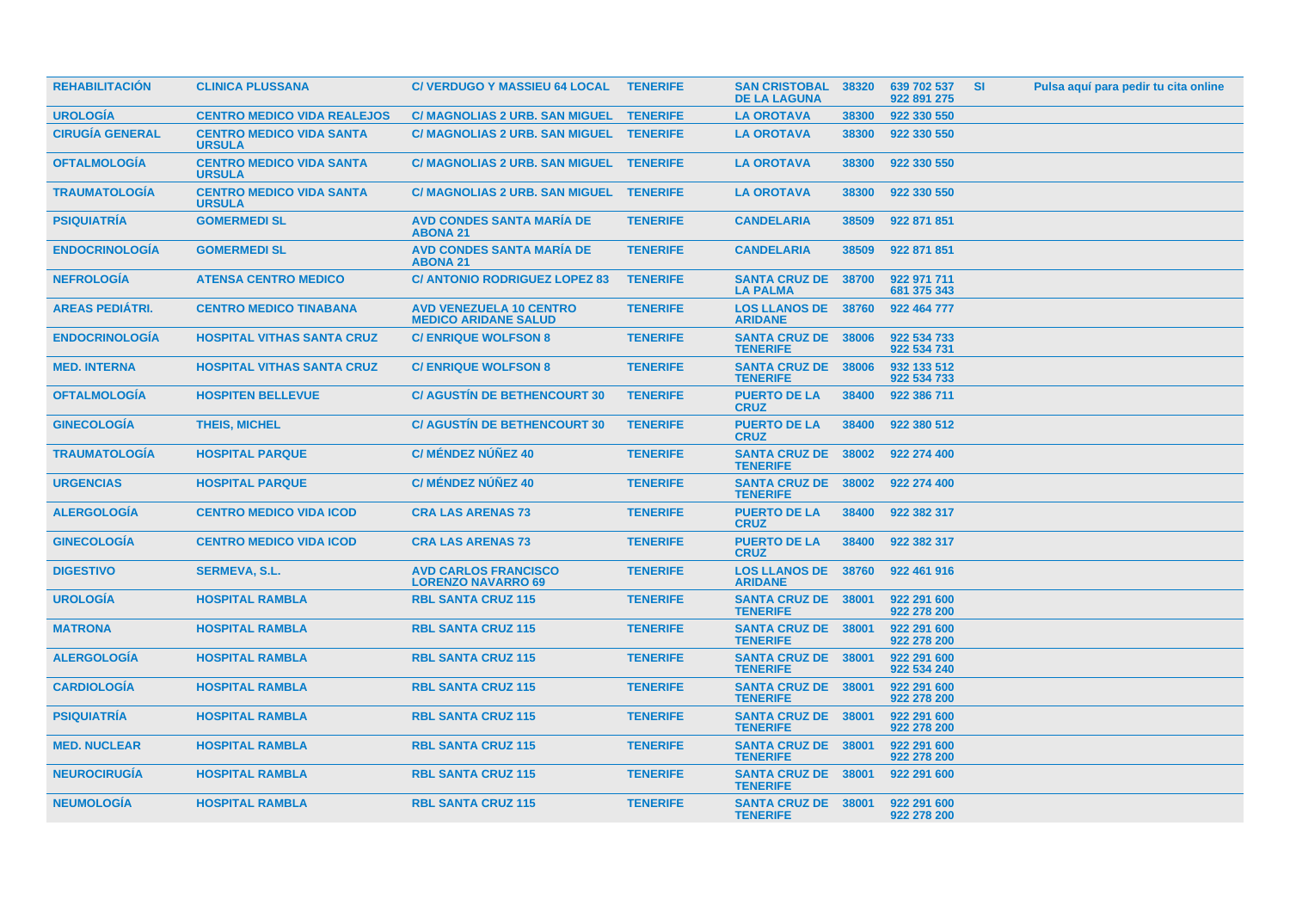| <b>REHABILITACION</b>  | <b>CLINICA PLUSSANA</b>                          | <b>C/ VERDUGO Y MASSIEU 64 LOCAL</b>                          | <b>TENERIFE</b> | <b>SAN CRISTOBAL</b><br><b>DE LA LAGUNA</b>   | 38320 | 639 702 537<br>922 891 275 | <b>SI</b> | Pulsa aquí para pedir tu cita online |
|------------------------|--------------------------------------------------|---------------------------------------------------------------|-----------------|-----------------------------------------------|-------|----------------------------|-----------|--------------------------------------|
| <b>UROLOGIA</b>        | <b>CENTRO MEDICO VIDA REALEJOS</b>               | C/ MAGNOLIAS 2 URB. SAN MIGUEL TENERIFE                       |                 | <b>LA OROTAVA</b>                             | 38300 | 922 330 550                |           |                                      |
| <b>CIRUGÍA GENERAL</b> | <b>CENTRO MEDICO VIDA SANTA</b><br><b>URSULA</b> | C/ MAGNOLIAS 2 URB. SAN MIGUEL TENERIFE                       |                 | <b>LA OROTAVA</b>                             | 38300 | 922 330 550                |           |                                      |
| <b>OFTALMOLOGIA</b>    | <b>CENTRO MEDICO VIDA SANTA</b><br><b>URSULA</b> | C/ MAGNOLIAS 2 URB. SAN MIGUEL TENERIFE                       |                 | <b>LA OROTAVA</b>                             | 38300 | 922 330 550                |           |                                      |
| <b>TRAUMATOLOGIA</b>   | <b>CENTRO MEDICO VIDA SANTA</b><br><b>URSULA</b> | C/ MAGNOLIAS 2 URB. SAN MIGUEL TENERIFE                       |                 | <b>LA OROTAVA</b>                             | 38300 | 922 330 550                |           |                                      |
| <b>PSIQUIATRIA</b>     | <b>GOMERMEDI SL</b>                              | <b>AVD CONDES SANTA MARIA DE</b><br><b>ABONA 21</b>           | <b>TENERIFE</b> | <b>CANDELARIA</b>                             | 38509 | 922 871 851                |           |                                      |
| <b>ENDOCRINOLOGÍA</b>  | <b>GOMERMEDI SL</b>                              | <b>AVD CONDES SANTA MARIA DE</b><br><b>ABONA 21</b>           | <b>TENERIFE</b> | <b>CANDELARIA</b>                             | 38509 | 922 871 851                |           |                                      |
| <b>NEFROLOGIA</b>      | <b>ATENSA CENTRO MEDICO</b>                      | <b>C/ ANTONIO RODRIGUEZ LOPEZ 83</b>                          | <b>TENERIFE</b> | <b>SANTA CRUZ DE</b><br><b>LA PALMA</b>       | 38700 | 922 971 711<br>681 375 343 |           |                                      |
| <b>AREAS PEDIATRI.</b> | <b>CENTRO MEDICO TINABANA</b>                    | <b>AVD VENEZUELA 10 CENTRO</b><br><b>MEDICO ARIDANE SALUD</b> | <b>TENERIFE</b> | <b>LOS LLANOS DE 38760</b><br><b>ARIDANE</b>  |       | 922 464 777                |           |                                      |
| <b>ENDOCRINOLOGIA</b>  | <b>HOSPITAL VITHAS SANTA CRUZ</b>                | <b>C/ENRIQUE WOLFSON 8</b>                                    | <b>TENERIFE</b> | <b>SANTA CRUZ DE 38006</b><br><b>TENERIFE</b> |       | 922 534 733<br>922 534 731 |           |                                      |
| <b>MED. INTERNA</b>    | <b>HOSPITAL VITHAS SANTA CRUZ</b>                | <b>C/ ENRIQUE WOLFSON 8</b>                                   | <b>TENERIFE</b> | <b>SANTA CRUZ DE 38006</b><br><b>TENERIFE</b> |       | 932 133 512<br>922 534 733 |           |                                      |
| <b>OFTALMOLOGIA</b>    | <b>HOSPITEN BELLEVUE</b>                         | <b>C/ AGUSTIN DE BETHENCOURT 30</b>                           | <b>TENERIFE</b> | <b>PUERTO DE LA</b><br><b>CRUZ</b>            | 38400 | 922 386 711                |           |                                      |
| <b>GINECOLOGIA</b>     | <b>THEIS, MICHEL</b>                             | <b>C/ AGUSTIN DE BETHENCOURT 30</b>                           | <b>TENERIFE</b> | <b>PUERTO DE LA</b><br><b>CRUZ</b>            | 38400 | 922 380 512                |           |                                      |
| <b>TRAUMATOLOGÍA</b>   | <b>HOSPITAL PARQUE</b>                           | <b>C/ MÉNDEZ NÚÑEZ 40</b>                                     | <b>TENERIFE</b> | SANTA CRUZ DE 38002<br><b>TENERIFE</b>        |       | 922 274 400                |           |                                      |
| <b>URGENCIAS</b>       | <b>HOSPITAL PARQUE</b>                           | <b>C/ MÉNDEZ NÚÑEZ 40</b>                                     | <b>TENERIFE</b> | <b>SANTA CRUZ DE 38002</b><br><b>TENERIFE</b> |       | 922 274 400                |           |                                      |
| <b>ALERGOLOGIA</b>     | <b>CENTRO MEDICO VIDA ICOD</b>                   | <b>CRA LAS ARENAS 73</b>                                      | <b>TENERIFE</b> | <b>PUERTO DE LA</b><br><b>CRUZ</b>            | 38400 | 922 382 317                |           |                                      |
| <b>GINECOLOGIA</b>     | <b>CENTRO MEDICO VIDA ICOD</b>                   | <b>CRA LAS ARENAS 73</b>                                      | <b>TENERIFE</b> | <b>PUERTO DE LA</b><br><b>CRUZ</b>            | 38400 | 922 382 317                |           |                                      |
| <b>DIGESTIVO</b>       | <b>SERMEVA, S.L.</b>                             | <b>AVD CARLOS FRANCISCO</b><br><b>LORENZO NAVARRO 69</b>      | <b>TENERIFE</b> | <b>LOS LLANOS DE</b><br><b>ARIDANE</b>        | 38760 | 922 461 916                |           |                                      |
| <b>UROLOGIA</b>        | <b>HOSPITAL RAMBLA</b>                           | <b>RBL SANTA CRUZ 115</b>                                     | <b>TENERIFE</b> | <b>SANTA CRUZ DE 38001</b><br><b>TENERIFE</b> |       | 922 291 600<br>922 278 200 |           |                                      |
| <b>MATRONA</b>         | <b>HOSPITAL RAMBLA</b>                           | <b>RBL SANTA CRUZ 115</b>                                     | <b>TENERIFE</b> | <b>SANTA CRUZ DE 38001</b><br><b>TENERIFE</b> |       | 922 291 600<br>922 278 200 |           |                                      |
| <b>ALERGOLOGIA</b>     | <b>HOSPITAL RAMBLA</b>                           | <b>RBL SANTA CRUZ 115</b>                                     | <b>TENERIFE</b> | <b>SANTA CRUZ DE 38001</b><br><b>TENERIFE</b> |       | 922 291 600<br>922 534 240 |           |                                      |
| <b>CARDIOLOGIA</b>     | <b>HOSPITAL RAMBLA</b>                           | <b>RBL SANTA CRUZ 115</b>                                     | <b>TENERIFE</b> | <b>SANTA CRUZ DE 38001</b><br><b>TENERIFE</b> |       | 922 291 600<br>922 278 200 |           |                                      |
| <b>PSIQUIATRIA</b>     | <b>HOSPITAL RAMBLA</b>                           | <b>RBL SANTA CRUZ 115</b>                                     | <b>TENERIFE</b> | <b>SANTA CRUZ DE 38001</b><br><b>TENERIFE</b> |       | 922 291 600<br>922 278 200 |           |                                      |
| <b>MED. NUCLEAR</b>    | <b>HOSPITAL RAMBLA</b>                           | <b>RBL SANTA CRUZ 115</b>                                     | <b>TENERIFE</b> | <b>SANTA CRUZ DE 38001</b><br><b>TENERIFE</b> |       | 922 291 600<br>922 278 200 |           |                                      |
| <b>NEUROCIRUGIA</b>    | <b>HOSPITAL RAMBLA</b>                           | <b>RBL SANTA CRUZ 115</b>                                     | <b>TENERIFE</b> | <b>SANTA CRUZ DE 38001</b><br><b>TENERIFE</b> |       | 922 291 600                |           |                                      |
| <b>NEUMOLOGÍA</b>      | <b>HOSPITAL RAMBLA</b>                           | <b>RBL SANTA CRUZ 115</b>                                     | <b>TENERIFE</b> | SANTA CRUZ DE 38001<br><b>TENERIFE</b>        |       | 922 291 600<br>922 278 200 |           |                                      |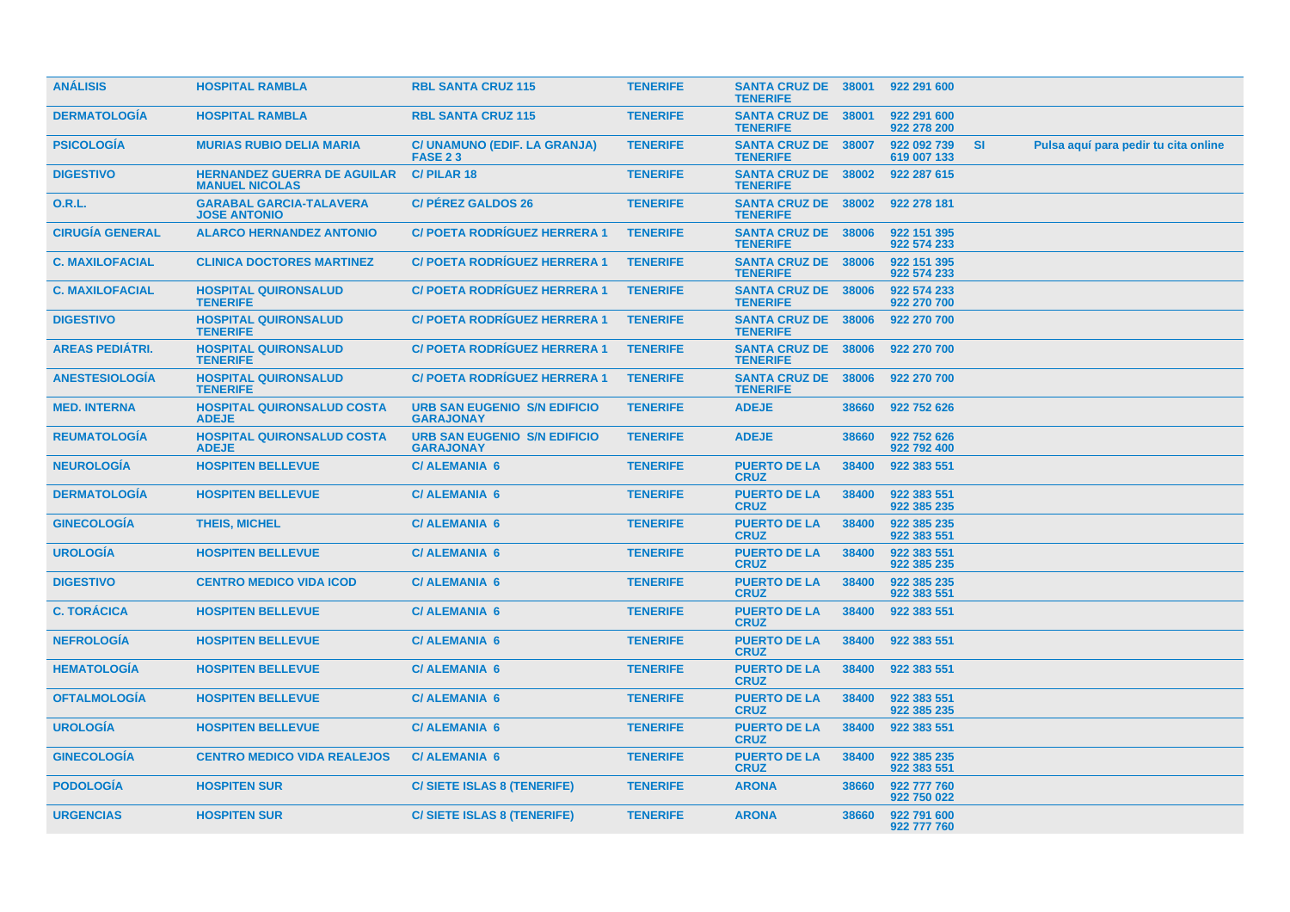| <b>ANÁLISIS</b>        | <b>HOSPITAL RAMBLA</b>                                      | <b>RBL SANTA CRUZ 115</b>                               | <b>TENERIFE</b> | <b>SANTA CRUZ DE 38001</b><br><b>TENERIFE</b> |       | 922 291 600                |           |                                      |
|------------------------|-------------------------------------------------------------|---------------------------------------------------------|-----------------|-----------------------------------------------|-------|----------------------------|-----------|--------------------------------------|
| <b>DERMATOLOGÍA</b>    | <b>HOSPITAL RAMBLA</b>                                      | <b>RBL SANTA CRUZ 115</b>                               | <b>TENERIFE</b> | SANTA CRUZ DE 38001<br><b>TENERIFE</b>        |       | 922 291 600<br>922 278 200 |           |                                      |
| <b>PSICOLOGIA</b>      | <b>MURIAS RUBIO DELIA MARIA</b>                             | C/ UNAMUNO (EDIF. LA GRANJA)<br><b>FASE 23</b>          | <b>TENERIFE</b> | <b>SANTA CRUZ DE</b><br><b>TENERIFE</b>       | 38007 | 922 092 739<br>619 007 133 | <b>SI</b> | Pulsa aquí para pedir tu cita online |
| <b>DIGESTIVO</b>       | <b>HERNANDEZ GUERRA DE AGUILAR</b><br><b>MANUEL NICOLAS</b> | <b>C/PILAR18</b>                                        | <b>TENERIFE</b> | <b>SANTA CRUZ DE</b><br><b>TENERIFE</b>       | 38002 | 922 287 615                |           |                                      |
| 0.R.L.                 | <b>GARABAL GARCIA-TALAVERA</b><br><b>JOSE ANTONIO</b>       | <b>C/ PEREZ GALDOS 26</b>                               | <b>TENERIFE</b> | <b>SANTA CRUZ DE</b><br><b>TENERIFE</b>       | 38002 | 922 278 181                |           |                                      |
| <b>CIRUGÍA GENERAL</b> | <b>ALARCO HERNANDEZ ANTONIO</b>                             | <b>C/POETA RODRIGUEZ HERRERA 1</b>                      | <b>TENERIFE</b> | SANTA CRUZ DE 38006<br><b>TENERIFE</b>        |       | 922 151 395<br>922 574 233 |           |                                      |
| <b>C. MAXILOFACIAL</b> | <b>CLINICA DOCTORES MARTINEZ</b>                            | <b>C/POETA RODRIGUEZ HERRERA 1</b>                      | <b>TENERIFE</b> | <b>SANTA CRUZ DE 38006</b><br><b>TENERIFE</b> |       | 922 151 395<br>922 574 233 |           |                                      |
| <b>C. MAXILOFACIAL</b> | <b>HOSPITAL QUIRONSALUD</b><br><b>TENERIFE</b>              | <b>C/ POETA RODRIGUEZ HERRERA 1</b>                     | <b>TENERIFE</b> | SANTA CRUZ DE 38006<br><b>TENERIFE</b>        |       | 922 574 233<br>922 270 700 |           |                                      |
| <b>DIGESTIVO</b>       | <b>HOSPITAL QUIRONSALUD</b><br><b>TENERIFE</b>              | <b>C/ POETA RODRIGUEZ HERRERA 1</b>                     | <b>TENERIFE</b> | <b>SANTA CRUZ DE 38006</b><br><b>TENERIFE</b> |       | 922 270 700                |           |                                      |
| AREAS PEDIÁTRI.        | <b>HOSPITAL QUIRONSALUD</b><br><b>TENERIFE</b>              | <b>C/POETA RODRIGUEZ HERRERA 1</b>                      | <b>TENERIFE</b> | <b>SANTA CRUZ DE 38006</b><br><b>TENERIFE</b> |       | 922 270 700                |           |                                      |
| <b>ANESTESIOLOGIA</b>  | <b>HOSPITAL QUIRONSALUD</b><br><b>TENERIFE</b>              | <b>C/ POETA RODRIGUEZ HERRERA 1</b>                     | <b>TENERIFE</b> | <b>SANTA CRUZ DE 38006</b><br><b>TENERIFE</b> |       | 922 270 700                |           |                                      |
| <b>MED. INTERNA</b>    | <b>HOSPITAL QUIRONSALUD COSTA</b><br><b>ADEJE</b>           | <b>URB SAN EUGENIO S/N EDIFICIO</b><br><b>GARAJONAY</b> | <b>TENERIFE</b> | <b>ADEJE</b>                                  | 38660 | 922 752 626                |           |                                      |
| <b>REUMATOLOGIA</b>    | <b>HOSPITAL QUIRONSALUD COSTA</b><br><b>ADEJE</b>           | <b>URB SAN EUGENIO S/N EDIFICIO</b><br><b>GARAJONAY</b> | <b>TENERIFE</b> | <b>ADEJE</b>                                  | 38660 | 922 752 626<br>922 792 400 |           |                                      |
| <b>NEUROLOGIA</b>      | <b>HOSPITEN BELLEVUE</b>                                    | <b>C/ALEMANIA 6</b>                                     | <b>TENERIFE</b> | <b>PUERTO DE LA</b><br><b>CRUZ</b>            | 38400 | 922 383 551                |           |                                      |
| <b>DERMATOLOGIA</b>    | <b>HOSPITEN BELLEVUE</b>                                    | <b>C/ALEMANIA 6</b>                                     | <b>TENERIFE</b> | <b>PUERTO DE LA</b><br><b>CRUZ</b>            | 38400 | 922 383 551<br>922 385 235 |           |                                      |
| <b>GINECOLOGÍA</b>     | <b>THEIS, MICHEL</b>                                        | <b>C/ALEMANIA 6</b>                                     | <b>TENERIFE</b> | <b>PUERTO DE LA</b><br><b>CRUZ</b>            | 38400 | 922 385 235<br>922 383 551 |           |                                      |
| <b>UROLOGIA</b>        | <b>HOSPITEN BELLEVUE</b>                                    | <b>C/ALEMANIA 6</b>                                     | <b>TENERIFE</b> | <b>PUERTO DE LA</b><br><b>CRUZ</b>            | 38400 | 922 383 551<br>922 385 235 |           |                                      |
| <b>DIGESTIVO</b>       | <b>CENTRO MEDICO VIDA ICOD</b>                              | <b>C/ALEMANIA 6</b>                                     | <b>TENERIFE</b> | <b>PUERTO DE LA</b><br><b>CRUZ</b>            | 38400 | 922 385 235<br>922 383 551 |           |                                      |
| <b>C. TORÁCICA</b>     | <b>HOSPITEN BELLEVUE</b>                                    | <b>C/ALEMANIA 6</b>                                     | <b>TENERIFE</b> | <b>PUERTO DE LA</b><br><b>CRUZ</b>            | 38400 | 922 383 551                |           |                                      |
| <b>NEFROLOGÍA</b>      | <b>HOSPITEN BELLEVUE</b>                                    | <b>C/ ALEMANIA 6</b>                                    | <b>TENERIFE</b> | <b>PUERTO DE LA</b><br><b>CRUZ</b>            | 38400 | 922 383 551                |           |                                      |
| <b>HEMATOLOGIA</b>     | <b>HOSPITEN BELLEVUE</b>                                    | <b>C/ALEMANIA 6</b>                                     | <b>TENERIFE</b> | <b>PUERTO DE LA</b><br><b>CRUZ</b>            | 38400 | 922 383 551                |           |                                      |
| <b>OFTALMOLOGÍA</b>    | <b>HOSPITEN BELLEVUE</b>                                    | <b>C/ALEMANIA 6</b>                                     | <b>TENERIFE</b> | <b>PUERTO DE LA</b><br><b>CRUZ</b>            | 38400 | 922 383 551<br>922 385 235 |           |                                      |
| <b>UROLOGIA</b>        | <b>HOSPITEN BELLEVUE</b>                                    | <b>C/ALEMANIA 6</b>                                     | <b>TENERIFE</b> | <b>PUERTO DE LA</b><br><b>CRUZ</b>            | 38400 | 922 383 551                |           |                                      |
| <b>GINECOLOGÍA</b>     | <b>CENTRO MEDICO VIDA REALEJOS</b>                          | <b>C/ALEMANIA 6</b>                                     | <b>TENERIFE</b> | <b>PUERTO DE LA</b><br><b>CRUZ</b>            | 38400 | 922 385 235<br>922 383 551 |           |                                      |
| <b>PODOLOGIA</b>       | <b>HOSPITEN SUR</b>                                         | C/ SIETE ISLAS 8 (TENERIFE)                             | <b>TENERIFE</b> | <b>ARONA</b>                                  | 38660 | 922 777 760<br>922 750 022 |           |                                      |
| <b>URGENCIAS</b>       | <b>HOSPITEN SUR</b>                                         | C/ SIETE ISLAS 8 (TENERIFE)                             | <b>TENERIFE</b> | <b>ARONA</b>                                  | 38660 | 922 791 600<br>922 777 760 |           |                                      |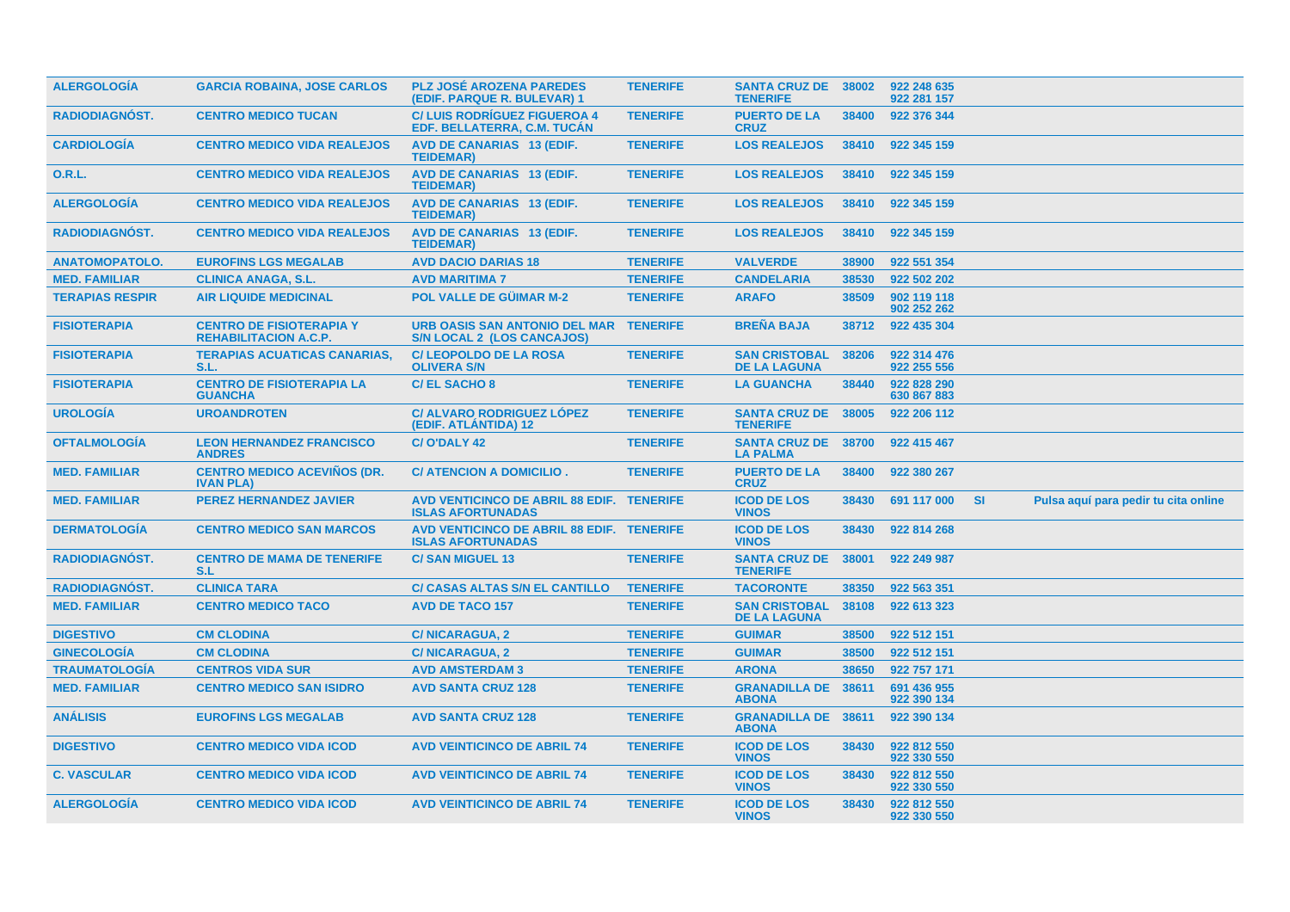| <b>ALERGOLOGIA</b>     | <b>GARCIA ROBAINA, JOSE CARLOS</b>                              | <b>PLZ JOSÉ AROZENA PAREDES</b><br>(EDIF. PARQUE R. BULEVAR) 1              | <b>TENERIFE</b> | <b>SANTA CRUZ DE 38002</b><br><b>TENERIFE</b> |       | 922 248 635<br>922 281 157 |           |                                      |  |
|------------------------|-----------------------------------------------------------------|-----------------------------------------------------------------------------|-----------------|-----------------------------------------------|-------|----------------------------|-----------|--------------------------------------|--|
| <b>RADIODIAGNOST.</b>  | <b>CENTRO MEDICO TUCAN</b>                                      | <b>C/LUIS RODRIGUEZ FIGUEROA 4</b><br>EDF. BELLATERRA, C.M. TUCAN           | <b>TENERIFE</b> | <b>PUERTO DE LA</b><br><b>CRUZ</b>            | 38400 | 922 376 344                |           |                                      |  |
| <b>CARDIOLOGIA</b>     | <b>CENTRO MEDICO VIDA REALEJOS</b>                              | <b>AVD DE CANARIAS 13 (EDIF.</b><br><b>TEIDEMAR)</b>                        | <b>TENERIFE</b> | <b>LOS REALEJOS</b>                           | 38410 | 922 345 159                |           |                                      |  |
| 0.R.L.                 | <b>CENTRO MEDICO VIDA REALEJOS</b>                              | <b>AVD DE CANARIAS 13 (EDIF.</b><br><b>TEIDEMAR)</b>                        | <b>TENERIFE</b> | <b>LOS REALEJOS</b>                           | 38410 | 922 345 159                |           |                                      |  |
| <b>ALERGOLOGÍA</b>     | <b>CENTRO MEDICO VIDA REALEJOS</b>                              | <b>AVD DE CANARIAS 13 (EDIF.</b><br><b>TEIDEMAR)</b>                        | <b>TENERIFE</b> | <b>LOS REALEJOS</b>                           | 38410 | 922 345 159                |           |                                      |  |
| <b>RADIODIAGNÓST.</b>  | <b>CENTRO MEDICO VIDA REALEJOS</b>                              | <b>AVD DE CANARIAS 13 (EDIF.</b><br><b>TEIDEMAR)</b>                        | <b>TENERIFE</b> | <b>LOS REALEJOS</b>                           | 38410 | 922 345 159                |           |                                      |  |
| <b>ANATOMOPATOLO.</b>  | <b>EUROFINS LGS MEGALAB</b>                                     | <b>AVD DACIO DARIAS 18</b>                                                  | <b>TENERIFE</b> | <b>VALVERDE</b>                               | 38900 | 922 551 354                |           |                                      |  |
| <b>MED. FAMILIAR</b>   | <b>CLINICA ANAGA, S.L.</b>                                      | <b>AVD MARITIMA 7</b>                                                       | <b>TENERIFE</b> | <b>CANDELARIA</b>                             | 38530 | 922 502 202                |           |                                      |  |
| <b>TERAPIAS RESPIR</b> | <b>AIR LIQUIDE MEDICINAL</b>                                    | POL VALLE DE GÜIMAR M-2                                                     | <b>TENERIFE</b> | <b>ARAFO</b>                                  | 38509 | 902 119 118<br>902 252 262 |           |                                      |  |
| <b>FISIOTERAPIA</b>    | <b>CENTRO DE FISIOTERAPIA Y</b><br><b>REHABILITACION A.C.P.</b> | URB OASIS SAN ANTONIO DEL MAR TENERIFE<br><b>S/N LOCAL 2 (LOS CANCAJOS)</b> |                 | <b>BREÑA BAJA</b>                             | 38712 | 922 435 304                |           |                                      |  |
| <b>FISIOTERAPIA</b>    | <b>TERAPIAS ACUATICAS CANARIAS.</b><br>S.L.                     | <b>C/LEOPOLDO DE LA ROSA</b><br><b>OLIVERA S/N</b>                          | <b>TENERIFE</b> | <b>SAN CRISTOBAL</b><br><b>DE LA LAGUNA</b>   | 38206 | 922 314 476<br>922 255 556 |           |                                      |  |
| <b>FISIOTERAPIA</b>    | <b>CENTRO DE FISIOTERAPIA LA</b><br><b>GUANCHA</b>              | <b>C/EL SACHO 8</b>                                                         | <b>TENERIFE</b> | <b>LA GUANCHA</b>                             | 38440 | 922 828 290<br>630 867 883 |           |                                      |  |
| <b>UROLOGÍA</b>        | <b>UROANDROTEN</b>                                              | <b>C/ ALVARO RODRIGUEZ LÓPEZ</b><br>(EDIF. ATLANTIDA) 12                    | <b>TENERIFE</b> | <b>SANTA CRUZ DE</b><br><b>TENERIFE</b>       | 38005 | 922 206 112                |           |                                      |  |
| <b>OFTALMOLOGÍA</b>    | <b>LEON HERNANDEZ FRANCISCO</b><br><b>ANDRES</b>                | C/O'DALY 42                                                                 | <b>TENERIFE</b> | <b>SANTA CRUZ DE</b><br><b>LA PALMA</b>       | 38700 | 922 415 467                |           |                                      |  |
| <b>MED. FAMILIAR</b>   | <b>CENTRO MEDICO ACEVINOS (DR.</b><br><b>IVAN PLA)</b>          | C/ ATENCION A DOMICILIO.                                                    | <b>TENERIFE</b> | <b>PUERTO DE LA</b><br><b>CRUZ</b>            | 38400 | 922 380 267                |           |                                      |  |
| <b>MED. FAMILIAR</b>   | <b>PEREZ HERNANDEZ JAVIER</b>                                   | AVD VENTICINCO DE ABRIL 88 EDIF. TENERIFE<br><b>ISLAS AFORTUNADAS</b>       |                 | <b>ICOD DE LOS</b><br><b>VINOS</b>            | 38430 | 691 117 000                | <b>SI</b> | Pulsa aquí para pedir tu cita online |  |
| <b>DERMATOLOGIA</b>    | <b>CENTRO MEDICO SAN MARCOS</b>                                 | AVD VENTICINCO DE ABRIL 88 EDIF. TENERIFE<br><b>ISLAS AFORTUNADAS</b>       |                 | <b>ICOD DE LOS</b><br><b>VINOS</b>            | 38430 | 922 814 268                |           |                                      |  |
| <b>RADIODIAGNÓST.</b>  | <b>CENTRO DE MAMA DE TENERIFE</b><br>S.L                        | <b>C/SAN MIGUEL 13</b>                                                      | <b>TENERIFE</b> | <b>SANTA CRUZ DE</b><br><b>TENERIFE</b>       | 38001 | 922 249 987                |           |                                      |  |
| <b>RADIODIAGNÓST.</b>  | <b>CLINICA TARA</b>                                             | <b>C/ CASAS ALTAS S/N EL CANTILLO</b>                                       | <b>TENERIFE</b> | <b>TACORONTE</b>                              | 38350 | 922 563 351                |           |                                      |  |
| <b>MED. FAMILIAR</b>   | <b>CENTRO MEDICO TACO</b>                                       | <b>AVD DE TACO 157</b>                                                      | <b>TENERIFE</b> | <b>SAN CRISTOBAL</b><br><b>DE LA LAGUNA</b>   | 38108 | 922 613 323                |           |                                      |  |
| <b>DIGESTIVO</b>       | <b>CM CLODINA</b>                                               | <b>C/NICARAGUA, 2</b>                                                       | <b>TENERIFE</b> | <b>GUIMAR</b>                                 | 38500 | 922 512 151                |           |                                      |  |
| <b>GINECOLOGÍA</b>     | <b>CM CLODINA</b>                                               | <b>C/NICARAGUA, 2</b>                                                       | <b>TENERIFE</b> | <b>GUIMAR</b>                                 | 38500 | 922 512 151                |           |                                      |  |
| <b>TRAUMATOLOGÍA</b>   | <b>CENTROS VIDA SUR</b>                                         | <b>AVD AMSTERDAM 3</b>                                                      | <b>TENERIFE</b> | <b>ARONA</b>                                  | 38650 | 922 757 171                |           |                                      |  |
| <b>MED. FAMILIAR</b>   | <b>CENTRO MEDICO SAN ISIDRO</b>                                 | <b>AVD SANTA CRUZ 128</b>                                                   | <b>TENERIFE</b> | <b>GRANADILLA DE</b><br><b>ABONA</b>          | 38611 | 691 436 955<br>922 390 134 |           |                                      |  |
| <b>ANÁLISIS</b>        | <b>EUROFINS LGS MEGALAB</b>                                     | <b>AVD SANTA CRUZ 128</b>                                                   | <b>TENERIFE</b> | <b>GRANADILLA DE 38611</b><br><b>ABONA</b>    |       | 922 390 134                |           |                                      |  |
| <b>DIGESTIVO</b>       | <b>CENTRO MEDICO VIDA ICOD</b>                                  | <b>AVD VEINTICINCO DE ABRIL 74</b>                                          | <b>TENERIFE</b> | <b>ICOD DE LOS</b><br><b>VINOS</b>            | 38430 | 922 812 550<br>922 330 550 |           |                                      |  |
| <b>C. VASCULAR</b>     | <b>CENTRO MEDICO VIDA ICOD</b>                                  | <b>AVD VEINTICINCO DE ABRIL 74</b>                                          | <b>TENERIFE</b> | <b>ICOD DE LOS</b><br><b>VINOS</b>            | 38430 | 922 812 550<br>922 330 550 |           |                                      |  |
| <b>ALERGOLOGIA</b>     | <b>CENTRO MEDICO VIDA ICOD</b>                                  | <b>AVD VEINTICINCO DE ABRIL 74</b>                                          | <b>TENERIFE</b> | <b>ICOD DE LOS</b><br><b>VINOS</b>            | 38430 | 922 812 550<br>922 330 550 |           |                                      |  |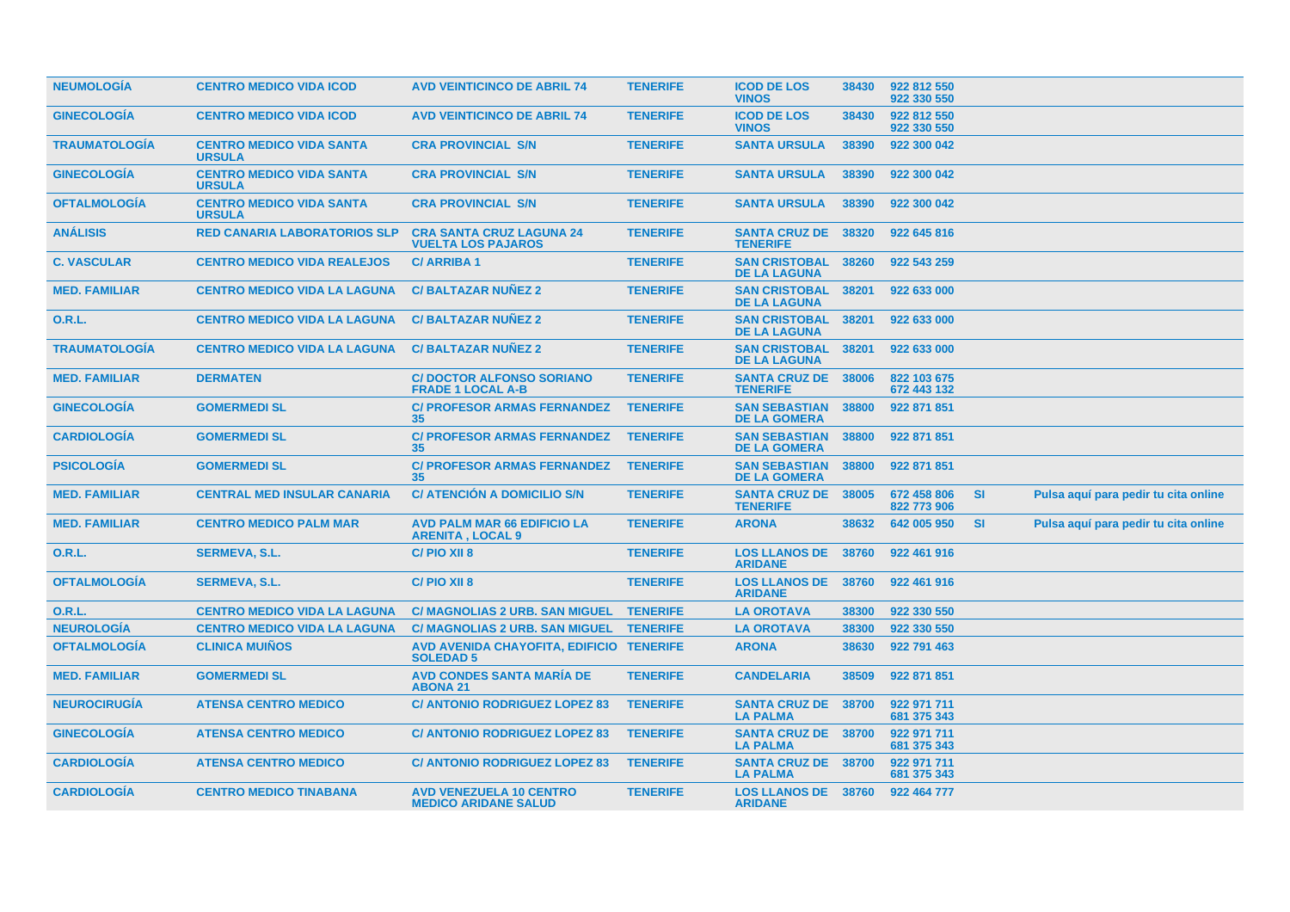| <b>NEUMOLOGIA</b>    | <b>CENTRO MEDICO VIDA ICOD</b>                   | <b>AVD VEINTICINCO DE ABRIL 74</b>                            | <b>TENERIFE</b> | <b>ICOD DE LOS</b><br><b>VINOS</b>                | 38430 | 922 812 550<br>922 330 550 |           |                                      |  |
|----------------------|--------------------------------------------------|---------------------------------------------------------------|-----------------|---------------------------------------------------|-------|----------------------------|-----------|--------------------------------------|--|
| <b>GINECOLOGIA</b>   | <b>CENTRO MEDICO VIDA ICOD</b>                   | <b>AVD VEINTICINCO DE ABRIL 74</b>                            | <b>TENERIFE</b> | <b>ICOD DE LOS</b><br><b>VINOS</b>                | 38430 | 922 812 550<br>922 330 550 |           |                                      |  |
| <b>TRAUMATOLOGIA</b> | <b>CENTRO MEDICO VIDA SANTA</b><br><b>URSULA</b> | <b>CRA PROVINCIAL S/N</b>                                     | <b>TENERIFE</b> | <b>SANTA URSULA</b>                               | 38390 | 922 300 042                |           |                                      |  |
| <b>GINECOLOGIA</b>   | <b>CENTRO MEDICO VIDA SANTA</b><br><b>URSULA</b> | <b>CRA PROVINCIAL S/N</b>                                     | <b>TENERIFE</b> | <b>SANTA URSULA</b>                               | 38390 | 922 300 042                |           |                                      |  |
| <b>OFTALMOLOGIA</b>  | <b>CENTRO MEDICO VIDA SANTA</b><br><b>URSULA</b> | <b>CRA PROVINCIAL S/N</b>                                     | <b>TENERIFE</b> | <b>SANTA URSULA</b>                               | 38390 | 922 300 042                |           |                                      |  |
| <b>ANÁLISIS</b>      | <b>RED CANARIA LABORATORIOS SLP</b>              | <b>CRA SANTA CRUZ LAGUNA 24</b><br><b>VUELTA LOS PAJAROS</b>  | <b>TENERIFE</b> | <b>SANTA CRUZ DE 38320</b><br><b>TENERIFE</b>     |       | 922 645 816                |           |                                      |  |
| <b>C. VASCULAR</b>   | <b>CENTRO MEDICO VIDA REALEJOS</b>               | <b>C/ARRIBA1</b>                                              | <b>TENERIFE</b> | <b>SAN CRISTOBAL 38260</b><br><b>DE LA LAGUNA</b> |       | 922 543 259                |           |                                      |  |
| <b>MED. FAMILIAR</b> | <b>CENTRO MEDICO VIDA LA LAGUNA</b>              | <b>C/BALTAZAR NUNEZ 2</b>                                     | <b>TENERIFE</b> | <b>SAN CRISTOBAL</b><br><b>DE LA LAGUNA</b>       | 38201 | 922 633 000                |           |                                      |  |
| 0.R.L.               | <b>CENTRO MEDICO VIDA LA LAGUNA</b>              | <b>C/BALTAZAR NUNEZ 2</b>                                     | <b>TENERIFE</b> | <b>SAN CRISTOBAL</b><br><b>DE LA LAGUNA</b>       | 38201 | 922 633 000                |           |                                      |  |
| <b>TRAUMATOLOGIA</b> | <b>CENTRO MEDICO VIDA LA LAGUNA</b>              | <b>C/BALTAZAR NUNEZ 2</b>                                     | <b>TENERIFE</b> | <b>SAN CRISTOBAL</b><br><b>DE LA LAGUNA</b>       | 38201 | 922 633 000                |           |                                      |  |
| <b>MED. FAMILIAR</b> | <b>DERMATEN</b>                                  | <b>C/DOCTOR ALFONSO SORIANO</b><br><b>FRADE 1 LOCAL A-B</b>   | <b>TENERIFE</b> | <b>SANTA CRUZ DE</b><br><b>TENERIFE</b>           | 38006 | 822 103 675<br>672 443 132 |           |                                      |  |
| <b>GINECOLOGIA</b>   | <b>GOMERMEDI SL</b>                              | <b>C/ PROFESOR ARMAS FERNANDEZ</b><br>35                      | <b>TENERIFE</b> | <b>SAN SEBASTIAN</b><br><b>DE LA GOMERA</b>       | 38800 | 922 871 851                |           |                                      |  |
| <b>CARDIOLOGIA</b>   | <b>GOMERMEDI SL</b>                              | <b>C/ PROFESOR ARMAS FERNANDEZ</b><br>35                      | <b>TENERIFE</b> | <b>SAN SEBASTIAN</b><br><b>DE LA GOMERA</b>       | 38800 | 922 871 851                |           |                                      |  |
| <b>PSICOLOGÍA</b>    | <b>GOMERMEDI SL</b>                              | <b>C/ PROFESOR ARMAS FERNANDEZ</b><br>35                      | <b>TENERIFE</b> | <b>SAN SEBASTIAN</b><br><b>DE LA GOMERA</b>       | 38800 | 922 871 851                |           |                                      |  |
| <b>MED. FAMILIAR</b> | <b>CENTRAL MED INSULAR CANARIA</b>               | <b>C/ ATENCIÓN A DOMICILIO S/N</b>                            | <b>TENERIFE</b> | <b>SANTA CRUZ DE</b><br><b>TENERIFE</b>           | 38005 | 672 458 806<br>822 773 906 | <b>SI</b> | Pulsa aquí para pedir tu cita online |  |
| <b>MED. FAMILIAR</b> | <b>CENTRO MEDICO PALM MAR</b>                    | <b>AVD PALM MAR 66 EDIFICIO LA</b><br><b>ARENITA, LOCAL 9</b> | <b>TENERIFE</b> | <b>ARONA</b>                                      | 38632 | 642 005 950                | <b>SI</b> | Pulsa aquí para pedir tu cita online |  |
| O.R.L.               | <b>SERMEVA, S.L.</b>                             | C/PIO XII 8                                                   | <b>TENERIFE</b> | <b>LOS LLANOS DE</b><br><b>ARIDANE</b>            | 38760 | 922 461 916                |           |                                      |  |
| <b>OFTALMOLOGIA</b>  | <b>SERMEVA, S.L.</b>                             | C/PIO XII 8                                                   | <b>TENERIFE</b> | <b>LOS LLANOS DE</b><br><b>ARIDANE</b>            | 38760 | 922 461 916                |           |                                      |  |
| 0.R.L.               | <b>CENTRO MEDICO VIDA LA LAGUNA</b>              | <b>C/ MAGNOLIAS 2 URB. SAN MIGUEL</b>                         | <b>TENERIFE</b> | <b>LA OROTAVA</b>                                 | 38300 | 922 330 550                |           |                                      |  |
| <b>NEUROLOGÍA</b>    | <b>CENTRO MEDICO VIDA LA LAGUNA</b>              | C/ MAGNOLIAS 2 URB. SAN MIGUEL TENERIFE                       |                 | <b>LA OROTAVA</b>                                 | 38300 | 922 330 550                |           |                                      |  |
| <b>OFTALMOLOGÍA</b>  | <b>CLINICA MUIÑOS</b>                            | AVD AVENIDA CHAYOFITA, EDIFICIO TENERIFE<br><b>SOLEDAD 5</b>  |                 | <b>ARONA</b>                                      | 38630 | 922 791 463                |           |                                      |  |
| <b>MED. FAMILIAR</b> | <b>GOMERMEDI SL</b>                              | <b>AVD CONDES SANTA MARIA DE</b><br><b>ABONA 21</b>           | <b>TENERIFE</b> | <b>CANDELARIA</b>                                 | 38509 | 922 871 851                |           |                                      |  |
| <b>NEUROCIRUGIA</b>  | <b>ATENSA CENTRO MEDICO</b>                      | <b>C/ ANTONIO RODRIGUEZ LOPEZ 83</b>                          | <b>TENERIFE</b> | <b>SANTA CRUZ DE 38700</b><br><b>LA PALMA</b>     |       | 922 971 711<br>681 375 343 |           |                                      |  |
| <b>GINECOLOGIA</b>   | <b>ATENSA CENTRO MEDICO</b>                      | <b>C/ ANTONIO RODRIGUEZ LOPEZ 83</b>                          | <b>TENERIFE</b> | <b>SANTA CRUZ DE 38700</b><br><b>LA PALMA</b>     |       | 922 971 711<br>681 375 343 |           |                                      |  |
| <b>CARDIOLOGIA</b>   | <b>ATENSA CENTRO MEDICO</b>                      | <b>C/ ANTONIO RODRIGUEZ LOPEZ 83</b>                          | <b>TENERIFE</b> | <b>SANTA CRUZ DE 38700</b><br><b>LA PALMA</b>     |       | 922 971 711<br>681 375 343 |           |                                      |  |
| <b>CARDIOLOGIA</b>   | <b>CENTRO MEDICO TINABANA</b>                    | <b>AVD VENEZUELA 10 CENTRO</b><br><b>MEDICO ARIDANE SALUD</b> | <b>TENERIFE</b> | <b>LOS LLANOS DE 38760</b><br><b>ARIDANE</b>      |       | 922 464 777                |           |                                      |  |